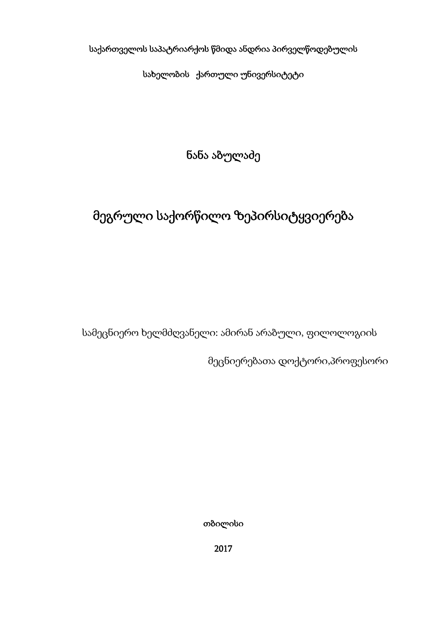საქართველოს საპატრიარქოს წმიდა ანდრია პირველწოდებულის

სახელობის ქართული უნივერსიტეტი

ნანა აბულაძე

# მეგრული საქორწილო ზეპირსიტყვიერება

სამეცნიერო ხელმძღვანელი: ამირან არაბული, ფილოლოგიის

მეცნიერებათა დოქტორი,პროფესორი

თბილისი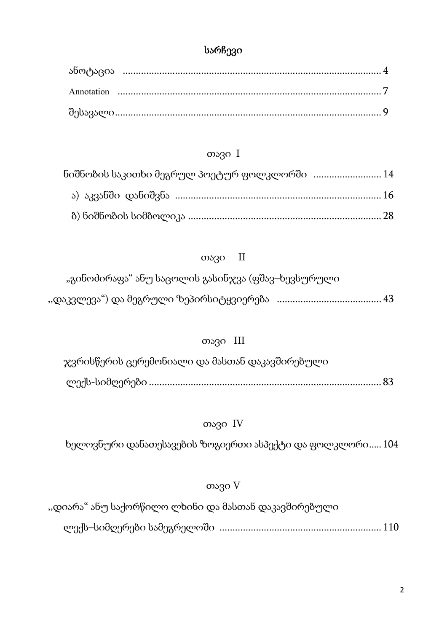# სარჩევი

## თავი I

| ნიშნობის საკითხი მეგრულ პოეტურ ფოლკლორში  14 |  |
|----------------------------------------------|--|
|                                              |  |
|                                              |  |

### თავი II

| "გინოძირაფა" ანუ საცოლის გასინჯვა (ფშავ–ხევსურული |  |
|---------------------------------------------------|--|
|                                                   |  |

### თავი III

 ჯვრისწერის ცერემონიალი და მასთან დაკავშირებული ლექს-სიმღერები ......................................................................................... 83

#### თავი IV

ხელოვნური დანათესავების ზოგიერთი ასპექტი და ფოლკლორი..... 104

#### თავი V

,,დიარა" ანუ საქორწილო ლხინი და მასთან დაკავშირებული

ლექს–სიმღერები სამეგრელოში .............................................................. 110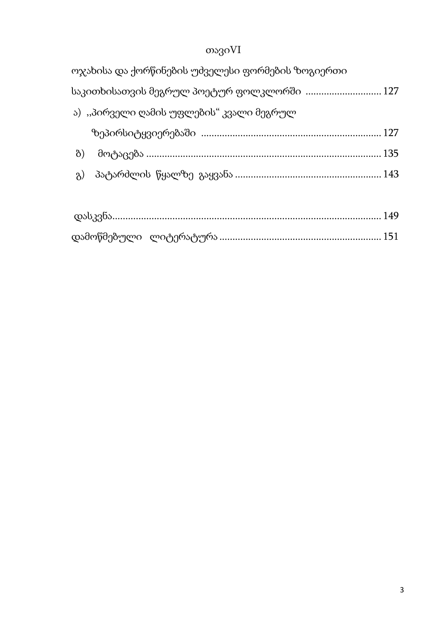# თავიVI

|            | ოჯახისა და ქორწინების უძველესი ფორმების ზოგიერთი |  |
|------------|--------------------------------------------------|--|
|            | საკითხისათვის მეგრულ პოეტურ ფოლკლორში  127       |  |
|            | ა)  "პირველი ღამის უფლების" კვალი მეგრულ         |  |
|            |                                                  |  |
| $\delta$ ) |                                                  |  |
|            |                                                  |  |
|            |                                                  |  |

|  | _დასკვნა………………………………………………………………………………………… 149 |  |
|--|------------------------------------------------|--|
|  |                                                |  |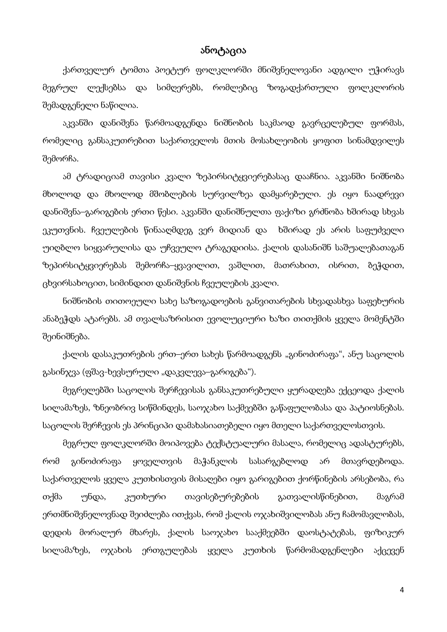#### ანოტაცია

ქართველურ ტომთა პოეტურ ფოლკლორში მნიშვნელოვანი ადგილი უჭირავს მეგრულ ლექსებსა და სიმღერებს, რომლებიც ზოგადქართული ფოლკლორის შემადგენელი ნაწილია.

აკვანში დანიშვნა წარმოადგენდა ნიშნობის საკმაოდ გავრცელებულ ფორმას, რომელიც განსაკუთრებით საქართველოს მთის მოსახლეობის ყოფით სინამდვილეს შემორჩა.

ამ ტრადიციამ თავისი კვალი ზეპირსიტყვიერებასაც დააჩნია. აკვანში ნიშნობა მხოლოდ და მხოლოდ მშობლების სურვილზეა დამყარებული. ეს იყო ნაადრევი დანიშვნა–გარიგების ერთი წესი. აკვანში დანიშნულთა ფაქიზი გრძნობა ხშირად სხვას ეკუთვნის. ჩვეულების წინააღმდეგ ვერ მიდიან და ხშირად ეს არის საფუძველი უიღბლო სიყვარულისა და უჩვეულო ტრაგედიისა. ქალის დასანიშნ საშუალებათაგან ზეპირსიტყვიერებას შემორჩა–ყვავილით, ვაშლით, მათრახით, ისრით, ბეჭდით, ცხვირსახოცით, სიმინდით დანიშვნის ჩვეულების კვალი.

ნიშნობის თითოეული სახე საზოგადოების განვითარების სხვადასხვა საფეხურის ანაბეჭდს ატარებს. ამ თვალსაზრისით ევოლუციური ხაზი თითქმის ყველა მომენტში შეინიშნება.

ქალის დასაკუთრების ერთ–ერთ სახეს წარმოადგენს "გინოძირაფა", ანუ საცოლის გასინჯვა (ფშავ-ხევსურული "დაკვლევა–გარიგება").

მეგრელებში საცოლის შერჩევისას განსაკუთრებული ყურადღება ექცეოდა ქალის სილამაზეს, ზნეობრივ სიწმინდეს, საოჯახო საქმეებში გაწაფულობასა და პატიოსნებას. საცოლის შერჩევის ეს პრინციპი დამახასიათებელი იყო მთელი საქართველოსთვის.

მეგრულ ფოლკლორში მოიპოვება ტექსტუალური მასალა, რომელიც ადასტურებს, რომ გინოძირაფა ყოველთვის მაჭანკლის სასარგებლოდ არ მთავრდებოდა. საქართველოს ყველა კუთხისთვის მისაღები იყო გარიგებით ქორწინების არსებობა, რა თქმა უნდა, კუთხური თავისებურებების გათვალისწინებით, მაგრამ ერთმნიშვნელოვნად შეიძლება ითქვას, რომ ქალის ოჯახიშვილობას ანუ ჩამომავლობას, დედის მორალურ მხარეს, ქალის საოჯახო სააქმეებში დაოსტატებას, ფიზიკურ სილამაზეს, ოჯახის ერთგულებას ყველა კუთხის წარმომადგენლები აქცევენ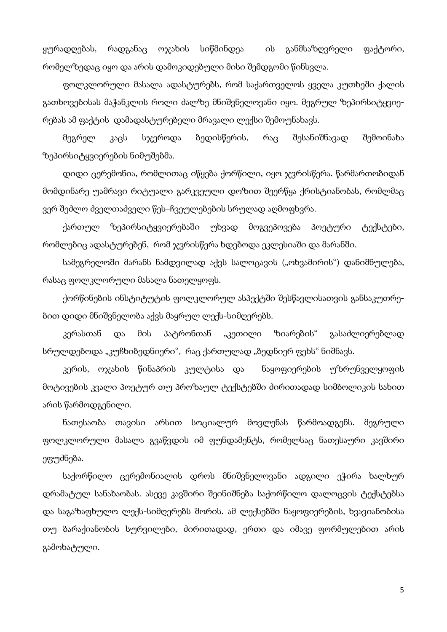ყურადღებას, რადგანაც ოჯახის სიწმინდეა ის განმსაზღვრელი ფაქტორი, რომელზედაც იყო და არის დამოკიდებული მისი შემდგომი წინსვლა.

ფოლკლორული მასალა ადასტურებს, რომ საქართველოს ყველა კუთხეში ქალის გათხოვებისას მაჭანკლის როლი ძალზე მნიშვნელოვანი იყო. მეგრულ ზეპირსიტყვიერებას ამ ფაქტის დამადასტურებელი მრავალი ლექსი შემოუნახავს.

მეგრელ კაცს სჯეროდა ბედისწერის, რაც შესანიშნავად შემოინახა ზეპირსიტყვიერების ნიმუშებმა.

დიდი ცერემონია, რომლითაც იწყება ქორწილი, იყო ჯვრისწერა. წარმართობიდან მომდინარე უამრავი რიტუალი გარკვეული დოზით შეერწყა ქრისტიანობას, რომლმაც ვერ შეძლო ძველთაძველი წეს–ჩვეულებების სრულად აღმოფხვრა.

ქართულ ზეპირსიტყვიერებაში უხვად მოგვეპოვება პოეტური ტექსტები, რომლებიც ადასტურებენ, რომ ჯვრისწერა ხდებოდა ეკლესიაში და მარანში.

სამეგრელოში მარანს ნამდვილად აქვს სალოცავის ("ოხვამირის") დანიშნულება, რასაც ფოლკლორული მასალა ნათელყოფს.

ქორწინების ინსტიტუტის ფოლკლორულ ასპექტში შესწავლისათვის განსაკუთრებით დიდი მნიშვნელობა აქვს მაყრულ ლექს-სიმღერებს.

კერასთან და მის პატრონთან "კეთილი ზიარების" გასაძლიერებლად სრულდებოდა "კუჩხიბედნიერი", რაც ქართულად "ბედნიერ ფეხს" ნიშნავს.

კერის, ოჯახის წინაპრის კულტისა და ნაყოფიერების უზრუნველყოფის მოტივების კვალი პოეტურ თუ პროზაულ ტექსტებში ძირითადად სიმბოლიკის სახით არის წარმოდგენილი.

ნათესაობა თავისი არსით სოციალურ მოვლენას წარმოადგენს. მეგრული ფოლკლორული მასალა გვაწვდის იმ ფუნდამენტს, რომელსაც ნათესაური კავშირი ეფუძნება.

საქორწილო ცერემონიალის დროს მნიშვნელოვანი ადგილი ეჭირა ხალხურ დრამატულ სანახაობას. ასევე კავშირი შეინიშნება საქორწილო დალოცვის ტექსტებსა და საგაზაფხულო ლექს-სიმღერებს შორის. ამ ლექსებში ნაყოფიერების, ხვავიანობისა თუ ბარაქიანობის სურვილები, ძირითადად, ერთი და იმავე ფორმულებით არის გამოხატული.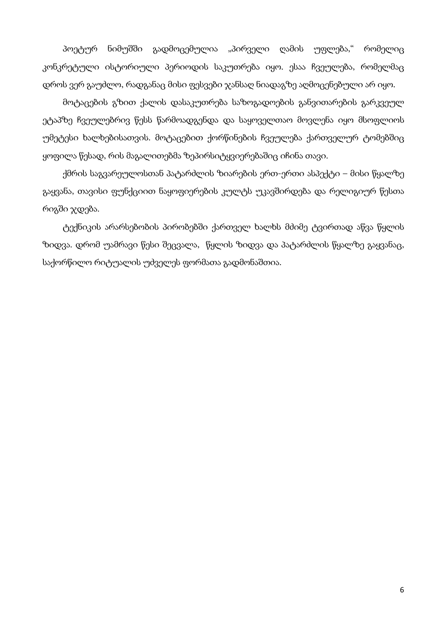პოეტურ ნიმუშში გადმოცემულია "პირველი ღამის უფლება," რომელიც კონკრეტული ისტორიული პერიოდის საკუთრება იყო. ესაა ჩვეულება, რომელმაც დროს ვერ გაუძლო, რადგანაც მისი ფესვები ჯანსაღ ნიადაგზე აღმოცენებული არ იყო.

მოტაცების გზით ქალის დასაკუთრება საზოგადოების განვითარების გარკვეულ ეტაპზე ჩვეულებრივ წესს წარმოადგენდა და საყოველთაო მოვლენა იყო მსოფლიოს უმეტესი ხალხებისათვის. მოტაცებით ქორწინების ჩვეულება ქართველურ ტომებშიც ყოფილა წესად, რის მაგალითებმა ზეპირსიტყვიერებაშიც იჩინა თავი.

ქმრის საგვარეულოსთან პატარძლის ზიარების ერთ-ერთი ასპექტი – მისი წყალზე გაყვანა, თავისი ფუნქციით ნაყოფიერების კულტს უკავშირდება და რელიგიურ წესთა რიგში ჯდება.

ტექნიკის არარსებობის პირობებში ქართველ ხალხს მძიმე ტვირთად აწვა წყლის ზიდვა. დრომ უამრავი წესი შეცვალა, წყლის ზიდვა და პატარძლის წყალზე გაყვანაც, საქორწილო რიტუალის უძველეს ფორმათა გადმონაშთია.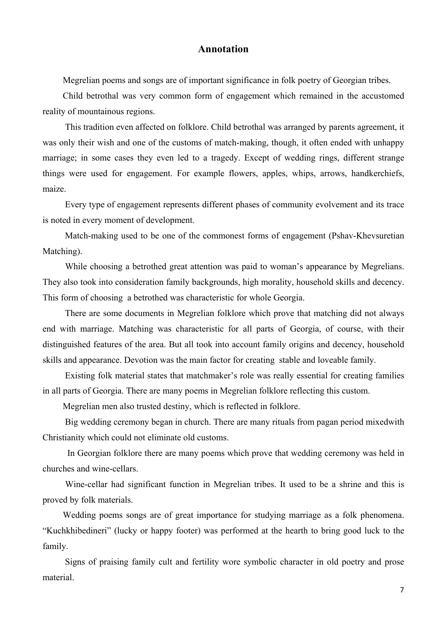#### **Annotation**

Megrelian poems and songs are of important significance in folk poetry of Georgian tribes.

Child betrothal was very common form of engagement which remained in the accustomed reality of mountainous regions.

 This tradition even affected on folklore. Child betrothal was arranged by parents agreement, it was only their wish and one of the customs of match-making, though, it often ended with unhappy marriage; in some cases they even led to a tragedy. Except of wedding rings, different strange things were used for engagement. For example flowers, apples, whips, arrows, handkerchiefs, maize.

 Every type of engagement represents different phases of community evolvement and its trace is noted in every moment of development.

 Match-making used to be one of the commonest forms of engagement (Pshav-Khevsuretian Matching).

 While choosing a betrothed great attention was paid to woman's appearance by Megrelians. They also took into consideration family backgrounds, high morality, household skills and decency. This form of choosing a betrothed was characteristic for whole Georgia.

 There are some documents in Megrelian folklore which prove that matching did not always end with marriage. Matching was characteristic for all parts of Georgia, of course, with their distinguished features of the area. But all took into account family origins and decency, household skills and appearance. Devotion was the main factor for creating stable and loveable family.

 Existing folk material states that matchmaker's role was really essential for creating families in all parts of Georgia. There are many poems in Megrelian folklore reflecting this custom.

Megrelian men also trusted destiny, which is reflected in folklore.

 Big wedding ceremony began in church. There are many rituals from pagan period mixedwith Christianity which could not eliminate old customs.

 In Georgian folklore there are many poems which prove that wedding ceremony was held in churches and wine-cellars.

 Wine-cellar had significant function in Megrelian tribes. It used to be a shrine and this is proved by folk materials.

Wedding poems songs are of great importance for studying marriage as a folk phenomena. "Kuchkhibedineri" (lucky or happy footer) was performed at the hearth to bring good luck to the family.

 Signs of praising family cult and fertility wore symbolic character in old poetry and prose material.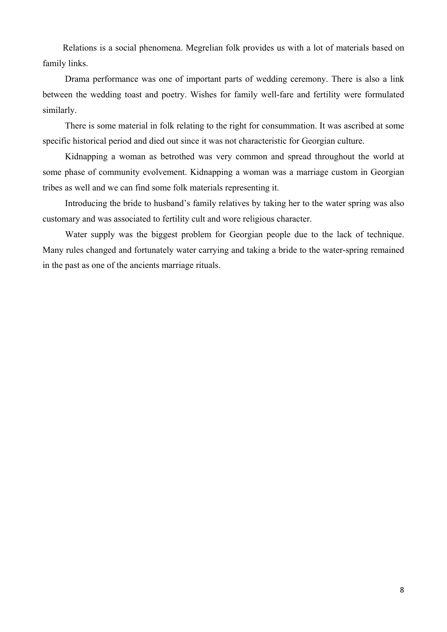Relations is a social phenomena. Megrelian folk provides us with a lot of materials based on family links.

 Drama performance was one of important parts of wedding ceremony. There is also a link between the wedding toast and poetry. Wishes for family well-fare and fertility were formulated similarly.

 There is some material in folk relating to the right for consummation. It was ascribed at some specific historical period and died out since it was not characteristic for Georgian culture.

 Kidnapping a woman as betrothed was very common and spread throughout the world at some phase of community evolvement. Kidnapping a woman was a marriage custom in Georgian tribes as well and we can find some folk materials representing it.

 Introducing the bride to husband's family relatives by taking her to the water spring was also customary and was associated to fertility cult and wore religious character.

 Water supply was the biggest problem for Georgian people due to the lack of technique. Many rules changed and fortunately water carrying and taking a bride to the water-spring remained in the past as one of the ancients marriage rituals.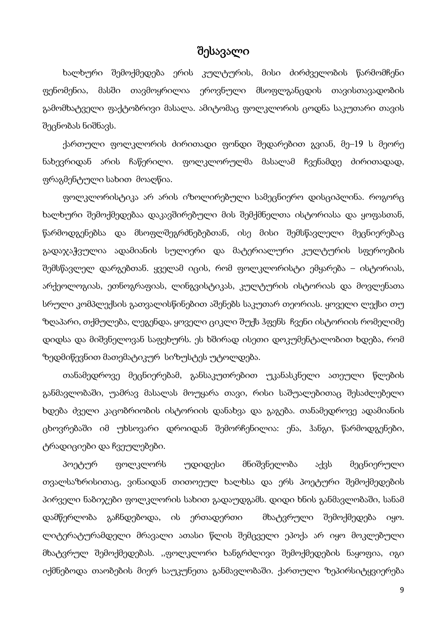# შესავალი

ხალხური შემოქმედება ერის კულტურის, მისი ძირძველობის წარმომჩენი ფენომენია, მასში თავმოყრილია ეროვნული მსოფლგანცდის თავისთავადობის გამომხატველი ფაქტობრივი მასალა. ამიტომაც ფოლკლორის ცოდნა საკუთარი თავის შეცნობას ნიშნავს.

ქართული ფოლკლორის ძირითადი ფონდი შედარებით გვიან, მე–19 ს მეორე ნახევრიდან არის ჩაწერილი. ფოლკლორულმა მასალამ ჩვენამდე ძირითადად, ფრაგმენტული სახით მოაღწია.

ფოლკლორისტიკა არ არის იზოლირებული სამეცნიერო დისციპლინა. როგორც ხალხური შემოქმედებაა დაკავშირებული მის შემქმნელთა ისტორიასა და ყოფასთან, წარმოდგენებსა და მსოფლშეგრძნებებთან, ისე მისი შემსწავლელი მეცნიერებაც გადაჯაჭვულია ადამიანის სულიერი და მატერიალური კულტურის სფეროების შემსწავლელ დარგებთან. ყველამ იცის, რომ ფოლკლორისტი ემყარება – ისტორიას, არქეოლოგიას, ეთნოგრაფიას, ლინგვისტიკას, კულტურის ისტორიას და მოვლენათა სრული კომპლექსის გათვალისწინებით აშენებს საკუთარ თეორიას. ყოველი ლექსი თუ ზღაპარი, თქმულება, ლეგენდა, ყოველი ციკლი შუქს ჰფენს ჩვენი ისტორიის რომელიმე დიდსა და მიშვნელოვან საფეხურს. ეს ხშირად ისეთი დოკუმენტალობით ხდება, რომ ზედმიწევნით მათემატიკურ სიზუსტეს უტოლდება.

თანამედროვე მეცნიერებამ, განსაკუთრებით უკანასკნელი ათეული წლების განმავლობაში, უამრავ მასალას მოუყარა თავი, რისი საშუალებითაც შესაძლებელი ხდება ძველი კაცობრიობის ისტორიის დანახვა და გაგება. თანამედროვე ადამიანის ცხოვრებაში იმ უხსოვარი დროიდან შემორჩენილია: ენა, ჰანგი, წარმოდგენები, ტრადიციები და ჩვეულებები.

პოეტურ ფოლკლორს უდიდესი მნიშვნელობა აქვს მეცნიერული თვალსაზრისითაც, ვინაიდან თითოეულ ხალხსა და ერს პოეტური შემოქმედების პირველი ნაბიჯები ფოლკლორის სახით გადაუდგამს. დიდი ხნის განმავლობაში, სანამ დამწერლობა გაჩნდებოდა, ის ერთადერთი მხატვრული შემოქმედება იყო. ლიტერატურამდელი მრავალი ათასი წლის შემცველი ეპოქა არ იყო მოკლებული მხატვრულ შემოქმედებას. ,,ფოლკლორი ხანგრძლივი შემოქმედების ნაყოფია, იგი იქმნებოდა თაობების მიერ საუკუნეთა განმავლობაში. ქართული ზეპირსიტყვიერება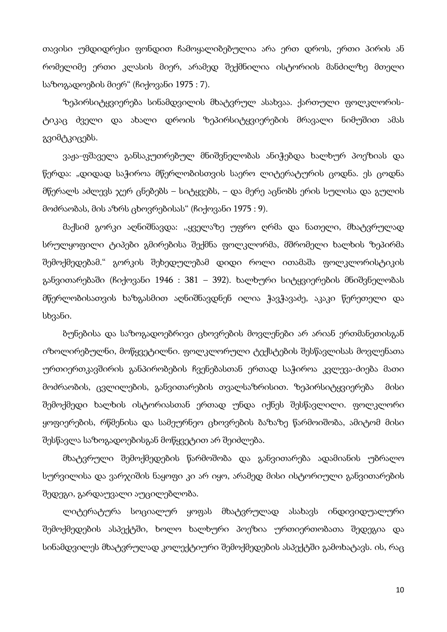თავისი უმდიდრესი ფონდით ჩამოყალიბებულია არა ერთ დროს, ერთი პირის ან რომელიმე ერთი კლასის მიერ, არამედ შექმნილია ისტორიის მანძილზე მთელი საზოგადოების მიერ" (ჩიქოვანი 1975 : 7).

ზეპირსიტყვიერება სინამდვილის მხატვრულ ასახვაა. ქართული ფოლკლორისტიკაც ძველი და ახალი დროის ზეპირსიტყვიერების მრავალი ნიმუშით ამას გვიმტკიცებს.

ვაჟა-ფშაველა განსაკუთრებულ მნიშვნელობას ანიჭებდა ხალხურ პოეზიას და წერდა: "დიდად საჭიროა მწერლობისთვის საერო ლიტერატურის ცოდნა. ეს ცოდნა მწერალს აძლევს ჯერ ცნებებს – სიტყვებს, – და მერე აცნობს ერის სულისა და გულის მოძრაობას, მის აზრს ცხოვრებისას" (ჩიქოვანი 1975 : 9).

მაქსიმ გორკი აღნიშნავდა: ,,ყველაზე უფრო ღრმა და ნათელი, მხატვრულად სრულყოფილი ტიპები გმირებისა შექმნა ფოლკლორმა, მშრომელი ხალხის ზეპირმა შემოქმედებამ." გორკის შეხედულებამ დიდი როლი ითამაშა ფოლკლორისტიკის განვითარებაში (ჩიქოვანი 1946 : 381 – 392). ხალხური სიტყვიერების მნიშვნელობას მწერლობისათვის ხაზგასმით აღნიშნავდნენ ილია ჭავჭავაძე, აკაკი წერეთელი და სხვანი.

ბუნებისა და საზოგადოებრივი ცხოვრების მოვლენები არ არიან ერთმანეთისგან იზოლირებულნი, მოწყვეტილნი. ფოლკლორული ტექსტების შესწავლისას მოვლენათა ურთიერთკავშირის განპირობების ჩვენებასთან ერთად საჭიროა კვლევა-ძიება მათი მოძრაობის, ცვლილების, განვითარების თვალსაზრისით. ზეპირსიტყვიერება მისი შემოქმედი ხალხის ისტორიასთან ერთად უნდა იქნეს შესწავლილი. ფოლკლორი ყოფიერების, რწმენისა და სამეურნეო ცხოვრების ბაზაზე წარმოიშობა, ამიტომ მისი შესწავლა საზოგადოებისგან მოწყვეტით არ შეიძლება.

მხატვრული შემოქმედების წარმოშობა და განვითარება ადამიანის უბრალო სურვილისა და ვარჯიშის ნაყოფი კი არ იყო, არამედ მისი ისტორიული განვითარების შედეგი, გარდაუვალი აუცილებლობა.

ლიტერატურა სოციალურ ყოფას მხატვრულად ასახავს ინდივიდუალური შემოქმედების ასპექტში, ხოლო ხალხური პოეზია ურთიერთობათა შედეგია და სინამდვილეს მხატვრულად კოლექტიური შემოქმედების ასპექტში გამოხატავს. ის, რაც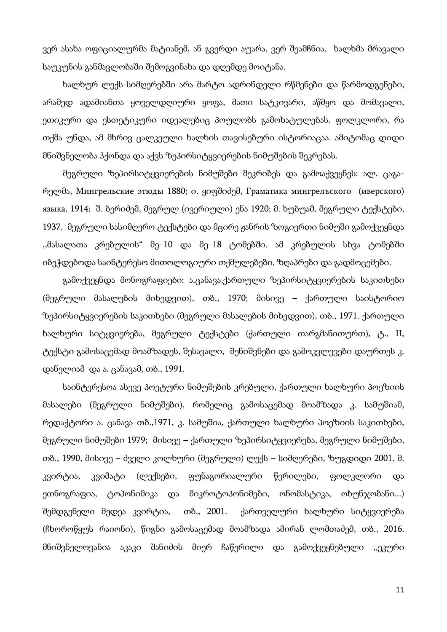ვერ ასახა ოფიციალურმა მატიანემ, ან გვერდი აუარა, ვერ შეამჩნია, ხალხმა მრავალი საუკუნის განმავლობაში შემოგვინახა და დღემდე მოიტანა.

ხალხურ ლექს-სიმღერებში არა მარტო ადრინდელი რწმენები და წარმოდგენები, არამედ ადამიანთა ყოველდღიური ყოფა, მათი სატკივარი, აწმყო და მომავალი, ეთიკური და ესთეტიკური იდეალებიც პოულობს გამოხატულებას. ფოლკლორი, რა თქმა უნდა, ამ მხრივ ცალკეული ხალხის თავისებური ისტორიაცაა. ამიტომაც დიდი მნიშვნელობა ჰქონდა და აქვს ზეპირსიტყვიერების ნიმუშების შეკრებას.

მეგრული ზეპირსიტყვიერების ნიმუშები შეკრიბეს და გამოაქვეყნეს: ალ. ცაგარელმა, Мингрельские этюды 1880; ი. ყიფშიძემ, Граматика мингрелъского (иверского) языка, 1914; შ. ბერიძემ, მეგრულ (ივერიული) ენა 1920; მ. ხუბუამ, მეგრული ტექსტები, 1937. მეგრული სასიმღერო ტექსტები და მცირე ჟანრის ზოგიერთი ნიმუში გამოქვეყნდა ,,მასალათა კრებულის" მე–10 და მე–18 ტომებში. ამ კრებულის სხვა ტომებში იბეჭდებოდა საინტერესო მითოლოგიური თქმულებები, ზღაპრები და გადმოცემები.

გამოქვეყნდა მონოგრაფიები: ა.ცანავა,ქართული ზეპირსიტყვიერების საკითხები (მეგრული მასალების მიხედვით), თბ., 1970; მისივე – ქართული საისტორიო ზეპირსიტყვიერების საკითხები (მეგრული მასალების მიხედვით), თბ., 1971. ქართული ხალხური სიტყვიერება, მეგრული ტექსტები (ქართული თარგმანითურთ), ტ., II, ტექსტი გამოსაცემად მოამზადეს, შესავალი, შენიშვნები და გამოკვლევები დაურთეს კ. დანელიამ და ა. ცანავამ, თბ., 1991.

საინტერესოა ასევე პოეტური ნიმუშების კრებული, ქართული ხალხური პოეზიის მასალები (მეგრული ნიმუშები), რომელიც გამოსაცემად მოამზადა კ. სამუშიამ, რედაქტორი ა. ცანავა თბ.,1971, კ. სამუშია, ქართული ხალხური პოეზიის საკითხები, მეგრული ნიმუშები 1979; მისივე – ქართული ზეპირსიტყვიერება, მეგრული ნიმუშები, თბ., 1990, მისივე – ძველი კოლხური (მეგრული) ლექს – სიმღერები, ზუგდიდი 2001. მ. კვირტია, კვიმატი (ლექსები, ფუნაგორიალური წერილები, ფოლკლორი და ეთნოგრაფია, ტოპონიმიკა და მიკროტოპონიმები, ონომასტიკა, ოხუნჯობანი...) შემდგენელი მედეა კვირტია, თბ., 2001. ქართველური ხალხური სიტყვიერება (ჩხოროწყუს რაიონი), წიგნი გამოსაცემად მოამზადა ამირან ლომთაძემ, თბ., 2016. მნიშვნელოვანია აკაკი შანიძის მიერ ჩაწერილი და გამოქვეყნებული ,,ეკური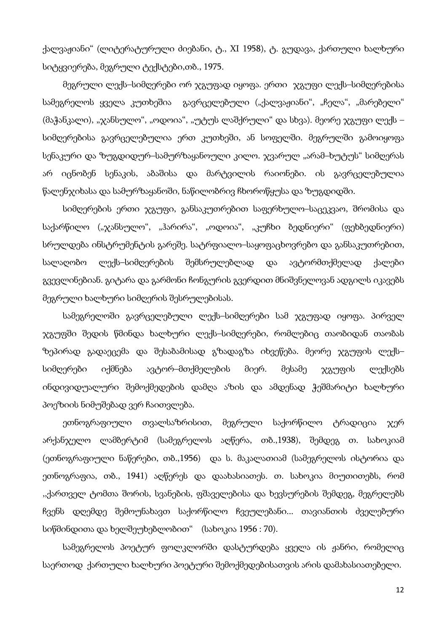ქალვაჟიანი" (ლიტერატურული ძიებანი, ტ., XI 1958), ტ. გუდავა, ქართული ხალხური სიტყვიერება, მეგრული ტექსტები,თბ., 1975.

მეგრული ლექს–სიმღერები ორ ჯგუფად იყოფა. ერთი ჯგუფი ლექს–სიმღერებისა სამეგრელოს ყველა კუთხეშია გავრცელებული ("ქალვაჟიანი", "ჩელა", "მარებელი" (მაჭანკალი), "ჯანსულო", "ოდოია", "უტუს ლაშქრული" და სხვა). მეორე ჯგუფი ლექს – სიმღერებისა გავრცელებულია ერთ კუთხეში, ან სოფელში. მეგრულში გამოიყოფა სენაკური და ზუგდიდურ–სამურზაყანოული კილო. ჯვარულ "არამ–ხუტუს" სიმღერას არ იცნობენ სენაკის, აბაშისა და მარტვილის რაიონები. ის გავრცელებულია წალენჯიხასა და სამურზაყანოში, ნაწილობრივ ჩხოროწყუსა და ზუგდიდში.

სიმღერების ერთი ჯგუფი, განსაკუთრებით საფერხულო–საცეკვაო, შრომისა და საქარწილო ("ჯანსულო", "ჰარირა", "ოდოია", "კუჩხი ბედნიერი" (ფეხბედნიერი) სრულდება ინსტრუმენტის გარეშე. სატრფიალო–საყოფაცხოვრებო და განსაკუთრებით, სალაღობო ლექს–სიმღერების შემსრულებლად და ავტორმთქმელად ქალები გვევლინებიან. გიტარა და გარმონი ჩონგურის გვერდით მნიშვნელოვან ადგილს იკავებს მეგრული ხალხური სიმღერის შესრულებისას.

სამეგრელოში გავრცელებული ლექს–სიმღერები სამ ჯგუფად იყოფა. პირველ ჯგუფში შედის წმინდა ხალხური ლექს–სიმღერები, რომლებიც თაობიდან თაობას ზეპირად გადაეცემა და შესაბამისად გზადაგზა იხვეწება. მეორე ჯგუფის ლექს– სიმღერები იქმნება ავტორ–მთქმელების მიერ. მესამე ჯგუფის ლექსებს ინდივიდუალური შემოქმედების დამღა აზის და ამდენად ჭეშმარიტი ხალხური პოეზიის ნიმუშებად ვერ ჩაითვლება.

ეთნოგრაფიული თვალსაზრისით, მეგრული საქორწილო ტრადიცია ჯერ არქანჯელო ლამბერტიმ (სამეგრელოს აღწერა, თბ.,1938), შემდეგ თ. სახოკიამ (ეთნოგრაფიული ნაწერები, თბ.,1956) და ს. მაკალათიამ (სამეგრელოს ისტორია და ეთნოგრაფია, თბ., 1941) აღწერეს და დაახასიათეს. თ. სახოკია მიუთითებს, რომ ,,ქართველ ტომთა შორის, სვანების, ფშაველებისა და ხევსურების შემდეგ, მეგრელებს ჩვენს დღემდე შემოუნახავთ საქორწილო ჩვეულებანი... თავიანთის ძველებური სიწმინდითა და ხელშეუხებლობით" (სახოკია 1956 : 70).

სამეგრელოს პოეტურ ფოლკლორში დასტურდება ყველა ის ჟანრი, რომელიც საერთოდ ქართული ხალხური პოეტური შემოქმედებისათვის არის დამახასიათებელი.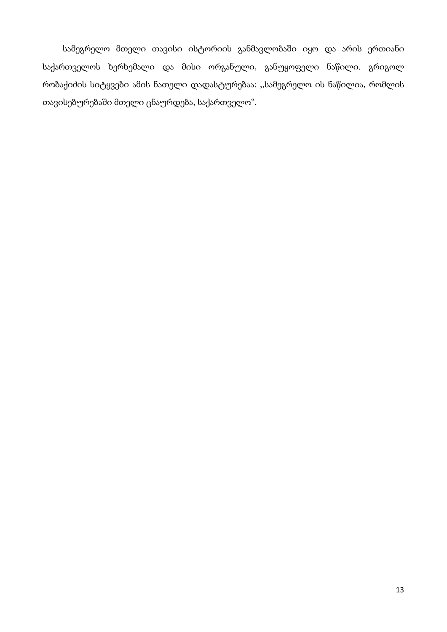სამეგრელო მთელი თავისი ისტორიის განმავლობაში იყო და არის ერთიანი საქართველოს ხერხემალი და მისი ორგანული, განუყოფელი ნაწილი. გრიგოლ რობაქიძის სიტყვები ამის ნათელი დადასტურებაა: ,,სამეგრელო ის ნაწილია, რომლის თავისებურებაში მთელი ცნაურდება, საქართველო".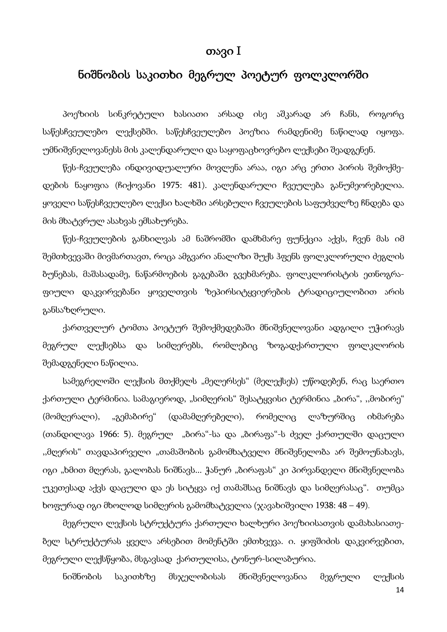#### თავი I

# ნიშნობის საკითხი მეგრულ პოეტურ ფოლკლორში

პოეზიის სინკრეტული ხასიათი არსად ისე აშკარად არ ჩანს, როგორც საწესჩვეულებო ლექსებში. საწესჩვეულებო პოეზია რამდენიმე ნაწილად იყოფა. უმნიშვნელოვანესს მის კალენდარული და საყოფაცხოვრებო ლექსები შეადგენენ.

წეს-ჩვეულება ინდივიდუალური მოვლენა არაა, იგი არც ერთი პირის შემოქმედების ნაყოფია (ჩიქოვანი 1975: 481). კალენდარული ჩვეულება განუმეორებელია. ყოველი საწესჩვეულებო ლექსი ხალხში არსებული ჩვეულების საფუძველზე ჩნდება და მის მხატვრულ ასახვას ემსახურება.

წეს-ჩვეულების განხილვას ამ ნაშრომში დამხმარე ფუნქცია აქვს, ჩვენ მას იმ შემთხვევაში მივმართავთ, როცა ამგვარი ანალიზი შუქს ჰფენს ფოლკლორული ძეგლის ბუნებას, მაშასადამე, ნაწარმოების გაგებაში გვეხმარება. ფოლკლორისტის ეთნოგრაფიული დაკვირვებანი ყოველთვის ზეპირსიტყვიერების ტრადიციულობით არის განსაზღრული.

ქართველურ ტომთა პოეტურ შემოქმედებაში მნიშვნელოვანი ადგილი უჭირავს მეგრულ ლექსებსა და სიმღერებს, რომლებიც ზოგადქართული ფოლკლორის შემადგენელი ნაწილია.

სამეგრელოში ლექსის მთქმელს "მელერსეს" (მელექსეს) უწოდებენ, რაც საერთო ქართული ტერმინია. სამაგიეროდ, "სიმღერის" შესატყვისი ტერმინია "ბირა", "მობირე" (მომღერალი), "გემაბირე" (დამამღერებელი), რომელიც ლაზურშიც იხმარება (თანდილავა 1966: 5). მეგრულ "ბირა"-სა და "ბირაფა"-ს ძველ ქართულში დაცული "მღერის" თავდაპირველი "თამაშობის გამომხატველი მნიშვნელობა არ შემოუნახავს, იგი "ხმით მღერას, გალობას ნიშნავს... ჭანურ "ბირაფას" კი პირვანდელი მნიშვნელობა უკეთესად აქვს დაცული და ეს სიტყვა იქ თამაშსაც ნიშნავს და სიმღერასაც". თუმცა ხოფურად იგი მხოლოდ სიმღერის გამომხატველია (ჯავახიშვილი 1938: 48 – 49).

მეგრული ლექსის სტრუქტურა ქართული ხალხური პოეზიისათვის დამახასიათებელ სტრუქტურას ყველა არსებით მომენტში ემთხვევა. ი. ყიფშიძის დაკვირვებით, მეგრული ლექსწყობა, მსგავსად ქართულისა, ტონურ-სილაბურია.

ნიშნობის საკითხზე მსჯელობისას მნიშვნელოვანია მეგრული ლექსის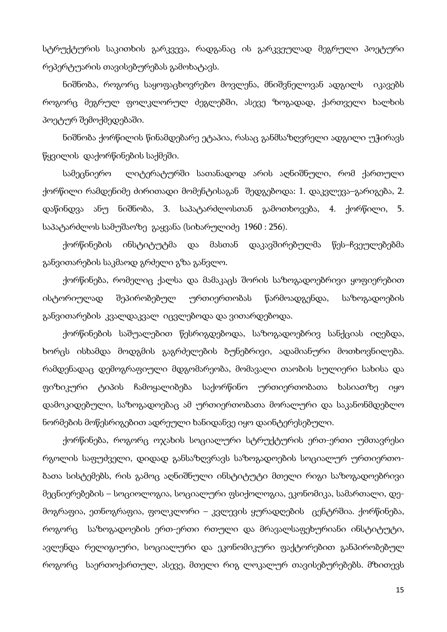სტრუქტურის საკითხის გარკვევა, რადგანაც ის გარკვეულად მეგრული პოეტური რეპერტუარის თავისებურებას გამოხატავს.

ნიშნობა, როგორც საყოფაცხოვრებო მოვლენა, მნიშვნელოვან ადგილს იკავებს როგორც მეგრულ ფოლკლორულ ძეგლებში, ასევე ზოგადად, ქართველი ხალხის პოეტურ შემოქმედებაში.

ნიშნობა ქორწილის წინამდებარე ეტაპია, რასაც განმსაზღვრელი ადგილი უჭირავს წყვილის დაქორწინების საქმეში.

სამეცნიერო ლიტერატურში სათანადოდ არის აღნიშნული, რომ ქართული ქორწილი რამდენიმე ძირითადი მომენტისაგან შედგებოდა: 1. დაკვლევა–გარიგება, 2. დაწინდვა ანუ ნიშნობა, 3. საპატარძლოსთან გამოთხოვება, 4. ქორწილი, 5. საპატარძლოს სამუშაოზე გაყვანა (სიხარულიძე 1960 : 256).

ქორწინების ინსტიტუტმა და მასთან დაკავშირებულმა წეს–ჩვეულებებმა განვითარების საკმაოდ გრძელი გზა განვლო.

ქორწინება, რომელიც ქალსა და მამაკაცს შორის საზოგადოებრივი ყოფიერებით ისტორიულად შეპირობებულ ურთიერთობას წარმოადგენდა, საზოგადოების განვითარების კვალდაკვალ იცვლებოდა და ვითარდებოდა.

ქორწინების საშუალებით წესრიგდებოდა, საზოგადოებრივ სანქციას იღებდა, ხორცს ისხამდა მოდგმის გაგრძელების ბუნებრივი, ადამიანური მოთხოვნილება. რამდენადაც დემოგრაფიული მდგომარეობა, მომავალი თაობის სულიერი სახისა და ფიზიკური ტიპის ჩამოყალიბება საქორწინო ურთიერთობათა ხასიათზე იყო დამოკიდებული, საზოგადოებაც ამ ურთიერთობათა მორალური და საკანონმდებლო ნორმების მოწესრიგებით ადრეული ხანიდანვე იყო დაინტერესებული.

ქორწინება, როგორც ოჯახის სოციალური სტრუქტურის ერთ-ერთი უმთავრესი რგოლის საფუძველი, დიდად განსაზღვრავს საზოგადოების სოციალურ ურთიერთობათა სისტემებს, რის გამოც აღნიშნული ინსტიტუტი მთელი რიგი საზოგადოებრივი მეცნიერებების – სოციოლოგია, სოციალური ფსიქოლოგია, ეკონომიკა, სამართალი, დემოგრაფია, ეთნოგრაფია, ფოლკლორი – კვლევის ყურადღების ცენტრშია. ქორწინება, როგორც საზოგადოების ერთ-ერთი რთული და მრავალსაფეხურიანი ინსტიტუტი, ავლენდა რელიგიური, სოციალური და ეკონომიკური ფაქტორებით განპირობებულ როგორც საერთოქართულ, ასევე, მთელი რიგ ლოკალურ თავისებურებებს. მზითევს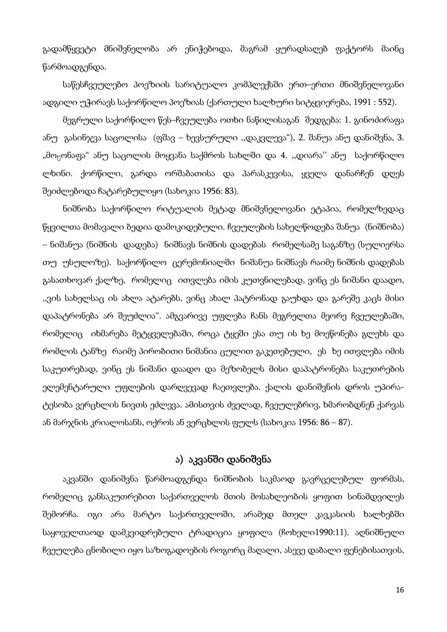გადამწყვეტი მნიშვნელობა არ ენიჭებოდა, მაგრამ ყურადსაღებ ფაქტორს მაინც წარმოადგენდა.

საწესჩვეულებო პოეზიის სარიტუალო კომპლექსში ერთ–ერთი მნიშვნელოვანი ადგილი უჭირავს საქორწილო პოეზიას (ქართული ხალხური სიტყვიერება, 1991 : 552).

მეგრული საქორწილო წეს–ჩვეულება ოთხი ნაწილისაგან შედგება: 1. გინოძირაფა ანუ გასინჯვა საცოლისა (ფშავ – ხევსურული ,,დაკვლევა"), 2. შანუა ანუ დანიშვნა, 3. "მოცონაფა" ანუ საცოლის მოყვანა საქმროს სახლში და 4. ,,დიარა'' ანუ საქორწილო ლხინი. ქორწილი, გარდა ორშაბათისა და პარასკევისა, ყველა დანარჩენ დღეს შეიძლებოდა ჩატარებულიყო (სახოკია 1956: 83).

ნიშნობა საქორწილო რიტუალის მეტად მნიშვნელოვანი ეტაპია, რომელზედაც წყვილთა მომავალი ბედია დამოკიდებული. ჩვეულების სახელწოდება შანუა (ნიშნობა) – ნიშანუა (ნიშნის დადება) ნიშნავს ნიშნის დადებას რომელსამე საგანზე (სულიერსა თუ უსულოზე). საქორწილო ცერემონიალში ნიშანუა ნიშნავს რაიმე ნიშნის დადებას გასათხოვარ ქალზე, რომელიც ითვლება იმის კუთვნილებად, ვინც ეს ნიშანი დაადო, ,,ვის სახელსაც ის ახლა ატარებს, ვინც ახალ პატრონად გაუხდა და გარეშე კაცს მისი დაპატრონება არ შეუძლია". ამგვარივე უფლება ჩანს მეგრელთა მეორე ჩვეულებაში, რომელიც იხმარება მეტყველებაში, როცა ტყეში ესა თუ ის ხე მოეწონება გლეხს და რომლის ტანზე რაიმე პირობითი ნიშანია ცულით გაკეთებული, ეს ხე ითვლება იმის საკუთრებად, ვინც ეს ნიშანი დაადო და მეზობელს მისი დაპატრონება საკუთრების ელემენტარული უფლების დარღვევად ჩაეთვლება. ქალის დანიშვნის დროს უპირატესობა ვერცხლის ნივთს ეძლევა. ამისთვის ძველად, ჩვეულებრივ, ხმარობდნენ ქარვას ან მარჯნის კრიალოსანს, ოქროს ან ვერცხლის ფულს (სახოკია 1956: 86 – 87).

#### ა) აკვანში დანიშვნა

აკვანში დანიშვნა წარმოადგენდა ნიშნობის საკმაოდ გავრცელებულ ფორმას, რომელიც განსაკუთრებით საქართველოს მთის მოსახლეობის ყოფით სინამდვილეს შემორჩა. იგი არა მარტო საქართველოში, არამედ მთელ კავკასიის ხალხებში საყოველთაოდ დამკვიდრებული ტრადიცია ყოფილა (ჩოხელი1990:11). აღნიშნული ჩვეულება ცნობილი იყო საზოგადოების როგორც მაღალი, ასევე დაბალი ფენებისათვის,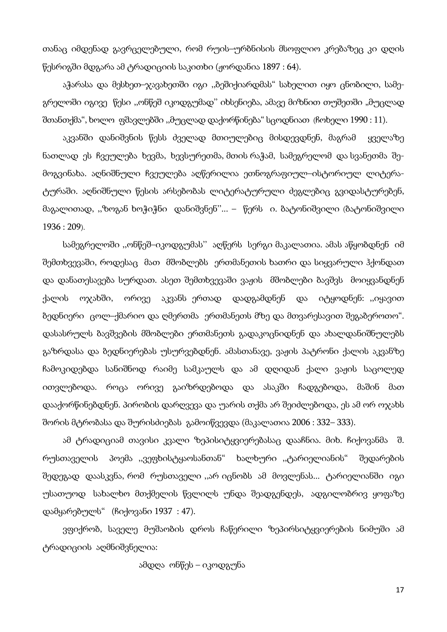თანაც იმდენად გავრცელებული, რომ რუის–ურბნისის მსოფლიო კრებაზეც კი დღის წესრიგში მდგარა ამ ტრადიციის საკითხი (ჟორდანია 1897 : 64).

აჭარასა და მესხეთ–ჯავახეთში იგი ,,ბეშიქიარდმას" სახელით იყო ცნობილი, სამეგრელოში იგივე წესი "ონწეშ იკოდგუმად" იხსენიება, ამავე მიზნით თუშეთში "მუცლად შთანთქმა", ხოლო ფშავლებში ,,მუცლად დაქორწინება" სცოდნიათ (ჩოხელი 1990 : 11).

აკვანში დანიშვნის წესს ძველად მთიულებიც მისდევდნენ, მაგრამ ყველაზე ნათლად ეს ჩვეულება ხევმა, ხევსურეთმა, მთის რაჭამ, სამეგრელომ და სვანეთმა შემოგვინახა. აღნიშნული ჩვეულება აღწერილია ეთნოგრაფიულ–ისტორიულ ლიტერატურაში. აღნიშნული წესის არსებობას ლიტერატურული ძეგლებიც გვიდასტურებენ, მაგალითად, ,,ზოგან ხოჭიჭნი დანიშვნენ''... – წერს ი. ბატონიშვილი (ბატონიშვილი 1936 : 209).

სამეგრელოში ,,ონწეშ–იკოდგუმას'' აღწერს სერგი მაკალათია. ამას აწყობდნენ იმ შემთხვევაში, როდესაც მათ მშობლებს ერთმანეთის ხათრი და სიყვარული ჰქონდათ და დანათესავება სურდათ. ასეთ შემთხვევაში ვაჟის მშობლები ბავშვს მოიყვანდნენ ქალის ოჯახში, ორივე აკვანს ერთად დადგამდნენ და იტყოდნენ: ,,იყავით ბედნიერი ცოლ–ქმარიო და ღმერთმა ერთმანეთს მზე და მთვარესავით შეგაბეროთო". დასასრულს ბავშვების მშობლები ერთმანეთს გადაკოცნიდნენ და ახალდანიშნულებს გაზრდასა და ბედნიერებას უსურვებდნენ. ამასთანავე, ვაჟის პატრონი ქალის აკვანზე ჩამოკიდებდა სანიშნოდ რაიმე სამკაულს და ამ დღიდან ქალი ვაჟის საცოლედ ითვლებოდა. როცა ორივე გაიზრდებოდა და ასაკში ჩადგებოდა, მაშინ მათ დააქორწინებდნენ. პირობის დარღვევა და უარის თქმა არ შეიძლებოდა, ეს ამ ორ ოჯახს შორის მტრობასა და შურისძიებას გამოიწვევდა (მაკალათია 2006 : 332– 333).

ამ ტრადიციამ თავისი კვალი ზეპისიტყვიერებასაც დააჩნია. მიხ. ჩიქოვანმა შ. რუსთაველის პოემა ,,ვეფხისტყაოსანთან" ხალხური ,,ტარიელიანის" შედარების შედეგად დაასკვნა, რომ რუსთაველი ,,არ იცნობს ამ მოვლენას... ტარიელიანში იგი უსათუოდ სახალხო მთქმელის წვლილს უნდა შეადგენდეს, ადგილობრივ ყოფაზე დამყარებულს" (ჩიქოვანი 1937 : 47).

ვფიქრობ, საველე მუშაობის დროს ჩაწერილი ზეპირსიტყვიერების ნიმუში ამ ტრადიციის აღმნიშვნელია:

ამდღა ონწეს – იკოდგუნა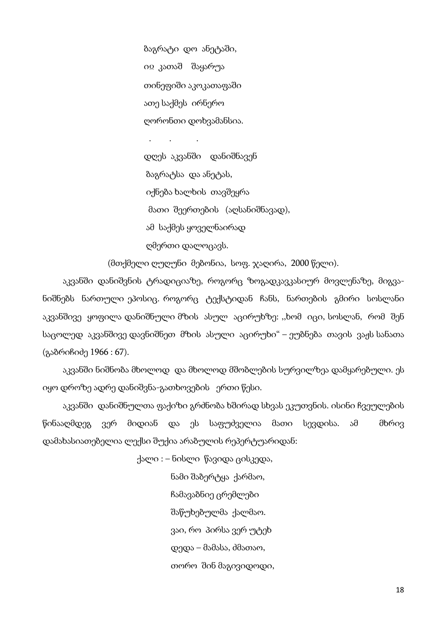ბაგრატი დო ანეტაში, იÁ კათაშ შაყარუა თინეფიში აკოკათაფაში ათე საქმეს ირნერო ღორონთი დოხვამანსია.

. . .

 დღეს აკვანში დანიშნავენ ბაგრატსა და ანეტას, იქნება ხალხის თავშეყრა მათი შეერთების (აღსანიშნავად), ამ საქმეს ყოველნაირად ღმერთი დალოცავს.

(მთქმელი ღუღუნი მებონია, სოფ. ჯაღირა, 2000 წელი).

აკვანში დანიშვნის ტრადიციაზე, როგორც ზოგადკავკასიურ მოვლენაზე, მიგვანიშნებს ნართული ეპოსიც. როგორც ტექსტიდან ჩანს, ნართების გმირი სოსლანი აკვანშივე ყოფილა დანიშნული მზის ასულ აცირუხზე: ,,ხომ იცი, სოსლან, რომ შენ საცოლედ აკვანშივე დავნიშნეთ მზის ასული აცირუხი" – ეუბნება თავის ვაჟს სანათა (გაბრიჩიძე 1966 : 67).

აკვანში ნიშნობა მხოლოდ და მხოლოდ მშობლების სურვილზეა დამყარებული. ეს იყო დროზე ადრე დანიშვნა-გათხოვების ერთი წესი.

აკვანში დანიშნულთა ფაქიზი გრძნობა ხშირად სხვას ეკუთვნის. ისინი ჩვეულების წინააღმდეგ ვერ მიდიან და ეს საფუძველია მათი სევდისა. ამ მხრივ დამახასიათებელია ლექსი შუქია არაბულის რეპერტუარიდან:

ქალი : – ნისლი წავიდა ცისკედა,

ნამი შაბერტყა ქარმაო, ჩამავაბნიე ცრემლები შაწუხებულმა ქალმაო. ვაი, რო პირსა ვერ უტეხ დედა – მამასა, ძმათაო, თორო შინ მაგივიდოდი,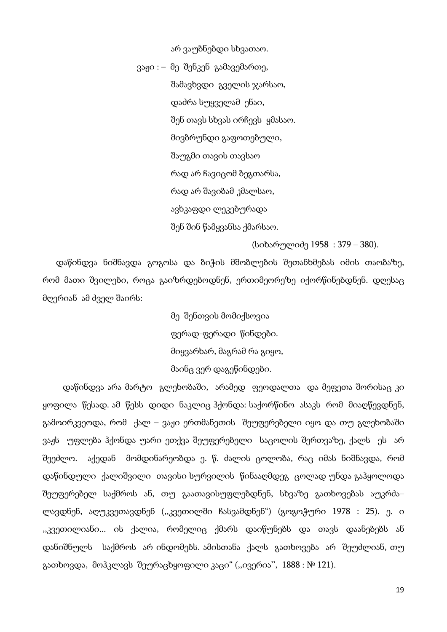არ ვაუბნებდი სხვათაო.

 ვაჟი : – მე შენკენ გამავემართე, შამავხვდი გველის ჯარსაო, დაძრა სუყველამ ენაი, შენ თავს სხვას ირჩევს ყმასაო. მივბრუნდი გაფოთებული, შაუგმი თავის თავსაო რად არ ჩავიცომ ბეგთარსა, რად არ შავიბამ კმალსაო, ავხკაფდი ლეკებურადა შენ შინ წამყვანსა ქმარსაო.

(სიხარულიძე 1958 : 379 – 380).

 დაწინდვა ნიშნავდა გოგოსა და ბიჭის მშობლების შეთანხმებას იმის თაობაზე, რომ მათი შვილები, როცა გაიზრდებოდნენ, ერთიმეორეზე იქორწინებდნენ. დღესაც მღერიან ამ ძველ შაირს:

> მე შენთვის მომიქსოვია ფერად-ფერადი წინდები. მიყვარხარ, მაგრამ რა გიყო, მაინც ვერ დაგეწინდები.

დაწინდვა არა მარტო გლეხობაში, არამედ ფეოდალთა და მეფეთა შორისაც კი ყოფილა წესად. ამ წესს დიდი ნაკლიც ჰქონდა: საქორწინო ასაკს რომ მიაღწევდნენ, გამოირკვეოდა, რომ ქალ – ვაჟი ერთმანეთის შეუფერებელი იყო და თუ გლეხობაში ვაჟს უფლება ჰქონდა უარი ეთქვა შეუფერებელი საცოლის შერთვაზე, ქალს ეს არ შეეძლო. აქედან მომდინარეობდა ე. წ. ძალის ცოლობა, რაც იმას ნიშნავდა, რომ დაწინდული ქალიშვილი თავისი სურვილის წინააღმდეგ ცოლად უნდა გაჰყოლოდა შეუფერებელ საქმროს ან, თუ გაათავისუფლებდნენ, სხვაზე გათხოვებას აუკრძა– ლავდნენ, აღუკვეთავდნენ (,,კვეთილში ჩასვამდნენ") (გოგოჭური 1978 : 25). ე. ი ,,კვეთილიანი... ის ქალია, რომელიც ქმარს დაიწუნებს და თავს დაანებებს ან დანიშნულს საქმროს არ ინდომებს. ამისთანა ქალს გათხოვება არ შეუძლიან, თუ გათხოვდა, მოჰკლავს შეურაცხყოფილი კაცი" (,,ივერია'', 1888 : № 121).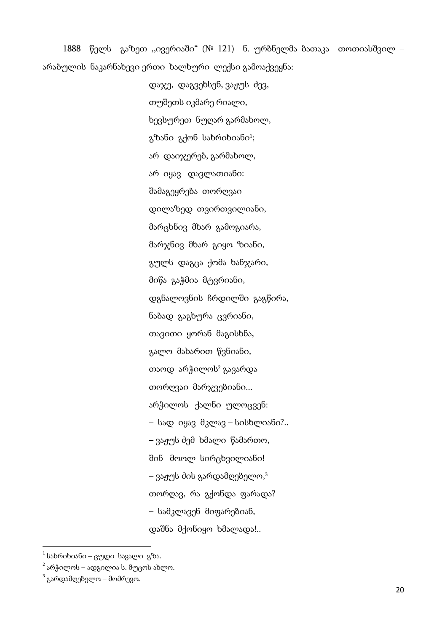1888 წელს გაზეთ ,,ივერიაში" (№ 121) ნ. ურბნელმა ბათაკა თოთიასშვილ – არაბულის ნაკარნახევი ერთი ხალხური ლექსი გამოაქვეყნა:

> დაჯე, დაგვეხსენ, ვაჟუს ძევ, თუშეთს იკმარე რიალი, ხევსურეთ ნუღარ გარმახოლ, გზანი გქონ სახრიხიანი1; არ დაიჯერებ, გარმახოლ, არ იყავ დავლათიანი: შამაგეყრება თორღვაი დილაზედ თვირთვილიანი, მარცხნივ მხარ გამოგიარა, მარჯნივ მხარ გიყო ზიანი, გულს დაგცა ქომა ხანჯარი, მიწა გაჭმია მტვრიანი, დგნალოვნის ჩრდილში გაგწირა, ნაბად გაგხურა ცვრიანი, თავითი ყორან მაგისხნა, გალო მახარით წვნიანი, თაოდ არჭილოს<sup>2</sup> გავარდა თორღვაი მარჯვებიანი... არჭილოს ქალნი ულოცვენ: – სად იყავ მკლავ – სისხლიანი?.. – ვაჟუს ძემ ხმალი წამართო, შინ მოოლ სირცხვილიანი! – ვაჟუს ძის გარდამღებელო, 3 თორღავ, რა გქონდა ფარადა? – სამკლავენ მიფარებიან, დაშნა მქონიყო ხმალადა!..

 $\overline{a}$ 

 $1$  სახრიხიანი – ცუდი სავალი გზა.

 $^{2}$  არჭილოს – ადგილია ს. მუცოს ახლო.

<sup>&</sup>lt;sup>3</sup> გარდამღებელო – მომრევო.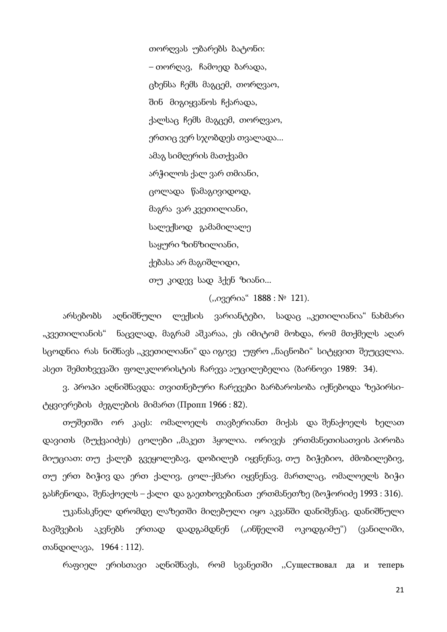თორღვას უბარებს ბატონი: – თორღავ, ჩამოედ ბარადა, ცხენსა ჩემს მაგცემ, თორღვაო, შინ მიგიყვანოს ჩქარადა, ქალსაც ჩემს მაგცემ, თორღვაო, ერთიც ვერ სჯობდეს თვალადა... ამაგ სიმღერის მათქვამი არჭილოს ქალ ვარ თმიანი, ცოლადა წამაგივიდოდ, მაგრა ვარ კვეთილიანი, სალექსოდ გამამილალე საყური ზინზილიანი, ქებასა არ მაგიშლიდი, თუ კიდევ სად ჰქენ ზიანი...

(,,ივერია" 1888 : № 121).

არსებობს აღნიშნული ლექსის ვარიანტები, სადაც ,,კეთილიანია" ნახმარი "კვეთილიანის" ნაცვლად, მაგრამ აშკარაა, ეს იმიტომ მოხდა, რომ მთქმელს აღარ სცოდნია რას ნიშნავს ,,კვეთილიანი" და იგივე უფრო ,,ნაცნობი" სიტყვით შეუცვლია. ასეთ შემთხვევაში ფოლკლორისტის ჩარევა აუცილებელია (ბარნოვი 1989: 34).

ვ. პროპი აღნიშნავდა: თვითნებური ჩარევები ბარბაროსობა იქნებოდა ზეპირსიტყვიერების ძეგლების მიმართ (Пропп 1966 : 82).

თუშეთში ორ კაცს: ომალოელს თავბერიანთ მიქას და შენაქოელს ხელათ დავითს (ბუქვაიძეს) ცოლები ,,მაკეთ ჰყოლია. ორივეს ერთმანეთისათვის პირობა მიუციათ: თუ ქალებ გვეყოლებავ, დობილებ იყვნენავ, თუ ბიჭებიო, ძმობილებივ, თუ ერთ ბიჭივ და ერთ ქალივ, ცოლ-ქმარი იყვნენავ. მართლაც, ომალოელს ბიჭი გასჩენოდა, შენაქოელს – ქალი და გაეთხოვებინათ ერთმანეთზე (ბოჭორიძე 1993 : 316).

უკანასკნელ დრომდე ლაზეთში მიღებული იყო აკვანში დანიშვნაც. დანიშნული ბავშვების აკვნებს ერთად დადგამდნენ ("ინწელიშ ოკოდგიმუ") (ვანილიში, თანდილავა, 1964 : 112).

რაფიელ ერისთავი აღნიშნავს, რომ სვანეთში ,,Существовал да и теперь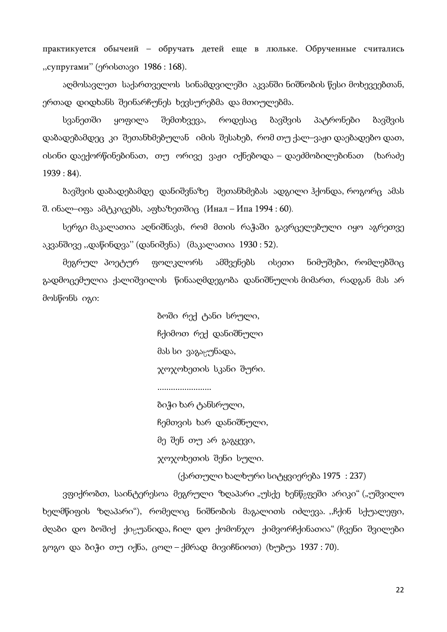практикуется обычеий – обручать детей еще в люльке. Обрученные считались ,,супругами'' (ერისთავი 1986 : 168).

აღმოსავლეთ საქართველოს სინამდვილეში აკვანში ნიშნობის წესი მოხევეებთან, ერთად დიდხანს შეინარჩუნეს ხევსურებმა და მთიულებმა.

სვანეთში ყოფილა შემთხვევა, როდესაც ბავშვის პატრონები ბავშვის დაბადებამდეც კი შეთანხმებულან იმის შესახებ, რომ თუ ქალ–ვაჟი დაებადებო დათ, ისინი დაექორწინებინათ, თუ ორივე ვაჟი იქნებოდა – დაეძმობილებინათ (ხარაძე 1939 : 84).

ბავშვის დაბადებამდე დანიშვნაზე შეთანხმებას ადგილი ჰქონდა, როგორც ამას შ. ინალ–იფა ამტკიცებს, აფხაზეთშიც (Инал – Ипа 1994 : 60).

სერგი მაკალათია აღნიშნავს, რომ მთის რაჭაში გავრცელებული იყო აგრეთვე აკვანშივე ,,დაწინდვა'' (დანიშვნა) (მაკალათია 1930 : 52).

მეგრულ პოეტურ ფოლკლორს ამშვენებს ისეთი ნიმუშები, რომლებშიც გადმოცემულია ქალიშვილის წინააღმდეგობა დანიშნულის მიმართ, რადგან მას არ მოსწონს იგი:

> ბოში რექ ტანი სრული, ჩქიმოთ რექ დანიშნული მას სი ვაგა¯უნადა, ჯოჯოხეთის სკანი შური.

........................

ბიჭი ხარ ტანსრული, ჩემთვის ხარ დანიშნული, მე შენ თუ არ გაგყევი, ჯოჯოხეთის შენი სული.

(ქართული ხალხური სიტყვიერება 1975 : 237)

ვფიქრობთ, საინტერესოა მეგრული ზღაპარი "უსქე ხენწ $_2$ ფეში არიკი" ("უშვილო ხელმწიფის ზღაპარი"), რომელიც ნიშნობის მაგალითს იძლევა. ,,ჩქინ სქუალეფი, ძღაბი დო ბოშიქ ქიყუანიდა, ჩილ დო ქომონჯო ქიმვორჩქინათია" (ჩვენი შვილები გოგო და ბიჭი თუ იქნა, ცოლ – ქმრად მივიჩნიოთ) (ხუბუა 1937 : 70).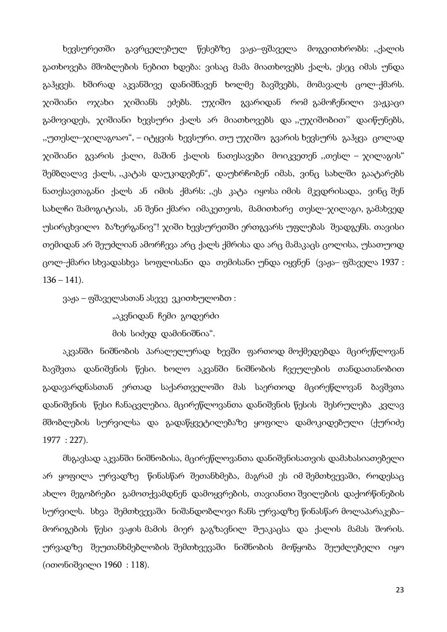ხევსურეთში გავრცელებულ წესებზე ვაჟა–ფშაველა მოგვითხრობს: ,,ქალის გათხოვება მშობლების ნებით ხდება: ვისაც მამა მიათხოვებს ქალს, ესეც იმას უნდა გაჰყვეს. ხშირად აკვანშივე დანიშნავენ ხოლმე ბავშვებს, მომავალს ცოლ-ქმარს. ჯიშიანი ოჯახი ჯიშიანს ეძებს. უჯიშო გვარიდან რომ გამოჩენილი ვაჟკაცი გამოვიდეს, ჯიშიანი ხევსური ქალს არ მიათხოვებს და ,,უჯიშობით'' დაიწუნებს, ,,უთესლ–ჯილაგოაო", – იტყვის ხევსური. თუ უჯიშო გვარის ხევსურს გაჰყვა ცოლად ჯიშიანი გვარის ქალი, მაშინ ქალის ნათესავები მოიკვეთენ ,,თესლ – ჯილაგის" შემბღალავ ქალს, ,,კატას დაუკიდებენ", დაუხრჩობენ იმას, ვინც სახლში გაატარებს ნათესავთაგანი ქალს ან იმის ქმარს: ,,ეს კატა იყოსა იმის მკვდრისადა, ვინც შენ სახლჩი შამოგიტიას, ან შენი ქმარი იმაკეთეოს, მამითხარე თესლ-ჯილაგი, გამახვედ უსირცხვილო ბაზერგანივ"! ჯიში ხევსურეთში ერთგვარს უფლებას შეადგენს. თავისი თემიდან არ შეუძლიან ამორჩევა არც ქალს ქმრისა და არც მამაკაცს ცოლისა, უსათუოდ ცოლ-ქმარი სხვადასხვა სოფლისანი და თემისანი უნდა იყვნენ (ვაჟა– ფშაველა 1937 :  $136 - 141$ .

ვაჟა – ფშაველასთან ასევე ვკითხულობთ :

"აკვნიდან ჩემი გოდერძი

მის სიძედ დამინიშნია".

აკვანში ნიშნობის პარალელურად ხევში ფართოდ მოქმედებდა მცირეწლოვან ბავშვთა დანიშვნის წესი. ხოლო აკვანში ნიშნობის ჩვეულების თანდათანობით გადავარდნასთან ერთად საქართველოში მას საერთოდ მცირეწლოვან ბავშვთა დანიშვნის წესი ჩანაცვლებია. მცირეწლოვანთა დანიშვნის წესის შესრულება კვლავ მშობლების სურვილსა და გადაწყვეტილებაზე ყოფილა დამოკიდებული (ქურიძე 1977 : 227).

მსგავსად აკვანში ნიშნობისა, მცირეწლოვანთა დანიშვნისათვის დამახასიათებელი არ ყოფილა ურვადზე წინასწარ შეთანხმება, მაგრამ ეს იმ შემთხვევაში, როდესაც ახლო მეგობრები გამოთქვამდნენ დამოყვრების, თავიანთი შვილების დაქორწინების სურვილს. სხვა შემთხვევაში ნიშანდობლივი ჩანს ურვადზე წინასწარ მოლაპარაკება– მორიგების წესი ვაჟის მამის მიერ გაგზავნილ შუაკაცსა და ქალის მამას შორის. ურვადზე შეუთანხმებლობის შემთხვევაში ნიშნობის მოწყობა შეუძლებელი იყო (ითონიშვილი 1960 : 118).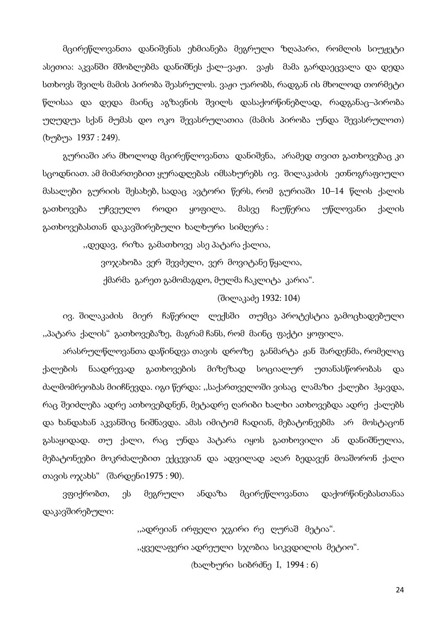მცირეწლოვანთა დანიშვნას ეხმიანება მეგრული ზღაპარი, რომლის სიუჟეტი ასეთია: აკვანში მშობლებმა დანიშნეს ქალ–ვაჟი. ვაჟს მამა გარდაეცვალა და დედა სთხოვს შვილს მამის პირობა შეასრულოს. ვაჟი უარობს, რადგან ის მხოლოდ თორმეტი წლისაა და დედა მაინც აგზავნის შვილს დასაქორწინებლად, რადგანაც–პირობა უღუდუა სქან მუმას დო ოკო შევასრულათია (მამის პირობა უნდა შევასრულოთ) (ხუბუა 1937 : 249).

გურიაში არა მხოლოდ მცირეწლოვანთა დანიშვნა, არამედ თვით გათხოვებაც კი სცოდნიათ. ამ მიმართებით ყურადღებას იმსახურებს ივ. შილაკაძის ეთნოგრაფიული მასალები გურიის შესახებ, სადაც ავტორი წერს, რომ გურიაში 10–14 წლის ქალის გათხოვება უჩვეულო როდი ყოფილა. მასვე ჩაუწერია უწლოვანი ქალის გათხოვებასთან დაკავშირებული ხალხური სიმღერა :

,,დედავ, რიზა გამათხოვე ასე პატარა ქალია,

ვოჯახობა ვერ შევძელი, ვერ მოვიტანე წყალია,

ქმარმა გარეთ გამომაგდო, მულმა ჩაკლიტა კარია".

(შილაკაძე 1932: 104)

ივ. შილაკაძის მიერ ჩაწერილ ლექსში თუმცა პროტესტია გამოცხადებული ,,პატარა ქალის" გათხოვებაზე, მაგრამ ჩანს, რომ მაინც ფაქტი ყოფილა.

არასრულწლოვანთა დაწინდვა თავის დროზე განმარტა ჟან შარდენმა, რომელიც ქალების ნაადრევად გათხოვების მიზეზად სოციალურ უთანასწორობას და ძალმომრეობას მიიჩნევდა. იგი წერდა: ,,საქართველოში ვისაც ლამაზი ქალები ჰყავდა, რაც შეიძლება ადრე ათხოვებდნენ, მეტადრე ღარიბი ხალხი ათხოვებდა ადრე ქალებს და ხანდახან აკვანშიც ნიშნავდა. ამას იმიტომ ჩადიან, მებატონეებმა არ მოსტაცონ გასაყიდად. თუ ქალი, რაც უნდა პატარა იყოს გათხოვილი ან დანიშნულია, მებატონეები მოკრძალებით ექცევიან და ადვილად აღარ ბედავენ მოაშორონ ქალი თავის ოჯახს" (შარდენი1975 : 90).

ვფიქრობთ, ეს მეგრული ანდაზა მცირეწლოვანთა დაქორწინებასთანაა დაკავშირებული:

> ,,ადრეიან ირფელი ჯგირი რე ღურაშ მეტია". ,,ყველაფერი ადრეული სჯობია სიკვდილის მეტიო". (ხალხური სიბრძნე I, 1994 : 6)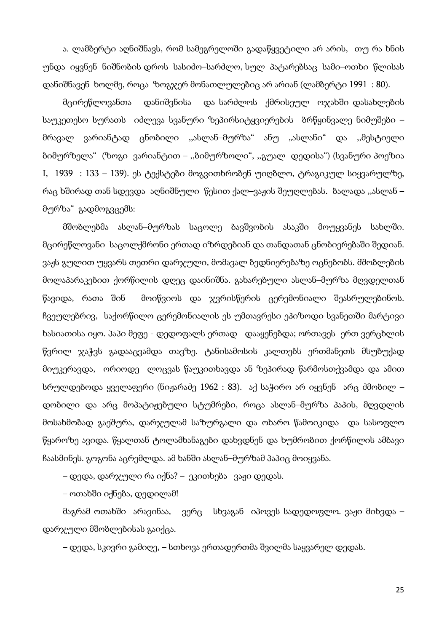ა. ლამბერტი აღნიშნავს, რომ სამეგრელოში გადაწყვეტილი არ არის, თუ რა ხნის უნდა იყვნენ ნიშნობის დროს სასიძო–სარძლო, სულ პატარებსაც სამი–ოთხი წლისას დანიშნავენ ხოლმე, როცა ზოგჯერ მონათლულებიც არ არიან (ლამბერტი 1991 : 80).

მცირეწლოვანთა დანიშვნისა და სარძლოს ქმრისეულ ოჯახში დასახლების საუკეთესო სურათს იძლევა სვანური ზეპირსიტყვიერების ბრწყინვალე ნიმუშები – მრავალ ვარიანტად ცნობილი ,,ასლან–მურზა" ანუ "ასლანი" და ,,მესტიელი ბიმურზელა" (ზოგი ვარიანტით – ,,ბიმურზოლი", ,,გუალ დედისა") (სვანური პოეზია I, 1939 : 133 – 139). ეს ტექსტები მოგვითხრობენ უიღბლო, ტრაგიკულ სიყვარულზე, რაც ხშირად თან სდევდა აღნიშნული წესით ქალ–ვაჟის შეუღლებას. ბალადა ,,ასლან – მურზა" გადმოგვცემს:

მშობლებმა ასლან–მურზას საცოლე ბავშვობის ასაკში მოუყვანეს სახლში. მცირეწლოვანი საცოლქმრონი ერთად იზრდებიან და თანდათან ცნობიერებაში შედიან. ვაჟს გულით უყვარს თეთრი დარჯული, მომავალ ბედნიერებაზე ოცნებობს. მშობლების მოლაპარაკებით ქორწილის დღეც დაინიშნა. გახარებული ასლან–მურზა მღვდელთან წავიდა, რათა შინ მოიწვიოს და ჯვრისწერის ცერემონიალი შეასრულებინოს. ჩვეულებრივ, საქორწილო ცერემონიალის ეს უმთავრესი ეპიზოდი სვანეთში მარტივი ხასიათისა იყო. პაპი მეფე - დედოფალს ერთად დააყენებდა; ორთავეს ერთ ვერცხლის წვრილ ჯაჭვს გადააცვამდა თავზე. ტანისამოსის კალთებს ერთმანეთს მსუბუქად მიუკერავდა, ორიოდე ლოცვას წაუკითხავდა ან ზეპირად წარმოსთქვამდა და ამით სრულდებოდა ყველაფერი (ნიჟარაძე 1962 : 83). აქ საჭირო არ იყვნენ არც ძმობილ – დობილი და არც მოპატიჟებული სტუმრები, როცა ასლან–მურზა პაპის, მღვდლის მოსახმობად გაეშურა, დარჯულამ საზურგალი და ოხარო წამოიკიდა და სასოფლო წყაროზე ავიდა. წყალთან ტოლამხანაგები დახვდნენ და ხუმრობით ქორწილის ამბავი ჩაასმინეს. გოგონა აცრემლდა. ამ ხანში ასლან–მურზამ პაპიც მოიყვანა.

– დედა, დარჯული რა იქნა? – ეკითხება ვაჟი დედას.

– ოთახში იქნება, დედილამ!

მაგრამ ოთახში არავინაა, ვერც სხვაგან იპოვეს სადედოფლო. ვაჟი მიხვდა – დარჯული მშობლებისას გაიქცა.

– დედა, სკივრი გამიღე, – სთხოვა ერთადერთმა შვილმა საყვარელ დედას.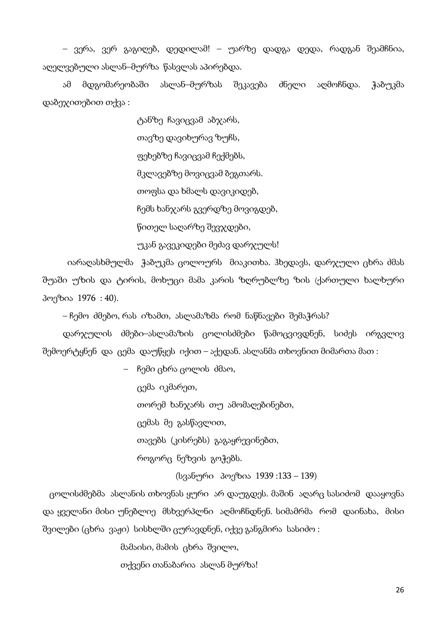– ვერა, ვერ გაგიღებ, დედილამ! – უარზე დადგა დედა, რადგან შეამჩნია, აღელვებული ასლან–მურზა წასვლას აპირებდა.

ამ მდგომარეობაში ასლან–მურზას შეკავება ძნელი აღმოჩნდა. ჭაბუკმა დაბეჯითებით თქვა :

> ტანზე ჩავიცვამ აბჯარს, თავზე დავიხურავ ზუჩს, ფეხებზე ჩავიცვამ ჩექმებს, მკლავებზე მოვიცვამ ბეგთარს. თოფსა და ხმალს დავიკიდებ, ჩემს ხანჯარს გვერდზე მოვიგდებ, წითელ საღარზე შევჯდები,

უკან გავეკიდები მეძავ დარჯულს!

 იარაღასხმულმა ჭაბუკმა ცოლოურს მიაკითხა. ჰხედავს, დარჯული ცხრა ძმას შუაში უზის და ტირის, მოხუცი მამა კარის ზღრუბლზე ზის (ქართული ხალხური პოეზია 1976 : 40).

– ჩემო ძმებო, რას იზამთ, ასლამაზმა რომ ნაწნავები შემაჭრას?

დარჯულის ძმები–ასლამაზის ცოლისძმები წამოცვივდნენ, სიძეს ირგვლივ შემოერტყნენ და ცემა დაუწყეს იქით – აქედან. ასლანმა თხოვნით მიმართა მათ :

– ჩემი ცხრა ცოლის ძმაო,

ცემა იკმარეთ, თორემ ხანჯარს თუ ამომაღებინებთ, ცემას მე გასწავლით, თავებს (კისრებს) გაგაყრევინებთ, როგორც ნეზვის გოჭებს.

(სვანური პოეზია 1939 :133 – 139)

 ცოლისძმებმა ასლანის თხოვნას ყური არ დაუგდეს. მაშინ აღარც სასიძომ დააყოვნა და ყველანი მისი უნებლიე მსხვერპლნი აღმოჩნდნენ. სიმამრმა რომ დაინახა, მისი შვილები (ცხრა ვაჟი) სისხლში ცურავდნენ, იქვე განგმირა სასიძო :

მამაისი, მამის ცხრა შვილო,

თქვენი თანაბარია ასლან მურზა!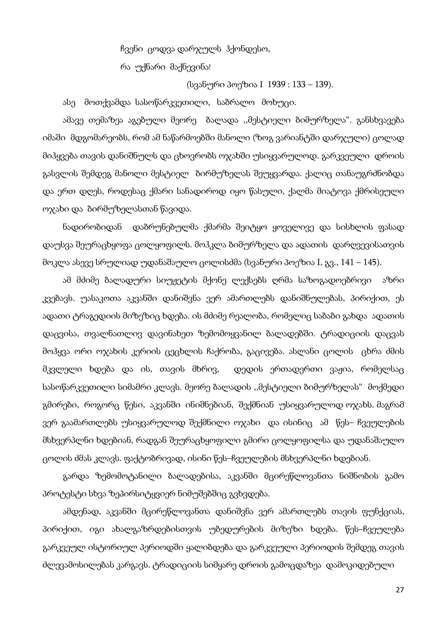ჩვენი ცოდვა დარჯულს ჰქონდესო,

რა უქნარი მაქნევინა!

(სვანური პოეზია I 1939 : 133 – 139).

ასე მოთქვამდა სასოწარკვეთილი, საბრალო მოხუცი.

ამავე თემაზეა აგებული მეორე ბალადა ,,მესტიელი ბიმურზელა". განსხვავება იმაში მდგომარეობს, რომ ამ ნაწარმოებში მანოლი (ზოგ ვარიანტში დარჯული) ცოლად მიჰყვება თავის დანიშნულს და ცხოვრობს ოჯახში უსიყვარულოდ. გარკვეული დროის გასვლის შემდეგ მანოლი მესტიელ ბირმუზელას შეუყვარდა. ქალიც თანაუგრძნობდა და ერთ დღეს, როდესაც ქმარი სანადიროდ იყო წასული, ქალმა მიატოვა ქმრისეული ოჯახი და ბირმუზელასთან წავიდა.

ნადირობიდან დაბრუნებულმა ქმარმა შეიტყო ყოველივე და სისხლის ფასად დაუსვა შეურაცხყოფა ცოლყოფილს. მოჰკლა ბიმურზელა და ადათის დარღვევისათვის მოკლა ასევე სრულიად უდანაშაულო ცოლისძმა (სვანური პოეზია I, გვ., 141 – 145).

ამ მძიმე ბალადური სიუჟეტის მქონე ლექსებს ღრმა საზოგადოებრივი აზრი კვებავს. უასაკოთა აკვანში დანიშვნა ვერ ამართლებს დანიშნულებას, პირიქით, ეს ადათი ტრაგედიის მიზეზიც ხდება. ის მძიმე რეალობა, რომელიც საბაბი გახდა ადათის დაცვისა, თვალნათლივ დავინახეთ ზემომოყვანილ ბალადებში. ტრადიციის დაცვას მოჰყვა ორი ოჯახის კერიის ცეცხლის ჩაქრობა, გაცივება. ასლანი ცოლის ცხრა ძმის მკვლელი ხდება და ის, თავის მხრივ, დედის ერთადერთი ვაჟია, რომელსაც სასოწარკვეთილი სიმამრი კლავს. მეორე ბალადის ,,მესტიელი ბიმურზელას" მოქმედი გმირები, როგორც წესი, აკვანში ინიშნებიან, შექმნიან უსიყვარულოდ ოჯახს. მაგრამ ვერ გაამართლებს უსიყვარულოდ შექმნილი ოჯახი და ისინიც ამ წეს– ჩვეულების მსხვერპლნი ხდებიან, რადგან შეურაცხყოფილი გმირი ცოლყოფილსა და უდანაშაულო ცოლის ძმას კლავს. ფაქტობრივად, ისინი წეს–ჩვეულების მსხვერპლნი ხდებიან.

გარდა ზემომოტანილი ბალადებისა, აკვანში მცირეწლოვანთა ნიშნობის გამო პროტესტი სხვა ზეპირსიტყვიერ ნიმუშებშიც გვხვდება.

ამდენად, აკვანში მცირეწლოვანთა დანიშვნა ვერ ამართლებს თავის ფუნქციას, პირიქით, იგი ახალგაზრდებისთვის უბედურების მიზეზი ხდება. წეს–ჩვეულება გარკვეულ ისტორიულ პერიოდში ყალიბდება და გარკვეული პერიოდის შემდეგ თავის ძლევამოსილებას კარგავს. ტრადიციის სიმყარე დროის გამოცდაზეა დამოკიდებული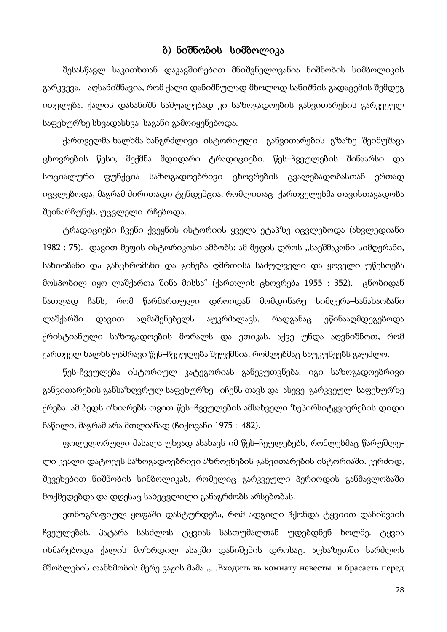#### ბ) ნიშნობის სიმბოლიკა

შესასწავლ საკითხთან დაკავშირებით მნიშვნელოვანია ნიშნობის სიმბოლიკის გარკვევა. აღსანიშნავია, რომ ქალი დანიშნულად მხოლოდ სანიშნის გადაცემის შემდეგ ითვლება. ქალის დასანიშნ საშუალებად კი საზოგადოების განვითარების გარკვეულ საფეხურზე სხვადასხვა საგანი გამოიყენებოდა.

ქართველმა ხალხმა ხანგრძლივი ისტორიული განვითარების გზაზე შეიმუშავა ცხოვრების წესი, შექმნა მდიდარი ტრადიციები. წეს–ჩვეულების შინაარსი და სოციალური ფუნქცია საზოგადოებრივი ცხოვრების ცვალებადობასთან ერთად იცვლებოდა, მაგრამ ძირითადი ტენდენცია, რომლითაც ქართველებმა თავისთავადობა შეინარჩუნეს, უცვლელი რჩებოდა.

ტრადიციები ჩვენი ქვეყნის ისტორიის ყველა ეტაპზე იცვლებოდა (ახვლედიანი 1982 : 75). დავით მეფის ისტორიკოსი ამბობს: ამ მეფის დროს ,,საეშმაკონი სიმღერანი, სახიობანი და განცხრომანი და გინება ღმრთისა საძულველი და ყოველი უწესოება მოსპობილ იყო ლაშქართა შინა მისსა" (ქართლის ცხოვრება 1955 : 352). ცნობიდან ნათლად ჩანს, რომ წარმართული დროიდან მომდინარე სიმღერა–სანახაობანი ლაშქარში დავით აღმაშენებელს აუკრძალავს, რადგანაც ეწინააღმდეგებოდა ქრისტიანული საზოგადოების მორალს და ეთიკას. აქვე უნდა აღვნიშნოთ, რომ ქართველ ხალხს უამრავი წეს–ჩვეულება შეუქმნია, რომლებმაც საუკუნეებს გაუძლო.

წეს-ჩვეულება ისტორიულ კატეგორიას განეკუთვნება. იგი საზოგადოებრივი განვითარების განსაზღვრულ საფეხურზე იჩენს თავს და ასევე გარკვეულ საფეხურზე ქრება. ამ ბედს იზიარებს თვით წეს–ჩვეულების ამსახველი ზეპირსიტყვიერების დიდი ნაწილი, მაგრამ არა მთლიანად (ჩიქოვანი 1975 : 482).

ფოლკლორული მასალა უხვად ასახავს იმ წეს–ჩეულებებს, რომლებმაც წარუშლელი კვალი დატოვეს საზოგადოებრივი აზროვნების განვითარების ისტორიაში. კერძოდ, შევეხებით ნიშნობის სიმბოლიკას, რომელიც გარკვეული პერიოდის განმავლობაში მოქმედებდა და დღესაც სახეცვლილი განაგრძობს არსებობას.

ეთნოგრაფიულ ყოფაში დასტურდება, რომ ადგილი ჰქონდა ტყვიით დანიშვნის ჩვეულებას. პატარა სასძლოს ტყვიას სასთუმალთან უდებდნენ ხოლმე. ტყვია იხმარებოდა ქალის მოზრდილ ასაკში დანიშვნის დროსაც. აფხაზეთში სარძლოს მშობლების თანხმობის მერე ვაჟის მამა ,,...Входить вь комнату невесты и брасаеть перед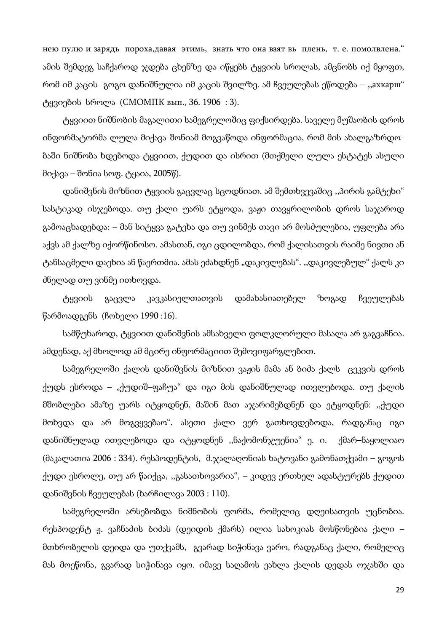нею пулю и зарядь пороха,давая этимь, знать что она взят вь плень, т. е. помолвлена." ამის შემდეგ საჩქაროდ ჯდება ცხენზე და იწყებს ტყვიის სროლას, ამცნობს იქ მყოფთ, რომ იმ კაცის გოგო დანიშნულია იმ კაცის შვილზე. ამ ჩვეულებას ეწოდება – ,,ахкарш" ტყვიების სროლა (СМОМПК вып., 36. 1906 : 3).

ტყვიით ნიშნობის მაგალითი სამეგრელოშიც ფიქსირდება. საველე მუშაობის დროს ინფორმატორმა ლულა მიქავა-შონიამ მოგვაწოდა ინფორმაცია, რომ მის ახალგაზრდობაში ნიშნობა ხდებოდა ტყვიით, ქუდით და ისრით (მთქმელი ლულა ესტატეს ასული მიქავა – შონია სოფ. ტყაია, 2005წ).

დანიშვნის მიზნით ტყვიის გაცვლაც სცოდნიათ. ამ შემთხვევაშიც ,,პირის გამტეხი" სასტიკად ისჯებოდა. თუ ქალი უარს ეტყოდა, ვაჟი თავყრილობის დროს საჯაროდ გამოაცხადებდა: – მან სიტყვა გატეხა და თუ ვინმეს თავი არ მოსძულებია, უფლება არა აქვს ამ ქალზე იქორწინოსო. ამასთან, იგი ცდილობდა, რომ ქალისათვის რაიმე ნივთი ან ტანსაცმელი დაეხია ან წაერთმია. ამას ეძახდნენ "დაკივლებას". ,,დაკივლებულ" ქალს კი ძნელად თუ ვინმე ითხოვდა.

ტყვიის გაცვლა კავკასიელთათვის დამახასიათებელ ზოგად ჩვეულებას წარმოადგენს (ჩოხელი 1990 :16).

სამწუხაროდ, ტყვიით დანიშვნის ამსახველი ფოლკლორული მასალა არ გაგვაჩნია. ამდენად, აქ მხოლოდ ამ მცირე ინფორმაციით შემოვიფარგლებით.

სამეგრელოში ქალის დანიშვნის მიზნით ვაჟის მამა ან ბიძა ქალს ცეკვის დროს ქუდს ესროდა – "ქუდიშ–ფაჩუა" და იგი მის დანიშნულად ითვლებოდა. თუ ქალის მშობლები ამაზე უარს იტყოდნენ, მაშინ მათ აჯარიმებდნენ და ეტყოდნენ: ,,ქუდი მოხვდა და არ მოგვყვებაო". ასეთი ქალი ვერ გათხოვდებოდა, რადგანაც იგი დანიშნულად ითვლებოდა და იტყოდნენ ,,ნაქომონჯუენია" ე. ი. ქმარ–ნაყოლიაო  $($ მაკალათია 2006 : 334). რესპოდენტის, მ.ჯალაღონიას ხატოვანი გამონათქვამი – გოგოს ქუდი ესროლე, თუ არ წაიქცა, ,,გასათხოვარია", – კიდევ ერთხელ ადასტურებს ქუდით დანიშვნის ჩვეულებას (ხარჩილავა 2003 : 110).

სამეგრელოში არსებობდა ნიშნობის ფორმა, რომელიც დღეისათვის უცნობია. რესპოდენტ ჟ. ვაჩნაძის ბიძას (დეიდის ქმარს) ილია სახოკიას მოსწონებია ქალი – მთხრობელის დეიდა და უთქვამს, გვარად სიჭინავა ვარო, რადგანაც ქალი, რომელიც მას მოეწონა, გვარად სიჭინავა იყო. იმავე საღამოს ეახლა ქალის დედას ოჯახში და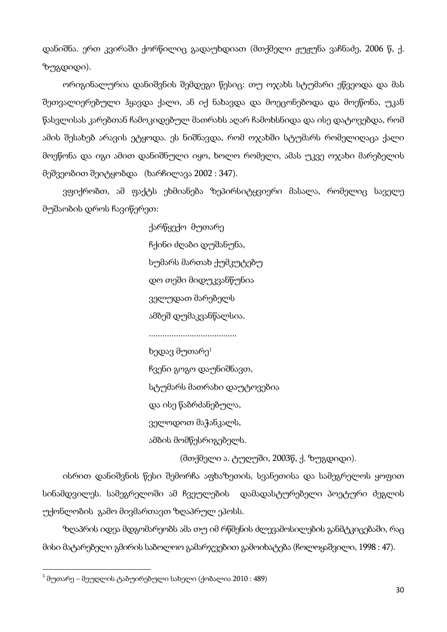დანიშნა. ერთ კვირაში ქორწილიც გადაუხდიათ (მთქმელი ჟუჟუნა ვაჩნაძე, 2006 წ, ქ. ზუგდიდი).

ორიგინალურია დანიშვნის შემდეგი წესიც: თუ ოჯახს სტუმარი ეწვეოდა და მას შეთვალიერებული ჰყავდა ქალი, ან იქ ნახავდა და მოეცონებოდა და მოეწონა, უკან წასვლისას კარებთან ჩამოკიდებულ მათრახს აღარ ჩამოხსნიდა და ისე დატოვებდა, რომ ამის შესახებ არავის ეტყოდა. ეს ნიშნავდა, რომ ოჯახში სტუმარს რომელიღაცა ქალი მოეწონა და იგი ამით დანიშნული იყო, ხოლო რომელი, ამას უკვე ოჯახი მარებელის მეშვეობით შეიტყობდა (ხარჩილავა 2002 : 347).

ვფიქრობთ, ამ ფაქტს ეხმიანება ზეპირსიტყვიერი მასალა, რომელიც საველე მუშაობის დროს ჩავიწერეთ:

> ქარწყექო მუთარე ჩქინი ძღაბი დუშანუნა, სუმარს მართახ ქუმკუტებუ დო თეში მიდუკვანწუნია ველუდათ მარებელს ამბეშ დუმაკვანწალსია.

.......................................

ხედავ მუთარე<sup>1</sup>

ჩვენი გოგო დაუნიშნავთ,

სტუმარს მათრახი დაუტოვებია

და ისე წაბრძანებულა,

ველოდოთ მაჭანკალს,

ამბის მომწესრიგებელს.

(მთქმელი ა. ტუღუში, 2003წ, ქ. ზუგდიდი).

ისრით დანიშვნის წესი შემორჩა აფხაზეთის, სვანეთისა და სამეგრელოს ყოფით სინამდვილეს. სამეგრელოში ამ ჩვეულების დამადასტურებელი პოეტური ძეგლის უქონლობის გამო მივმართავთ ზღაპრულ ეპოსს.

ზღაპრის იდეა მდგომარეობს ამა თუ იმ რწმენის ძლევამოსილების განმტკიცებაში, რაც მისი მატარებელი გმირის საბოლოო გამარჯვებით გამოიხატება (ჩოლოყაშვილი, 1998 : 47).

 $\overline{a}$ 

 $^{-1}$  მუთარე – მეუღლის ტაბუირებული სახელი (ქობალია 2010 : 489)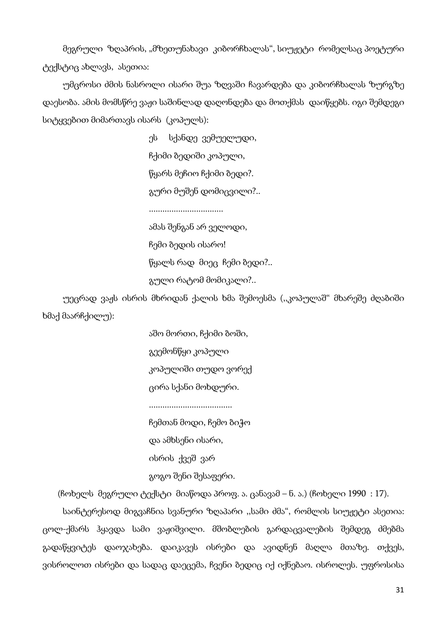მეგრული ზღაპრის, "მზეთუნახავი კიბორჩხალას", სიუჟეტი რომელსაც პოეტური ტექსტიც ახლავს, ასეთია:

უმცროსი ძმის ნასროლი ისარი შუა ზღვაში ჩავარდება და კიბორჩხალას ზურგზე დაესობა. ამის მომსწრე ვაჟი საშინლად დაღონდება და მოთქმას დაიწყებს. იგი შემდეგი სიტყვებით მიმართავს ისარს (კოპულს):

> ეს სქანდე ვემუელუდი, ჩქიმი ბედიში კოპული, წყარს მეჩიო ჩქიმი ბედი?. გური მუშენ დომიცვილი?..

.................................

ამას შენგან არ ველოდი, ჩემი ბედის ისარო! წყალს რად მიეც ჩემი ბედი?.. გული რატომ მომიკალი?..

უეცრად ვაჟს ისრის მხრიდან ქალის ხმა შემოესმა (,,კოპულაშ" მხარეშე ძღაბიში ხმაქ მაარჩქილუ):

> აშო მორთი, ჩქიმი ბოში, გეემონწყი კოპული კოპულიში თუდო ვორექ ცირა სქანი მოხდური. .....................................

ჩემთან მოდი, ჩემო ბიჭო

და ამხსენი ისარი,

ისრის ქვეშ ვარ

გოგო შენი შესაფერი.

(ჩოხელს მეგრული ტექსტი მიაწოდა პროფ. ა. ცანავამ – ნ. ა.) (ჩოხელი 1990 : 17).

საინტერესოდ მიგვაჩნია სვანური ზღაპარი ,,სამი ძმა", რომლის სიუჟეტი ასეთია: ცოლ-ქმარს ჰყავდა სამი ვაჟიშვილი. მშობლების გარდაცვალების შემდეგ ძმებმა გადაწყვიტეს დაოჯახება. დაიკავეს ისრები და ავიდნენ მაღლა მთაზე. თქვეს, ვისროლოთ ისრები და სადაც დაეცემა, ჩვენი ბედიც იქ იქნებაო. ისროლეს. უფროსისა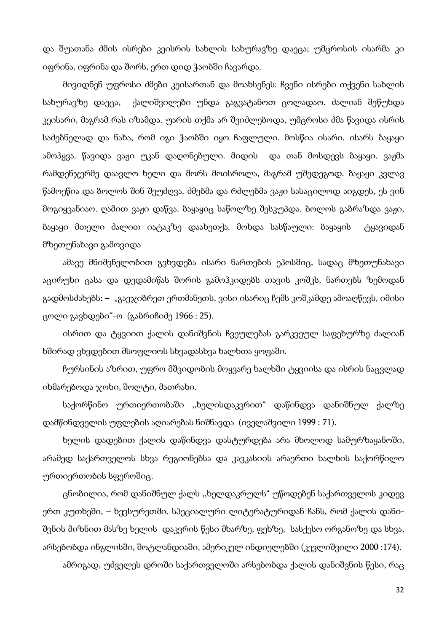და შუათანა ძმის ისრები კეისრის სახლის სახურავზე დაეცა; უმცროსის ისარმა კი იფრინა, იფრინა და შორს, ერთ დიდ ჭაობში ჩავარდა.

მივიდნენ უფროსი ძმები კეისართან და მოახსენეს: ჩვენი ისრები თქვენი სახლის სახურავზე დაეცა, ქალიშვილები უნდა გაგვატანოთ ცოლადაო. ძალიან შეწუხდა კეისარი, მაგრამ რას იზამდა. უარის თქმა არ შეიძლებოდა, უმცროსი ძმა წავიდა ისრის საძებნელად და ნახა, რომ იგი ჭაობში იყო ჩაფლული. მოსწია ისარი, ისარს ბაყაყი ამოჰყვა. წავიდა ვაჟი უკან დაღონებული. მიდის და თან მოსდევს ბაყაყი. ვაჟმა რამდენჯერმე დაავლო ხელი და შორს მოისროლა, მაგრამ უშედეგოდ. ბაყაყი კვლავ წამოეწია და ბოლოს შინ შეუძღვა. ძმებმა და რძლებმა ვაჟი სასაცილოდ აიგდეს, ეს ვინ მოგიყვანიაო. ღამით ვაჟი დაწვა. ბაყაყიც საწოლზე შესკუპდა. ბოლოს გაბრაზდა ვაჟი, ბაყაყი მთელი ძალით იატაკზე დაახეთქა. მოხდა სასწაული: ბაყაყის ტყავიდან მზეთუნახავი გამოვიდა

ამავე მნიშვნელობით გვხვდება ისარი ნართების ეპოსშიც, სადაც მზეთუნახავი აცირუხი ცასა და დედამიწას შორის გამოჰკიდებს თავის კოშკს, ნართებს ზემოდან გადმოსძახებს: – "გაეჯიბრეთ ერთმანეთს, ვისი ისარიც ჩემს კოშკამდე ამოაღწევს, იმისი ცოლი გავხდები"-ო (გაბრიჩიძე 1966 : 25).

ისრით და ტყვიით ქალის დანიშვნის ჩვეულებას გარკვეულ საფეხურზე ძალიან ხშირად ვხვდებით მსოფლიოს სხვადასხვა ხალხთა ყოფაში.

ჩურსინის აზრით, უფრო მშვიდობის მოყვარე ხალხში ტყვიისა და ისრის ნაცვლად იხმარებოდა ჯოხი, შოლტი, მათრახი.

საქორწინო ურთიერთობაში ,,ხელისდაკვრით" დაწინდვა დანიშნულ ქალზე დამწინდველის უფლების აღიარებას ნიშნავდა (იველაშვილი 1999 : 71).

ხელის დადებით ქალის დაწინდვა დასტურდება არა მხოლოდ სამურზაყანოში, არამედ საქართველოს სხვა რეგიონებსა და კავკასიის არაერთი ხალხის საქორწილო ურთიერთობის სფეროშიც.

ცნობილია, რომ დანიშნულ ქალს ,,ხელდაკრულს" უწოდებენ საქართველოს კიდევ ერთ კუთხეში, – ხევსურეთში. სპეციალური ლიტერატურიდან ჩანს, რომ ქალის დანიშვნის მიზნით მასზე ხელის დაკვრის წესი მხარზე, ფეხზე, სასქესო ორგანოზე და სხვა, არსებობდა ინგლისში, შოტლანდიაში, ამერიკელ ინდიელებში (კევლიშვილი 2000 :174).

ამრიგად, უძველეს დროში საქართველოში არსებობდა ქალის დანიშვნის წესი, რაც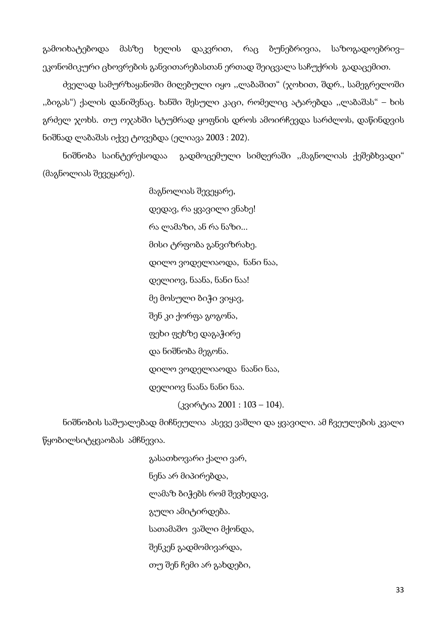გამოიხატებოდა მასზე ხელის დაკვრით, რაც ბუნებრივია, საზოგადოებრივ– ეკონომიკური ცხოვრების განვითარებასთან ერთად შეიცვალა საჩუქრის გადაცემით.

ძველად სამურზაყანოში მიღებული იყო ,,ლაბაშით" (ჯოხით, შდრ., სამეგრელოში ,,ბიგას") ქალის დანიშვნაც. ხანში შესული კაცი, რომელიც ატარებდა ,,ლაბაშას" – ხის გრძელ ჯოხს. თუ ოჯახში სტუმრად ყოფნის დროს ამოირჩევდა სარძლოს, დაწინდვის ნიშნად ლაბაშას იქვე ტოვებდა (ელიავა 2003 : 202).

ნიშნობა საინტერესოდაა გადმოცემული სიმღერაში ,,მაგნოლიას ქეშებხვადი" (მაგნოლიას შევეყარე).

> მაგნოლიას შევეყარე, დედავ, რა ყვავილი ვნახე! რა ლამაზი, ან რა ნაზი... მისი ტრფობა განვიზრახე. დილო ვოდელიაოდა, ნანი ნაა, დელიოვ, ნაანა, ნანი ნაა! მე მოსული ბიჭი ვიყავ, შენ კი ქორფა გოგონა, ფეხი ფეხზე დაგაჭირე და ნიშნობა მეგონა. დილო ვოდელიაოდა ნაანი ნაა, დელიოვ ნაანა ნანი ნაა. (კვირტია 2001 : 103 – 104).

ნიშნობის საშუალებად მიჩნეულია ასევე ვაშლი და ყვავილი. ამ ჩვეულების კვალი წყობილსიტყვაობას ამჩნევია.

> გასათხოვარი ქალი ვარ, ნენა არ მიპირებდა, ლამაზ ბიჭებს რომ შევხედავ, გული ამიტირდება. სათამაშო ვაშლი მქონდა, შენკენ გადმომივარდა, თუ შენ ჩემი არ გახდები,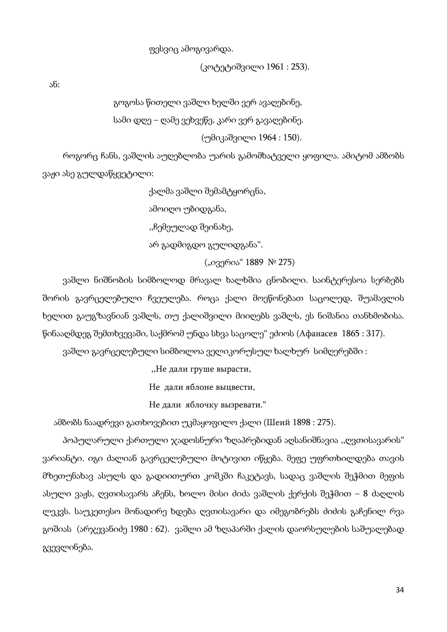ფესვიც ამოგივარდა.

(კოტეტიშვილი 1961 : 253).

ან:

გოგოსა წითელი ვაშლი ხელში ვერ ავაღებინე,

სამი დღე – ღამე ვეხვეწე, კარი ვერ გავაღებინე.

(უმიკაშვილი 1964 : 150).

როგორც ჩანს, ვაშლის აუღებლობა უარის გამომხატველი ყოფილა. ამიტომ ამბობს ვაჟი ასე გულდაწყვეტილი:

ქალმა ვაშლი შემამტყორცნა,

ამოიღო უბიდგანა,

,,ჩემეულად შეინახე,

არ გადმიგდო გულიდგანა".

("ივერია" 1889 № 275)

ვაშლი ნიშნობის სიმბოლოდ მრავალ ხალხშია ცნობილი. საინტერესოა სერბებს შორის გავრცელებული ჩვეულება. როცა ქალი მოეწონებათ საცოლედ, შუამავლის ხელით გაუგზავნიან ვაშლს, თუ ქალიშვილი მიიღებს ვაშლს, ეს ნიშანია თანხმობისა. წინააღმდეგ შემთხვევაში, საქმრომ უნდა სხვა საცოლე" ეძიოს (Афанасев 1865 : 317).

ვაშლი გავრცელებული სიმბოლოა ველიკორუსულ ხალხურ სიმღერებში :

,,Не дали груше вырасти,

Не дали яблоне выцвести,

Не дали яблочку вызревати."

ამბობს ნაადრევი გათხოვებით უკმაყოფილო ქალი (Шеий 1898 : 275).

პოპულარული ქართული ჯადოსნური ზღაპრებიდან აღსანიშნავია ,,ღვთისავარის" ვარიანტი. იგი ძალიან გავრცელებული მოტივით იწყება. მეფე უფრთხილდება თავის მზეთუნახავ ასულს და გადიითურთ კოშკში ჩაკეტავს, სადაც ვაშლის შეჭმით მეფის ასული ვაჟს, ღვთისავარს აჩენს, ხოლო მისი ძიძა ვაშლის ქერქის შეჭმით – 8 ძაღლის ლეკვს. საუკეთესო მონადირე ხდება ღვთისავარი და იმეგობრებს ძიძის გაჩენილ რვა გოშიას (არჯევანიძე 1980 : 62). ვაშლი ამ ზღაპარში ქალის დაორსულების საშუალებად გვევლინება.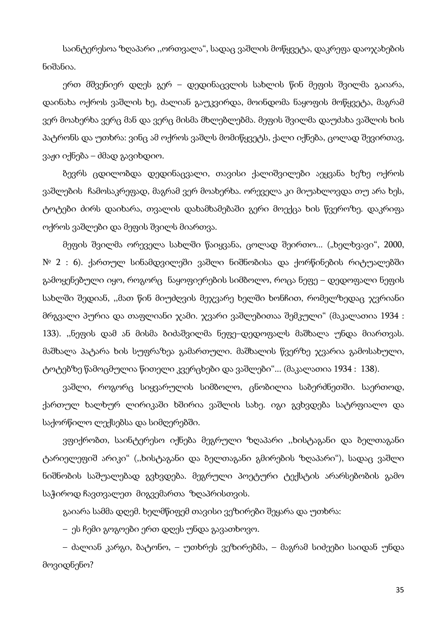საინტერესოა ზღაპარი ,,ორთვალა", სადაც ვაშლის მოწყვეტა, დაკრეფა დაოჯახების ნიშანია.

ერთ მშვენიერ დღეს გერ – დედინაცვლის სახლის წინ მეფის შვილმა გაიარა, დაინახა ოქროს ვაშლის ხე, ძალიან გაუკვირდა, მოინდომა ნაყოფის მოწყვეტა, მაგრამ ვერ მოახერხა ვერც მან და ვერც მისმა მხლებლებმა. მეფის შვილმა დაუძახა ვაშლის ხის პატრონს და უთხრა: ვინც ამ ოქროს ვაშლს მომიწყვეტს, ქალი იქნება, ცოლად შევირთავ, ვაჟი იქნება – ძმად გავიხდიო.

ბევრს ცდილობდა დედინაცვალი, თავისი ქალიშვილები აეყვანა ხეზე ოქროს ვაშლების ჩამოსაკრეფად, მაგრამ ვერ მოახერხა. ორეველა კი მიუახლოვდა თუ არა ხეს, ტოტები ძირს დაიხარა, თვალის დახამხამებაში გერი მოექცა ხის წვეროზე. დაკრიფა ოქროს ვაშლები და მეფის შვილს მიართვა.

მეფის შვილმა ორეველა სახლში წაიყვანა, ცოლად შეირთო... ("ხელხვავი", 2000, № 2 : 6). ქართულ სინამდვილეში ვაშლი ნიშნობისა და ქორწინების რიტუალებში გამოყენებული იყო, როგორც ნაყოფიერების სიმბოლო, როცა ნეფე – დედოფალი ნეფის სახლში შედიან, ,,მათ წინ მიუძღვის მეჯვარე ხელში ხონჩით, რომელზედაც ჯვრიანი მრგვალი პურია და თაფლიანი ჯამი. ჯვარი ვაშლებითაა შემკული" (მაკალათია 1934 : 133). ,,ნეფის დამ ან მისმა ბიძაშვილმა ნეფე–დედოფალს მაშხალა უნდა მიართვას. მაშხალა პატარა ხის სუფრაზეა გამართული. მაშხალის წვერზე ჯვარია გამოსახული, ტოტებზე წამოცმულია წითელი კვერცხები და ვაშლები"... (მაკალათია 1934 : 138).

ვაშლი, როგორც სიყვარულის სიმბოლო, ცნობილია საბერძნეთში. საერთოდ, ქართულ ხალხურ ლირიკაში ხშირია ვაშლის სახე. იგი გვხვდება სატრფიალო და საქორწილო ლექსებსა და სიმღერებში.

ვფიქრობთ, საინტერესო იქნება მეგრული ზღაპარი ,,ხისტაგანი და ბელთაგანი ტარიელეფიშ არიკი" (,,ხისტაგანი და ბელთაგანი გმირების ზღაპარი"), სადაც ვაშლი ნიშნობის საშუალებად გვხვდება. მეგრული პოეტური ტექსტის არარსებობის გამო საჭიროდ ჩავთვალეთ მიგვემართა ზღაპრისთვის.

გაიარა სამმა დღემ. ხელმწიფემ თავისი ვეზირები შეყარა და უთხრა:

– ეს ჩემი გოგოები ერთ დღეს უნდა გავათხოვო.

– ძალიან კარგი, ბატონო, – უთხრეს ვეზირებმა, – მაგრამ სიძეები საიდან უნდა მოვიდნენო?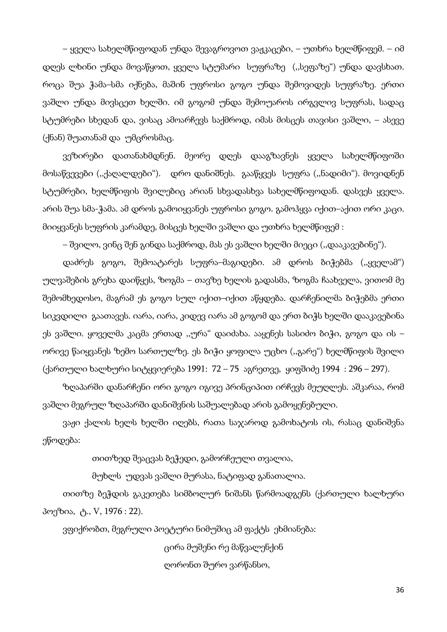– ყველა სახელმწიფოდან უნდა შევაგროვოთ ვაჟკაცები, – უთხრა ხელმწიფემ. – იმ დღეს ლხინი უნდა მოვაწყოთ, ყველა სტუმარი სუფრაზე (,,სეფაზე") უნდა დავსხათ. როცა შუა ჭამა–სმა იქნება, მაშინ უფროსი გოგო უნდა შემოვიდეს სუფრაზე. ერთი ვაშლი უნდა მივსცეთ ხელში. იმ გოგომ უნდა შემოუაროს ირგვლივ სუფრას, სადაც სტუმრები სხედან და, ვისაც ამოარჩევს საქმროდ, იმას მისცეს თავისი ვაშლი, – ასევე (ქნან) შუათანამ და უმცროსმაც.

ვეზირები დათანახმდნენ. მეორე დღეს დააგზავნეს ყველა სახელმწიფოში მოსაწვევები (,,ქაღალდები"). დრო დანიშნეს. გააწყვეს სუფრა (,,ნადიმი"). მოვიდნენ სტუმრები, ხელმწიფის შვილებიც არიან სხვადასხვა სახელმწიფოდან. დასვეს ყველა. არის შუა სმა-ჭამა. ამ დროს გამოიყვანეს უფროსი გოგო. გამოჰყვა იქით–აქით ორი კაცი. მიიყვანეს სუფრის კარამდე, მისცეს ხელში ვაშლი და უთხრა ხელმწიფემ :

– შვილო, ვინც შენ გინდა საქმროდ, მას ეს ვაშლი ხელში მიეცი (,,დააკავებინე").

დაძრეს გოგო, შემოატარეს სუფრა–მაგიდები. ამ დროს ბიჭებმა (,,ყველამ") ულვაშების გრეხა დაიწყეს, ზოგმა – თავზე ხელის გადასმა, ზოგმა ჩაახველა, ვითომ მე შემომხედოსო, მაგრამ ეს გოგო სულ იქით–იქით აწყდება. დარჩენილმა ბიჭებმა ერთი სიკვდილი გაათავეს. იარა, იარა, კიდევ იარა ამ გოგომ და ერთ ბიჭს ხელში დააკავებინა ეს ვაშლი. ყოველმა კაცმა ერთად ,,ურა" დაიძახა. ააყენეს სასიძო ბიჭი, გოგო და ის – ორივე წაიყვანეს ზემო სართულზე. ეს ბიჭი ყოფილა უცხო (,,გარე") ხელმწიფის შვილი (ქართული ხალხური სიტყვიერება 1991: 72 – 75 აგრეთვე, ყიფშიძე 1994 : 296 – 297).

ზღაპარში დანარჩენი ორი გოგო იგივე პრინციპით ირჩევს მეუღლეს. აშკარაა, რომ ვაშლი მეგრულ ზღაპარში დანიშვნის საშუალებად არის გამოყენებული.

ვაჟი ქალის ხელს ხელში იღებს, რათა საჯაროდ გამოხატოს ის, რასაც დანიშვნა ეწოდება:

თითზედ შეაცვას ბეჭედი, გამორჩეული თვალია,

მუხლს უდვას ვაშლი მურასა, ნატიფად განათალია.

თითზე ბეჭდის გაკეთება სიმბოლურ ნიშანს წარმოადგენს (ქართული ხალხური პოეზია, ტ., V, 1976 : 22).

ვფიქრობთ, მეგრული პოეტური ნიმუშიც ამ ფაქტს ეხმიანება:

ცირა მუშენი რე მაწვალენქინ ღორონთ შურო ვარწანსო,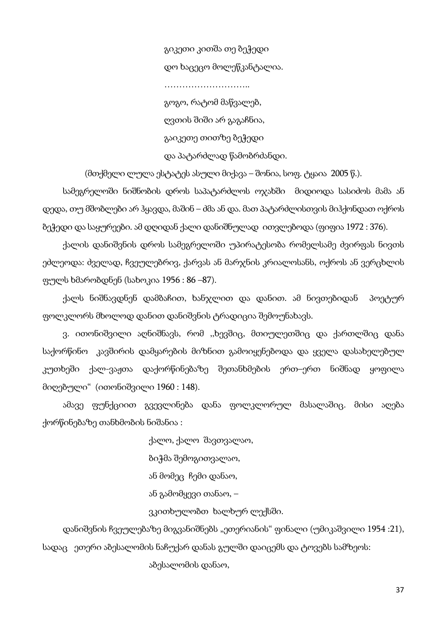გიკეთი კითშა თე ბეჭედი დო ხაცეცო მოლეწკანტალია. ……………………….. გოგო, რატომ მაწვალებ, ღვთის შიში არ გაგაჩნია, გაიკეთე თითზე ბეჭედი და პატარძლად წამობრძანდი.

(მთქმელი ლულა ესტატეს ასული მიქავა – შონია, სოფ. ტყაია 2005 წ.).

სამეგრელოში ნიშნობის დროს საპატარძლოს ოჯახში მიდიოდა სასიძოს მამა ან დედა, თუ მშობლები არ ჰყავდა, მაშინ – ძმა ან და. მათ პატარძლისთვის მიჰქონდათ ოქროს ბეჭედი და საყურეები. ამ დღიდან ქალი დანიშნულად ითვლებოდა (ფიფია 1972 : 376).

ქალის დანიშვნის დროს სამეგრელოში უპირატესობა რომელსამე ძვირფას ნივთს ეძლეოდა: ძველად, ჩვეულებრივ, ქარვას ან მარჯნის კრიალოსანს, ოქროს ან ვერცხლის ფულს ხმარობდნენ (სახოკია 1956 : 86 –87).

ქალს ნიშნავდნენ დამბაჩით, ხანჯლით და დანით. ამ ნივთებიდან პოეტურ ფოლკლორს მხოლოდ დანით დანიშვნის ტრადიცია შემოუნახავს.

ვ. ითონიშვილი აღნიშნავს, რომ ,,ხევშიც, მთიულეთშიც და ქართლშიც დანა საქორწინო კავშირის დამყარების მიზნით გამოიყენებოდა და ყველა დასახელებულ კუთხეში ქალ-ვაჟთა დაქორწინებაზე შეთანხმების ერთ–ერთ ნიშნად ყოფილა მიღებული" (ითონიშვილი 1960 : 148).

ამავე ფუნქციით გვევლინება დანა ფოლკლორულ მასალაშიც. მისი აღება ქორწინებაზე თანხმობის ნიშანია :

> ქალო, ქალო შავთვალაო, ბიჭმა შემოგითვალაო, ან მომეც ჩემი დანაო, ან გამომყევი თანაო, – ვკითხულობთ ხალხურ ლექსში.

დანიშვნის ჩვეულებაზე მიგვანიშნებს "ეთერიანის" ფინალი (უმიკაშვილი 1954 :21), სადაც ეთერი აბესალომის ნაჩუქარ დანას გულში დაიცემს და ტოვებს სამზეოს:

აბესალომის დანაო,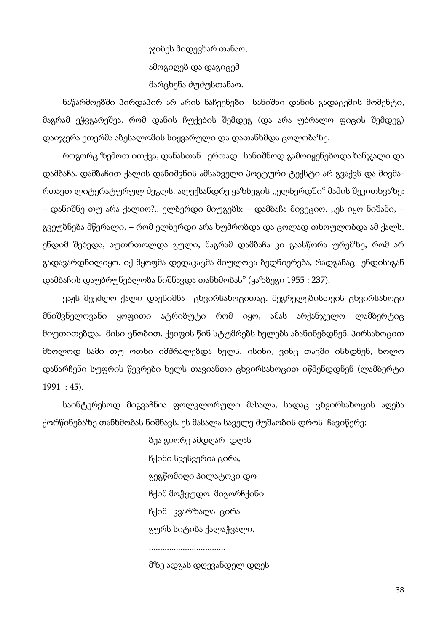ჯიბეს მიდევხარ თანაო; ამოგიღებ და დაგიცემ მარცხენა ძუძუსთანაო.

ნაწარმოებში პირდაპირ არ არის ნაჩვენები სანიშნი დანის გადაცემის მომენტი, მაგრამ ეჭვგარეშეა, რომ დანის ჩუქების შემდეგ (და არა უბრალო ფიცის შემდეგ) დაიჯერა ეთერმა აბესალომის სიყვარული და დათანხმდა ცოლობაზე.

როგორც ზემოთ ითქვა, დანასთან ერთად სანიშნოდ გამოიყენებოდა ხანჯალი და დამბაჩა. დამბაჩით ქალის დანიშვნის ამსახველი პოეტური ტექსტი არ გვაქვს და მივმართავთ ლიტერატურულ ძეგლს. ალექსანდრე ყაზბეგის ,,ელბერდში" მამის შეკითხვაზე: – დანიშნე თუ არა ქალიო?.. ელბერდი მიუგებს: – დამბაჩა მივეციო. ,,ეს იყო ნიშანი, – გვეუბნება მწერალი, – რომ ელბერდი არა ხუმრობდა და ცოლად თხოულობდა ამ ქალს. ენდიმ შეხედა, აუთრთოლდა გული, მაგრამ დამბაჩა კი გაასწორა ურემზე, რომ არ გადავარდნილიყო. იქ მყოფმა დედაკაცმა მიულოცა ბედნიერება, რადგანაც ენდისაგან დამბაჩის დაუბრუნებლობა ნიშნავდა თანხმობას" (ყაზბეგი 1955 : 237).

ვაჟს შეეძლო ქალი დაენიშნა ცხვირსახოცითაც. მეგრელებისთვის ცხვირსახოცი მნიშვნელოვანი ყოფითი ატრიბუტი რომ იყო, ამას არქანჯელო ლამბერტიც მიუთითებდა. მისი ცნობით, ქეიფის წინ სტუმრებს ხელებს აბანინებდნენ. პირსახოცით მხოლოდ სამი თუ ოთხი იმშრალებდა ხელს. ისინი, ვინც თავში ისხდნენ, ხოლო დანარჩენი სუფრის წევრები ხელს თავიანთი ცხვირსახოცით იწმენდდნენ (ლამბერტი 1991 : 45).

საინტერესოდ მიგვაჩნია ფოლკლორული მასალა, სადაც ცხვირსახოცის აღება ქორწინებაზე თანხმობას ნიშნავს. ეს მასალა საველე მუშაობის დროს ჩავიწერე:

> ბჟა გიორე ამდღარ დღას ჩქიმი სვესვერია ცირა, გეგწომიღი პილატოკი დო ჩქიმ მოჭყუდო მიგორჩქინი ჩქიმ კვარზალა ცირა გურს სიტიბა ქალაჭვალი. ..................................

მზე ადგას დღევანდელ დღეს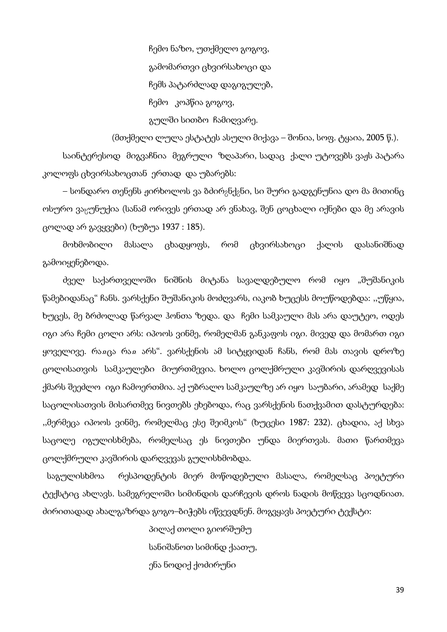ჩემო ნაზო, უთქმელო გოგოვ, გამომართვი ცხვირსახოცი და ჩემს პატარძლად დაგიგულებ, ჩემო კოპწია გოგოვ, გულში სითბო ჩამიღვარე.

(მთქმელი ლულა ესტატეს ასული მიქავა – შონია, სოფ. ტყაია, 2005 წ.).

საინტერესოდ მიგვაჩნია მეგრული ზღაპარი, სადაც ქალი უტოვებს ვაჟს პატარა კოლოფს ცხვირსახოცთან ერთად და უბარებს:

– სონდარო თენენს ჟირხოლოს ვა ბძირ<sub>გ</sub>ნქ<sub>გ</sub>ნი, სი შური გადგენუნია დო მა მითინც ოსურო ვაცუნუქია (სანამ ორივეს ერთად არ ვნახავ, შენ ცოცხალი იქნები და მე არავის ცოლად არ გავყვები) (ხუბუა 1937 : 185).

მოხმობილი მასალა ცხადყოფს, რომ ცხვირსახოცი ქალის დასანიშნად გამოიყენებოდა.

ძველ საქართველოში ნიშნის მიტანა სავალდებულო რომ იყო "შუშანიკის წამებიდანაც" ჩანს. ვარსქენი შუშანიკის მოძღვარს, იაკობ ხუცესს მოუწოდებდა: ,,უწყია, ხუცეს, მე ბრძოლად წარვალ ჰონთა ზედა. და ჩემი სამკაული მას არა დაუტეო, ოდეს იგი არა ჩემი ცოლი არს: იპოოს ვინმე, რომელმან განკაფოს იგი. მივედ და მომართ იგი ყოველივე. რაჲცა რაჲ არს". ვარსქენის ამ სიტყვიდან ჩანს, რომ მას თავის დროზე ცოლისათვის სამკაულები მიურთმევია. ხოლო ცოლქმრული კავშირის დარღვევისას ქმარს შეეძლო იგი ჩამოერთმია. აქ უბრალო სამკაულზე არ იყო საუბარი, არამედ საქმე საცოლისათვის მისართმევ ნივთებს ეხებოდა, რაც ვარსქენის ნათქვამით დასტურდება: ,,მერმეცა იპოოს ვინმე, რომელმაც ესე შეიმკოს" (ხუცესი 1987: 232). ცხადია, აქ სხვა საცოლე იგულისხმება, რომელსაც ეს ნივთები უნდა მიერთვას. მათი წართმევა ცოლქმრული კავშირის დარღვევას გულისხმობდა.

 საგულისხმოა რესპოდენტის მიერ მოწოდებული მასალა, რომელსაც პოეტური ტექსტიც ახლავს. სამეგრელოში სიმინდის დარჩევის დროს ნადის მოწვევა სცოდნიათ. ძირითადად ახალგაზრდა გოგო–ბიჭებს იწვევდნენ. მოგვყავს პოეტური ტექსტი:

> პილაქ თოლი გიორშუმუ სანიშანოთ სიმინდ ქაათუ, ენა ნოდიქ ქოძირუნი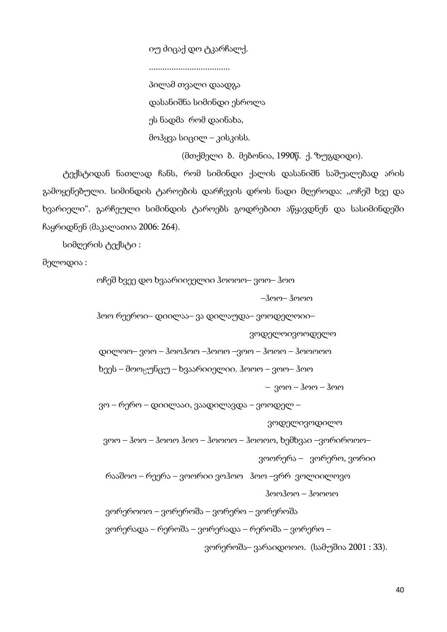იუ ძიცაქ დო ტკარჩალქ.

....................................

პილამ თვალი დაადგა დასანიშნა სიმინდი ესროლა ეს ნადმა რომ დაინახა, მოჰყვა სიცილ – კისკისს.

(მთქმელი ბ. მებონია, 1990წ. ქ. ზუგდიდი).

ტექსტიდან ნათლად ჩანს, რომ სიმინდი ქალის დასანიშნ საშუალებად არის გამოყენებული. სიმინდის ტაროების დარჩევის დროს ნადი მღეროდა: ,,ოჩეშ ხვე და ხვარიელი". გარჩეული სიმინდის ტაროებს გოდრებით აწყავდნენ და სასიმინდეში ჩაყრიდნენ (მაკალათია 2006: 264).

სიმღერის ტექსტი :

მელოდია :

ოჩეშ ხვეე დო ხვაარიიეელიი ჰოოოო– ვოო– ჰოო

–ჰოო– ჰოოო

ჰოო რეეროი– დიილაა– ვა დილაუდა– ვოოდელოიი–

ვოდელოივოოდელო

დილოო– ვოო – ჰოოჰოო –ჰოოო –ვოო – ჰოოო – ჰოოოოო

ხეეს – მოოყუნცუ – ხვაარიიელიი. ჰოოო – ვოო– ჰოო

– ვოო – ჰოო – ჰოო

ვო – რერო – დიილააი, ვაადილავდა – ვოოდელ –

ვოდელივოდილო

ვოო – ჰოო – ჰოოო ჰოო – ჰოოოო – ჰოოოო, ხემხვაი –ვორიროოო–

ვოორერა – ვორერო, ვორიი

 რააშოო – რეერა – ვოორიი ვოჰოო ჰოო –ვრრ ვოლიილოვო ჰოოჰოო – ჰოოოო

ვორეროოო – ვორეროშა – ვორერო – ვორეროშა

ვორერადა – რეროშა – ვორერადა – რეროშა – ვორერო –

ვორეროშა– ვარაიდოოო. (სამუშია 2001 : 33).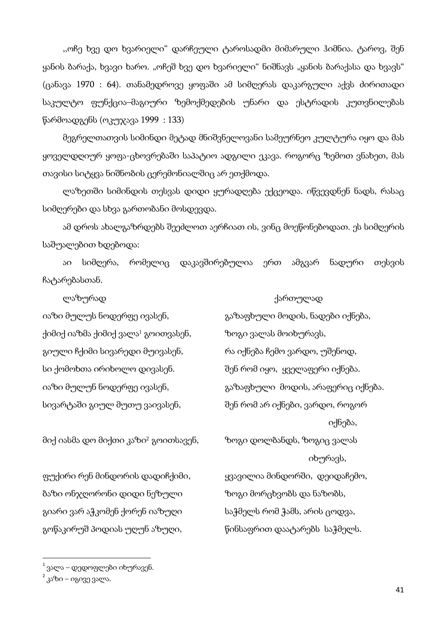,,ოჩე ხვე დო ხვარიელი" დარჩეული ტაროსადმი მიმარული ჰიმნია. ტაროვ, შენ ყანის ბარაქა, ხვავი ხარო. "ოჩეშ ხვე დო ხვარიელი" ნიშნავს "ყანის ბარაქასა და ხვავს" (ცანავა 1970 : 64). თანამედროვე ყოფაში ამ სიმღერას დაკარგული აქვს ძირითადი საკულტო ფუნქცია–მაგიური ზემოქმედების უნარი და ესტრადის კუთვნილებას წარმოადგენს (ოკუჯავა 1999 : 133)

მეგრელთათვის სიმინდი მეტად მნიშვნელოვანი სამეურნეო კულტურა იყო და მას ყოველდღიურ ყოფა-ცხოვრებაში საპატიო ადგილი ეკავა. როგორც ზემოთ ვნახეთ, მას თავისი სიტყვა ნიშნობის ცერემონიალშიც არ ეთქმოდა.

ლაზეთში სიმინდის თესვას დიდი ყურადღება ექცეოდა. იწვევდნენ ნადს, რასაც სიმღერები და სხვა გართობანი მოსდევდა.

ამ დროს ახალგაზრდებს შეეძლოთ აერჩიათ ის, ვინც მოეწონებოდათ. ეს სიმღერის საშუალებით ხდებოდა:

აი სიმღერა, რომელიც დაკავშირებულია ერთ ამგვარ ნადური თესვის ჩატარებასთან.

ქიმიქ იაზმა ქიმიქ ვალა<sup>1</sup> გოითვასენ, ხოგი ვალას მოიხურავს, გიული ჩქიმი სივარედი მუივასენ, რა იქნება ჩემო ვარდო, უშენოდ, სი ქომოხთა ირიხოლო დივასენ. შენ რომ იყო, ყველაფერი იქნება. სივარტაში გიულ მუთუ ვაივასენ, შენ რომ არ იქნები, ვარდო, როგორ

მიქ იასმა დო მიქთი კაზი2 გოითსავენ, ზოგი დოლბანდს, ზოგიც ვალას

ფუქირი რენ მინდორის დადიჩქიმი, ყვავილია მინდორში, დეიდაჩემო, ბაზი ონჯღორონი დიდი ნეზული ზოგი მორცხვობს და ნაზობს, გიარი ვარ აჭკომენ ქორენ იაზუღი საჭმელს რომ ჭამს, არის ცოდვა, გოწაკირუშ პოდიას უღუნ აზუღი, წინსაფრით დაატარებს საჭმელს.

 ლაზურად ქართულად იაზი მულუს ნოდერფე ივასენ, ვართლი გაზაფხული მოდის, ნადები იქნება, იაზი მულუნ ნოდერფე ივასენ, გარაფხული მოდის, არაფერიც იქნება. იქნება, იხურავს,

 $\overline{\phantom{a}}$ 

 $^{-1}$ ვალა – დედოფლები იხურავენ.

<sup>&</sup>lt;sup>2</sup> კაზი – იგივე ვალა.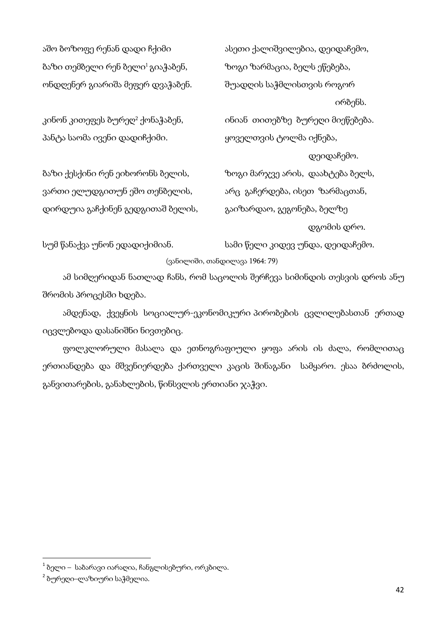აშო ბოზოფე რენან დადი ჩქიმი ახეთი ქალიშვილებია, დეიდაჩემო, ბაზი თემბელი რენ ბელი<sup>1</sup> გიაჭაბენ, ხოგი ზარმაცია, ბელს ეწებება, ონდღენერ გიარიშა მეფერ დვაჭაბენ. შუადღის საჭმლისთვის როგორ

პანტა საომა ივენი დადიჩქიმი. ყოველთვის ტოლმა იქნება,

ბაზი ქესქინი რენ ეიხორონს ბელის, ხოგი მარჯვე არის, დაახტება ბელს, ვართი ელუდგითუნ ეშო თენბელის, არც გაჩერდება, ისეთ ზარმაცთან, დირდუია გაჩქინენ გედგითაშ ბელის, ვაიზარდაო, გეგონება, ბელზე

ირბენს.

კინონ კითეფეს ბურედ<sup>2</sup> ქონაჭაბენ, ინიან თითებზე ბურეღი მიეწებება.

 დეიდაჩემო. დგომის დრო.

სუმ წანაქვა უნონ ედადიქიმიან. სამი წელი კიდევ უნდა, დეიდაჩემო.

(ვანილიში, თანდილავა 1964: 79)

ამ სიმღერიდან ნათლად ჩანს, რომ საცოლის შერჩევა სიმინდის თესვის დროს ანუ შრომის პროცესში ხდება.

ამდენად, ქვეყნის სოციალურ-ეკონომიკური პირობების ცვლილებასთან ერთად იცვლებოდა დასანიშნი ნივთებიც.

ფოლკლორული მასალა და ეთნოგრაფიული ყოფა არის ის ძალა, რომლითაც ერთიანდება და მშვენიერდება ქართველი კაცის შინაგანი სამყარო. ესაა ბრძოლის, განვითარების, განახლების, წინსვლის ერთიანი ჯაჭვი.

 $\overline{\phantom{a}}$ 

 $^{-1}$  ბელი – საბარავი იარაღია, ჩანგლისებური, ორკბილა.

<sup>2</sup> ბურეღი–ლაზიური საჭმელია.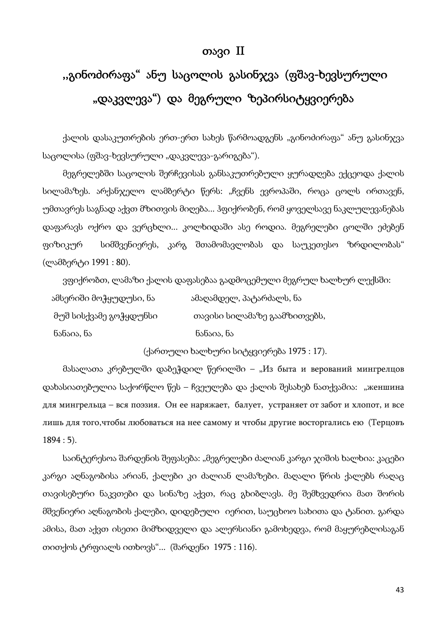# თავი II

# ,,გინოძირაფა" ანუ საცოლის გასინჯვა (ფშავ-ხევსურული "დაკვლევა") და მეგრული ზეპირსიტყვიერება

ქალის დასაკუთრების ერთ-ერთ სახეს წარმოადგენს "გინოძირაფა" ანუ გასინჯვა საცოლისა (ფშავ-ხევსურული "დაკვლევა-გარიგება").

მეგრელებში საცოლის შერჩევისას განსაკუთრებული ყურადღება ექცეოდა ქალის სილამაზეს. არქანჯელო ლამბერტი წერს: "ჩვენს ევროპაში, როცა ცოლს ირთავენ, უმთავრეს საგნად აქვთ მზითვის მიღება... ჰფიქრობენ, რომ ყოველსავე ნაკლულევანებას დაფარავს ოქრო და ვერცხლი... კოლხიდაში ასე როდია. მეგრელები ცოლში ეძებენ ფიზიკურ სიმშვენიერეს, კარგ შთამომავლობას და საუკეთესო ზრდილობას" (ლამბერტი 1991 : 80).

ვფიქრობთ, ლამაზი ქალის დაფასებაა გადმოცემული მეგრულ ხალხურ ლექსში:

| ამსერიში მოჭყუდუსი, ნა | ამაღამდელ, პატარძალს, ნა     |
|------------------------|------------------------------|
| მუშ სისქვამე გოჭყდუნსი | თავისი სილამაზე გაამზითვებს, |
| ნანაია, ნა             | ნანაია, ნა                   |

(ქართული ხალხური სიტყვიერება 1975 : 17).

მასალათა კრებულში დაბეჭდილ წერილში – "Из быта и верований мингрелцов დახასიათებულია საქორწლო წეს – ჩვეულება და ქალის შესახებ ნათქვამია: "женшина для мингрельца – вся поэзия. Он ее наряжает, балует, устраняет от забот и хлопот, и все лишь для того,чтобы любоваться на нее самому и чтобы другие восторгались ею (Терцовъ 1894 : 5).

საინტერესოა შარდენის შეფასება: "მეგრელები ძალიან კარგი ჯიშის ხალხია: კაცები კარგი აღნაგობისა არიან, ქალები კი ძალიან ლამაზები. მაღალი წრის ქალებს რაღაც თავისებური ნაკვთები და სინაზე აქვთ, რაც გხიბლავს. მე შემხვედრია მათ შორის მშვენიერი აღნაგობის ქალები, დიდებული იერით, საუცხოო სახითა და ტანით. გარდა ამისა, მათ აქვთ ისეთი მიმზიდველი და ალერსიანი გამოხედვა, რომ მაყურებლისაგან თითქოს ტრფიალს ითხოვს"... (შარდენი 1975 : 116).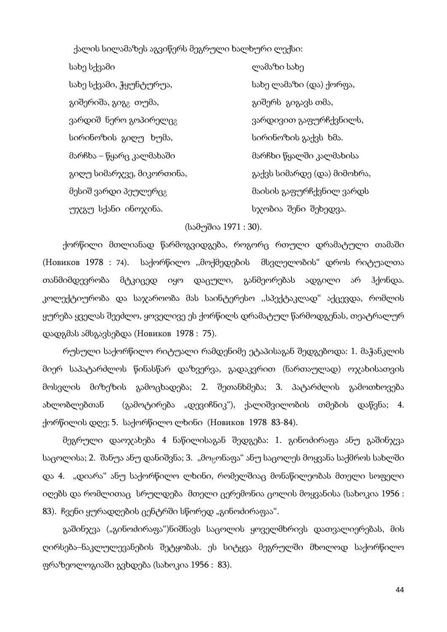ქალის სილამაზეს აგვიწერს მეგრული ხალხური ლექსი:

| სახე სქვამი                       | ლამაზი სახე                 |
|-----------------------------------|-----------------------------|
| სახე სქვამი, ჭყუნტურუა,           | სახე ლამაზი (და) ქორფა,     |
| გიშერიშა, გიგ <sub>გ</sub> თუმა,  | გიშერს გიგავს თმა,          |
| ვარდიშ ნერო გოპირელც <sub>გ</sub> | ვარდივით გაფურჩქვნილს,      |
| სირინოზის გიღუ ხუმა,              | სირინოზის გაქვს ხმა.        |
| მარჩხა – წყარც კალმახაში          | მარჩხი წყალში კალმახისა     |
| გიღუ სიმარჯვე, მიკორთინა,         | გაქვს სიმარდე (და) მიმოხრა, |
| მესიშ ვარდი პეულერც <sub>გ</sub>  | მაისის გაფურჩქვნილ ვარდს    |
| უჯგუ სქანი ინოჯინა.               | სჯობია შენი შეხედვა.        |

## (სამუშია 1971 : 30).

ქორწილი მთლიანად წარმოგვიდგება, როგორც რთული დრამატული თამაში (Новиков 1978 : 74). საქორწილო ,,მოქმედების მსვლელობის" დროს რიტუალთა თანმიმდევრობა მტკიცედ იყო დაცული, განმეორებას ადგილი არ ჰქონდა. კოლექტიურობა და საჯაროობა მას საინტერესო ,,სპექტაკლად" აქცევდა, რომლის ყურება ყველას შეეძლო, ყოველივე ეს ქორწილს დრამატულ წარმოდგენას, თეატრალურ დადგმას ამსგავსებდა (Новиков 1978 : 75).

რუსული საქორწილო რიტუალი რამდენიმე ეტაპისაგან შედგებოდა: 1. მაჭანკლის მიერ საპატარძლოს წინასწარ დაზვერვა, გადაკვრით (ნართაულად) ოჯახისათვის მოსვლის მიზეზის გამოცხადება; 2. შეთანხმება; 3. პატარძლის გამოთხოვება ახლობლებთან (გამოტირება "დევიჩნიკ"), ქალიშვილობის თმების დაწვნა; 4. ქორწილის დღე; 5. საქორწილო ლხინი (Новиков 1978 83-84).

მეგრული დაოჯახება 4 ნაწილისაგან შედგება: 1. გინოძირაფა ანუ გაშინჯვა საცოლისა; 2. შანუა ანუ დანიშვნა; 3. "მოცონაფა" ანუ საცოლეს მოყვანა საქმროს სახლში და 4. "დიარა" ანუ საქორწილო ლხინი, რომელშიაც მონაწილეობას მთელი სოფელი იღებს და რომლითაც სრულდება მთელი ცერემონია ცოლის მოყვანისა (სახოკია 1956 : 83). ჩვენი ყურადღების ცენტრში სწორედ "გინოძირაფაა".

გაშინჯვა ("გინოძირაფა")ნიშნავს საცოლის ყოველმხრივს დათვალიერებას, მის ღირსება–ნაკლულევანების შეტყობას. ეს სიტყვა მეგრულში მხოლოდ საქორწილო ფრაზეოლოგიაში გვხდება (სახოკია 1956 : 83).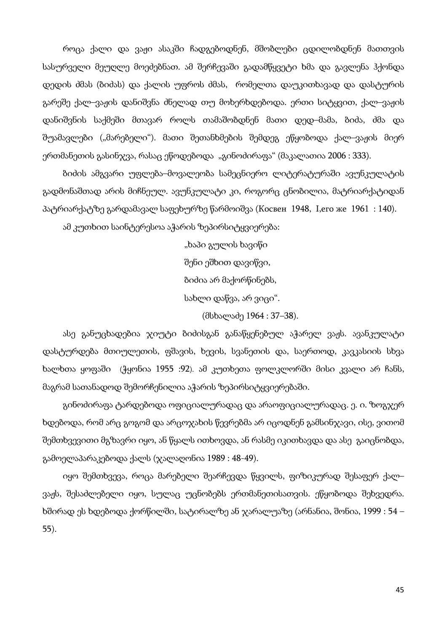როცა ქალი და ვაჟი ასაკში ჩადგებოდნენ, მშობლები ცდილობდნენ მათთვის სასურველი მეუღლე მოეძებნათ. ამ შერჩევაში გადამწყვეტი ხმა და გავლენა ჰქონდა დედის ძმას (ბიძას) და ქალის უფროს ძმას, რომელთა დაუკითხავად და დასტურის გარეშე ქალ–ვაჟის დანიშვნა ძნელად თუ მოხერხდებოდა. ერთი სიტყვით, ქალ–ვაჟის დანიშვნის საქმეში მთავარ როლს თამაშობდნენ მათი დედ–მამა, ბიძა, ძმა და შუამავლები ("მარებელი"). მათი შეთანხმების შემდეგ ეწყობოდა ქალ–ვაჟის მიერ ერთმანეთის გასინჯვა, რასაც ეწოდებოდა "გინოძირაფა" (მაკალათია 2006 : 333).

ბიძის ამგვარი უფლება–მოვალეობა სამეცნიერო ლიტერატურაში ავუნკულატის გადმონაშთად არის მიჩნეულ. ავუნკულატი კი, როგორც ცნობილია, მატრიარქატიდან პატრიარქატზე გარდამავალ საფეხურზე წარმოიშვა (Косвен 1948, I,его же 1961 : 140).

ამ კუთხით საინტერესოა აჭარის ზეპირსიტყვიერება:

"ხაპი გულის ხავიწი შენი ეშხით დავიწვი, ბიძია არ მაქორწინებს, სახლი დაწვა, არ ვიცი". (მსხალაძე 1964 : 37–38).

ასე განუცხადებია ჯიუტი ბიძისგან განაწყენებულ აჭარელ ვაჟს. ავანკულატი დასტურდება მთიულეთის, ფშავის, ხევის, სვანეთის და, საერთოდ, კავკასიის სხვა ხალხთა ყოფაში (ჭყონია 1955 :92). ამ კუთხეთა ფოლკლორში მისი კვალი არ ჩანს, მაგრამ სათანადოდ შემორჩენილია აჭარის ზეპირსიტყვიერებაში.

გინოძირაფა ტარდებოდა ოფიციალურადაც და არაოფიციალურადაც. ე. ი. ზოგჯერ ხდებოდა, რომ არც გოგომ და არცოჯახის წევრებმა არ იცოდნენ გამსინჯავი, ისე, ვითომ შემთხვევითი მგზავრი იყო, ან წყალს ითხოვდა, ან რასმე იკითხავდა და ასე გაიცნობდა, გამოელაპარაკებოდა ქალს (ჯალაღონია 1989 : 48-49).

იყო შემთხვევა, როცა მარებელი შეარჩევდა წყვილს, ფიზიკურად შესაფერ ქალ– ვაჟს, შესაძლებელი იყო, სულაც უცნობებს ერთმანეთისათვის. ეწყობოდა შეხვედრა. ხშირად ეს ხდებოდა ქორწილში, სატირალზე ან ჯარალუაზე (არნანია, შონია, 1999 : 54 – 55).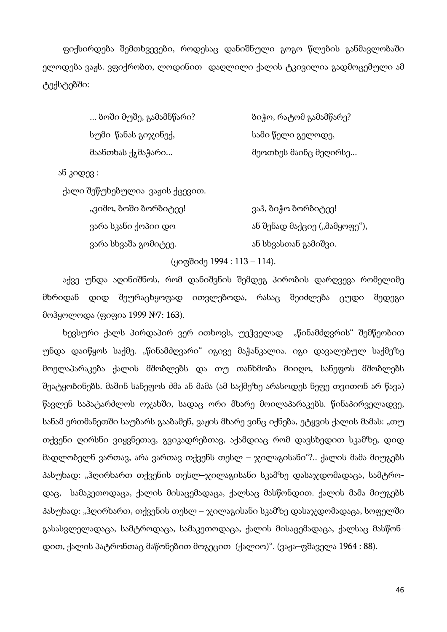ფიქსირდება შემთხვევები, როდესაც დანიშნული გოგო წლების განმავლობაში ელოდება ვაჟს. ვფიქრობთ, ლოდინით დაღლილი ქალის ტკივილია გადმოცემული ამ ტექსტებში:

> ... ბოში მუშე, გამამნწარი? ძილი გამარე ბიჭო, რატომ გამამწარე? სუმი წანას გიჯინექ, ძამი სამი წელი გელოდე, მაანთხას ქჷმაჭარი... ისტოლის მეოთხეს მაინც მეღირსე...

ან კიდევ :

ქალი შეწუხებულია ვაჟის ქცევით.

| "ვიშო, ბოში ბორბიტეე! | ვაჰ, ბიჭო ბორბიტეე!          |
|-----------------------|------------------------------|
| ვარა სკანი ქოპიი დო   | ან შენად მაქციე ("მამყოფე"), |
| ვარა სხვაშა გომიტეე.  | ან სხვასთან გამიშვი.         |

(ყიფშიძე 1994 : 113 – 114).

აქვე უნდა აღინიშნოს, რომ დანიშვნის შემდეგ პირობის დარღვევა რომელიმე მხრიდან დიდ შეურაცხყოფად ითვლებოდა, რასაც შეიძლება ცუდი შედეგი მოჰყოლოდა (ფიფია 1999 №7: 163).

ხევსური ქალს პირდაპირ ვერ ითხოვს, უეჭველად "წინამძღვრის" შემწეობით უნდა დაიწყოს საქმე. "წინამძღვარი" იგივე მაჭანკალია. იგი დავალებულ საქმეზე მოელაპარაკება ქალის მშობლებს და თუ თანხმობა მიიღო, სანეფოს მშობლებს შეატყობინებს. მაშინ სანეფოს ძმა ან მამა (ამ საქმეზე არასოდეს ნეფე თვითონ არ წავა) წავლენ საპატარძლოს ოჯახში, სადაც ორი მხარე მოილაპარაკებს. წინაპირველადვე, სანამ ერთმანეთში საუბარს გააბამენ, ვაჟის მხარე ვინც იქნება, ეტყვის ქალის მამას: "თუ თქვენი ღირსნი ვიყვნეთავ, გვიკადრებთავ, აქამდიაც რომ დავსხედით სკამზე, დიდ მადლობელნ ვართავ, არა ვართავ თქვენს თესლ – ჯილაგისანი"?.. ქალის მამა მიუგებს პასუხად: "ჰღირხართ თქვენის თესლ–ჯილაგისანი სკამზე დასაჯდომადაცა, სამტროდაც, სამაკეთოდაცა, ქალის მისაცემადაცა, ქალსაც მასწონდით. ქალის მამა მიუგებს პასუხად: "ჰღირხართ, თქვენის თესლ – ჯილაგისანი სკამზე დასაჯდომადაცა, სოფელში გასასვლელადაცა, სამტროდაცა, სამაკეთოდაცა, ქალის მისაცემადაცა, ქალსაც მასწონდით, ქალის პატრონთაც მაწონებით მოგეცით (ქალიო)". (ვაჟა–ფშაველა 1964 : 88).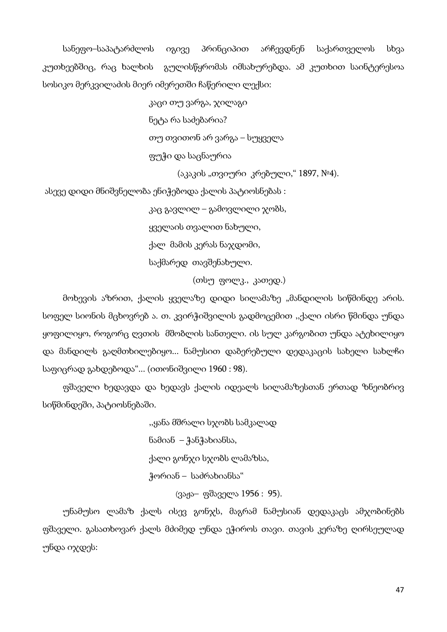სანეფო–საპატარძლოს იგივე პრინციპით არჩევდნენ საქართველოს სხვა კუთხეებშიც, რაც ხალხის გულისწყრომას იმსახურებდა. ამ კუთხით საინტერესოა სოსიკო მერკვილაძის მიერ იმერეთში ჩაწერილი ლექსი:

> კაცი თუ ვარგა, ჯილაგი ნეტა რა საძებარია? თუ თვითონ არ ვარგა – სუყველა ფუჭი და საცნაურია

> > (აკაკის "თვიური კრებული," 1897, №4).

ასევე დიდი მნიშვნელობა ენიჭებოდა ქალის პატიოსნებას :

 კაც გავლილ – გამოვლილი ჯობს, ყველაის თვალით ნახული, ქალ მამის კერას ნაჯდომი, საქმარედ თავშენახული.

(თსუ ფოლკ., კათედ.)

მოხევის აზრით, ქალის ყველაზე დიდი სილამაზე "მანდილის სიწმინდე არის. სოფელ სიონის მცხოვრებ ა. თ. კვირჭიშვილის გადმოცემით ,,ქალი ისრი წმინდა უნდა ყოფილიყო, როგორც ღვთის მშობლის სანთელი. ის სულ კარგობით უნდა ატეხილიყო და მანდილს გაღმთხილებიყო... ნამუსით დაბერებული დედაკაცის სახელი სახლჩი საფიცრად გახდებოდა"... (ითონიშვილი 1960 : 98).

ფშაველი ხედავდა და ხედავს ქალის იდეალს სილამაზესთან ერთად ზნეობრივ სიწმინდეში, პატიოსნებაში.

> ,,ყანა მშრალი სჯობს სამკალად ნამიან – ჭანჭახიანსა, ქალი გონჯი სჯობს ლამაზსა, ჭორიან – საძრახიანსა" (ვაჟა– ფშაველა 1956 : 95).

უნამუსო ლამაზ ქალს ისევ გონჯს, მაგრამ ნამუსიან დედაკაცს ამჯობინებს ფშაველი. გასათხოვარ ქალს მძიმედ უნდა ეჭიროს თავი. თავის კერაზე ღირსეულად უნდა იჯდეს: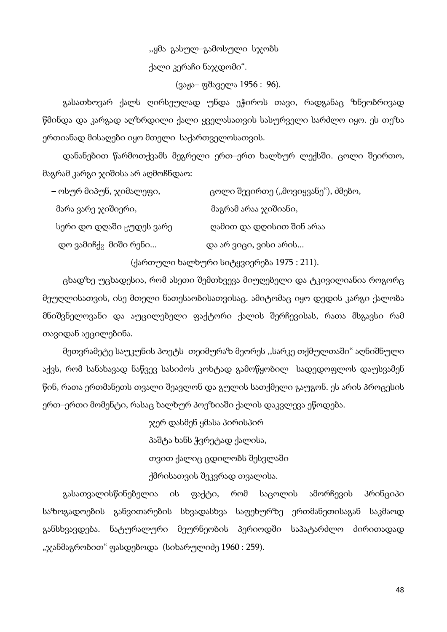,,ყმა გასულ–გამოსული სჯობს ქალი კერაჩი ნაჯდომი".

(ვაჟა– ფშაველა 1956 : 96).

გასათხოვარ ქალს ღირსეულად უნდა ეჭიროს თავი, რადგანაც ზნეობრივად წმინდა და კარგად აღზრდილი ქალი ყველასათვის სასურველი სარძლო იყო. ეს თეზა ერთიანად მისაღები იყო მთელი საქართველოსათვის.

დანანებით წარმოთქვამს მეგრელი ერთ–ერთ ხალხურ ლექსში. ცოლი შეირთო, მაგრამ კარგი ჯიშისა არ აღმოჩნდაო:

| – ოსურ მიპუნ, ჯიმალეფი,              | ცოლი შევირთე ("მოვიყვანე"), ძმებო, |
|--------------------------------------|------------------------------------|
| მარა ვარე ჯიშიერი,                   | მაგრამ არაა ჯიშიანი,               |
| სერი დო დღაში <sub>წ</sub> უდეს ვარე | ღამით და დღისით შინ არაა           |
| დო ვამიჩქ <sub>გ</sub> მიში რენი     | და არ ვიცი, ვისი არის              |

(ქართული ხალხური სიტყვიერება 1975 : 211).

ცხადზე უცხადესია, რომ ასეთი შემთხვევა მიუღებელი და ტკივილიანია როგორც მეუღლისათვის, ისე მთელი ნათესაობისათვისაც. ამიტომაც იყო დედის კარგი ქალობა მნიშვნელოვანი და აუცილებელი ფაქტორი ქალის შერჩევისას, რათა მსგავსი რამ თავიდან აეცილებინა.

მეთვრამეტე საუკუნის პოეტს თეიმურაზ მეორეს ,,სარკე თქმულთაში" აღნიშნული აქვს, რომ სანახავად ნაწვევ სასიძოს კოხტად გამოწყობილ სადედოფლოს დაუსვამენ წინ, რათა ერთმანეთს თვალი შეავლონ და გულის სათქმელი გაუგონ. ეს არის პროცესის ერთ–ერთი მომენტი, რასაც ხალხურ პოეზიაში ქალის დაკვლევა ეწოდება.

> ჯერ დასმენ ყმასა პირისპირ პაშტა ხანს ჭვრეტად ქალისა, თვით ქალიც ცდილობს შესვლაში ქმრისათვის შეკვრად თვალისა.

გასათვალისწინებელია ის ფაქტი, რომ საცოლის ამორჩევის პრინციპი საზოგადოების განვითარების სხვადასხვა საფეხურზე ერთმანეთისაგან საკმაოდ განსხვავდება. ნატურალური მეურნეობის პერიოდში საპატარძლო ძირითადად "ჯანმაგრობით" ფასდებოდა (სიხარულიძე 1960 : 259).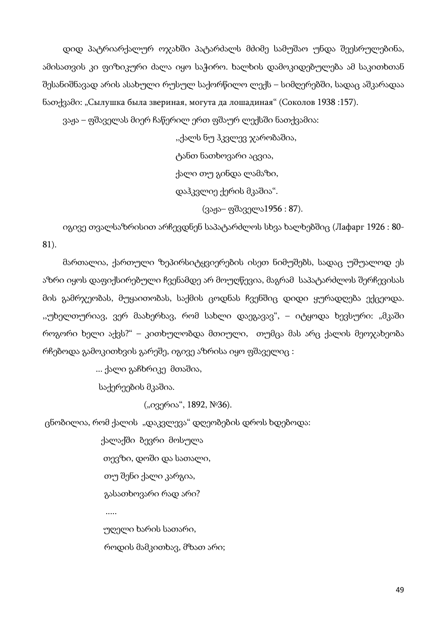დიდ პატრიარქალურ ოჯახში პატარძალს მძიმე სამუშაო უნდა შეესრულებინა, ამისათვის კი ფიზიკური ძალა იყო საჭირო. ხალხის დამოკიდებულება ამ საკითხთან შესანიშნავად არის ასახული რუსულ საქორწილო ლექს – სიმღერებში, სადაც აშკარადაა ნათქვამი: "Сылушка была звериная, могута да лошадиная" (Соколов 1938 :157).

ვაჟა – ფშაველას მიერ ჩაწერილ ერთ ფშაურ ლექსში ნათქვამია:

,,ქალს ნუ ჰკვლევ ჯარობაშია,

ტანთ ნათხოვარი აცვია,

ქალი თუ გინდა ლამაზი,

დაჰკვლიე ქერის მკაშია".

(ვაჟა– ფშაველა1956 : 87).

იგივე თვალსაზრისით არჩევდნენ საპატარძლოს სხვა ხალხებშიც (Лафарг 1926 : 80- 81).

მართალია, ქართული ზეპირსიტყვიერების ისეთ ნიმუშებს, სადაც უშუალოდ ეს აზრი იყოს დაფიქსირებული ჩვენამდე არ მოუღწევია, მაგრამ საპატარძლოს შერჩევისას მის გამრჯეობას, მუყაითობას, საქმის ცოდნას ჩვენშიც დიდი ყურადღება ექცეოდა. ,,უხელთურიავ, ვერ მაახერხავ, რომ სახლი დაეგავავ", – იტყოდა ხევსური: "მკაში როგორი ხელი აქვს?" – კითხულობდა მთიული, თუმცა მას არც ქალის მეოჯახეობა რჩებოდა გამოკითხვის გარეშე, იგივე აზრისა იყო ფშაველიც :

... ქალი გაჩხრიკე მთაშია,

საქერეების მკაშია.

.....

("ივერია", 1892, №36).

ცნობილია, რომ ქალის "დაკვლევა" დღეობების დროს ხდებოდა:

 ქალაქში ბევრი მოსულა თევზი, დოში და სათალი, თუ შენი ქალი კარგია, გასათხოვარი რად არი?

 უღელი ხარის სათარი, როდის მამკითხავ, მზათ არი;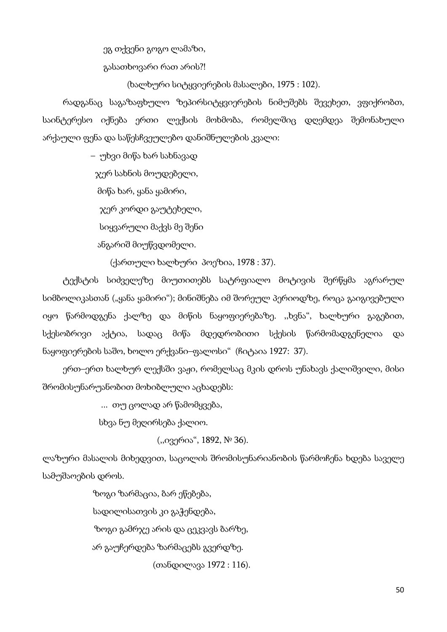ეგ თქვენი გოგო ლამაზი,

გასათხოვარი რათ არის?!

(ხალხური სიტყვიერების მასალები, 1975 : 102).

რადგანაც საგაზაფხულო ზეპირსიტყვიერების ნიმუშებს შევეხეთ, ვფიქრობთ, საინტერესო იქნება ერთი ლექსის მოხმობა, რომელშიც დღემდეა შემონახული არქაული ფენა და საწესჩვეულებო დანიშნულების კვალი:

– უხვი მიწა ხარ სახნავად

ჯერ სახნის მოუდებელი,

მიწა ხარ, ყანა ყამირი,

ჯერ კორდი გაუტეხელი,

სიყვარული მაქვს მე შენი

ანგარიშ მიუწვდომელი.

(ქართული ხალხური პოეზია, 1978 : 37).

ტექსტის სიძველეზე მიუთითებს სატრფიალო მოტივის შერწყმა აგრარულ სიმბოლიკასთან ("ყანა ყამირი"); მინიშნება იმ შორეულ პერიოდზე, როცა გაიგივებული იყო წარმოდგენა ქალზე და მიწის ნაყოფიერებაზე. ,,ხვნა", ხალხური გაგებით, სქესობრივი აქტია, სადაც მიწა მდედრობითი სქესის წარმომადგენელია და ნაყოფიერების საშო, ხოლო ერქვანი–ფალოსი" (ჩიტაია 1927: 37).

ერთ–ერთ ხალხურ ლექსში ვაჟი, რომელსაც მკის დროს უნახავს ქალიშვილი, მისი შრომისუნარუანობით მოხიბლული აცხადებს:

... თუ ცოლად არ წამომყვება,

სხვა ნუ მეღირსება ქალიო.

(,,ივერია", 1892, № 36).

ლაზური მასალის მიხედვით, საცოლის შრომისუნარიანობის წარმოჩენა ხდება საველე სამუშაოების დროს.

> ზოგი ზარმაცია, ბარ ეწებება, სადილისათვის კი გაჭენდება, ზოგი გამრჯე არის და ცეკვავს ბარზე, არ გაუჩერდება ზარმაცებს გვერდზე.

> > (თანდილავა 1972 : 116).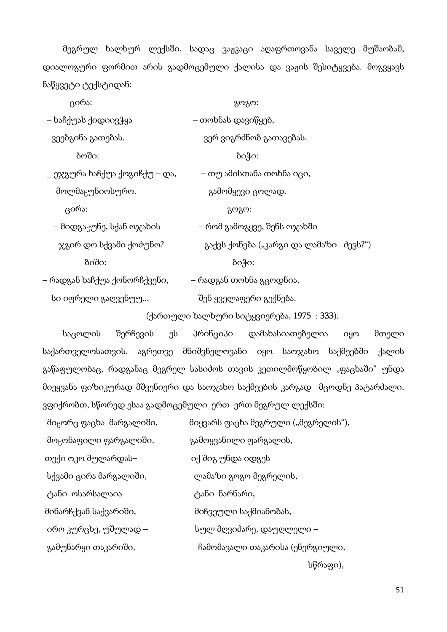მეგრულ ხალხურ ლექსში, სადაც ვაჟკაცი აღაფრთოვანა საველე მუშაობამ, დიალოგური ფორმით არის გადმოცემული ქალისა და ვაჟის შესიტყვება. მოგვყავს ნაწყვეტი ტექსტიდან:

| ცირა:                                 | გოგო:                                  |  |
|---------------------------------------|----------------------------------------|--|
| – ხაჩქუას ქიდიივჭყა                   | – თოხნას დავიწყებ,                     |  |
| ვეებგინა გათებას.                     | ვერ ვიგრძნობ გათავებას.                |  |
| ბოში:                                 | ბიჭი:                                  |  |
| _ ეჯგურა ხაჩქუა ქოგიჩქუ – და,         | – თუ ამისთანა თოხნა იცი,               |  |
| მოლმაჸუნიოსურო.                       | გამომყევი ცოლად.                       |  |
| ცირა:                                 | გოგო:                                  |  |
| – მიდგა <sub>ნ</sub> უნე, სქან ოჯახის | – რომ გამოგყვე, შენს ოჯახში            |  |
| ჯგირ დო სქვამი ქოძუნო?                | გაქვს ქონება ("კარგი და ლამაზი ძევს?") |  |
| ბიში:                                 | ბიჭი:                                  |  |
| – რადგან ხაჩქუა ქონორჩქვენი,          | – რადგან თოხნა გცოდნია,                |  |
| სი იფრელი გაღვენუუ                    | შენ ყველაფერი გექნება.                 |  |

(ქართული ხალხური სიტყვიერება, 1975 : 333).

საცოლის შერჩევის ეს პრინციპი დამახასიათებელია იყო მთელი საქართველოსათვის. აგრეთვე მნიშვნელოვანი იყო საოჯახო საქმეებში ქალის გაწაფულობაც, რადგანაც მეგრელ სასიძოს თავის კეთილმოწყობილ "ფაცხაში" უნდა მიეყვანა ფიზიკურად მშვენიერი და საოჯახო საქმეების კარგად მცოდნე პატარძალი. ვფიქრობთ, სწორედ ესაა გადმოცემული ერთ–ერთ მეგრულ ლექსში:

| მი <sub>ც</sub> ორც ფაცხა  მარგალიში, | მიყვარს ფაცხა მეგრული ("მეგრელის"), |
|---------------------------------------|-------------------------------------|
| მო <sub>ხ</sub> ონაფილი ფარგალიში,    | გამოყვანილი ფარგალის,               |
| თექი ოკო მულარდას–                    | იქ შიგ უნდა იდგეს                   |
| სქვამი ცირა მარგალიში,                | ლამაზი გოგო მეგრელის,               |
| ტანი–ოსარსალაია –                     | ტანი–ნარნარი,                       |
| მინარჩქვან საქვარიში,                 | მიჩვეული საქმიანობას,               |
| ირო კურცხე, უშულად –                  | სულ მღვიძარე, დაუღლელი –            |
| გამუნარყი თაკარიში,                   | ჩამომავალი თაკარისა (ენერგიული,     |

სწრაფი),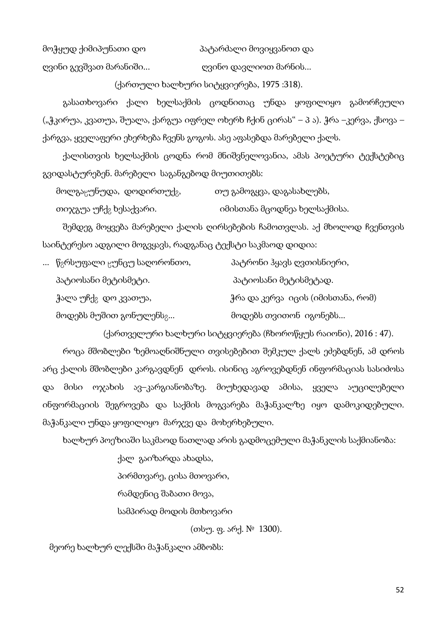მოჭყუდ ქიმიპუნათი დო პატარძალი მოვიყვანოთ და

ღვინი გევშვათ მარანიში... ღვინო დავლიოთ მარნის...

(ქართული ხალხური სიტყვიერება, 1975 :318).

გასათხოვარი ქალი ხელსაქმის ცოდნითაც უნდა ყოფილიყო გამორჩეული ("ჭკირუა, კვათუა, შუალა, ქარგუა იფრელ ოხერხ ჩქინ ცირას" – პ ა). ჭრა –კერვა, ქსოვა – ქარგვა, ყველაფერი ეხერხება ჩვენს გოგოს. ასე აფასებდა მარებელი ქალს.

ქალისთვის ხელსაქმის ცოდნა რომ მნიშვნელოვანია, ამას პოეტური ტექსტებიც გვიდასტურებენ. მარებელი საგანგებოდ მიუთითებს:

| მოლგაცუნუდა, დოდირთუქ <sub>გ</sub> , | თუ გამოგყვა, დაგასახლებს, |
|--------------------------------------|---------------------------|
|                                      |                           |

თიჯგუა უჩქ<sub>გ</sub> ხესაქვარი. იმისთანა მცოდნეა ხელსაქმისა.

შემდეგ მოყვება მარებელი ქალის ღირსებების ჩამოთვლას. აქ მხოლოდ ჩვენთვის საინტერესო ადგილი მოგვყავს, რადგანაც ტექსტი საკმაოდ დიდია:

| წ <sub>გ</sub> რსუფალი <sub>ნ</sub> უნცუ საღორონთო, | პატრონი ჰყავს ღვთისნიერი,          |
|-----------------------------------------------------|------------------------------------|
| პატიოსანი მეტისმეტი.                                | პატიოსანი მეტისმეტად.              |
| ჭალა უჩქ <sub>გ</sub> დო კვათუა,                    | ჭრა და კერვა  იცის (იმისთანა, რომ) |
| მოდებს მუშით გონულენს <sub>გ</sub>                  | მოდებს თვითონ  იგონებს             |

(ქართველური ხალხური სიტყვიერება (ჩხოროწყუს რაიონი), 2016 : 47).

როცა მშობლები ზემოაღნიშნული თვისებებით შემკულ ქალს ეძებდნენ, ამ დროს არც ქალის მშობლები კარგავდნენ დროს. ისინიც აგროვებდნენ ინფორმაციას სასიძოსა და მისი ოჯახის ავ–კარგიანობაზე. მიუხედავად ამისა, ყველა აუცილებელი ინფორმაციის შეგროვება და საქმის მოგვარება მაჭანკალზე იყო დამოკიდებული. მაჭანკალი უნდა ყოფილიყო მარჯვე და მოხერხებული.

ხალხურ პოეზიაში საკმაოდ ნათლად არის გადმოცემული მაჭანკლის საქმიანობა:

ქალ გაიზარდა ახადსა,

პირმთვარე, ცისა მთოვარი,

რამდენიც შაბათი მოვა,

სამპირად მოდის მთხოვარი

(თსუ. ფ. არქ. № 1300).

მეორე ხალხურ ლექსში მაჭანკალი ამბობს: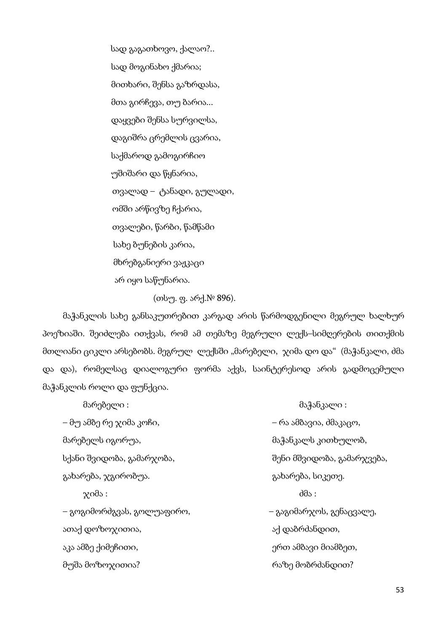სად გაგათხოვო, ქალაო?.. სად მოგინახო ქმარია; მითხარი, შენსა გაზრდასა, მთა გირჩევა, თუ ბარია... დაყვები შენსა სურვილსა, დაგიშრა ცრემლის ცვარია, საქმაროდ გამოგირჩიო უშიშარი და წყნარია, თვალად – ტანადი, გულადი, ომში არწივზე ჩქარია, თვალები, წარბი, წამწამი სახე ბუნების კარია, მხრებგანიერი ვაჟკაცი არ იყო საწუნარია.

(თსუ. ფ. არქ.№ 896).

მაჭანკლის სახე განსაკუთრებით კარგად არის წარმოდგენილი მეგრულ ხალხურ პოეზიაში. შეიძლება ითქვას, რომ ამ თემაზე მეგრული ლექს–სიმღერების თითქმის მთლიანი ციკლი არსებობს. მეგრულ ლექსში "მარებელი, ჯიმა დო და" (მაჭანკალი, ძმა და და), რომელსაც დიალოგური ფორმა აქვს, საინტერესოდ არის გადმოცემული მაჭანკლის როლი და ფუნქცია.

| მარებელი :                 | მაჭანკალი :                |
|----------------------------|----------------------------|
| – მუ ამბე რე ჯიმა კოჩი,    | – რა ამბავია, ძმაკაცო,     |
| მარებელს იგორუა,           | მაჭანკალს კითხულობ,        |
| სქანი შვიდობა, გამარჯობა,  | შენი მშვიდობა, გამარჯვება, |
| გახარება, ჯგირობუა.        | გახარება, სიკეთე.          |
| $\chi$ იმა:                | $d\theta$                  |
| – გოგიმორძგვას, გოლუაფირო, | – გაგიმარჯოს, გენაცვალე,   |
| ათაქ დოზოჯითია,            | აქ დაბრძანდით,             |
| აკა ამბე ქიმეჩითი,         | ერთ ამბავი მიამბეთ,        |
| მუშა მოზოჯითია?            | რაზე მობრძანდით?           |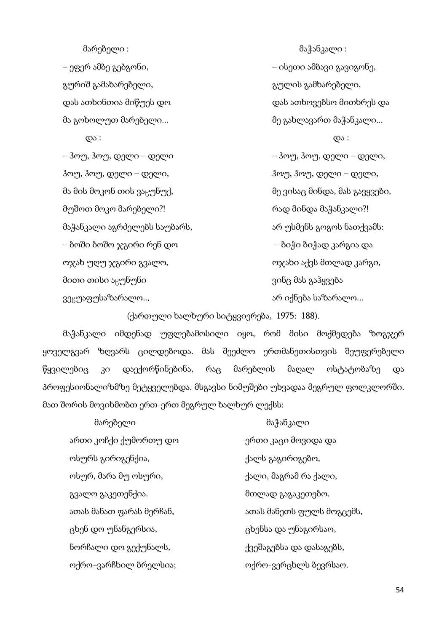გურიშ გამახარებელი, გულის გამხარებელი,

ჰოუ, ჰოუ, დელი – დელი, ჰოუ, ჰოუ, დელი – დელი, მა მის მოკონ თის ვაყუნუქ, მითხლეთ მე ვისაც მინდა, მას გავყვები, მუშოთ მოკო მარებელი?! რად მინდა მაჭანკალი?! მაჭანკალი აგრძელებს საუბარს, არის სარ უსმენს გოგოს ნათქვამს: – ბოში ბოშო ჯგირი რენ დო – ბიჭი ბიჭად კარგია და ოჯახ უღუ ჯგირი გვალო, ოჯახი აქვს მთლად კარგი, მითი თისი აყუნუნი ვინც მას გაჰყვება ვეყუაფუსაზარალო... არ არ იქნება საზარალო...

მარებელი : მაჭანკალი : – ეფერ ამბე გებგონი, – ისეთი ამბავი გავიგონე, დას ათხინთია მიწუეს დო დას ათხოვებსო მითხრეს და მა გოხოლუთ მარებელი... მე გახლავართ მაჭანკალი...  $\infty$  :  $\infty$  : – ჰოუ, ჰოუ, დელი – დელი – ჰოუ, ჰოუ, დელი – დელი,

(ქართული ხალხური სიტყვიერება, 1975: 188).

მაჭანკალი იმდენად უფლებამოსილი იყო, რომ მისი მოქმედება ზოგჯერ ყოველგვარ ზღვარს ცილდებოდა. მას შეეძლო ერთმანეთისთვის შეუფერებელი წყვილებიც კი დაექორწინებინა, რაც მარებლის მაღალ ოსტატობაზე და პროფესიონალიზმზე მეტყველებდა. მსგავსი ნიმუშები უხვადაა მეგრულ ფოლკლორში. მათ შორის მოვიხმობთ ერთ-ერთ მეგრულ ხალხურ ლექსს:

| მარებელი                 | მაჭანკალი                 |
|--------------------------|---------------------------|
| ართი კოჩქი ქუმორთუ დო    | ერთი კაცი მოვიდა და       |
| ოსურს გირიგენქია,        | ქალს გაგირიგებო,          |
| ოსურ, მარა მუ ოსური,     | ქალი, მაგრამ რა ქალი,     |
| გვალო გაკეთენქია.        | მთლად გაგაკეთებო.         |
| ათას მანათ ფარას მერჩან, | ათას მანეთს ფულს მოგცემს, |
| ცხენ დო უნანგერსია,      | ცხენსა და უნაგირსაო,      |
| ნორჩალი დო გექუნალს,     | ქვეშაგებსა და დასაგებს,   |
| ოქრო–ვარჩხილ ბრელსია;    | ოქრო-ვერცხლს ბევრსაო.     |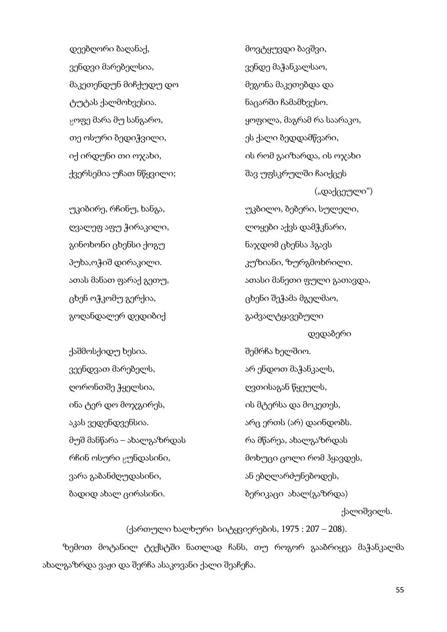დეებღორი ბაღანაქ, მონამოთხო მოვტყუვდი ბავშვი, ვენდვი მარებელსია, ის კენდე მაჭანკალსაო, ვენდე მაჭანკალსაო, მაკეთენდუნ მიჩქუდუ დო მეგონა მაკეთებდა და ტუტას ქალმოხვესია. ნაცარში ჩამამხვესო. თე ოსური ბედიჭვილი, ის ვალი სახლი ბედდამწვარი, ქვერსემია უჩათ ნწყვილი; შავ უფსკრულში ჩაიქცეს

გინოხონი ცხენსი ქოგუ ნაჯდომ ცხენსა ჰგავს ცხენ ოჭკომუ გერქია, ცხენი შეჭამა მგელმაო, გოღანდალერ დედიბიქ ვითხალი გაძვალტყავებული

ქაშმოსქიდუ ხესია. შემრჩა ხელშიო. ვეენდვათ მარებელს, არ არ ენდოთ მაჭანკალს, ღორონთშე ჭყელსია, ის დვთისაგან წყეულს, ინა ტერ დო მოჯგირეს, ის მტერსა და მოკეთეს, აკას ვედენდვენსია. არი არც ერთს (არ) დაინდობს. მუშ მანწარა – ახალგაზრდას რა მწარეა, ახალგაზრდას ვარა გაბანძღუდასინი, ან ეან ან ებღლარძუნებოდეს, ბადიდ ახალ ცირასინი. ბერიკაცი ახალ(გაზრდა)

 $_{\rm N}$ ოფე მარა მუ სანგარო, ვეთლოს გართლა, მაგრამ რა საარაკო, იქ ირდუნი თი ოჯახი, ის რომ გაიზარდა, ის ოჯახი ("დაქცეული") უკიბირე, რჩინუ, ხანგა, უკბილო, ბებერი, სულელი, ღვალეფ აფუ ჭირაკილი, ლოყები აქვს დამჭკნარი, პუხა,ოჭიშ დირაკილი. კუზიანი, ზურგმოხრილი. ათას მანათ ფარაქ გეთუ, ათას ათასი მანეთი ფული გათავდა, დედაბერი რჩინ ოსური <sub>წ</sub>უნდასინი, მონუცი ცოლი რომ ჰყავდეს,

ქალიშვილს.

(ქართული ხალხური სიტყვიერების, 1975 : 207 – 208).

ზემოთ მოტანილ ტექსტში ნათლად ჩანს, თუ როგორ გააბრიყვა მაჭანკალმა ახალგაზრდა ვაჟი და შერჩა ასაკოვანი ქალი შეაჩეჩა.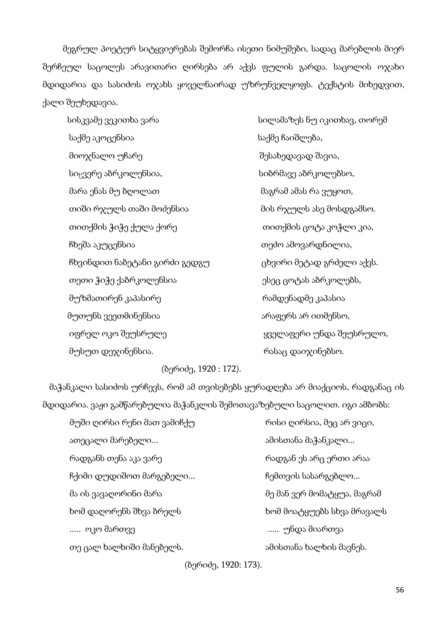მეგრულ პოეტურ სიტყვიერებას შემორჩა ისეთი ნიმუშები, სადაც მარებლის მიერ შერჩეულ საცოლეს არავითარი ღირსება არ აქვს ფულის გარდა. საცოლის ოჯახი მდიდარია და სასიძოს ოჯახს ყოველნაირად უზრუნველყოფს. ტექსტის მიხედვით, ქალი შეუხედავია.

 სისკვამე ვეკითხა ვარა სილამაზეს ნუ იკითხავ, თორემ საქმე აკოცენსია საქმე ჩაიშლება, მიოჯნალო უჩარე შესახედავად შავია, სიყვერე აბრკოლენსია, სიმოფო სიბრმავე აბრკოლებსო, მარა ენას მუ ბღოლათ მაგრამ ამას რა ვუყოთ, თიში რჯულს თაში მოძენსია მის რჯულს ასე მოსდგამსო. თითქმის ჭიჭე ქულა ქორე თითქმის ცოტა კოჭლი კია, ჩხეშა აკუცენსია თეძო ამოვარდნილია, ჩხვინდით ნაბეტანი გირძი გედგუ ცხვირი მეტად გრძელი აქვს. თეთი ჭიჭე ქაბრკოლენსია ესეც ცოტას აბრკოლებს, მუზმათირენ კაპასირე რამდენადმე კაპასია მუთუნს ვეეთმინენსია არაფერს არ ითმენსო, იფრელ ოკო შეუსრულე ყველაფერი უნდა შეუსრულო, მუსუთ დე $\chi$ ინენსია. რასაც დაი $\chi$ ინებსო.

# (ბერიძე, 1920 : 172).

 მაჭანკალი სასიძოს ურჩევს, რომ ამ თვისებებს ყურადღება არ მიაქციოს, რადგანაც ის მდიდარია. ვაჟი გამწარებულია მაჭანკლის შემოთავაზებული საცოლით. იგი ამბობს:

| მუში ღირსი რენი მათ ვამიჩქუ | რისი ღირსია, მეც არ ვიცი,   |
|-----------------------------|-----------------------------|
| ათეცალი მარებელი            | ამისთანა მაჭანკალი          |
| რადგანს თენა აკა ვარე       | რადგან ეს არც ერთი არაა     |
| ჩქიმი დუდიშოთ მარგებელი     | ჩემთვის სასარგებლო          |
| მა ის ვავაღორინი მარა       | მე მან ვერ მომატყუა, მაგრამ |
| ხომ დაღორენს შხვა ბრელს     | ხომ მოატყუებს სხვა მრავალს  |
| ოკო მართვე                  | უნდა მიართვა                |
| თე ცალ ხალხიში მანებელს.    | ამისთანა ხალხის მავნეს.     |

(ბერიძე, 1920: 173).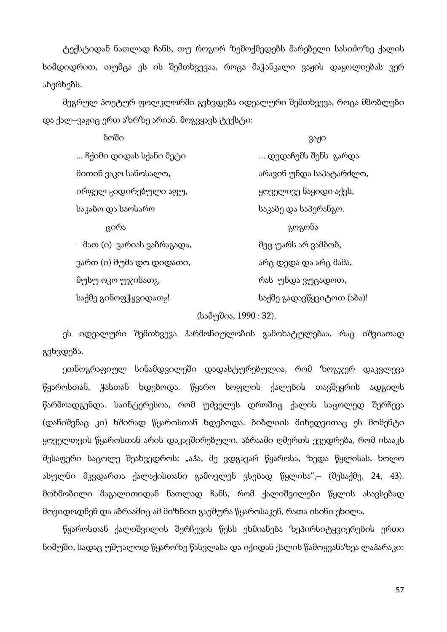ტექსტიდან ნათლად ჩანს, თუ როგორ ზემოქმედებს მარებელი სასიძოზე ქალის სიმდიდრით, თუმცა ეს ის შემთხვევაა, როცა მაჭანკალი ვაჟის დაყოლიებას ვერ ახერხებს.

მეგრულ პოეტურ ფოლკლორში გვხვდება იდეალური შემთხვევა, როცა მშობლები და ქალ–ვაჟიც ერთ აზრზე არიან. მოგვყავს ტექსტი:

| ბოში                              | ვაჟი                      |
|-----------------------------------|---------------------------|
| ჩქიმი დიდას სქანი მეტი            | დედაჩემს შენს  გარდა      |
| მითინ ვაკო სანოსალო,              | არავინ უნდა საპატარძლო,   |
| ირფელ <sub>ც</sub> იდირებული აფუ, | ყოველივე ნაყიდი აქვს,     |
| საკაბო და საოსარო                 | საკაბე და საპერანგო.      |
| ცირა                              | გოგონა                    |
| – მათ (ი)  ვარიას ვაზრაგადა,      | მეც უარს არ ვამბობ,       |
| ვართ (ი) მუმა დო დიდათი,          | არც დედა და არც მამა,     |
| მუსუ ოკო უჯინათ <sub>გ</sub> ,    | რას უნდა ვუცადოთ,         |
| საქმე გინოფჭყვიდათ <sub>8</sub> ! | საქმე გადავწყვიტოთ (აბა)! |
|                                   |                           |

(სამუშია, 1990 : 32).

ეს იდეალური შემთხვევა ჰარმონიულობის გამოხატულებაა, რაც იშვიათად გვხვდება.

ეთნოგრაფიულ სინამდვილეში დადასტურებულია, რომ ზოგჯერ დაკვლევა წყაროსთან, ჭასთან ხდებოდა. წყარო სოფლის ქალების თავშეყრის ადგილს წარმოადგენდა. საინტერესოა, რომ უძველეს დროშიც ქალის საცოლედ შერჩევა (დანიშვნაც კი) ხშირად წყაროსთან ხდებოდა. ბიბლიის მიხედვითაც ეს მომენტი ყოველთვის წყაროსთან არის დაკავშირებული. აბრაამი ღმერთს ევედრება, რომ ისააკს შესაფერი საცოლე შეახვედროს: "აჰა, მე ვდგავარ წყაროსა, ზედა წყლისას, ხოლო ასულნი მკვდართა ქალაქისთანი გამოვლენ ვსებად წყლისა",– (შესაქმე, 24, 43). მოხმობილი მაგალითიდან ნათლად ჩანს, რომ ქალიშვილები წყლის ასავსებად მოვიდოდნენ და აბრაამიც ამ მიზნით გაეშურა წყაროსაკენ, რათა ისინი ეხილა.

წყაროსთან ქალიშვილის შერჩევის წესს ეხმიანება ზეპირსიტყვიერების ერთი ნიმუში, სადაც უშუალოდ წყაროზე წასვლასა და იქიდან ქალის წამოყვანაზეა ლაპარაკი: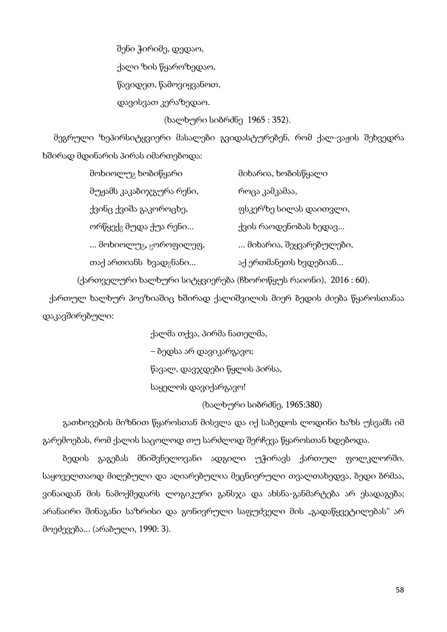შენი ჭირიმე, დედაო, ქალი ზის წყაროზედაო, წავიდეთ, წამოვიყვანოთ, დავისვათ კერაზედაო.

(ხალხური სიბრძნე 1965 : 352).

 მეგრული ზეპირსიტყვიერი მასალები გვიდასტურებენ, რომ ქალ-ვაჟის შეხვედრა ხშირად მდინარის პირას იმართებოდა:

| მოხიოლუ <sub>გ</sub> ხობიწყარი          | მიხარია, ხობისწყალი       |
|-----------------------------------------|---------------------------|
| მუჟამს კაკაბიჯგურა რენი,                | როცა კამკამაა,            |
| ქვინც ქვიშა გაკოროცხე,                  | ფსკერზე სილას დაითვლი,    |
| ორწყექ <sub>გ</sub> მუდა ქუა რენი       | ქვის რაოდენობას ხედავ     |
| მოხიოლუ <sub>გ<b>,</b> ცოროფილეფ,</sub> | … მიხარია, შეყვარებულები, |
| თაქ ართიანს ხვად <sub>გ</sub> ნანი      | აქ ერთმანეთს ხვდებიან     |

(ქართველური ხალხური სიტყვიერება (ჩხოროწყუს რაიონი), 2016 : 60).

 ქართულ ხალხურ პოეზიაშიც ხშირად ქალიშვილის მიერ ბედის ძიება წყაროსთანაა დაკავშირებული:

> ქალმა თქვა, პირმა ნათელმა, – ბედსა არ დავიკარგავო; წავალ, დავჯდები წყლის პირსა, საყელოს დავიქარგავო!

(ხალხური სიბრძნე, 1965:380)

გათხოვების მიზნით წყაროსთან მისვლა და იქ საბედოს ლოდინი ხაზს უსვამს იმ გარემოებას, რომ ქალის საცოლოდ თუ სარძლოდ შერჩევა წყაროსთან ხდებოდა.

ბედის გაგებას მნიშვნელოვანი ადგილი უჭირავს ქართულ ფოლკლორში. საყოველთაოდ მიღებული და აღიარებულია მეცნიერული თვალთახედვა, ბედი ბრმაა, ვინაიდან მის ნამოქმედარს ლოგიკური განსჯა და ახსნა-განმარტება არ ესადაგება; არანაირი შინაგანი საზრისი და გონივრული საფუძველი მის "გადაწყვეტილებას" არ მოეძევება... (არაბული, 1990: 3).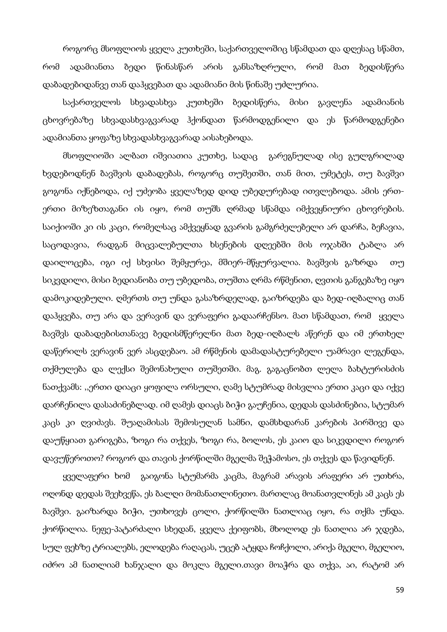როგორც მსოფლიოს ყველა კუთხეში, საქართველოშიც სწამდათ და დღესაც სწამთ, რომ ადამიანთა ბედი წინასწარ არის განსაზღრული, რომ მათ ბედისწერა დაბადებიდანვე თან დაჰყვებათ და ადამიანი მის წინაშე უძლურია.

საქართველოს სხვადასხვა კუთხეში ბედისწერა, მისი გავლენა ადამიანის ცხოვრებაზე სხვადასხვაგვარად ჰქონდათ წარმოდგენილი და ეს წარმოდგენები ადამიანთა ყოფაზე სხვადასხვაგვარად აისახებოდა.

მსოფლიოში ალბათ იშვიათია კუთხე, სადაც გარეგნულად ისე გულგრილად ხვდებოდნენ ბავშვის დაბადებას, როგორც თუშეთში, თან მით, უმეტეს, თუ ბავშვი გოგონა იქნებოდა, იქ უძეობა ყველაზედ დიდ უბედურებად ითვლებოდა. ამის ერთერთი მიზეზთაგანი ის იყო, რომ თუშს ღრმად სწამდა იმქვეყნიური ცხოვრების. საიქიოში კი ის კაცი, რომელსაც ამქვეყნად გვარის გამგრძელებელი არ დარჩა, ბეჩავია, საცოდავია, რადგან მიცვალებულთა ხსენების დღეებში მის ოჯახში ტაბლა არ დაილოცება, იგი იქ სხვისი შემყურეა, მშიერ-მწყურვალია. ბავშვის გაზრდა თუ სიკვდილი, მისი ბედიანობა თუ უბედობა, თუშთა ღრმა რწმენით, ღვთის განგებაზე იყო დამოკიდებული. ღმერთს თუ უნდა გასაზრდელად, გაიზრდება და ბედ-იღბალიც თან დაჰყვება, თუ არა და ვერავინ და ვერაფერი გადაარჩენსო. მათ სწამდათ, რომ ყველა ბავშვს დაბადებისთანავე ბედისმწერელნი მათ ბედ-იღბალს აწერენ და იმ ერთხელ დაწერილს ვერავინ ვერ ასცდებაო. ამ რწმენის დამადასტურებელი უამრავი ლეგენდა, თქმულება და ლექსი შემონახული თუშეთში. მაგ. გაგაცნობთ ლელა ბახტურისძის ნათქვამს: ,,ერთი დიაცი ყოფილა ორსული, ღამე სტუმრად მისვლია ერთი კაცი და იქვე დარჩენილა დასაძინებლად. იმ ღამეს დიაცს ბიჭი გაუჩენია, დედას დასძინებია, სტუმარ კაცს კი ღვიძავს. შუაღამისას შემოსულან სამნი, დამსხდარან კარების პირშივე და დაუწყიათ გარიგება, ზოგი რა თქვეს, ზოგი რა, ბოლოს, ეს კაიო და სიკვდილი როგორ დავუწეროთო? როგორ და თავის ქორწილში მგელმა შეჭამოსო, ეს თქვეს და წავიდნენ.

ყველაფერი ხომ გაიგონა სტუმარმა კაცმა, მაგრამ არავის არაფერი არ უთხრა, ოღონდ დედას შეეხვეწა, ეს ბალღი მომანათლინეთო. მართლაც მოანათვლინეს ამ კაცს ეს ბავშვი. გაიზარდა ბიჭი, უთხოვეს ცოლი, ქორწილში ნათლიაც იყო, რა თქმა უნდა. ქორწილია. ნეფე-პატარძალი სხედან, ყველა ქეიფობს, მხოლოდ ეს ნათლია არ ჯდება, სულ ფეხზე ტრიალებს, ელოდება რაღაცას, უცებ ატყდა ჩოჩქოლი, არიქა მგელი, მგელიო, იძრო ამ ნათლიამ ხანჯალი და მოკლა მგელი.თავი მოაჭრა და თქვა, აი, რატომ არ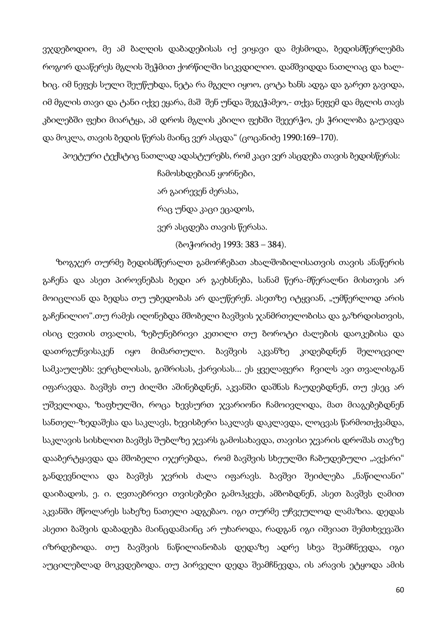ვჯდებოდიო, მე ამ ბალღის დაბადებისას იქ ვიყავი და მესმოდა, ბედისმწერლებმა როგორ დააწერეს მგლის შეჭმით ქორწილში სიკვდილიო. დამშვიდდა ნათლიაც და ხალხიც. იმ ნეფეს სული შეუწუხდა, ნეტა რა მგელი იყოო, ცოტა ხანს ადგა და გარეთ გავიდა, იმ მგლის თავი და ტანი იქვე ეყარა, მაშ შენ უნდა შეგეჭამეო,- თქვა ნეფემ და მგლის თავს კბილებში ფეხი მიარტყა, ამ დროს მგლის კბილი ფეხში შეეერჭო, ეს ჭრილობა გაუავდა და მოკლა, თავის ბედის წერას მაინც ვერ ასცდა" (ცოცანიძე 1990:169–170).

პოეტური ტექსტიც ნათლად ადასტურებს, რომ კაცი ვერ ასცდება თავის ბედისწერას:

ჩამოსხდებიან ყორნები,

არ გაირევენ ძერასა,

რაც უნდა კაცი ეცადოს,

ვერ ასცდება თავის წერასა.

(ბოჭორიძე 1993: 383 – 384).

 ზოგჯერ თურმე ბედისმწერალთ გამორჩებათ ახალშობილისათვის თავის ანაწერის გაჩენა და ასეთ პიროვნებას ბედი არ გაეხსნება, სანამ წერა-მწერალნი მისთვის არ მოიცლიან და ბედსა თუ უბედობას არ დაუწერენ. ასეთზე იტყვიან, "უმწერლოდ არის გაჩენილიო".თუ რამეს იღონებდა მშობელი ბავშვის ჯანმრთელობისა და გაზრდისთვის, ისიც ღვთის თვალის, ზებუნებრივი კეთილი თუ ბოროტი ძალების დაოკებისა და დათრგუნვისაკენ იყო მიმართული. ბავშვის აკვანზე კიდებდნენ შელოცვილ სამკაულებს: ვერცხლისას, გიშრისას, ქარვისას... ეს ყველაფერი ჩვილს ავი თვალისგან იფარავდა. ბავშვს თუ ძილში აშინებდნენ, აკვანში დაშნას ჩაუდებდნენ, თუ ესეც არ უშველიდა, ზაფხულში, როცა ხევსურთ ჯვარიონი ჩამოივლიდა, მათ მიაგებებდნენ სანთელ-ზედაშესა და საკლავს, ხევისბერი საკლავს დაკლავდა, ლოცვას წარმოთქვამდა, საკლავის სისხლით ბავშვს შუბლზე ჯვარს გამოსახავდა, თავისი ჯვარის დროშას თავზე დააბერტყავდა და მშობელი იჯერებდა, რომ ბავშვის სხეულში ჩაბუდებული "ავქარი" განდევნილია და ბავშვს ჯვრის ძალა იფარავს. ბავშვი შეიძლება "ნაწილიანი" დაიბადოს, ე. ი. ღვთაებრივი თვისებები გამოჰყვეს, ამბობდნენ, ასეთ ბავშვს ღამით აკვანში მწოლარეს სახეზე ნათელი ადგებაო. იგი თურმე უჩვეულოდ ლამაზია. დედას ასეთი ბაშვის დაბადება მაინცდამაინც არ უხაროდა, რადგან იგი იშვიათ შემთხვევაში იზრდებოდა. თუ ბავშვის ნაწილიანობას დედაზე ადრე სხვა შეამჩნევდა, იგი აუცილებლად მოკვდებოდა. თუ პირველი დედა შეამჩნევდა, ის არავის ეტყოდა ამის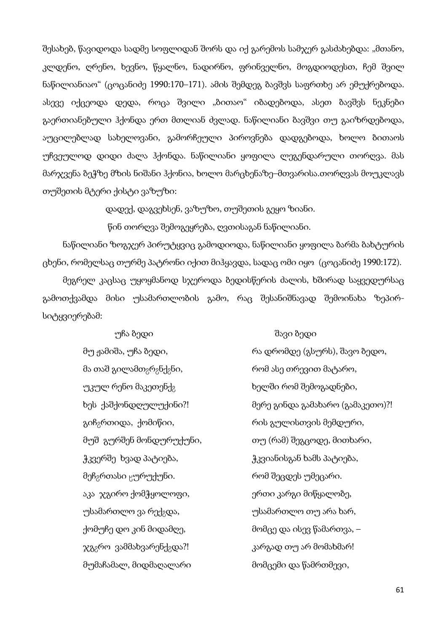შესახებ, წავიდოდა სადმე სოფლიდან შორს და იქ გარემოს სამჯერ გასძახებდა: "მთანო, კლდენო, ღრენო, ხევნო, წყალნო, ნადირნო, ფრინველნო, მოგდიოდესთ, ჩემ შვილ ნაწილიანიაო" (ცოცანიძე 1990:170–171). ამის შემდეგ ბავშვს საფრთხე არ ემუქრებოდა. ასევე იქცეოდა დედა, როცა შვილი "ბითაო" იბადებოდა, ასეთ ბავშვს ნეკნები გაერთიანებული ჰქონდა ერთ მთლიან ძვლად. ნაწილიანი ბავშვი თუ გაიზრდებოდა, აუცილებლად სახელოვანი, გამორჩეული პიროვნება დადგებოდა, ხოლო ბითაოს უჩვეულოდ დიდი ძალა ჰქონდა. ნაწილიანი ყოფილა ლეგენდარული თორღვა. მას მარჯვენა ბეჭზე მზის ნიშანი ჰქონია, ხოლო მარცხენაზე–მთვარისა.თორღვას მოუკლავს თუშეთის მტერი ქისტი ვაზუზი:

დადექ, დაგვეხსენ, ვაზუზო, თუშეთის გეყო ზიანი.

წინ თორღვა შემოგეყრება, ღვთისაგან ნაწილიანი.

ნაწილიანი ზოგჯერ პირუტყვიც გამოდიოდა, ნაწილიანი ყოფილა ბარმა ბახტურის ცხენი, რომელსაც თურმე პატრონი იქით მიჰყავდა, სადაც ომი იყო (ცოცანიძე 1990:172).

მეგრელ კაცსაც უყოყმანოდ სჯეროდა ბედისწერის ძალის, ხშირად საყვედურსაც გამოთქვამდა მისი უსამართლობის გამო, რაც შესანიშნავად შემოინახა ზეპირსიტყვიერებამ:

> მა თაშ გილამთ<sub>გ</sub>რ<sub>გ</sub>ნქ<sub>გ</sub>ნი, რომ ასე თრევით მატარო, უკულ რენო მაკეთენქ $_2$  ხელში რომ შემოგადნები, გიჩ<sub>გ</sub>რთიდა, ქომიწიი, მოფლის რის გულისთვის მემდური, ჭკვერშე ხვად პატიება, მომომილი გავიანისგან ხამს პატიება, მეჩ<sub>გ</sub>რთასი <sub>წ</sub>ურუქუნი. რომ შეცდეს უმეცარი. აკა ჯგირო ქომჭყოლოფი, ერთი კარგი მიწყალობე, უსამართლო ვა რექ<sub>გ</sub>და, ვილო მოფონართლო თუ არა ხარ, ქომუჩე დო კინ მიდამღე, მომცე და ისევ წამართვა, – ჯგ<sub>გ</sub>რო ვამმახვარენქ<sub>გ</sub>და?! კარგად თუ არ მომახმარ! მუმაჩამალ, მიდმაღალარი მომცემი და წამრთმევი,

#### უჩა ბედი შავი ბედი

მუ ჟამიშა, უჩა ბედი, რა დრომდე (გსურს), შავო ბედო, ხეს ქაშქონდღულუქინი?! მერე გინდა გამახარო (გამაკეთო)?! მუშ გურშენ მონდურუქუნი, თუ (რამ) შეგცოდე, მითხარი,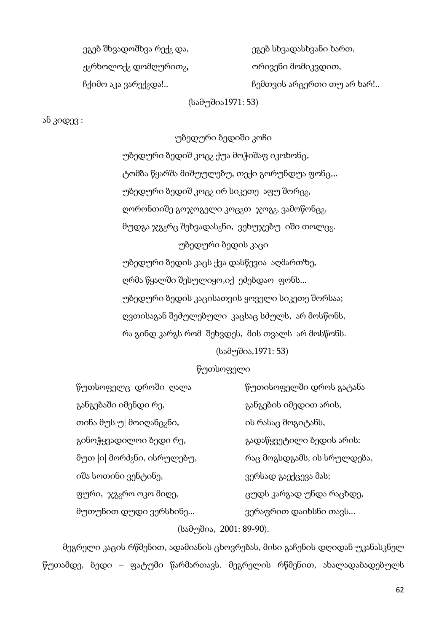| ეგებ შხვადოშხვა რექ <sub>გ</sub> და, | ეგებ სხვადასხვანი ხართ,    |
|--------------------------------------|----------------------------|
| $\eta_2$ რხოლოქ $_2$ დომღურით $_3$ , | ორივენი მომიკვდით,         |
| ჩქიმო აკა ვარექ <sub>გ</sub> და!     | ჩემთვის არცერთი თუ არ ხარ! |

(სამუშია1971: 53)

ან კიდევ :

უბედური ბედიში კოჩი უბედური ბედიშ კოც<sub>გ</sub> ქუა მოჭიშაფ იკოხონც, ტომბა წყარშა მიშუულებუ, თექი გორუნდუა ფონც... უბედური ბედიშ კოც<sub>გ</sub> ირ სიკეთე აფუ შორც<sub>გ</sub>, ღორონთიშე გოჯოგელი კოც<sub>გ</sub>თ ჯოგ<sub>გ</sub>, ვამოწონც<sub>გ</sub>, მუდგა ჯგ<sub>გ</sub>რც შეხვადას<sub>გ</sub>ნი, ვეხუჯებუ იში თოლც<sub>გ</sub>. უბედური ბედის კაცი უბედური ბედის კაცს ქვა დასწევია აღმართზე, ღრმა წყალში შესულიყო,იქ ეძებდაო ფონს... უბედური ბედის კაცისათვის ყოველი სიკეთე შორსაა; ღვთისაგან შეძულებული კაცსაც სძულს, არ მოსწონს, რა გინდ კარგს რომ შეხვდეს, მის თვალს არ მოსწონს. (სამუშია,1971: 53)

## წუთსოფელი

| წუთსოფელც დროში ღალა                    | წუთისოფელში დროს გატანა     |
|-----------------------------------------|-----------------------------|
| განგებაში იმენდი რე,                    | განგების იმედით არის,       |
| თინა მუს $ $ უ $ $ მოიღანც $_8$ ნი,     | ის რასაც მოგიტანს,          |
| გინოჭყვადილოი ბედი რე,                  | გადაწყვეტილი ბედის არის:    |
| მუთ  ი  მორძ <sub>გ</sub> ნი, ისრულებუ, | რაც მოგსდგამს, ის სრულდება, |
| იშა სოთინი ვენტინე,                     | ვერსად გაექცევა მას;        |
| ფური, ჯგ <sub>ბ</sub> რო ოკო მიღე,      | ცუდს კარგად უნდა რაცხდე,    |
| მუთუნით დუდი ვერსხინე                   | ვერაფრით დაიხსნი თავს       |

# (სამუშია, 2001: 89-90).

მეგრელი კაცის რწმენით, ადამიანის ცხოვრებას, მისი გაჩენის დღიდან უკანასკნელ წუთამდე, ბედი – ფატუმი წარმართავს. მეგრელის რწმენით, ახალადაბადებულს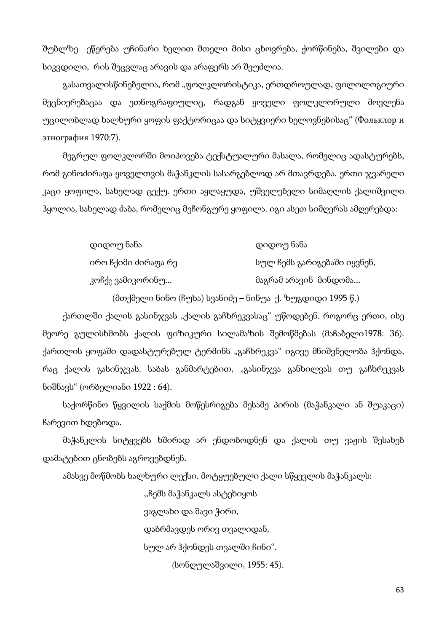შუბლზე ეწერება უჩინარი ხელით მთელი მისი ცხოვრება, ქორწინება, შვილები და სიკვდილი, რის შეცვლაც არავის და არაფერს არ შეუძლია.

გასათვალისწინებელია, რომ "ფოლკლორისტიკა, ერთდროულად, ფილოლოგიური მეცნიერებაცაა და ეთნოგრაფიულიც, რადგან ყოველი ფოლკლორული მოვლენა უცილობლად ხალხური ყოფის ფაქტორიცაა და სიტყვიერი ხელოვნებისაც" (Фольклор и этнография 1970:7).

მეგრულ ფოლკლორში მოიპოვება ტექსტუალური მასალა, რომელიც ადასტურებს, რომ გინოძირაფა ყოველთვის მაჭანკლის სასარგებლოდ არ მთავრდება. ერთი ჯვარელი კაცი ყოფილა, სახელად ცექუ. ერთი აყლაყუდა, უშველებელი სიმაღლის ქალიშვილი ჰყოლია, სახელად ძაბა, რომელიც მეჩონგურე ყოფილა. იგი ასეთ სიმღერას ამღერებდა:

| დიდოუ ნანა                   | დიდოუ ნანა                  |
|------------------------------|-----------------------------|
| ირო ჩქიმი ძირაფა რე          | სულ ჩემს გარიგებაში იყვნენ, |
| კოჩქ <sub>გ</sub> ვამიკორინუ | მაგრამ არავინ_მინდომა       |

(მთქმელი ნინო (ჩუხა) სვანიძე – ნინუა ქ. ზუგდიდი 1995 წ.)

ქართლში ქალის გასინჯვას "ქალის გაჩხრეკვასაც" უწოდებენ. როგორც ერთი, ისე მეორე გულისხმობს ქალის ფიზიკური სილამაზის შემოწმებას (მაჩაბელი1978: 36). ქართლის ყოფაში დადასტურებულ ტერმინს "გაჩხრეკვა" იგივე მნიშვნელობა ჰქონდა, რაც ქალის გასინჯვას. საბას განმარტებით, "გასინჯვა განხილვას თუ გაჩხრეკვას ნიშნავს" (ორბელიანი 1922 : 64).

საქორწინო წყვილის საქმის მოწესრიგება მესამე პირის (მაჭანკალი ან შუაკაცი) ჩარევით ხდებოდა.

მაჭანკლის სიტყვებს ხშირად არ ენდობოდნენ და ქალის თუ ვაჟის შესახებ დამატებით ცნობებს აგროვებდნენ.

ამასვე მოწმობს ხალხური ლექსი. მოტყუებული ქალი სწყევლის მაჭანკალს:

,,ჩემს მაჭანკალს ასტეხიყოს

ვაგლახი და შავი ჭირი,

დაბრმავდეს ორივ თვალიდან,

სულ არ ჰქონდეს თვალში ჩინი".

(სონღულაშვილი, 1955: 45).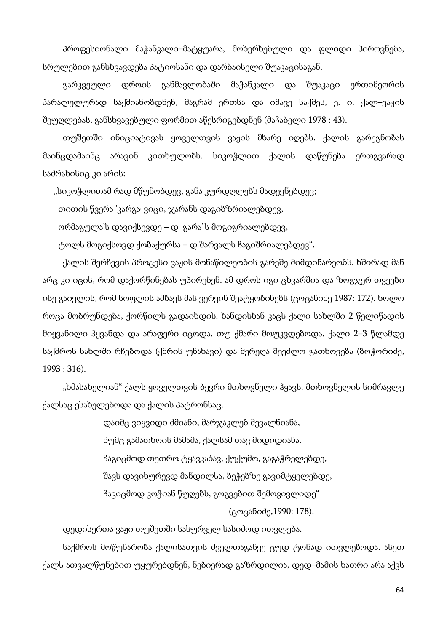პროფესიონალი მაჭანკალი–მატყუარა, მოხერხებული და ფლიდი პიროვნება, სრულებით განსხვავდება პატიოსანი და დარბაისელი შუაკაცისაგან.

გარკვეული დროის განმავლობაში მაჭანკალი და შუაკაცი ერთიმეორის პარალელურად საქმიანობდნენ, მაგრამ ერთსა და იმავე საქმეს, ე. ი. ქალ–ვაჟის შეუღლებას, განსხვავებული ფორმით აწესრიგებდნენ (მაჩაბელი 1978 : 43).

თუშეთში ინიციატივას ყოველთვის ვაჟის მხარე იღებს. ქალის გარეგნობას მაინცდამაინც არავინ კითხულობს. სიკოჭლით ქალის დაწუნება ერთგვარად საძრახისიც კი არის:

"სიკოჭლითამ რად მწუნობდევ, განა კურდღლებს მადევნებდევ;

თითის წვერა 'კარგა, ვიცი, ჯარანს დაგიბზრიალებდევ,

ორმაგულა'ს დავიქსევდე – დ გარა' ' ს მოგიგრიალებდევ,

ტოლს მოგიქსოვდ ქობაქურსა – დ შარვალს ჩაგიშრიალებდევ".

ქალის შერჩევის პროცესი ვაჟის მონაწილეობის გარეშე მიმდინარეობს. ხშირად მან არც კი იცის, რომ დაქორწინებას უპირებენ. ამ დროს იგი ცხვარშია და ზოგჯერ თვეები ისე გაივლის, რომ სოფლის ამბავს მას ვერვინ შეატყობინებს (ცოცანიძე 1987: 172). ხოლო როცა მობრუნდება, ქორწილს გადაიხდის. ხანდისხან კაცს ქალი სახლში 2 წელიწადის მიყვანილი ჰყვანდა და არაფერი იცოდა. თუ ქმარი მოუკვდებოდა, ქალი 2–3 წლამდე საქმროს სახლში რჩებოდა (ქმრის უნახავი) და მერეღა შეეძლო გათხოვება (ბოჭორიძე, 1993 : 316).

"ხმასახელიან" ქალს ყოველთვის ბევრი მთხოვნელი ჰყავს. მთხოვნელის სიმრავლე ქალსაც ესახელებოდა და ქალის პატრონსაც.

> დაიმც ვიყვიდი ძმიანი, მარჯაკლებ მევალნიანა, ნუმც გამათხოის მამამა, ქალსამ თავ მიდიდიანა. ჩაგიცმოდ თეთრო ტყავკაბავ, ქუქუმო, გაგაჭრელებდე, შავს დავიხურევდ მანდილსა, ბეჭებზე გავიმტყელებდე, ჩავიცმოდ კოჭიან წუღებს, გოგვებით შემოვივლიდე"

(ცოცანიძე,1990: 178).

დედისერთა ვაჟი თუშეთში სასურველ სასიძოდ ითვლება.

საქმროს მოწუნარობა ქალისათვის ძველთაგანვე ცუდ ტონად ითვლებოდა. ასეთ ქალს ათვალწუნებით უყურებდნენ, ნებიერად გაზრდილია, დედ–მამის ხათრი არა აქვს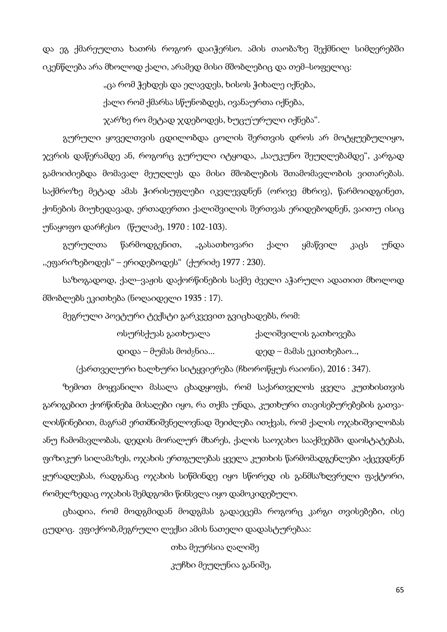და ეგ ქმარეულთა ხათრს როგორ დაიჭერსო. ამის თაობაზე შექმნილ სიმღერებში იკენწლება არა მხოლოდ ქალი, არამედ მისი მშობლებიც და თემ–სოფელიც:

"ცა რომ ჭეხდეს და ელავდეს, ხისოს ჭიხალე იქნება,

ქალი რომ ქმარსა სწუნობდეს, ივანაურთა იქნება,

ჯარზე რო მეტად ჯდებოდეს, ხუცუ' ურული იქნება".

გურული ყოველთვის ცდილობდა ცოლის შერთვის დროს არ მოტყუებულიყო, ჯვრის დაწერამდე ან, როგორც გურული იტყოდა, "საუკუნო შეუღლებამდე", კარგად გამოიძიებდა მომავალ მეუღლეს და მისი მშობლების შთამომავლობის ვითარებას. საქმროზე მეტად ამას ჭირისუფლები იკვლევდნენ (ორივე მხრივ), წარმოიდგინეთ, ქონების მიუხედავად, ერთადერთი ქალიშვილის შერთვას ერიდებოდნენ, ვაითუ ისიც უნაყოფო დარჩესო (წულაძე, 1970 : 102-103).

გურულთა წარმოდგენით, "გასათხოვარი ქალი ყმაწვილ კაცს უნდა ,,ეფარიზებოდეს" – ერიდებოდეს" (ქურიძე 1977 : 230).

საზოგადოდ, ქალ–ვაჟის დაქორწინების საქმე ძველი აჭარული ადათით მხოლოდ მშობლებს ეკითხება (ნოღაიდელი 1935 : 17).

მეგრული პოეტური ტექსტი გარკვევით გვიცხადებს, რომ:

| ოსურსქუას გათხუალა                | ქალიშვილის გათხოვება   |
|-----------------------------------|------------------------|
| დიდა – მუმას მოძ <sub>?</sub> ნია | დედ – მამას ეკითხებაო, |

(ქართველური ხალხური სიტყვიერება (ჩხოროწყუს რაიონი), 2016 : 347).

ზემოთ მოყვანილი მასალა ცხადყოფს, რომ საქართველოს ყველა კუთხისთვის გარიგებით ქორწინებa მისაღები იყო, რა თქმა უნდა, კუთხური თავისებურებების გათვალისწინებით, მაგრამ ერთმნიშვნელოვნად შეიძლება ითქვას, რომ ქალის ოჯახიშვილობას ანუ ჩამომავლობას, დედის მორალურ მხარეს, ქალის საოჯახო სააქმეებში დაოსტატებას, ფიზიკურ სილამაზეს, ოჯახის ერთგულებას ყველა კუთხის წარმომადგენლები აქცევდნენ ყურადღებას, რადგანაც ოჯახის სიწმინდე იყო სწორედ ის განმსაზღვრელი ფაქტორი, რომელზედაც ოჯახის შემდგომი წინსვლა იყო დამოკიდებული.

ცხადია, რომ მოდგმიდან მოდგმას გადაეცემა როგორც კარგი თვისებები, ისე ცუდიც. ვფიქრობ,მეგრული ლექსი ამის ნათელი დადასტურებაა:

თხა მეურსია ღალიშე

კუჩხი მეუღუნია განიშე,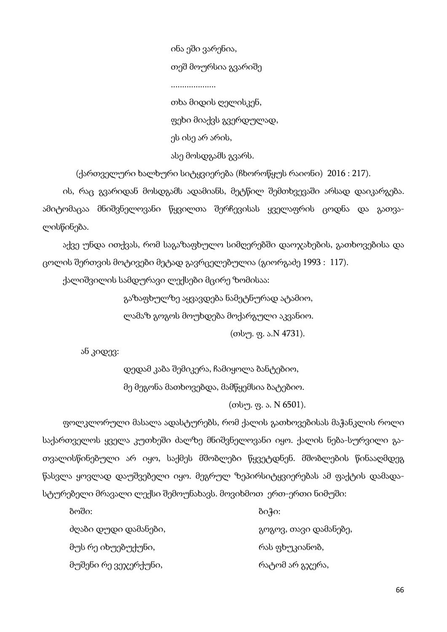ინა ეში ვარენია, თეშ მოურსია გვარიშე .................... თხა მიდის ღელისკენ, ფეხი მიაქვს გვერდულად, ეს ისე არ არის, ასე მოსდგამს გვარს.

(ქართველური ხალხური სიტყვიერება (ჩხოროწყუს რაიონი) 2016 : 217).

ის, რაც გვარიდან მოსდგამს ადამიანს, მეტწილ შემთხვევაში არსად დაიკარგება. ამიტომაცაა მნიშვნელოვანი წყვილთა შერჩევისას ყველაფრის ცოდნა და გათვალისწინება.

აქვე უნდა ითქვას, რომ საგაზაფხულო სიმღერებში დაოჯახების, გათხოვებისა და ცოლის შერთვის მოტივები მეტად გავრცელებულია (გიორგაძე 1993 : 117).

ქალიშვილის სამდურავი ლექსები მცირე ზომისაა:

გაზაფხულზე აყვავდება ნამეტნურად ატამიო,

ლამაზ გოგოს მოუხდება მოქარგული აკვანიო.

(თსუ. ფ. ა.N 4731).

ან კიდევ:

 დედამ კაბა შემიკერა, ჩამიყოლა ბანტებიო, მე მეგონა მათხოვებდა, მამწყემსია ბატებიო. (თსუ. ფ. ა. N 6501).

ფოლკლორული მასალა ადასტურებს, რომ ქალის გათხოვებისას მაჭანკლის როლი საქართველოს ყველა კუთხეში ძალზე მნიშვნელოვანი იყო. ქალის ნება-სურვილი გათვალისწინებული არ იყო, საქმეს მშობლები წყვეტდნენ. მშობლების წინააღმდეგ წასვლა ყოვლად დაუშვებელი იყო. მეგრულ ზეპირსიტყვიერებას ამ ფაქტის დამადასტურებელი მრავალი ლექსი შემოუნახავს. მოვიხმოთ ერთ-ერთი ნიმუში:

| ბოში:                | $\delta$ o}o:         |
|----------------------|-----------------------|
| ძღაბი დუდი დამანები, | გოგოვ, თავი დამანებე, |
| მუს რე იხუებუქუნი,   | რას ფხუკიანობ,        |
| მუშენი რე ვეჯერქუნი, | რატომ არ გჯერა,       |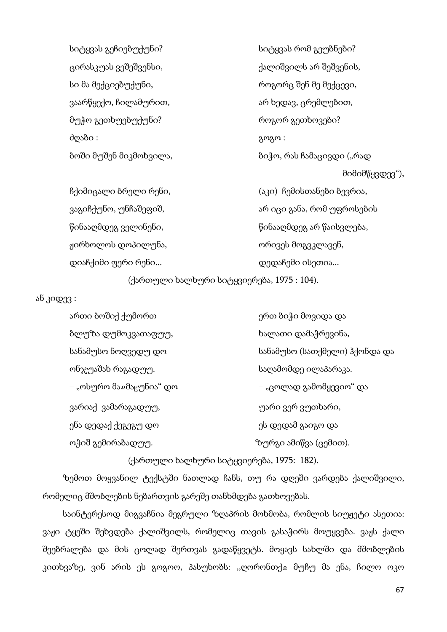სიტყვას გეჩიებუქუნი? სიტყვას რომ გეუბნები? ცირასკუას ვეშეშვენსი, ქალიშვილს არ შეშვენის, სი მა მექციებუქუნი, როგორც შენ მე მექცევი, ვაარწყექო, ჩილამურით, ირით არ ხედავ, ცრემლებით, მუჭო გეთხუებუქუნი? როგორ გეთხოვები? ძღაბი : გოგო :

ბოში მუშენ მიკმოხვილა, ის სახლი სახლებიჭო, რას ჩამაცივდი ("რად მიმიმწყვდევ"), ჩქიმიცალი ბრელი რენი, (აკი) ჩემისთანები ბევრია, ვაგიჩქუნო, უნჩაშეფიშ, ართანით არ იცი განა, რომ უფროსების წინააღმდეგ ველინენი, წინააღმდეგ არ წაისვლება, ჟირხოლოს დოპილუნა, ორივეს მოგვკლავენ, დიაჩქიმი ფერი რენი... დედაჩემი ისეთია...

(ქართული ხალხური სიტყვიერება, 1975 : 104).

ან კიდევ :

ართი ბოშიქ ქუმორთ ერთ და ერთ ბიჭი მოვიდა და ბლუზა დუმოკვათაფუუ, ხალათი დამაჭრევინა, სანამუსო ნოღვედუ დო სანამუსო (სათქმელი) ჰქონდა და ონჯუაშახ რაგადუუ. საღამომდე ილაპარაკა. – "ოსურო მაჲმაცუნია" დო – — — — "ცოლად გამომყევიო" და ვარიაქ ვამარაგადუუ, უარი ვერ ვუთხარი, ენა დედაქ ქეგეგუ დო ეს დედამ გაიგო და ოჭიშ გემირაბადუუ. ზურგი ამიწვა (ცემით).

(ქართული ხალხური სიტყვიერება, 1975: 182).

ზემოთ მოყვანილ ტექსტში ნათლად ჩანს, თუ რა დღეში ვარდება ქალიშვილი, რომელიც მშობლების ნებართვის გარეშე თანხმდება გათხოვებას.

საინტერესოდ მიგვაჩნია მეგრული ზღაპრის მოხმობა, რომლის სიუჟეტი ასეთია: ვაჟი ტყეში შეხვდება ქალიშვილს, რომელიც თავის გასაჭირს მოუყვება. ვაჟს ქალი შეებრალება და მის ცოლად შერთვას გადაწყვეტს. მოყავს სახლში და მშობლების კითხვაზე, ვინ არის ეს გოგოო, პასუხობს: ,,ღორონთქჲ მუჩუ მა ენა, ჩილო ოკო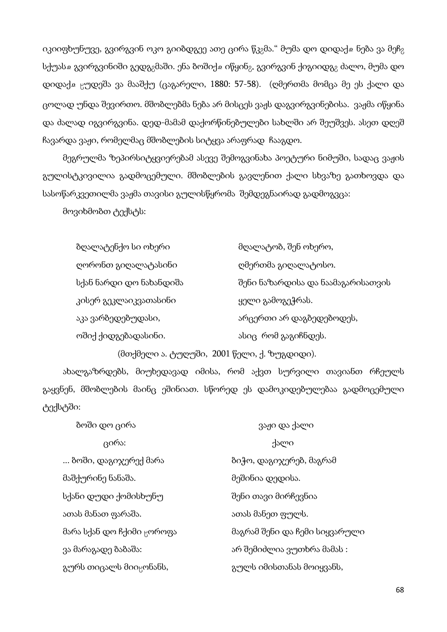იკიიფხუნუვე, გვირგვინ ოკო გიიბდგეე ათე ცირა წკ<sub>მ</sub>მა." მუმა დო დიდაქ $\alpha$  ნება ვა მეჩ<sub>მ</sub> სქუასა გვირგვინიში გედგ $_2$ მაში. ენა ბოშიქა იწყინ $_2$ . გვირგვინ ქიგიიდგ $_2$  ძალო, მუმა დო დიდაქა ცუდეშა ვა მააშქუ (ცაგარელი, 1880: 57-58). (ღმერთმა მომცა მე ეს ქალი და ცოლად უნდა შევირთო. მშობლებმა ნება არ მისცეს ვაჟს დაგვირგვინებისა. ვაჟმა იწყინა და ძალად იგვირგვინა. დედ-მამამ დაქორწინებულები სახლში არ შეუშვეს. ასეთ დღეშ ჩავარდა ვაჟი, რომელმაც მშობლების სიტყვა არაფრად ჩააგდო.

მეგრულმა ზეპირსიტყვიერებამ ასევე შემოგვინახა პოეტური ნიმუში, სადაც ვაჟის გულისტკივილია გადმოცემული. მშობლების გავლენით ქალი სხვაზე გათხოვდა და სასოწარკვეთილმა ვაჟმა თავისი გულისწყრომა შემდეგნაირად გადმოგვცა:

მოვიხმობთ ტექსტს:

| ბღალატენქო სი ოხერი     | მღალატობ, შენ ოხერო,              |
|-------------------------|-----------------------------------|
| ღორონთ გიღალატასინი     | ღმერთმა გიღალატოსო.               |
| სქან ნარდი დო ნახანდიშა | შენი ნაზარდისა და ნაამაგარისათვის |
| კისერ გეკლაიკვათასინი   | ყელი გამოგეჭრას.                  |
| აკა ვარბედებუდასი,      | არცერთი არ დაგბედებოდეს,          |
| ოშიქ ქიდგებადასინი.     | ასიც რომ გაგიჩნდეს.               |

(მთქმელი ა. ტუღუში, 2001 წელი, ქ. ზუგდიდი).

ახალგაზრდებს, მიუხედავად იმისა, რომ აქვთ სურვილი თავიანთ რჩეულს გაყვნენ, მშობლების მაინც ეშინიათ. სწორედ ეს დამოკიდებულებაა გადმოცემული ტექსტში:

| ზოში დო ცირა                          | ვაჟი და ქალი                  |
|---------------------------------------|-------------------------------|
| ცირა:                                 | ქალი                          |
| ბოში, დაგიჯერექ მარა                  | ბიჭო, დაგიჯერებ, მაგრამ       |
| მაშქურინე ნანაშა.                     | მეშინია დედისა.               |
| სქანი დუდი ქომისხუნუ                  | შენი თავი მირჩევნია           |
| ათას მანათ ფარაშა.                    | ათას მანეთ ფულს.              |
| მარა სქან დო ჩქიმი <sub>წ</sub> ოროფა | მაგრამ შენი და ჩემი სიყვარული |
| ვა მარაგადე ბაბაშა:                   | არ შემიძლია ვუთხრა მამას :    |
| გურს თიცალს მიი <sub>წ</sub> ონანს,   | გულს იმისთანას მოიყვანს,      |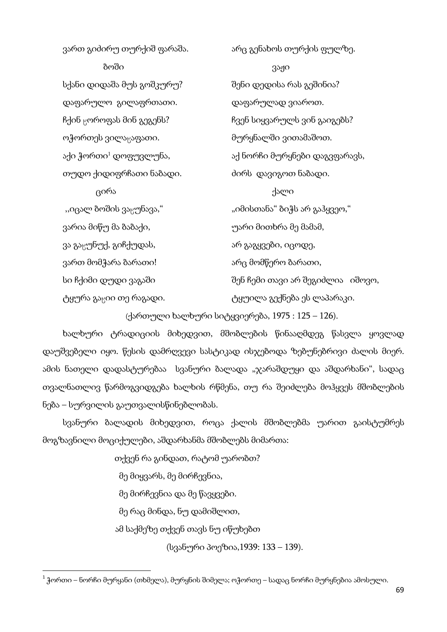ვართ გიძირუ თურქიშ ფარაშა.  $\qquad \qquad$ არც გენახოს თურქის ფულზე. ბოში და არასა და არას გაჟი სქანი დიდაშა მუს გოშკურუ? შენი დედისა რას გეშინია? დაფარულო გილაფრთათი. დაფარულად ვიაროთ. ჩქინ <sub>წ</sub>ოროფას მინ გეგენს? ჩვენ სიყვარულს ვინ გაიგებს? ოჭორთეს ვილაცაფათი. მურყნალში ვითამაშოთ. აქი ჭორთი<sup>1</sup> დოფუვლუნა, იქსანი მურყნები დაგვფარავს, თუდო ქიდიფრჩათი ნაბადი. ძირს დავიგოთ ნაბადი. ცირა ქალი ",იცალ ბოშის ვაყუნავა," "იმისთანა" ბიჭს არ გაჰყვეო," ვარია მიწუ მა ბაბაქი, უარი მითხრა მე მამამ, ვა გაყუნუქ, გიჩქუდას, არ გაავა არ გაგყვები, იცოდე, ვართ მომჭარა ბარათი! არც მომწერო ბარათი, სი ჩქიმი დუდი ვაგაში შენ ჩემი თავი არ შეგიძლია იშოვო, ტყურა გაციი თე რაგადი. იქტოლილა გექნება ეს ლაპარაკი.

(ქართული ხალხური სიტყვიერება, 1975 : 125 – 126).

ხალხური ტრადიციის მიხედვით, მშობლების წინააღმდეგ წასვლა ყოვლად დაუშვებელი იყო. წესის დამრღვევი სასტიკად ისჯებოდა ზებუნებრივი ძალის მიერ. ამის ნათელი დადასტურებაა სვანური ბალადა "ჯარაშდუყი და აშდარხანი", სადაც თვალნათლივ წარმოგვიდგება ხალხის რწმენა, თუ რა შეიძლება მოჰყვეს მშობლების ნება – სურვილის გაუთვალისწინებლობას.

სვანური ბალადის მიხედვით, როცა ქალის მშობლებმა უარით გაისტუმრეს მოგზავნილი მოციქულები, აშდარხანმა მშობლებს მიმართა:

თქვენ რა გინდათ, რატომ უარობთ?

მე მიყვარს, მე მირჩევნია,

 $\overline{\phantom{a}}$ 

მე მირჩევნია და მე წავყვები.

მე რაც მინდა, ნუ დამიშლით,

ამ საქმეზე თქვენ თავს ნუ იწუხებთ

(სვანური პოეზია,1939: 133 – 139).

<sup>1</sup> ჭორთი – ნორჩი მურყანი (თხმელა), მურყნის შიმელა; ოჭორთე – სადაც ნორჩი მურყნებია ამოსული.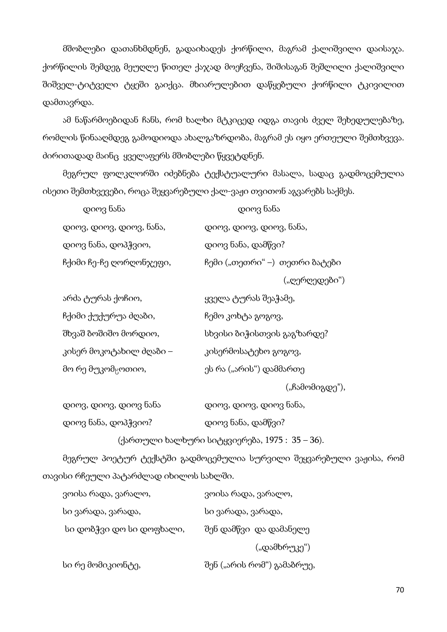მშობლები დათანხმდნენ, გადაიხადეს ქორწილი, მაგრამ ქალიშვილი დაისაჯა. ქორწილის შემდეგ მეუღლე წითელ ქაჯად მოეჩვენა, შიშისაგან შეშლილი ქალიშვილი შიშველ-ტიტველი ტყეში გაიქცა. მხიარულებით დაწყებული ქორწილი ტკივილით დამთავრდა.

ამ ნაწარმოებიდან ჩანს, რომ ხალხი მტკიცედ იდგა თავის ძველ შეხედულებაზე, რომლის წინააღმდეგ გამოდიოდა ახალგაზრდობა, მაგრამ ეს იყო ერთეული შემთხვევა. ძირითადად მაინც ყველაფერს მშობლები წყვეტდნენ.

მეგრულ ფოლკლორში იძებნება ტექსტუალური მასალა, სადაც გადმოცემულია ისეთი შემთხვევები, როცა შეყვარებული ქალ-ვაჟი თვითონ აგვარებს საქმეს.

| დიოვ ნანა               | დიოვ ნანა                      |
|-------------------------|--------------------------------|
| დიოვ, დიოვ, დიოვ, ნანა, | დიოვ, დიოვ, დიოვ, ნანა,        |
| დიოვ ნანა, დოპჭვიო,     | დიოვ ნანა, დამწვი?             |
| ჩქიმი ჩე-ჩე ღორღონჯეფი, | ჩემი ("თეთრი" –)  თეთრი ბატები |
|                         | ("ღერღედები")                  |

| ყველა ტურას შეაჭამე,       |
|----------------------------|
| ჩემო კოხტა გოგოვ,          |
| სხვისი ბიჭისთვის გაგზარდე? |
| კისერმოსატეხო გოგოვ,       |
| ეს რა ("არის") დამმართე    |
|                            |

("ჩამომიგდე"),

| დიოვ, დიოვ, დიოვ ნანა | დიოვ, დიოვ, დიოვ ნანა, |
|-----------------------|------------------------|
| დიოვ ნანა, დოპჭვიო?   | დიოვ ნანა, დამწვი?     |

(ქართული ხალხური სიტყვიერება, 1975 : 35 – 36).

მეგრულ პოეტურ ტექსტში გადმოცემულია სურვილი შეყვარებული ვაჟისა, რომ თავისი რჩეული პატარძლად იხილოს სახლში.

| ვოისა რადა, ვარალო,      | ვოისა რადა, ვარალო,        |
|--------------------------|----------------------------|
| სი ვარადა, ვარადა,       | სი ვარადა, ვარადა,         |
| სი დობჭვი დო სი დოფხალი, | შენ დამწვი და დამანელე     |
|                          | ("დამხრუკე")               |
| სი რე მომიკიონტე,        | შენ ("არის რომ") გამაბრუე, |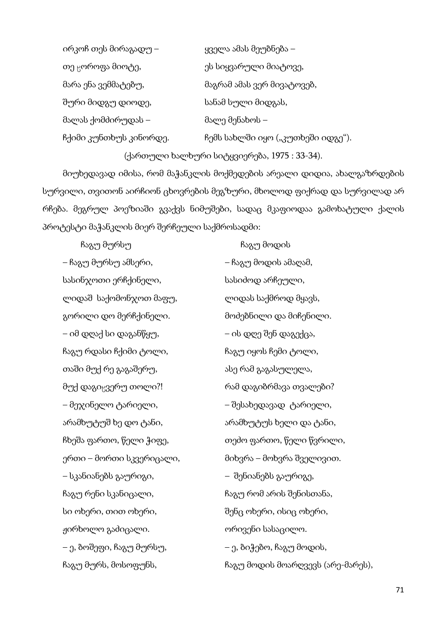| ირკოჩ თეს მირაგადუ –         | ყველა ამას მეუბნება –             |
|------------------------------|-----------------------------------|
| თე <sub>ს</sub> ოროფა მიოტე, | ეს სიყვარული მიატოვე,             |
| მარა ენა ვემმატებუ,          | მაგრამ ამას ვერ მივატოვებ,        |
| შური მიდგუ დიოდე,            | სანამ სული მიდგას,                |
| მალას ქომძირუდას –           | მალე მენახოს –                    |
| ჩქიმი კუნთხუს კინორდე.       | ჩემს სახლში იყო ("კუთხეში იდგე"). |
|                              |                                   |

(ქართული ხალხური სიტყვიერება, 1975 : 33-34).

მიუხედავად იმისა, რომ მაჭანკლის მოქმედების არეალი დიდია, ახალგაზრდების სურვილი, თვითონ აირჩიონ ცხოვრების მეგზური, მხოლოდ ფიქრად და სურვილად არ რჩება. მეგრულ პოეზიაში გვაქვს ნიმუშები, სადაც მკაფიოდაა გამოხატული ქალის პროტესტი მაჭანკლის მიერ შერჩეული საქმროსადმი:

 ჩაგუ მურსუ ჩაგუ მოდის – ჩაგუ მურსუ ამსერი, – ჩაგუ მოდის ამაღამ, სასინჯოთი ერჩქინელი, სასიძოდ არჩეული, ლიდაშ საქომონჯოთ მაფუ, ლიდას საქმროდ მყავს, გორილი დო მერჩქინელი. მოძებნილი და მიჩენილი. – იმ დღაქ სი დაგანწყუ, – ის დღე შენ დაგექცა, ჩაგუ რდასი ჩქიმი ტოლი, მოფონი გაგუ იყოს ჩემი ტოლი, თაში მუქ რე გაგაშერუ, ასის ასე რამ გაგასულელა, მუქ დაგი<sub>წ</sub>ვერუ თოლი?! რამ დაგიბრმავა თვალები? – მეჯინელო ტარიელი, – შესახედავად ტარიელი, არამხუტუშ ხე დო ტანი, არამხუტუს ხელი და ტანი, ჩხეშა ფართო, წელი ჭიფე, თეძო ფართო, წელი წვრილი, ერთი – მორთი სკვერიცალი, მიხვრა – მოხვრა შველივით. – სკანიანებს გაურიგი, – შენიანებს გაურიგე, ჩაგუ რენი სკანიცალი, ისტოლი სახარუ რომ არის შენისთანა, სი ოხერი, თით ოხერი, შენც ოხერი, ისიც ოხერი, ჟირხოლო გაძიცალი. ორივენი სასაცილო. – ე, ბოშეფი, ჩაგუ მურსუ, – ე, ბიჭებო, ჩაგუ მოდის, ჩაგუ მურს, მოსოფუნს, ისტოლის გაგუ მოდის მოარღვევს (არე-მარეს),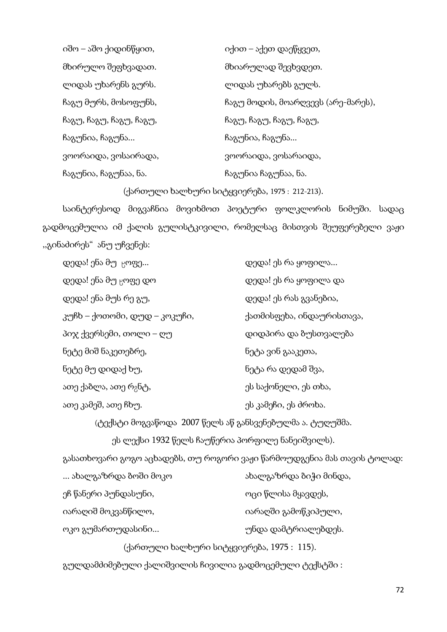იშო – აშო ქიდინწყით, იქით – აქეთ დაეწყვეთ, მხირულო შეფხვადათ. მხიარულად შევხვდეთ. ლიდას უხარენს გურს. ლიდას უხარებს გულს. ჩაგუ მურს, მოსოფუნს, მოსახი გაგუ მოდის, მოარღვევს (არე-მარეს), ჩაგუ, ჩაგუ, ჩაგუ, ჩაგუ, ჩაგა ჩაგუ, ჩაგუ, ჩაგუ, ჩაგუ, ჩაგუნია, ჩაგუნა... ჩაგუნია, ჩაგუნა... ვოორაიდა, ვოსაირადა, ვოორაიდა, ვოსარაიდა, ჩაგუნია, ჩაგუნაა, ნა. ის ის გაგუნია ჩაგუნაა, ნა.

(ქართული ხალხური სიტყვიერება, 1975 : 212-213).

საინტერესოდ მიგვაჩნია მოვიხმოთ პოეტური ფოლკლორის ნიმუში. სადაც გადმოცემულია იმ ქალის გულისტკივილი, რომელსაც მისთვის შეუფერებელი ვაჟი ,,გინაძირეს" ანუ უჩვენეს:

| დედა! ენა მუ <sub>ხ</sub> ოფე     | დედა! ეს რა ყოფილა        |
|-----------------------------------|---------------------------|
| დედა! ენა მუ <sub>წ</sub> ოფე დო  | დედა! ეს რა ყოფილა და     |
| დედა! ენა მუს რე გუ,              | დედა! ეს რას გვანებია,    |
| კუჩხ – ქოთომი, დუდ – კოკუჩი,      | ქათმისფეხა, ინდაურისთავა, |
| პიჯ ქვერსემი, თოლი – ღუ           | დიდპირა და ბუსთვალება     |
| ნეტე მიშ ნაკეთებრე,               | ნეტა ვინ გააკეთა,         |
| ნეტე მუ დიდაქ ხუ,                 | ნეტა რა დედამ შვა,        |
| ათე ქაბლა, ათე რ <sub>გ</sub> ნტ, | ეს საქონელი, ეს თხა,      |
| ათე კამეშ, ათე ჩხუ.               | ეს კამეჩი, ეს ძროხა.      |

(ტექსტი მოგვაწოდა 2007 წელს აწ განსვენებულმა ა. ტუღუშმა.

ეს ლექსი 1932 წელს ჩაუწერია პორფილე ნანეიშვილს).

გასათხოვარი გოგო აცხადებს, თუ როგორი ვაჟი წარმოუდგენია მას თავის ტოლად:

| … ახალგაზრდა ბოში მოკო                    | ახალგაზრდა ბიჭი მინდა, |  |
|-------------------------------------------|------------------------|--|
| ეჩ წანერი პუნდასუნი,                      | ოცი წლისა მყავდეს,     |  |
| იარაღიშ მოკვანწილო,                       | იარაღში გამოწკიპული,   |  |
| ოკო გუმართუდასინი                         | უნდა დამტრიალებდეს.    |  |
| (ქართული ხალხური სიტყვიერება, 1975: 115). |                        |  |

გულდამძიმებული ქალიშვილის ჩივილია გადმოცემული ტექსტში :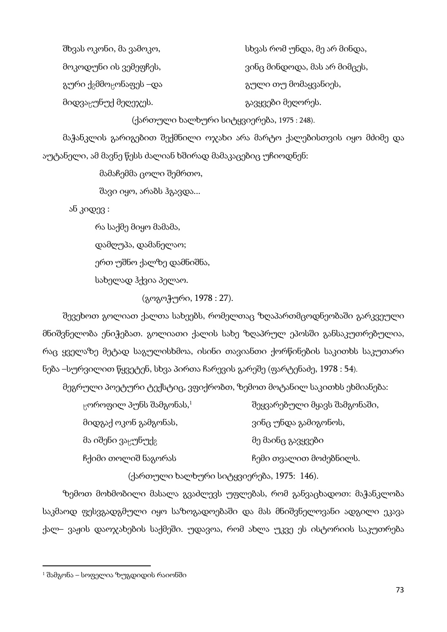| შხვას ოკონი, მა ვამოკო,                         | სხვას რომ უნდა, მე არ მინდა, |
|-------------------------------------------------|------------------------------|
| მოკოდუნი ის ვემეფჩეს,                           | ვინც მინდოდა, მას არ მიმცეს, |
| გური ქ <sub>გ</sub> მმო <sub>₿</sub> ონაფეს –და | გული თუ მომაყვანიეს,         |
| მიდვაცუნუქ მეღეჯეს.                             | გავყვები მეღორეს.            |

#### (ქართული ხალხური სიტყვიერება, 1975 : 248).

მაჭანკლის გარიგებით შექმნილი ოჯახი არა მარტო ქალებისთვის იყო მძიმე და აუტანელი, ამ მავნე წესს ძალიან ხშირად მამაკაცებიც უჩიოდნენ:

მამაჩემმა ცოლი შემრთო,

შავი იყო, არაბს ჰგავდა...

ან კიდევ :

რა საქმე მიყო მამამა,

დამღუპა, დამანელაო;

ერთ უშნო ქალზე დამნიშნა,

სახელად ჰქვია პელაო.

(გოგოჭური, 1978 : 27).

შევეხოთ გოლიათ ქალთა სახეებს, რომელთაც ზღაპართმცოდნეობაში გარკვეული მნიშვნელობა ენიჭებათ. გოლიათი ქალის სახე ზღაპრულ ეპოსში განსაკუთრებულია, რაც ყველაზე მეტად საგულისხმოა, ისინი თავიანთი ქორწინების საკითხს საკუთარი ნება –სურვილით წყვეტენ, სხვა პირთა ჩარევის გარეშე (ფარტენაძე, 1978 : 54).

მეგრული პოეტური ტექსტიც, ვფიქრობთ, ზემოთ მოტანილ საკითხს ეხმიანება:

| $\beta$ ოროფილ პუნს შამგონას, $^1$         | შეყვარებული მყავს შამგონაში, |
|--------------------------------------------|------------------------------|
| მიდგაქ ოკონ გამგონას,                      | ვინც უნდა გამიგონოს,         |
| მა იშენი ვა <sub>ნ</sub> უნუქ <sub>გ</sub> | მე მაინც გავყვები            |
| ჩქიმი თოლიშ ნაგორას                        | ჩემი თვალით მოძებნილს.       |
|                                            |                              |

(ქართული ხალხური სიტყვიერება, 1975: 146).

ზემოთ მოხმობილი მასალა გვაძლევს უფლებას, რომ განვაცხადოთ: მაჭანკლობა საკმაოდ ფესვგადგმული იყო საზოგადოებაში და მას მნიშვნელოვანი ადგილი ეკავა ქალ– ვაჟის დაოჯახების საქმეში. უდავოა, რომ ახლა უკვე ეს ისტორიის საკუთრება

 $\overline{\phantom{a}}$ 

 $1$  შამგონა – სოფელია ზუგდიდის რაიონში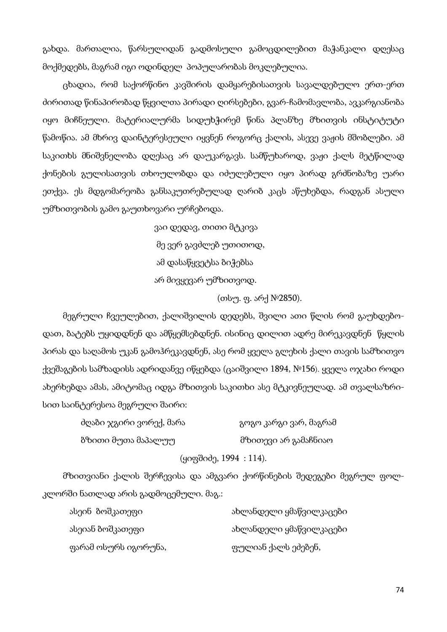გახდა. მართალია, წარსულიდან გადმოსული გამოცდილებით მაჭანკალი დღესაც მოქმედებს, მაგრამ იგი ოდინდელ პოპულარობას მოკლებულია.

ცხადია, რომ საქორწინო კავშირის დამყარებისათვის სავალდებულო ერთ-ერთ ძირითად წინაპირობად წყვილთა პირადი ღირსებები, გვარ-ჩამომავლობა, ავკარგიანობა იყო მიჩნეული. მატერიალურმა სიდუხჭირემ წინა პლანზე მზითვის ინსტიტუტი წამოწია. ამ მხრივ დაინტერესეული იყვნენ როგორც ქალის, ასევე ვაჟის მშობლები. ამ საკითხს მნიშვნელობა დღესაც არ დაუკარგავს. სამწუხაროდ, ვაჟი ქალს მეტწილად ქონების გულისათვის თხოულობდა და იძულებული იყო პირად გრძნობაზე უარი ეთქვა. ეს მდგომარეობა განსაკუთრებულად ღარიბ კაცს აწუხებდა, რადგან ასული უმზითვობის გამო გაუთხოვარი ურჩებოდა.

> ვაი დედავ, თითი მტკივა მე ვერ გავძლებ უთითოდ, ამ დასაწყვეტსა ბიჭებსა არ მივყევარ უმზითვოდ.

> > (თსუ. ფ. არქ №2850).

მეგრული ჩვეულებით, ქალიშვილის დედებს, შვილი ათი წლის რომ გაუხდებოდათ, ბატებს უყიდდნენ და ამწყემსებდნენ. ისინიც დილით ადრე მირეკავდნენ წყლის პირას და საღამოს უკან გამოჰრეკავდნენ, ასე რომ ყველა გლეხის ქალი თავის სამზითვო ქვეშაგების სამზადისს ადრიდანვე იწყებდა (ცაიშვილი 1894, №156). ყველა ოჯახი როდი ახერხებდა ამას, ამიტომაც იდგა მზითვის საკითხი ასე მტკივნეულად. ამ თვალსაზრისით საინტერესოა მეგრული შაირი:

| ძღაბი ჯგირი ვორექ, მარა | გოგო კარგი ვარ, მაგრამ |
|-------------------------|------------------------|
| ზზითი მუთა მაპალუუ      | მზითევი არ გამაჩნიაო   |
| (ყიფშიძე, 1994 : 114).  |                        |

მზითვიანი ქალის შერჩევისა და ამგვარი ქორწინების შედეგები მეგრულ ფოლკლორში ნათლად არის გადმოცემული. მაგ.:

| ასეინ ბოშკათეფი      | ახლანდელი ყმაწვილკაცები |
|----------------------|-------------------------|
| ასეიან ბოშკათეფი     | ახლანდელი ყმაწვილკაცები |
| ფარამ ოსურს იგორუნა, | ფულიან ქალს ეძებენ,     |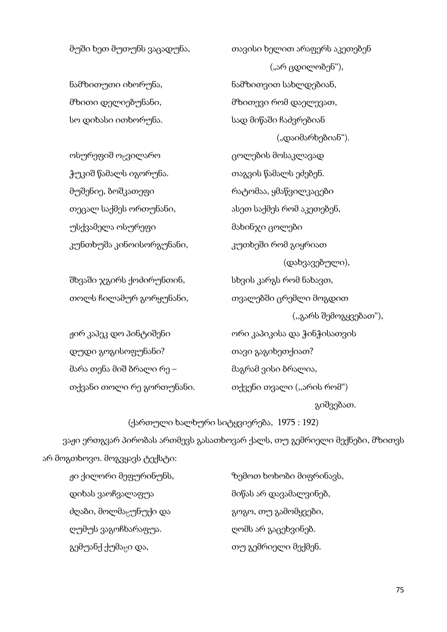მუში ხეთ მუთუნს ვაცადუნა, თავისი ხელით არაფერს აკეთებენ ("არ ცდილობენ"), ნამზითუთი იხორუნა, ნამზითვით სახლდებიან, მზითი დელიებუნანი, მზითევი რომ დაელევათ, სო დიხასი ითხორუნა. სად მიწაში ჩაძვრებიან ("დაიმარხებიან"). ოსურეფიშ ოყვილარო ვილი გოლების მოსაკლავად ჭუკიშ წამალს იგორუნა. თაგვის წამალს ეძებენ. მუშენიე, ბოშკათეფი რატომაა, ყმაწვილკაცები თეცალ საქმეს ორთუნანი,  $\qquad \qquad$ ასეთ საქმეს რომ აკეთებენ, უსქვამელა ოსურეფი მახინჯი ცოლები კუნთხუშა კინოისორგუნანი, კუთხეში რომ გიყრიათ (დახვავებული), შხვაში ჯგირს ქოძირუნთინ, სხვის კარგს რომ ნახავთ, თოლს ჩილამურ გორყუნანი, თვალებში ცრემლი მოგდით (,,გარს შემოგყვებათ"), ჟირ კაპეკ დო პინტიშენი ორი კაპიკისა და ჭინჭისათვის დუდი გოგისოფუნანი? თავი გაგიხეთქიათ? მარა თენა მიშ ბრალი რე – მაგრამ ვისი ბრალია, თქვანი თოლი რე გორთუნანი. თქვენი თვალი (,,არის რომ") გიშვებათ.

(ქართული ხალხური სიტყვიერება, 1975 : 192) ვაჟი ერთგვარ პირობას ართმევს გასათხოვარ ქალს, თუ გემრიელი მექნები, მზითვს არ მოგთხოვო. მოგვყავს ტექსტი:

- დიხას ვაოჩვალაფუა მიწას არ დავამალვინებ, ძღაბი, მოლმა<sub>ხ</sub>უნუქი და იყო გოგო, თუ გამომყვები, ღუმუს ვაგოჩხარაფუა. ღომს არ გაცეხვინებ. გემუანქ ქუმაცი და, ითუ გემრიელი მექმენ.
- ჟი ქილორი მეფურინუნს, ზემოთ ხოხობი მიფრინავს,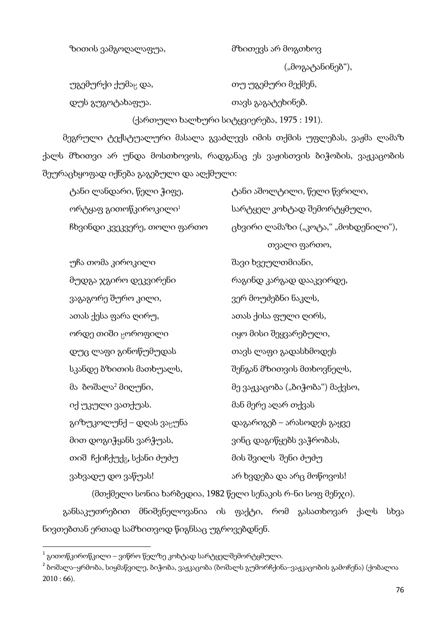#### ზითის ვამგოღალაფუა, მზითევს არ მოგთხოვ

("მოგატანინებ"),

უგემურქი ქუმა<sub>წ</sub> და, იოთ და თუ უგემური მექმენ, დუს გუგოტახაფუა. თავს გაგატეხინებ.

(ქართული ხალხური სიტყვიერება, 1975 : 191).

მეგრული ტექსტუალური მასალა გვაძლევს იმის თქმის უფლებას, ვაჟმა ლამაზ ქალს მზითვი არ უნდა მოსთხოვოს, რადგანაც ეს ვაჟისთვის ბიჭობის, ვაჟკაცობის შეურაცხყოფად იქნება გაგებული და აღქმული:

| ტანი ლანდარი, წელი ჭიფე,                                    | ტანი აშოლტილი, წელი წვრილი,          |  |
|-------------------------------------------------------------|--------------------------------------|--|
| ორტყაფ გითოწკიროკილი $^{\rm l}$                             | სარტყელ კოხტად შემორტყმული,          |  |
| ჩხვინდი კვეკვერე, თოლი ფართო                                | ცხვირი ლამაზი ("კოტა," "მოხდენილი"), |  |
|                                                             | თვალი ფართო,                         |  |
| უჩა თომა კიროკილი                                           | შავი ხვეულთმიანი,                    |  |
| მუდგა ჯგირო დეკვირენი                                       | რაგინდ კარგად დააკვირდე,             |  |
| ვაგაგორე შურო კილი,                                         | ვერ მოუძებნი ნაკლს,                  |  |
| ათას ქესა ფარა ღირუ,                                        | ათას ქისა ფული ღირს,                 |  |
| ორდე თიში <sub>წ</sub> ოროფილი                              | იყო მისი შეყვარებული,                |  |
| დუც ლაფი გინოწუმუდას                                        | თავს ლაფი გადასხმოდეს                |  |
| სკანდე ბზითის მათხუალს,                                     | შენგან მზითვის მთხოვნელს,            |  |
| მა ბოშალა <sup>2</sup> მიღუნი,                              | მე ვაჟკაცობა ("ბიჭობა") მაქვსო,      |  |
| იქ უკული ვათქუას.                                           | მან მერე აღარ თქვას                  |  |
| გიზუკოლუნქ – დღას ვა <sub>ს</sub> უნა                       | დაგარიგებ – არასოდეს გაყვე           |  |
| მით დოგიჭყანს ვარჭუას,                                      | ვინც დაგიწყებს ვაჭრობას,             |  |
| თიშ ჩქიჩქუქ <sub>გ</sub> , სქანი ძუძუ                       | მის შვილს  შენი ძუძუ                 |  |
| ვახვადუ დო ვაწუას!                                          | არ ხვდება და არც მოწოვოს!            |  |
| (მთქმელი სონია ხარბედია, 1982 წელი სენაკის რ-ნი სოფ მენჯი). |                                      |  |

განსაკუთრებით მნიშვნელოვანია ის ფაქტი, რომ გასათხოვარ ქალს სხვა ნივთებთან ერთად სამზითვოდ წიგნსაც უგროვებდნენ.

 $\overline{a}$ 

 $^{\rm 1}$  გითოწკიროწკილი – ვიწრო წელზე კოხტად სარტყელშემორტყმული.

 $^{-2}$  ბოშალა–ყრმობა, სიყმაწვილე, ბიჭობა, ვაჟკაცობა (ბოშალს გუმორჩქინა–ვაჟკაცობის გამოჩენა) (ქობალია  $2010 : 66$ ).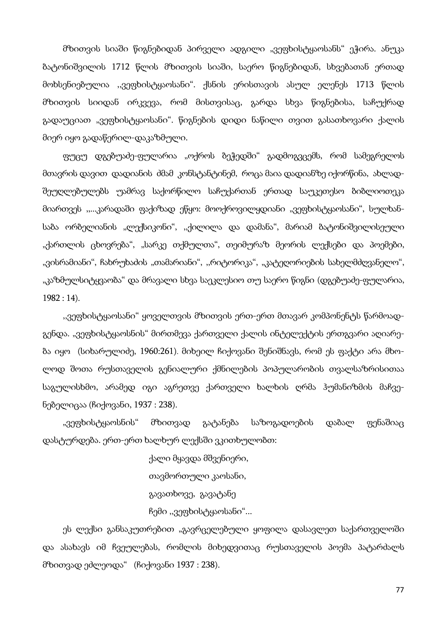მზითვის სიაში წიგნებიდან პირველი ადგილი "ვეფხისტყაოსანს" ეჭირა. ანუკა ბატონიშვილის 1712 წლის მზითვის სიაში, საერო წიგნებიდან, სხვებათან ერთად მოხსენიებულია ,,ვეფხისტყაოსანი". ქსნის ერისთავის ასულ ელენეს 1713 წლის მზითვის სიიდან ირკვევა, რომ მისთვისაც, გარდა სხვა წიგნებისა, საჩუქრად გადაუციათ "ვეფხისტყაოსანი". წიგნების დიდი ნაწილი თვით გასათხოვარი ქალის მიერ იყო გადაწერილ-დაკაზმული.

ფუცუ დგებუაძე-ფულარია "ოქროს ბეჭედში" გადმოგვცემს, რომ სამეგრელოს მთავრის დავით დადიანის ძმამ კონსტანტინემ, როცა მაია დადიანზე იქორწინა, ახლადშეუღლებულებს უამრავ საქორწილო საჩუქართან ერთად საუკეთესო ბიბლიოთეკა მიართვეს ,,...კარადაში ფაქიზად ეწყო: მოოქროვილყდიანი "ვეფხისტყაოსანი", სულხანსაბა ორბელიანის "ლექსიკონი", "ქილილა და დამანა", მარიამ ბატონიშვილისეული "ქართლის ცხოვრება", "სარკე თქმულთა", თეიმურაზ მეორის ლექსები და პოემები, "ვისრამიანი", ჩახრუხაძის "თამარიანი", "რიტორიკა", "კატეღორიების სახელმძღვანელო", "კაზმულსიტყვაობა" და მრავალი სხვა საეკლესიო თუ საერო წიგნი (დგებუაძე-ფულარია, 1982 : 14).

"ვეფხისტყაოსანი" ყოველთვის მზითვის ერთ-ერთ მთავარ კომპონენტს წარმოადგენდა. "ვეფხისტყაოსნის" მირთმევა ქართველი ქალის ინტელექტის ერთგვარი აღიარება იყო (სიხარულიძე, 1960:261). მიხეილ ჩიქოვანი შენიშნავს, რომ ეს ფაქტი არა მხოლოდ შოთა რუსთაველის გენიალური ქმნილების პოპულარობის თვალსაზრისითაა საგულისხმო, არამედ იგი აგრეთვე ქართველი ხალხის ღრმა ჰუმანიზმის მაჩვენებელიცაა (ჩიქოვანი, 1937 : 238).

"ვეფხისტყაოსნის" მზითვად გატანება საზოგადოების დაბალ ფენაშიაც დასტურდება. ერთ-ერთ ხალხურ ლექსში ვკითხულობთ:

> ქალი მყავდა მშვენიერი, თავმორთული კაოსანი, გავათხოვე, გავატანე ჩემი ,,ვეფხისტყაოსანი"...

ეს ლექსი განსაკუთრებით "გავრცელებული ყოფილა დასავლეთ საქართველოში და ასახავს იმ ჩვეულებას, რომლის მიხედვითაც რუსთაველის პოემა პატარძალს მზითვად ეძლეოდა" (ჩიქოვანი 1937 : 238).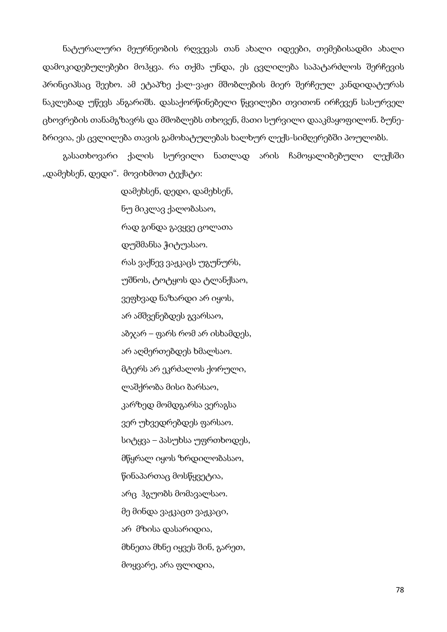ნატურალური მეურნეობის რღვევას თან ახალი იდეები, თემებისადმი ახალი დამოკიდებულებები მოჰყვა. რა თქმა უნდა, ეს ცვლილება საპატარძლოს შერჩევის პრინციპსაც შეეხო. ამ ეტაპზე ქალ-ვაჟი მშობლების მიერ შერჩეულ კანდიდატურას ნაკლებად უწევს ანგარიშს. დასაქორწინებელი წყვილები თვითონ ირჩევენ სასურველ ცხოვრების თანამგზავრს და მშობლებს თხოვენ, მათი სურვილი დააკმაყოფილონ. ბუნებრივია, ეს ცვლილება თავის გამოხატულებას ხალხურ ლექს-სიმღერებში პოულობს.

გასათხოვარი ქალის სურვილი ნათლად არის ჩამოყალიბებული ლექსში "დამეხსენ, დედი". მოვიხმოთ ტექსტი:

> დამეხსენ, დედი, დამეხსენ, ნუ მიკლავ ქალობასაო, რად გინდა გავყვე ცოლათა დუშმანსა ჭიტუასაო. რას ვაქნევ ვაჟკაცს უგუნურს, უშნოს, ტოტყოს და ტლანქსაო, ვეფხვად ნაზარდი არ იყოს, არ ამშვენებდეს გვარსაო, აბჯარ – ფარს რომ არ ისხამდეს, არ აღმერთებდეს ხმალსაო. მტერს არ ეკრძალოს ქორული, ლაშქრობა მისი ბარსაო, კარზედ მომდგარსა ვერაგსა ვერ უხვედრებდეს ფარსაო. სიტყვა – პასუხსა უფრთხოდეს, მწყრალ იყოს ზრდილობასაო, წინაპართაც მოსწყვეტია, არც ჰგუობს მომავალსაო. მე მინდა ვაჟკაცთ ვაჟკაცი, არ მზისა დასარიდია, მხნეთა მხნე იყვეს შინ, გარეთ, მოყვარე, არა ფლიდია,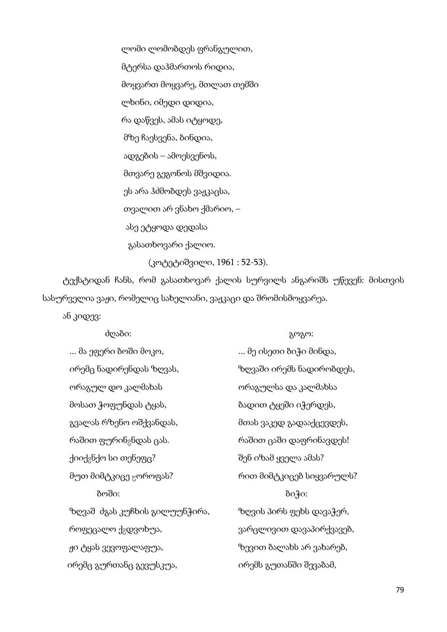ლომი ლომობდეს ფრანგულით, მტერსა დაჰმართოს რიდია, მოყვართ მოყვარე, მთლათ თემში ლხინი, იმედი დიდია, რა დაწვეს, ამას იტყოდე, მზე ჩაესვენა, ბინდია, ადგების – ამოესვენოს, მთვარე გეგონოს მშვიდია. ეს არა ჰძმობდეს ვაჟკაცსა, თვალით არ ვნახო ქმარიო, – ასე ეტყოდა დედასა გასათხოვარი ქალიო. (კოტეტიშვილი, 1961 : 52-53).

ტექსტიდან ჩანს, რომ გასათხოვარ ქალის სურვილს ანგარიშს უწევენ: მისთვის სასურველია ვაჟი, რომელიც სახელიანი, ვაჟკაცი და შრომისმოყვარეა.

ან კიდევ:

| ძღაბი:                             | გოგო:                    |
|------------------------------------|--------------------------|
| … მა ეფერი ბოში მოკო,              | … მე ისეთი ბიჭი მინდა,   |
| ირემც ნადირენდას ზღვას,            | ზღვაში ირემს ნადირობდეს, |
| ორაგულ დო კალმახას                 | ორაგულსა და კალმახსა     |
| მოსათ ჭოფუნდას ტყას,               | ბადით ტყეში იჭერდეს,     |
| გვალას რზენო ოშქვანდას,            | მთას ვაკედ გადააქცევდეს, |
| რაშით ფურინ <sub>გ</sub> ნდას ცას. | რაშით ცაში დაფრინავდეს!  |
| ქიიქ <sub>გ</sub> ნქო სი თენეფც?   | შენ იზამ ყველა ამას?     |
| მუთ მიმტკიცე <sub>წ</sub> ოროფას?  | რით მიმტკიცებ სიყვარულს? |
| ბოში:                              | გიჭი:                    |
| ზღვაშ ძგას კუჩხის გილუუნჭირა,      | ზღვის პირს ფეხს დავაჭერ, |
| როფეცალო ქ <sub>ბ</sub> დვოხუა,    | ვარცლივით დავაპირქვავებ, |
| ჟი ტყას ვევოფალაფუა,               | ზევით ბალახს არ ვახარებ, |
| ირემც გურთანც გევუსკუა,            | ირემს გუთანში შევაბამ,   |
|                                    |                          |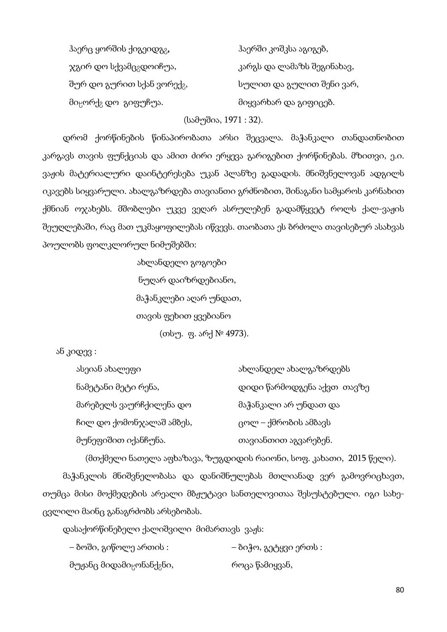| ჰაერც ყორშის ქიგეიდგ <sub>გ</sub> ,          | ჰაერში კოშკსა აგიგებ,      |
|----------------------------------------------|----------------------------|
| ჯგირ დო სქვამც <sub>გ</sub> დოიჩუა,          | კარგს და ლამაზს შეგინახავ, |
| შურ დო გურით სქან ვორექ <sub>გ</sub> ,       | სულით და გულით შენი ვარ,   |
| მი <sub>ც</sub> ორქ <sub>გ</sub> დო_გიფუჩუა. | მიყვარხარ და გიფიცებ.      |

(სამუშია, 1971 : 32).

დრომ ქორწინების წინაპირობათა არსი შეცვალა. მაჭანკალი თანდათნობით კარგავს თავის ფუნქციას და ამით ძირი ერყევა გარიგებით ქორწინებას. მზითვი, ე.ი. ვაჟის მატერიალური დაინტერესება უკან პლანზე გადადის. მნიშვნელოვან ადგილს იკავებს სიყვარული. ახალგაზრდება თავიანთი გრძნობით, შინაგანი სამყაროს კარნახით ქმნიან ოჯახებს. მშობლები უკვე ვეღარ ასრულებენ გადამწყვეტ როლს ქალ-ვაჟის შეუღლებაში, რაც მათ უკმაყოფილებას იწვევს. თაობათა ეს ბრძოლა თავისებურ ასახვას პოულობს ფოლკლორულ ნიმუშებში:

> ახლანდელი გოგოები ნუღარ დაიზრდებიანო, მაჭანკლები აღარ უნდათ, თავის ფეხით ყვებიანო (თსუ. ფ. არქ № 4973).

ან კიდევ :

| ასეიან ახალეფი           | ახლანდელ ახალგაზრდებს      |
|--------------------------|----------------------------|
| ნამეტანი მეტი რენა,      | დიდი წარმოდგენა აქვთ თავზე |
| მარებელს ვაურჩქილენა დო  | მაჭანკალი არ უნდათ და      |
| ჩილ დო ქომონჯალაშ ამბეს, | ცოლ – ქმრობის ამბავს       |
| მუნეფიშით იქანჩუნა.      | თავიანთით აგვარებენ.       |

(მთქმელი ნათელა აფხაზავა, ზუგდიდის რაიონი, სოფ. კახათი, 2015 წელი).

მაჭანკლის მნიშვნელობასა და დანიშნულებას მთლიანად ვერ გამოვრიცხავთ, თუმცა მისი მოქმედების არეალი მბჟუტავი სანთელივითაა შესუსტებული. იგი სახეცვლილი მაინც განაგრძობს არსებობას.

დასაქორწინებელი ქალიშვილი მიმართავს ვაჟს:

| – ბოში, გიწოლე ართის :                            | – ბიჭო, გეტყვი ერთს : |
|---------------------------------------------------|-----------------------|
| მუჟანც მიდამი <sub>ც</sub> ონანქ <sub>გ</sub> ნი, | როცა წამიყვან,        |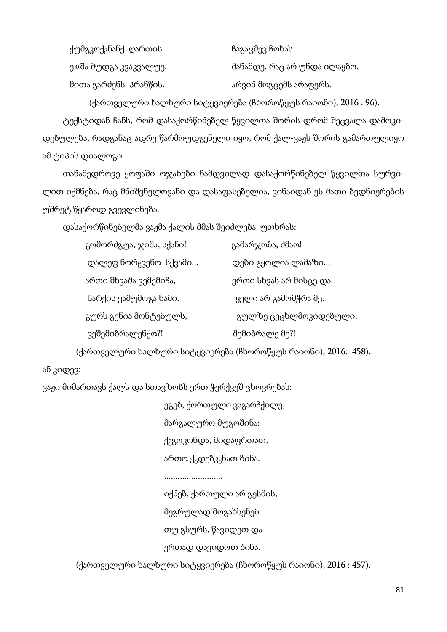ქუმგკოქ<sub>გ</sub>ნანქ ღართის ის გავაცმევ ჩოხას ე. ე. მანამდე, რაც არ უნდა ილაყბო, მანამდე, რაც არ უნდა ილაყბო, მითა გარძენს პრანწის. არის არვინ მოგცემს არაფერს.

(ქართველური ხალხური სიტყვიერება (ჩხოროწყუს რაიონი), 2016 : 96).

ტექსტიდან ჩანს, რომ დასაქორწინებელ წყვილთა შორის დრომ შეცვალა დამოკიდებულება, რადგანაც ადრე წარმოუდგენელი იყო, რომ ქალ-ვაჟს შორის გამართულიყო ამ ტიპის დიალოგი.

თანამედროვე ყოფაში ოჯახები ნამდვილად დასაქორწინებელ წყვილთა სურვილით იქმნება, რაც მნიშვნელოვანი და დასაფასებელია, ვინაიდან ეს მათი ბედნიერების უშრეტ წყაროდ გვევლინება.

დასაქორწინებელმა ვაჟმა ქალის ძმას შეიძლება უთხრას:

| გომორძგუა, ჯიმა, სქანი!            | გამარჯობა, ძმაო!       |
|------------------------------------|------------------------|
| დალეფ ნორ <sub>წ</sub> ვენო სქვამი | დები გყოლია ლამაზი     |
| ართი შხვაშა ვემემიჩა,              | ერთი სხვას არ მისცე და |
| ნარქის ვამუმოგა ხამი.              | ყელი არ გამომჭრა მე.   |
| გურს გენია მონტებულს,              | გულზე ცეცხლმოკიდებული, |
| ვეშემიბრალენქო?!                   | შემიბრალე მე?!         |

(ქართველური ხალხური სიტყვიერება (ჩხოროწყუს რაიონი), 2016: 458).

### ან კიდევ:

ვაჟი მიმართავს ქალს და სთავზობს ერთ ჭერქვეშ ცხოვრებას:

| ეგებ, ქორთული ვაგარჩქილე,                       |
|-------------------------------------------------|
| მარგალურო მუგოშინა:                             |
| ქ <sub>გ</sub> გოკონდა, მიდაფრთათ,              |
| ართო ქ <sub>გ</sub> დებკ <sub>გ</sub> ნათ ბინა. |
|                                                 |

..........................

 იქნებ, ქართული არ გესმის, მეგრულად მოგახსენებ: თუ გსურს, წავიდეთ და ერთად დავიდოთ ბინა.

(ქართველური ხალხური სიტყვიერება (ჩხოროწყუს რაიონი), 2016 : 457).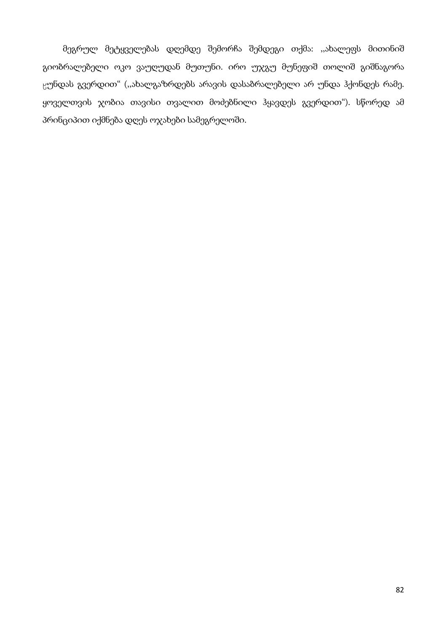მეგრულ მეტყველებას დღემდე შემორჩა შემდეგი თქმა: ,,ახალეფს მითინიშ გიობრალებელი ოკო ვაუღუდან მუთუნი. ირო უჯგუ მუნეფიშ თოლიშ გიშნაგორა ¯უნდას გვერდით" (,,ახალგაზრდებს არავის დასაბრალებელი არ უნდა ჰქონდეს რამე. ყოველთვის ჯობია თავისი თვალით მოძებნილი ჰყავდეს გვერდით"). სწორედ ამ პრინციპით იქმნება დღეს ოჯახები სამეგრელოში.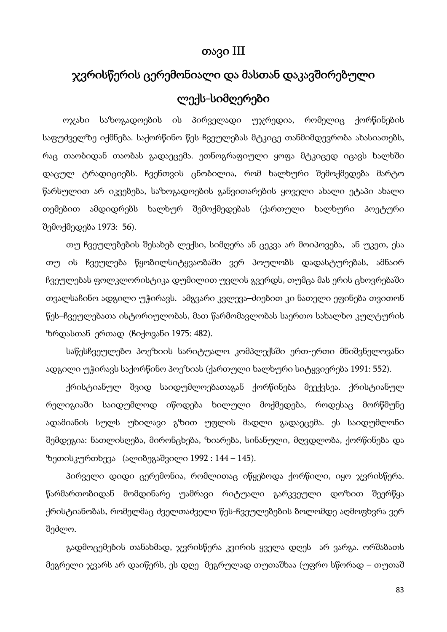## თავი III

# ჯვრისწერის ცერემონიალი და მასთან დაკავშირებული ლექს-სიმღერები

ოჯახი საზოგადოების ის პირველადი უჯრედია, რომელიც ქორწინების საფუძველზე იქმნება. საქორწინო წეს-ჩვეულებას მტკიცე თანმიმდევრობა ახასიათებს, რაც თაობიდან თაობას გადაეცემა. ეთნოგრაფიული ყოფა მტკიცედ იცავს ხალხში დაცულ ტრადიციებს. ჩვენთვის ცნობილია, რომ ხალხური შემოქმედება მარტო წარსულით არ იკვებება, საზოგადოების განვითარების ყოველი ახალი ეტაპი ახალი თემებით ამდიდრებს ხალხურ შემოქმედებას (ქართული ხალხური პოეტური შემოქმედება 1973: 56).

თუ ჩვეულებების შესახებ ლექსი, სიმღერა ან ცეკვა არ მოიპოვება, ან უკეთ, ესა თუ ის ჩვეულება წყობილსიტყვაობაში ვერ პოულობს დადასტურებას, ამნაირ ჩვეულებას ფოლკლორისტიკა დუმილით უვლის გვერდს, თუმცა მას ერის ცხოვრებაში თვალსაჩინო ადგილი უჭირავს. ამგვარი კვლევა–ძიებით კი ნათელი ეფინება თვითონ წეს–ჩვეულებათა ისტორიულობას, მათ წარმომავლობას საერთო სახალხო კულტურის ზრდასთან ერთად (ჩიქოვანი 1975: 482).

საწესჩვეულებო პოეზიის სარიტუალო კომპლექსში ერთ-ერთი მნიშვნელოვანი ადგილი უჭირავს საქორწინო პოეზიას (ქართული ხალხური სიტყვიერება 1991: 552).

ქრისტიანულ შვიდ საიდუმლოებათაგან ქორწინება მეექვსეა. ქრისტიანულ რელიგიაში საიდუმლოდ იწოდება ხილული მოქმედება, როდესაც მორწმუნე ადამიანის სულს უხილავი გზით უფლის მადლი გადაეცემა. ეს საიდუმლონი შემდეგია: ნათლისღება, მირონცხება, ზიარება, სინანული, მღვდლობა, ქორწინება და ზეთისკურთხევა (ალიბეგაშვილი 1992 : 144 – 145).

პირველი დიდი ცერემონია, რომლითაც იწყებოდა ქორწილი, იყო ჯვრისწერა. წარმართობიდან მომდინარე უამრავი რიტუალი გარკვეული დოზით შეერწყა ქრისტიანობას, რომელმაც ძველთაძველი წეს-ჩვეულებების ბოლომდე აღმოფხვრა ვერ შეძლო.

გადმოცემების თანახმად, ჯვრისწერა კვირის ყველა დღეს არ ვარგა. ორშაბათს მეგრელი ჯვარს არ დაიწერს, ეს დღე მეგრულად თუთაშხაა (უფრო სწორად – თუთაშ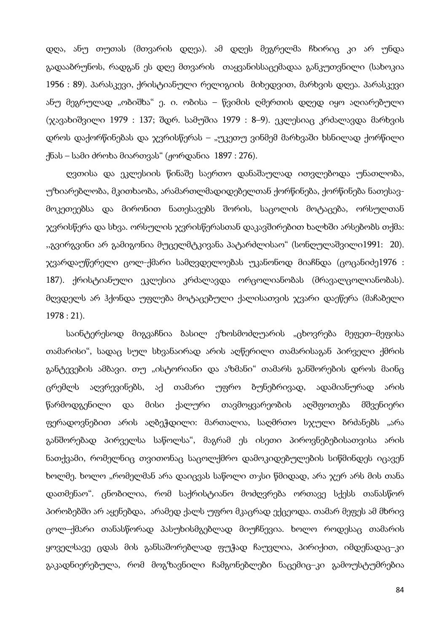დღა, ანუ თუთას (მთვარის დღეა). ამ დღეს მეგრელმა ჩხირიც კი არ უნდა გადააბრუნოს, რადგან ეს დღე მთვარის თაყვანისსაცემადაა განკუთვნილი (სახოკია 1956 : 89). პარასკევი, ქრისტიანული რელიგიის მიხედვით, მარხვის დღეა. პარასკევი ანუ მეგრულად "ობიშხა" ე. ი. ობისა – წვიმის ღმერთის დღედ იყო აღიარებული (ჯავახიშვილი 1979 : 137; შდრ. სამუშია 1979 : 8–9). ეკლესიაც კრძალავდა მარხვის დროს დაქორწინებას და ჯვრისწერას – "უკეთუ ვინმემ მარხვაში ხსნილად ქორწილი ქნას – სამი ძროხა მიართვას" (ჟორდანია 1897 : 276).

ღვთისა და ეკლესიის წინაშე საერთო დანაშაულად ითვლებოდა უნათლობა, უზიარებლობა, მკითხაობა, არამართლმადიდებელთან ქორწინება, ქორწინება ნათესავმოკეთეებსა და მირონით ნათესავებს შორის, საცოლის მოტაცება, ორსულთან ჯვრისწერა და სხვა. ორსულის ჯვრისწერასთან დაკავშირებით ხალხში არსებობს თქმა: ,,გვირგვინი არ გამიგონია მუცელმტკივანა პატარძლისაო" (სონღულაშვილი1991: 20). ჯვარდაუწერელი ცოლ-ქმარი სამღვდელოებას უკანონოდ მიაჩნდა (ცოცანიძე1976 : 187). ქრისტიანული ეკლესია კრძალავდა ორცოლიანობას (მრავალცოლიანობას). მღვდელს არ ჰქონდა უფლება მოტაცებული ქალისათვის ჯვარი დაეწერა (მაჩაბელი 1978 : 21).

საინტერესოდ მიგვაჩნია ბასილ ეზოსმოძღუარის "ცხოვრება მეფეთ–მეფისა თამარისი", სადაც სულ სხვანაირად არის აღწერილი თამარისაგან პირველი ქმრის განტევების ამბავი. თუ "ისტორიანი და აზმანი" თამარს განშორების დროს მაინც ცრემლს აღვრევინებს, აქ თამარი უფრო ბუნებრივად, ადამიანურად არის წარმოდგენილი და მისი ქალური თავმოყვარეობის აღშფოთება მშვენიერი ფერადოვნებით არის აღბეჭდილი: მართალია, საღმრთო სჯული ბრძანებს "არა განშორებად პირველსა საწოლსა", მაგრამ ეს ისეთი პიროვნებებისათვისა არის ნათქვამი, რომელნიც თვითონაც საცოლქმრო დამოკიდებულების სიწმინდეს იცავენ ხოლმე. ხოლო "რომელმან არა დაიცვას საწოლი თჯსი წმიდად, არა ჯერ არს მის თანა დათმენაო". ცნობილია, რომ საქრისტიანო მოძღვრება ორთავე სქესს თანასწორ პირობებში არ აყენებდა, არამედ ქალს უფრო მკაცრად ექცეოდა. თამარ მეფეს ამ მხრივ ცოლ–ქმარი თანასწორად პასუხისმგებლად მიუჩნევია. ხოლო როდესაც თამარის ყოველსავე ცდას მის განსაშორებლად ფუჭად ჩაუვლია, პირიქით, იმდენადაც–კი გაკადნიერებულა, რომ მოგზავნილი ჩამგონებლები ნაცემიც–კი გამოუსტუმრებია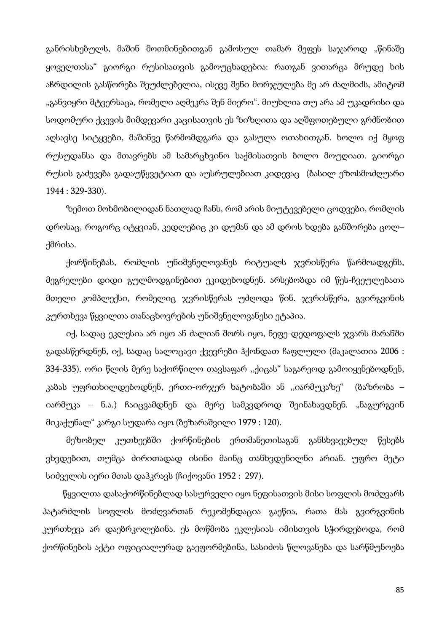განრისხებულს, მაშინ მოთმინებითგან გამოსულ თამარ მეფეს საჯაროდ "წინაშე ყოველთასა" გიორგი რუსისათვის გამოუცხადებია: რათგან ვითარცა მრუდე ხის აჩრდილის გასწორება შეუძლებელია, ისევე შენი მორჯულება მე არ ძალმიძს, ამიტომ "განვიყრი მტვერსაცა, რომელი აღმეკრა შენ მიერო". მიუხლია თუ არა ამ უკადრისი და სოდომური ქცევის მიმდევარი კაცისათვის ეს ზიზღითა და აღშფოთებული გრძნობით აღსავსე სიტყვები, მაშინვე წარმომდგარა და გასულა ოთახითგან. ხოლო იქ მყოფ რუსუდანსა და მთავრებს ამ სამარცხვინო საქმისათვის ბოლო მოუღიათ. გიორგი რუსის გაძევება გადაუწყვეტიათ და აუსრულებიათ კიდევაც (ბასილ ეზოსმოძღუარი 1944 : 329-330).

ზემოთ მოხმობილიდან ნათლად ჩანს, რომ არის მიუტევებელი ცოდვები, რომლის დროსაც, როგორც იტყვიან, კედლებიც კი დუმან და ამ დროს ხდება განშორება ცოლ– ქმრისა.

ქორწინებას, რომლის უნიშვნელოვანეს რიტუალს ჯვრისწერა წარმოადგენს, მეგრელები დიდი გულმოდგინებით ეკიდებოდნენ. არსებობდა იმ წეს-ჩვეულებათა მთელი კომპლექსი, რომელიც ჯვრისწერას უძღოდა წინ. ჯვრისწერა, გვირგვინის კურთხევა წყვილთა თანაცხოვრების უნიშვნელოვანესი ეტაპია.

იქ, სადაც ეკლესია არ იყო ან ძალიან შორს იყო, ნეფე-დედოფალს ჯვარს მარანში გადასწერდნენ, იქ, სადაც სალოცავი ქვევრები ჰქონდათ ჩაფლული (მაკალათია 2006 : 334-335). ორი წლის მერე საქორწილო თავსაფარ ,,ქიცას" საგარეოდ გამოიყენებოდნენ, კაბას უფრთხილდებოდნენ, ერთი-ორჯერ ხატობაში ან ,,იარმუკაზე" (ბაზრობა – იარმუკა – ნ.ა.) ჩაიცვამდნენ და მერე სამკვდროდ შეინახავდნენ. "ნაგურგვინ მიკაქუნალ" კარგი სუდარა იყო (ბეზარაშვილი 1979 : 120).

მეზობელ კუთხეებში ქორწინების ერთმანეთისაგან განსხვავებულ წესებს ვხვდებით, თუმცა ძირითადად ისინი მაინც თანხვდენილნი არიან. უფრო მეტი სიძველის იერი მთას დაჰკრავს (ჩიქოვანი 1952 : 297).

წყვილთა დასაქორწინებლად სასურველი იყო ნეფისათვის მისი სოფლის მოძღვარს პატარძლის სოფლის მოძღვართან რეკომენდაცია გაეწია, რათა მას გვირგვინის კურთხევა არ დაებრკოლებინა. ეს მოწმობა ეკლესიას იმისთვის სჭირდებოდა, რომ ქორწინების აქტი ოფიციალურად გაეფორმებინა, სასიძოს წლოვანება და სარწმუნოება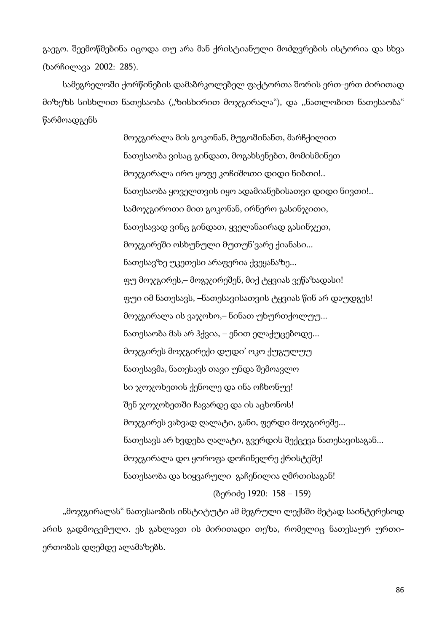გაეგო. შეემოწმებინა იცოდა თუ არა მან ქრისტიანული მოძღვრების ისტორია და სხვა (ხარჩილავა 2002: 285).

სამეგრელოში ქორწინების დამაბრკოლებელ ფაქტორთა შორის ერთ-ერთ ძირითად მიზეზს სისხლით ნათესაობა ("ზისხირით მოჯგირალა"), და ,,ნათლობით ნათესაობა" წარმოადგენს

> მოჯგირალა მის გოკონან, მუგოშინანთ, მარჩქილით ნათესაობა ვისაც გინდათ, მოგახსენებთ, მომისმინეთ მოჯგირალა ირო ყოფე კოჩიშოთი დიდი ნიბთი!.. ნათესაობა ყოველთვის იყო ადამიანებისათვი დიდი ნივთი!.. სამოჯგიროთი მით გოკონან, ირნერო გასინჯითი, ნათესავად ვინც გინდათ, ყველანაირად გასინჯეთ, მოჯგირეში ოსხუნული მუთუნ'ვარე ქიანასი... ნათესავზე უკეთესი არაფერია ქვეყანაზე... ფუ მოჯგირეს,– მოგჯირეშენ, მიქ ტყვიას ვეწაზადასი! ფუი იმ ნათესავს, –ნათესავისათვის ტყვიას წინ არ დაუდგეს! მოჯგირალა ის ვაჯოხო,– ნინათ უხურთქოლუუ... ნათესაობა მას არ ჰქვია, – ენით ელაქუცებოდე... მოჯგირეს მოჯგირექი დუდი' ოკო ქუგულუუ ნათესავმა, ნათესავს თავი უნდა შემოავლო სი ჯოჯოხეთის ქენოლე და ინა ოჩხონუე! შენ ჯოჯოხეთში ჩავარდე და ის აცხონოს! მოჯგირეს ვახვად ღალატი, განი, ფერდი მოჯგირეშე... ნათესავს არ ხვდება ღალატი, გვერდის შექცევა ნათესავისაგან... მოჯგირალა დო ყოროფა დოჩინელრე ქრისტეშე! ნათესაობა და სიყვარული გაჩენილია ღმრთისაგან! (ბერიძე 1920: 158 – 159)

"მოჯგირალას" ნათესაობის ინსტიტუტი ამ მეგრული ლექსში მეტად საინტერესოდ არის გადმოცემული. ეს გახლავთ ის ძირითადი თეზა, რომელიც ნათესაურ ურთიერთობას დღემდე ალამაზებს.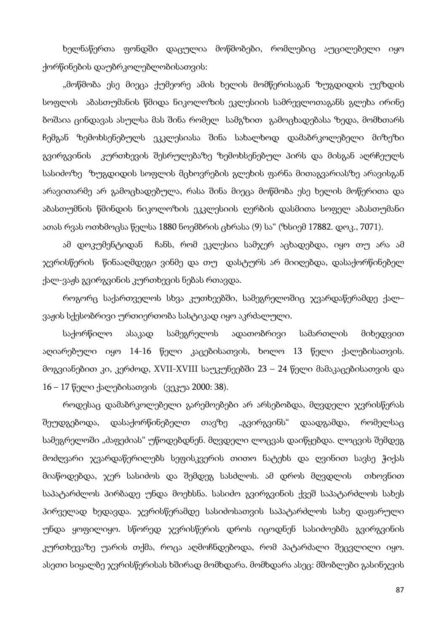ხელნაწერთა ფონდში დაცულია მოწმობები, რომლებიც აუცილებელი იყო ქორწინების დაუბრკოლებლობისათვის:

"მოწმობა ესე მიეცა ქუმეორე ამის ხელის მომწერისაგან ზუგდიდის უეზდის სოფლის აბასთუმანის წმიდა ნიკოლოზის ეკლესიის სამრევლოთაგანს გლეხა ირინე ბოშაია ცინდავას ასულსა მას შინა რომელ სამგზით გამოცხადებასა ზედა, მომხთარს ჩემგან ზემოხსენებულს ეკკლესიასა შინა სახალხოდ დამაბრკოლებელი მიზეზი გვირგვინის კურთხევის შესრულებაზე ზემოხსენებულ პირს და მისგან აღრჩეულს სასიძოზე ზუგდიდის სოფლის მცხოვრების გლეხის ფარნა მითაგვარიასზე არავისგან არავითარმე არ გამოცხადებულა, რასა შინა მიეცა მოწმობა ესე ხელის მოწერითა და აბასთუმნის წმინდის ნიკოლოზის ეკკლესიის ღერბის დასმითა სოფელ აბასთუმანი ათას რვას ოთხმოცსა წელსა 1880 ნოემბრის ცხრასა (9) სა" (ზსიემ 17882. დოკ., 7071).

ამ დოკუმენტიდან ჩანს, რომ ეკლესია სამჯერ აცხადებდა, იყო თუ არა ამ ჯვრისწერის წინააღმდეგი ვინმე და თუ დასტურს არ მიიღებდა, დასაქორწინებელ ქალ-ვაჟს გვირგვინის კურთხევის ნებას რთავდა.

როგორც საქართველოს სხვა კუთხეებში, სამეგრელოშიც ჯვარდაწერამდე ქალ– ვაჟის სქესობრივი ურთიერთობა სასტიკად იყო აკრძალული.

საქორწილო ასაკად სამეგრელოს ადათობრივი სამართლის მიხედვით აღიარებული იყო 14-16 წელი კაცებისათვის, ხოლო 13 წელი ქალებისათვის. მოგვიანებით კი, კერძოდ, XVII-XVIII საუკუნეებში 23 – 24 წელი მამაკაცებისათვის და 16 – 17 წელი ქალებისათვის (ვეკუა 2000: 38).

როდესაც დამაბრკოლებელი გარემოებები არ არსებობდა, მღვდელი ჯვრისწერას შეუდგებოდა, დასაქორწინებელთ თავზე "გვირგვინს" დაადგამდა, რომელსაც სამეგრელოში "ძაფეძიას" უწოდებდნენ. მღვდელი ლოცვას დაიწყებდა. ლოცვის შემდეგ მოძღვარი ჯვარდაწერილებს სეფისკვერის თითო ნატეხს და ღვინით სავსე ჭიქას მიაწოდებდა, ჯერ სასიძოს და შემდეგ სასძლოს. ამ დროს მღვდლის თხოვნით საპატარძლოს პირბადე უნდა მოეხსნა. სასიძო გვირგვინის ქვეშ საპატარძლოს სახეს პირველად ხედავდა. ჯვრისწერამდე სასიძოსათვის საპატარძლოს სახე დაფარული უნდა ყოფილიყო. სწორედ ჯვრისწერის დროს იცოდნენ სასიძოებმა გვირგვინის კურთხევაზე უარის თქმა, როცა აღმოჩნდებოდა, რომ პატარძალი შეცვლილი იყო. ასეთი სიყალბე ჯვრისწერისას ხშირად მომხდარა. მომხდარა ასეც: მშობლები გასინჯვის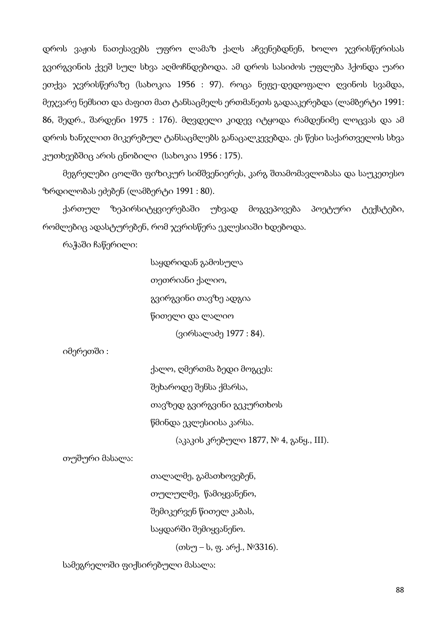დროს ვაჟის ნათესავებს უფრო ლამაზ ქალს აჩვენებდნენ, ხოლო ჯვრისწერისას გვირგვინის ქვეშ სულ სხვა აღმოჩნდებოდა. ამ დროს სასიძოს უფლება ჰქონდა უარი ეთქვა ჯვრისწერაზე (სახოკია 1956 : 97). როცა ნეფე-დედოფალი ღვინოს სვამდა, მეჯვარე ნემსით და ძაფით მათ ტანსაცმელს ერთმანეთს გადააკერებდა (ლამბერტი 1991: 86, შედრ., შარდენი 1975 : 176). მღვდელი კიდევ იტყოდა რამდენიმე ლოცვას და ამ დროს ხანჯლით მიკერებულ ტანსაცმლებს განაცალკევებდა. ეს წესი საქართველოს სხვა კუთხეებშიც არის ცნობილი (სახოკია 1956 : 175).

მეგრელები ცოლში ფიზიკურ სიმშვენიერეს, კარგ შთამომავლობასა და საუკეთესო ზრდილობას ეძებენ (ლამბერტი 1991 : 80).

ქართულ ზეპირსიტყვიერებაში უხვად მოგვეპოვება პოეტური ტექსტები, რომლებიც ადასტურებენ, რომ ჯვრისწერა ეკლესიაში ხდებოდა.

რაჭაში ჩაწერილი:

საყდრიდან გამოსულა თეთრიანი ქალიო, გვირგვინი თავზე ადგია წითელი და ლალიო (ვირსალაძე 1977 : 84).

იმერეთში :

ქალო, ღმერთმა ბედი მოგცეს: შეხაროდე შენსა ქმარსა, თავზედ გვირგვინი გეკურთხოს წმინდა ეკლესიისა კარსა.

(აკაკის კრებული 1877, № 4, განყ., III).

თუშური მასალა:

თალალმე, გამათხოვებენ,

თულულმე, წამიყვანენო,

შემიკერვენ წითელ კაბას,

საყდარში შემიყვანენო.

(თსუ – ს, ფ. არქ., №3316).

სამეგრელოში ფიქსირებული მასალა: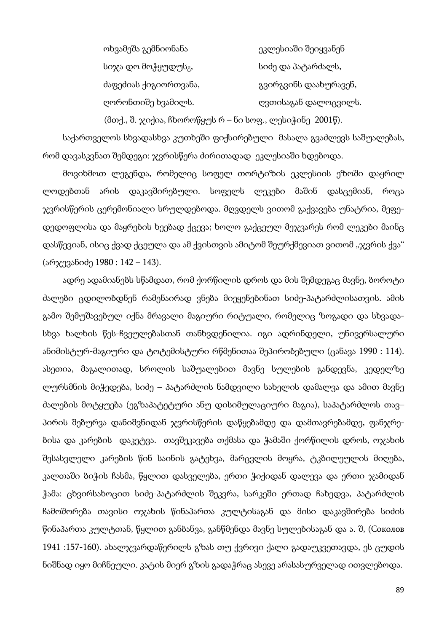ოხვამეშა გემნიონანა ეკლესიაში შეიყვანენ სიჯა დო მოჭყუდუს<sub>მ</sub>, სიძე და პატარძალს, ძაფეძიას ქიგიორთვანა, გვირგვინს დაახურავენ, ღორონთიშე ხვამილს. ღვთისაგან დალოცვილს.

(მთქ., შ. ჯიქია, ჩხოროწყუს რ – ნი სოფ., ლესიჭინე 2001წ).

საქართველოს სხვადასხვა კუთხეში ფიქსირებული მასალა გვაძლევს საშუალებას, რომ დავასკვნათ შემდეგი: ჯვრისწერა ძირითადად ეკლესიაში ხდებოდა.

მოვიხმოთ ლეგენდა, რომელიც სოფელ თორტიზის ეკლესიის ეზოში დაყრილ ლოდებთან არის დაკავშირებული. სოფელს ლეკები მაშინ დასცემიან, როცა ჯვრისწერის ცერემონიალი სრულდებოდა. მღვდელს ვითომ გაქვავება უნატრია, მეფედედოფლისა და მაყრების ხეებად ქცევა; ხოლო გაქცეულ მეჯვარეს რომ ლეკები მაინც დასწევიან, ისიც ქვად ქცეულა და ამ ქვისთვის ამიტომ შეურქმევიათ ვითომ "ჯვრის ქვა" (არჯევანიძე 1980 : 142 – 143).

ადრე ადამიანებს სწამდათ, რომ ქორწილის დროს და მის შემდეგაც მავნე, ბოროტი ძალები ცდილობდნენ რამენაირად ვნება მიეყენებინათ სიძე-პატარძლისათვის. ამის გამო შემუშავებულ იქნა მრავალი მაგიური რიტუალი, რომელიც ზოგადი და სხვადასხვა ხალხის წეს-ჩვეულებასთან თანხვდენილია. იგი ადრინდელი, უნივერსალური ანიმისტურ-მაგიური და ტოტემისტური რწმენითაა შეპირობებული (ცანავა 1990 : 114). ასეთია, მაგალითად, სროლის საშუალებით მავნე სულების განდევნა, კედელზე ლურსმნის მიჭედება, სიძე – პატარძლის ნამდვილი სახელის დამალვა და ამით მავნე ძალების მოტყუება (ეგზაპატეტური ანუ დისიმულაციური მაგია), საპატარძლოს თავ– პირის შებურვა დანიშვნიდან ჯვრისწერის დაწყებამდე და დამთავრებამდე, ფანჯრებისა და კარების დაკეტვა. თავშეკავება თქმასა და ჭამაში ქორწილის დროს, ოჯახის შესასვლელი კარების წინ საინის გატეხვა, მარცვლის მოყრა, ტკბილეულის მიღება, კალთაში ბიჭის ჩასმა, წყლით დასველება, ერთი ჭიქიდან დალევა და ერთი ჯამიდან ჭამა: ცხვირსახოცით სიძე-პატარძლის შეკვრა, სარკეში ერთად ჩახედვა, პატარძლის ჩამოშორება თავისი ოჯახის წინაპართა კულტისაგან და მისი დაკავშირება სიძის წინაპართა კულტთან, წყლით განბანვა, განწმენდა მავნე სულებისაგან და ა. შ, (Соколов 1941 :157-160). ახალჯვარდაწერილს გზას თუ ქვრივი ქალი გადაუკვეთავდა, ეს ცუდის ნიშნად იყო მიჩნეული. კატის მიერ გზის გადაჭრაც ასევე არასასურველად ითვლებოდა.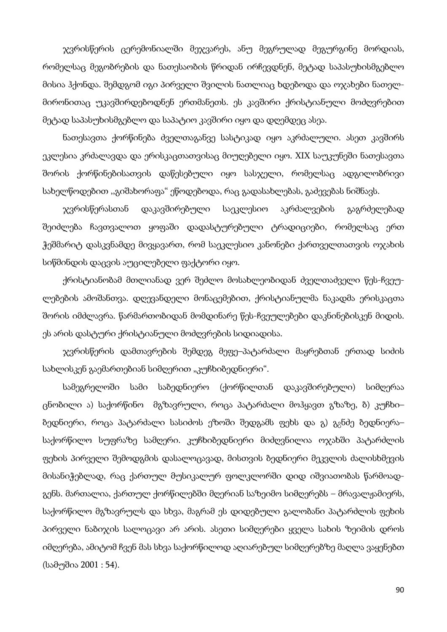ჯვრისწერის ცერემონიალში მეჯვარეს, ანუ მეგრულად მეგურგინე მორდიას, რომელსაც მეგობრების და ნათესაობის წრიდან ირჩევდნენ, მეტად საპასუხისმგებლო მისია ჰქონდა. შემდგომ იგი პირველი შვილის ნათლიაც ხდებოდა და ოჯახები ნათელმირონითაც უკავშირდებოდნენ ერთმანეთს. ეს კავშირი ქრისტიანული მოძღვრებით მეტად საპასუხისმგებლო და საპატიო კავშირი იყო და დღემდეც ასეა.

ნათესავთა ქორწინება ძველთაგანვე სასტიკად იყო აკრძალული. ასეთ კავშირს ეკლესია კრძალავდა და ერისკაცთათვისაც მიუღებელი იყო. XIX საუკუნეში ნათესავთა შორის ქორწინებისათვის დაწესებული იყო სასჯელი, რომელსაც ადგილობრივი სახელწოდებით ,,გიშახორაფა" ეწოდებოდა, რაც გადასახლებას, გაძევებას ნიშნავს.

ჯვრისწერასთან დაკავშირებული საეკლესიო აკრძალვების გაგრძელებად შეიძლება ჩავთვალოთ ყოფაში დადასტურებული ტრადიციები, რომელსაც ერთ ჭეშმარიტ დასკვნამდე მივყავართ, რომ საეკლესიო კანონები ქართველთათვის ოჯახის სიწმინდის დაცვის აუცილებელი ფაქტორი იყო.

ქრისტიანობამ მთლიანად ვერ შეძლო მოსახლეობიდან ძველთაძველი წეს-ჩვეულებების ამოშანთვა. დღევანდელი მონაცემებით, ქრისტიანულმა ნაკადმა ერისკაცთა შორის იმძლავრა. წარმართობიდან მომდინარე წეს-ჩვეულებები დაკნინებისკენ მიდის. ეს არის დასტური ქრისტიანული მოძღვრების სიდიადისა.

ჯვრისწერის დამთავრების შემდეგ მეფე–პატარძალი მაყრებთან ერთად სიძის სახლისკენ გაემართებიან სიმღერით "კუჩხიბედნიერი".

სამეგრელოში სამი საბედნიერო (ქორწილთან დაკავშირებული) სიმღერაა ცნობილი ა) საქორწინო მგზავრული, როცა პატარძალი მოჰყავთ გზაზე, ბ) კუჩხი– ბედნიერი, როცა პატარძალი სასიძოს ეზოში შედგამს ფეხს და გ) გ<sub>2</sub>ნძე ბედნიერა– საქორწილო სუფრაზე სამღერი. კუჩხიბედნიერი მიძღვნილია ოჯახში პატარძლის ფეხის პირველი შემოდგმის დასალოცავად, მისთვის ბედნიერი მეკვლის ძალისხმევის მისანიჭებლად, რაც ქართულ მუსიკალურ ფოლკლორში დიდ იშვიათობას წარმოადგენს. მართალია, ქართულ ქორწილებში მღერიან საზეიმო სიმღერებს – მრავალჟამიერს, საქორწილო მგზავრულს და სხვა, მაგრამ ეს დიდებული გალობანი პატარძლის ფეხის პირველი ნაბიჯის სალოცავი არ არის. ასეთი სიმღერები ყველა სახის ზეიმის დროს იმღერება, ამიტომ ჩვენ მას სხვა საქორწილოდ აღიარებულ სიმღერებზე მაღლა ვაყენებთ (სამუშია 2001 : 54).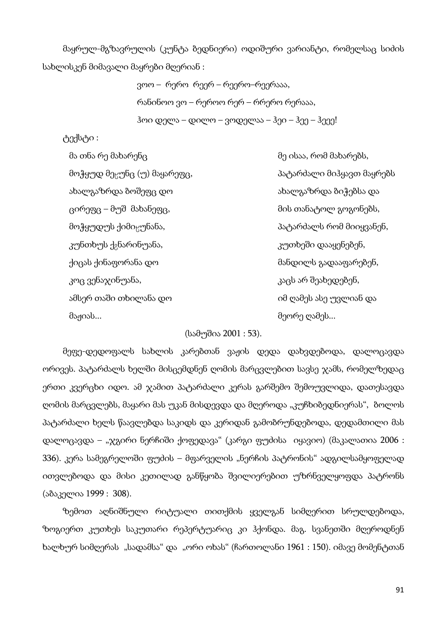მაყრულ-მგზავრულის (კუნტა ბედნიერი) ოდიშური ვარიანტი, რომელსაც სიძის სახლისკენ მიმავალი მაყრები მღერიან :

> ვოო – რერო რეერ – რეერო–რეერააა, რანინოო ვო – რეროო რერ – რრერო რერააა, ჰოი დელა – დილო – ვოდელაა – ჰეი – ჰეე – ჰეეე!

ტექსტი :

მა თნა რე მახარენც მე ისაა, რომ მახარებს, მოჭყუდ მეცუნც (უ) მაყარეფც, "კავარი მართარის მიჰყავთ მაყრებს ახალგაზრდა ბოშეფც დო ახალგაზრდა ბიჭებსა და ცირეფც – მუშ მახანეფც, მის თანატოლ გოგონებს, მოჭყუდუს ქიმიცუნანა, მომოგრაფო მატარძალს რომ მიიყვანენ, კუნთხუს ქ<sub>2</sub>ნარინუანა, კუთხეში დააყენებენ, ქიცას ქინაფორანა დო მანდილს გადააფარებენ, კოც ვენაჯინუანა, კაცს არ შეახედებენ, ამსერ თაში თხილანა დო იმ ღამეს ასე უვლიან და მაჟიას... მეორე ღამეს...

#### (სამუშია 2001 : 53).

მეფე-დედოფალს სახლის კარებთან ვაჟის დედა დახვდებოდა, დალოცავდა ორივეს. პატარძალს ხელში მისცემდნენ ღომის მარცვლებით სავსე ჯამს, რომელზედაც ერთი კვერცხი იდო. ამ ჯამით პატარძალი კერას გარშემო შემოუვლიდა, დათესავდა ღომის მარცვლებს, მაყარი მას უკან მისდევდა და მღეროდა "კუჩხიბედნიერას", ბოლოს პატარძალი ხელს წაავლებდა საკიდს და კერიდან გამობრუნდებოდა, დედამთილი მას დალოცავდა – "ჯგირი ნერჩიში ქოფედავა" (კარგი ფუძისა იყავიო) (მაკალათია 2006 : 336). კერა სამეგრელოში ფუძის – მფარველის "ნერჩის პატრონის" ადგილსამყოფელად ითვლებოდა და მისი კეთილად განწყობა შვილიერებით უზრნველყოფდა პატრონს (აბაკელია 1999 : 308).

ზემოთ აღნიშნული რიტუალი თითქმის ყველგან სიმღერით სრულდებოდა, ზოგიერთ კუთხეს საკუთარი რეპერტუარიც კი ჰქონდა. მაგ. სვანეთში მღეროდნენ ხალხურ სიმღერას "სადამსა" და "ორი ოხას" (ჩართოლანი 1961 : 150). იმავე მომენტთან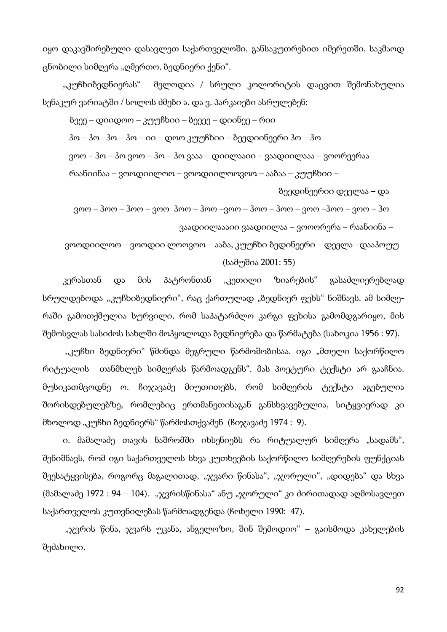იყო დაკავშირებული დასავლეთ საქართველოში, განსაკუთრებით იმერეთში, საკმაოდ ცნობილი სიმღერა "ღმერთო, ბედნიერი ქენი".

,,კუჩხიბედნიერას" მელოდია / სრული კოლორიტის დაცვით შემონახულია სენაკურ ვარიატში / სოლოს ძმები ა. და ვ. პარკაიები ასრულებენ:

ბეეე – დიიდოო – კუუჩხიი – ბეეეე – დიინეე – რიი

ჰო – ჰო –ჰო – ჰო – იი – დოო კუუჩხიი – ბეედიინეერი ჰო – ჰო

ვოო – ჰო – ჰო ვოო – ჰო – ჰო ვააა – დიილააიი – ვაადიილააა – ვოორეერაა

რაანიინაა – ვოოდიილოო – ვოოდიილოოვოო – ააზაა – კუუჩხიი –

ბეედინეერიი დეელაა – და

 ვოო – ჰოო – ჰოო – ვოო ჰოო – ჰოო –ვოო – ჰოო – ჰოო – ვოო –ჰოო – ვოო – ჰო ვაადიილაააიი ვაადიილაა – ვოოორერა – რაანიინა –

 ვოოდიილოო – ვოოდიი ლოოვოო – ააბა, კუუჩხი ბედინეერი – დეელა –დააჰოუუ (სამუშია 2001: 55)

კერასთან და მის პატრონთან "კეთილი ზიარების" გასაძლიერებლად სრულდებოდა ,,კუჩხიბედნიერი", რაც ქართულად "ბედნიერ ფეხს" ნიშნავს. ამ სიმღერაში გამოთქმულია სურვილი, რომ საპატარძლო კარგი ფეხისა გამომდგარიყო, მის შემოსვლას სასიძოს სახლში მოჰყოლოდა ბედნიერება და წარმატება (სახოკია 1956 : 97).

"კუჩხი ბედნიერი" წმინდა მეგრული წარმოშობისაა. იგი "მთელი საქორწილო რიტუალის თანმხლებ სიმღერას წარმოადგენს". მას პოეტური ტექსტი არ გააჩნია. მუსიკათმცოდნე ო. ჩიჯავაძე მიუთითებს, რომ სიმღერის ტექსტი აგებულია შორისდებულებზე, რომლებიც ერთმანეთისაგან განსხვავებულია, სიტყვიერად კი მხოლოდ "კუჩხი ბედნიერს" წარმოსთქვამენ (ჩიჯავაძე 1974 : 9).

ი. მამალაძე თავის ნაშრომში იხსენიებს რა რიტუალურ სიმღერა "სადამს", შენიშნავს, რომ იგი საქართველოს სხვა კუთხეების საქორწილო სიმღერების ფუნქციას შეესატყვისება, როგორც მაგალითად, "ჯვარი წინასა", "ჯორული", "დიდება" და სხვა  $($ მამალაძე 1972 : 94 – 104). "ჯვრისწინასა" ანუ "ჯორული" კი ძირითადად აღმოსავლეთ საქართველოს კუთვნილებას წარმოადგენდა (ჩოხელი 1990: 47).

 "ჯვრის წინა, ჯვარს უკანა, ანგელოზო, შინ შემოდიო" – გაისმოდა კახელების შეძახილი.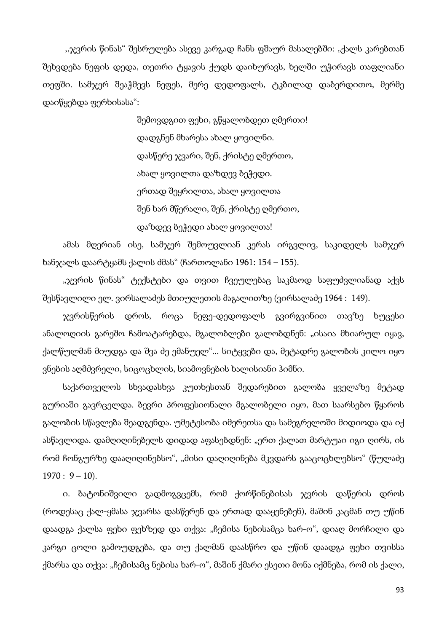,,ჯვრის წინას" შესრულება ასევე კარგად ჩანს ფშაურ მასალებში: "ქალს კარებთან შეხვდება ნეფის დედა, თეთრი ტყავის ქუდს დაიხურავს, ხელში უჭირავს თაფლიანი თეფში. სამჯერ შეაჭმევს ნეფეს, მერე დედოფალს, ტკბილად დაბერდითო, მერმე დაიწყებდა ფერხისასა":

> შემოვდგით ფეხი, გწყალობდეთ ღმერთი! დადგნენ მხარესა ახალ ყოვილნი. დასწერე ჯვარი, შენ, ქრისტე ღმერთო, ახალ ყოვილთა დაზდევ ბეჭედი. ერთად შეყრილთა, ახალ ყოვილთა შენ ხარ მწერალი, შენ, ქრისტე ღმერთო, დაზდევ ბეჭედი ახალ ყოვილთა!

ამას მღერიან ისე, სამჯერ შემოუვლიან კერას ირგვლივ, საკიდელს სამჯერ ხანჯალს დაარტყამს ქალის ძმას" (ჩართოლანი 1961: 154 – 155).

"ჯვრის წინას" ტექსტები და თვით ჩვეულებაც საკმაოდ საფუძვლიანად აქვს შესწავლილი ელ. ვირსალაძეს მთიულეთის მაგალითზე (ვირსალაძე 1964 : 149).

ჯვრისწერის დროს, როცა ნეფე-დედოფალს გვირგვინით თავზე ხუცესი ანალოღიის გარეშო ჩამოატარებდა, მგალობლები გალობდნენ: "ისაია მხიარულ იყავ, ქალწულმან მიუდგა და შვა ძე ემანუელ"... სიტყვები და, მეტადრე გალობის კილო იყო ვნების აღმძვრელი, სიცოცხლის, სიამოვნების ხალისიანი ჰიმნი.

საქართველოს სხვადასხვა კუთხესთან შედარებით გალობა ყველაზე მეტად გურიაში გავრცელდა. ბევრი პროფესიონალი მგალობელი იყო, მათ საარსებო წყაროს გალობის სწავლება შეადგენდა. უმეტესობა იმერეთსა და სამეგრელოში მიდიოდა და იქ ასწავლიდა. დამღიღინებელს დიდად აფასებდნენ: "ერთ ქალათ მარტუაი იგი ღირს, ის რომ ჩონგურზე დააღიღინებსო", "მისი დაღიღინება მკვდარს გააცოცხლებსო" (წულაძე  $1970: 9 - 10$ .

ი. ბატონიშვილი გადმოგვცემს, რომ ქორწინებისას ჯვრის დაწერის დროს (როდესაც ქალ-ყმასა ჯვარსა დასწერენ და ერთად დააყენებენ), მაშინ კაცმან თუ უწინ დაადგა ქალსა ფეხი ფეხზედ და თქვა: "ჩემისა ნებისამცა ხარ-ო", დიაღ მორჩილი და კარგი ცოლი გამოუდგება, და თუ ქალმან დაასწრო და უწინ დაადგა ფეხი თვისსა ქმარსა და თქვა: "ჩემისამც ნებისა ხარ-ო", მაშინ ქმარი ესეთი მონა იქმნება, რომ ის ქალი,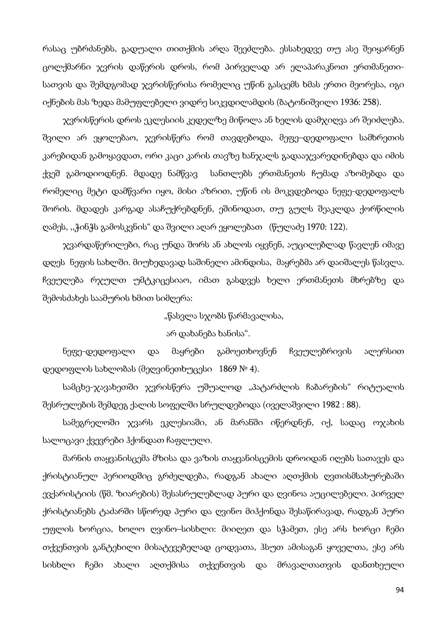რასაც უბრძანებს, გადუალი თითქმის არღა შეეძლება. ესსახედვე თუ ასე შეიყარნენ ცოლქმარნი ჯვრის დაწერის დროს, რომ პირველად არ ელაპარაკნოთ ერთმანეთისათვის და შემდგომად ჯვრისწერისა რომელიც უწინ გასცემს ხმას ერთი მეორესა, იგი იქნების მას ზედა მამუფლებელი ვიდრე სიკვდილამდის (ბატონიშვილი 1936: 258).

ჯვრისწერის დროს ეკლესიის კედელზე მიწოლა ან ხელის დამჯიღვა არ შეიძლება. შვილი არ ეყოლებაო, ჯვრისწერა რომ თავდებოდა, მეფე–დედოფალი სამხრეთის კარებიდან გამოყავდათ, ორი კაცი კარის თავზე ხანჯალს გადააჯვარედინებდა და იმის ქვეშ გამოდიოდნენ. მდადე ნამწვავ სანთლებს ერთმანეთს ჩუმად აზომებდა და რომელიც მეტი დამწვარი იყო, მისი აზრით, უწინ ის მოკვდებოდა ნეფე-დედოფალს შორის. მდადეს კარგად ასაჩუქრებდნენ, ეშინოდათ, თუ გულს შეაკლდა ქორწილის ღამეს, ,,ჭინჭს გამოსკვნის" და შვილი აღარ ეყოლებათ (წულაძე 1970: 122).

ჯვარდაწერილები, რაც უნდა შორს ან ახლოს იყვნენ, აუცილებლად წავლენ იმავე დღეს ნეფის სახლში. მიუხედავად საშინელი ამინდისა, მაყრებმა არ დაიშალეს წასვლა. ჩვეულება რჯულთ უმტკიცესიაო, იმათ გასდვეს ხელი ერთმანეთს მხრებზე და შემოსძახეს საამურის ხმით სიმღერა:

"წასვლა სჯობს წარმავალისა,

#### არ დახანება ხანისა".

ნეფე-დედოფალი და მაყრები გამოეთხოვნენ ჩვეულებრივის ალერსით დედოფლის სახლობას (მეღვინეთხუცესი 1869 № 4).

სამცხე-ჯავახეთში ჯვრისწერა უშუალოდ "პატარძლის ჩაბარების" რიტუალის შესრულების შემდეგ ქალის სოფელში სრულდებოდა (იველაშვილი 1982 : 88).

სამეგრელოში ჯვარს ეკლესიაში, ან მარანში იწერდნენ, იქ, სადაც ოჯახის სალოცავი ქვევრები ჰქონდათ ჩაფლული.

მარნის თაყვანისცემა მზისა და ვაზის თაყვანისცემის დროიდან იღებს სათავეს და ქრისტიანულ პერიოდშიც გრძელდება, რადგან ახალი აღთქმის ღვთისმსახურებაში ევქარისტიის (წმ. ზიარების) შესასრულებლად პური და ღვინოა აუცილებელი. პირველ ქრისტიანებს ტაძარში სწორედ პური და ღვინო მიჰქონდა შესაწირავად, რადგან პური უფლის ხორცია, ხოლო ღვინო–სისხლი: მიიღეთ და სჭამეთ, ესე არს ხორცი ჩემი თქვენთვის განტეხილი მისატევებელად ცოდვათა, ჰსუთ ამისაგან ყოველთა, ესე არს სისხლი ჩემი ახალი აღთქმისა თქვენთვის და მრავალთათვის დანთხეული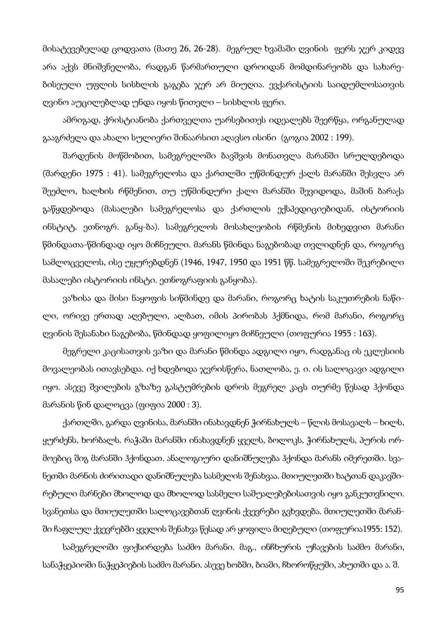მისატევებელად ცოდვათა (მათე 26, 26-28). მეგრულ ხვამაში ღვინის ფერს ჯერ კიდევ არა აქვს მნიშვნელობა, რადგან წარმართული დროიდან მომდინარეობს და სახარებისეული უფლის სისხლის გაგება ჯერ არ მიუღია. ევქარისტიის საიდუმლოსათვის ღვინო აუცილებლად უნდა იყოს წითელი – სისხლის ფერი.

ამრიგად, ქრისტიანობა ქართველთა უარსებითეს იდეალებს შეერწყა, ორგანულად გააგრძელა და ახალი სულიერი შინაარსით აღავსო ისინი (გოგია 2002 : 199).

შარდენის მოწმობით, სამეგრელოში ბავშვის მონათვლა მარანში სრულდებოდა (შარდენი 1975 : 41). სამეგრელოსა და ქართლში უწმინდურ ქალს მარანში შესვლა არ შეეძლო, ხალხის რწმენით, თუ უწმინდური ქალი მარანში შევიდოდა, მაშინ ბარაქა გაწყდებოდა (მასალები სამეგრელოსა და ქართლის ექსპედიციებიდან, ისტორიის ინსტიტ. ეთნოგრ. განყ-ბა). სამეგრელოს მოსახლეობის რწმენის მიხედვით მარანი წმინდათა-წმინდად იყო მიჩნეული. მარანს წმინდა ნაგებობად თვლიდნენ და, როგორც სამლოცველოს, ისე უყურებდნენ (1946, 1947, 1950 და 1951 წწ. სამეგრელოში შეკრებილი მასალები ისტორიის ინსტი. ეთნოგრაფიის განყობა).

ვაზისა და მისი ნაყოფის სიწმინდე და მარანი, როგორც ხატის საკუთრების ნაწილი, ორივე ერთად აღებული, ალბათ, იმის პირობას ჰქმნიდა, რომ მარანი, როგორც ღვინის შესანახი ნაგებობა, წმინდად ყოფილიყო მიჩნეული (თოფურია 1955 : 163).

მეგრელი კაცისათვის ვაზი და მარანი წმინდა ადგილი იყო, რადგანაც ის ეკლესიის მოვალეობას ითავსებდა. იქ ხდებოდა ჯვრისწერა, ნათლობა, ე. ი. ის სალოცავი ადგილი იყო. ასევე შვილების გზაზე გასტუმრების დროს მეგრელ კაცს თურმე წესად ჰქონდა მარანის წინ დალოცვა (ფიფია 2000 : 3).

ქართლში, გარდა ღვინისა, მარანში ინახავდნენ ჭირნახულს – წლის მოსავალს – ხილს, ყურძენს, ხორბალს. რაჭაში მარანში ინახავდნენ ყველს, ბოლოკს, ჭირნახულს, პურის ორმოებიც შიგ მარანში ჰქონდათ. ანალოგიური დანიშნულება ჰქონდა მარანს იმერეთში. სვანეთში მარნის ძირითადი დანიშნულება სასმელის შენახვაა. მთიულეთში ხატთან დაკავშირებული მარნები მხოლოდ და მხოლოდ სასმელი საშუალებებისათვის იყო განკუთვნილი. სვანეთსა და მთიულეთში სალოცავებთან ღვინის ქვევრები გვხვდება. მთიულეთში მარანში ჩაფლულ ქვევრებში ყველის შენახვა წესად არ ყოფილა მიღებული (თოფურია1955: 152).

სამეგრელოში ფიქსირდება საძმო მარანი. მაგ., ინჩხურის უჩავების საძმო მარანი, სანაჭყეპიოში ნაჭყეპიების საძმო მარანი. ასევე ხობში, ბიაში, ჩხოროწყუში, ახუთში და ა. შ.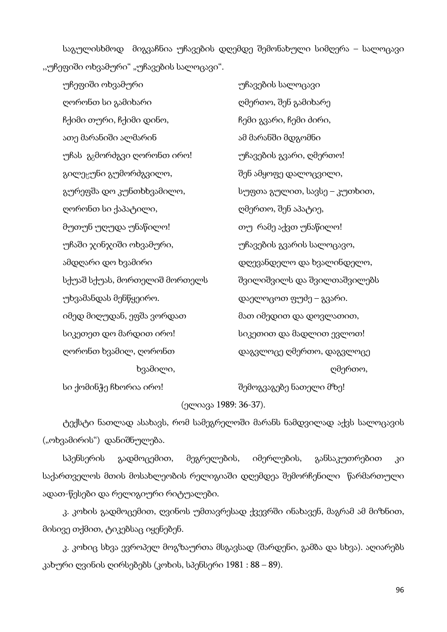საგულისხმოდ მიგვაჩნია უჩავების დღემდე შემონახული სიმღერა – სალოცავი "უჩეფიში ოხვამური" "უჩავების სალოცავი".

| უჩეფიში ოხვამური                         | უჩავების სალოცავი            |
|------------------------------------------|------------------------------|
| ღორონთ სი გამიხარი                       | ღმერთო, შენ გამიხარე         |
| ჩქიმი თური, ჩქიმი დინო,                  | ჩემი გვარი, ჩემი ძირი,       |
| ათე მარანიში ალმარინ                     | ამ მარანში მდგომნი           |
| უჩას  გ <sub>გ</sub> მორძგვი ღორონთ ირო! | უჩავების გვარი, ღმერთო!      |
| გილე <sub>ს</sub> უნი გუმორძგვილო,       | შენ ამყოფე დალოცვილი,        |
| გურეფშა დო კუნთხხვამილო,                 | სუფთა გულით, სავსე – კუთხით, |
| ღორონთ სი ქაპატილი,                      | ღმერთო, შენ აპატიე,          |
| მუთუნ უღუდა უნაწილო!                     | თუ  რამე აქვთ უნაწილო!       |
| უჩაში ჯინჯიში ოხვამური,                  | უჩავების გვარის სალოცავო,    |
| ამდღარი დო ხვამირი                       | დღევანდელო და ხვალინდელო,    |
| სქუაშ სქუას, მორთელიშ მორთელს            | შვილიშვილს და შვილთაშვილებს  |
| უხვამანდას მენწყეირო.                    | დაელოცოთ ფუძე – გვარი.       |
| იმედ მიღუდან, ეფშა ვორდათ                | მათ იმედით და დოვლათით,      |
| სიკეთეთ დო მარდით ირო!                   | სიკეთით და მადლით ევლოთ!     |
| ღორონთ ხვამილ, ღორონთ                    | დაგვლოცე ღმერთო, დაგვლოცე    |
| ხვამილი,                                 | ღმერთო,                      |
|                                          |                              |

სი ქომინჭე ჩხორია ირო! შემოგვაგებე ნათელი მზე!

(ელიავა 1989: 36-37).

ტექსტი ნათლად ასახავს, რომ სამეგრელოში მარანს ნამდვილად აქვს სალოცავის ("ოხვამირის") დანიშნულება.

სპენსერის გადმოცემით, მეგრელების, იმერლების, განსაკუთრებით კი საქართველოს მთის მოსახლეობის რელიგიაში დღემდეა შემორჩენილი წარმართული ადათ-წესები და რელიგიური რიტუალები.

კ. კოხის გადმოცემით, ღვინოს უმთავრესად ქვევრში ინახავენ, მაგრამ ამ მიზნით, მისივე თქმით, ტიკებსაც იყენებენ.

კ. კოხიც სხვა ევროპელ მოგზაურთა მსგავსად (შარდენი, გამბა და სხვა). აღიარებს კახური ღვინის ღირსებებს (კოხის, სპენსერი 1981 : 88 – 89).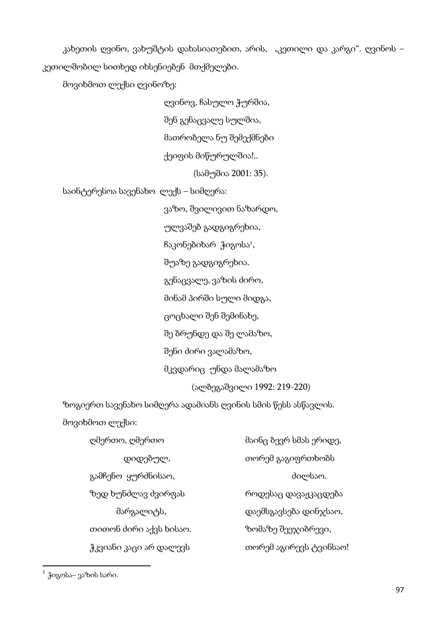კახეთის ღვინო, ვახუშტის დახასიათებით, არის, "კეთილი და კარგი". ღვინოს – კეთილშობილ სითხედ იხსენიებენ მთქმელები.

მოვიხმოთ ლექსი ღვინოზე:

 ღვინოვ, ჩასულო ჭურშია, შენ გენაცვალე სულშია, მათრობელა ნუ შემექმნები ქეიფის მიწურულშია!.. (სამუშია 2001: 35).

საინტერესოა სავენახო ლექს – სიმღერა:

 ვაზო, შვილივით ნაზარდო, ულვაშებ გადგიგრეხია, ჩაკონებიხარ ჭიგოსა1, შუაზე გადგიგრეხია. გენაცვალე, ვაზის ძირო, მინამ პირში სული მიდგა, ცოცხალი შენ შემინახე, შე ბრუნდე და შე ლამაზო, შენი ძირი ვალამაზო, მკვდარიც უნდა მალამაზო (ალბეგაშვილი 1992: 219-220)

ზოგიერთ სავენახო სიმღერა ადამიანს ღვინის სმის წესს ასწავლის. მოვიხმოთ ლექსი:

| ღმერთო, ღმერთო         | მაინც ბევრ სმას ერიდე, |
|------------------------|------------------------|
| დიდებულ,               | თორემ გაგიფრთხობს      |
| გამჩენო ყურძნისაო,     | ძილსაო.                |
| ზედ ხუნძლავ ძვირფას    | როდესაც დავაჟკაცდება   |
| მარგალიტს,             | დაემსგავსება დინჯსაო,  |
| თითონ ძირი აქვს ხისაო. | ზომაზე შეეჯიბრევი,     |
| ჭკვიანი კაცი არ დალევს | თორემ აგირევს ტვინსაო! |

 $^{-1}$  ჭიგოსა– ვაზის სარი.

 $\overline{\phantom{a}}$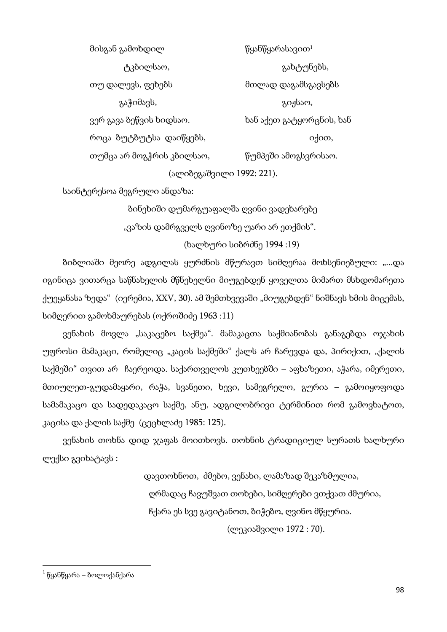მისგან გამოხდილ მისგან წყანწყარასავით $^1$  ტკბილსაო, გახტუნებს, თუ დალევს, ფეხებს მთლად დაგამსგავსებს გაჭიმავს, გიჟსაო, ვერ გავა ბეწვის ხიდსაო. ხან აქეთ გატყორცნის, ხან როცა ბუტბუტსა დაიწყებს, იქით, იქით, იქით, იქით, იქით, იქით, იქ თუმცა არ მოგჭრის კბილსაო, წუმპეში ამოგსვრისაო.

(ალიბეგაშვილი 1992: 221).

საინტერესოა მეგრული ანდაზა:

 ბინეხიში დუმარგუაფალშა ღვინი ვადეხარებე "ვაზის დამრგველს ღვინოზე უარი არ ეთქმის".

(ხალხური სიბრძნე 1994 :19)

ბიბლიაში მეორე ადგილას ყურძნის მწურავთ სიმღერაა მოხსენიებული: "...და იგინიცა ვითარცა საწნახელის მწნეხელნი მიუგებდენ ყოველთა მიმართ მსხდომარეთა ქუეყანასა ზედა" (იერემია, XXV, 30). ამ შემთხვევაში "მიუგებდენ" ნიშნავს ხმის მიცემას, სიმღერით გამოხმაურებას (ოქროშიძე 1963 :11)

ვენახის მოვლა "საკაცებო საქმეა". მამაკაცთა საქმიანობას განაგებდა ო $\chi$ ახის უფროსი მამაკაცი, რომელიც "კაცის საქმეში" ქალს არ ჩარევდა და, პირიქით, "ქალის საქმეში" თვით არ ჩაერეოდა. საქართველოს კუთხეებში – აფხაზეთი, აჭარა, იმერეთი, მთიულეთ-გუდამაყარი, რაჭა, სვანეთი, ხევი, სამეგრელო, გურია – გამოიყოფოდა სამამაკაცო და სადედაკაცო საქმე, ანუ, ადგილობრივი ტერმინით რომ გამოვხატოთ, კაცისა და ქალის საქმე (ცეცხლაძე 1985: 125).

ვენახის თოხნა დიდ ჯაფას მოითხოვს. თოხნის ტრადიციულ სურათს ხალხური ლექსი გვიხატავს :

> დავთოხნოთ, ძმებო, ვენახი, ლამაზად შეკაზმულია, ღრმადაც ჩავუშვათ თოხები, სიმღერები ვთქვათ ძმურია, ჩქარა ეს სვე გავიტანოთ, ბიჭებო, ღვინო მწყურია.

> > (ლეკიაშვილი 1972 : 70).

 $\overline{\phantom{a}}$ 

 $^{-1}$ წყანწყარა – ბოლოქანქარა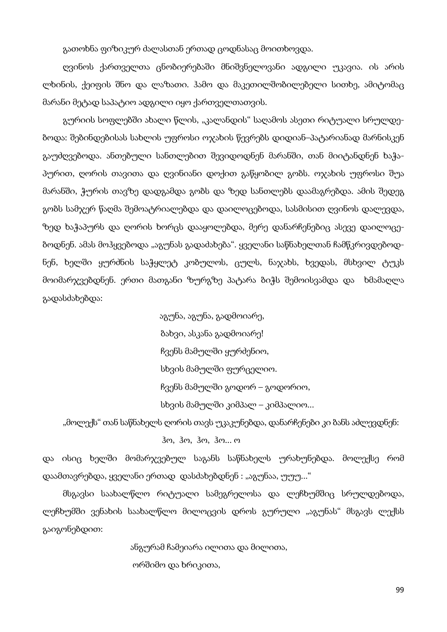გათოხნა ფიზიკურ ძალასთან ერთად ცოდნასაც მოითხოვდა.

ღვინოს ქართველთა ცნობიერებაში მნიშვნელოვანი ადგილი უკავია. ის არის ლხინის, ქეიფის შნო და ლაზათი. ჰამო და მაკეთილშობილებელი სითხე, ამიტომაც მარანი მეტად საპატიო ადგილი იყო ქართველთათვის.

გურიის სოფლებში ახალი წლის, "კალანდის" საღამოს ასეთი რიტუალი სრულდებოდა: შებინდებისას სახლის უფროსი ოჯახის წევრებს დიდიან–პატარიანად მარნისკენ გაუძღვებოდა. ანთებული სანთლებით შევიდოდნენ მარანში, თან მიიტანდნენ ხაჭაპურით, ღორის თავითა და ღვინიანი დოქით გაწყობილ გობს. ოჯახის უფროსი შუა მარანში, ჭურის თავზე დადგამდა გობს და ზედ სანთლებს დაამაგრებდა. ამის შედეგ გობს სამჯერ წაღმა შემოატრიალებდა და დაილოცებოდა, სასმისით ღვინოს დალევდა, ზედ ხაჭაპურს და ღორის ხორცს დააყოლებდა, მერე დანარჩენებიც ასევე დაილოცებოდნენ. ამას მოჰყვებოდა "აგუნას გადაძახება". ყველანი საწნახელთან ჩამწკრივდებოდნენ, ხელში ყურძნის საჭყლეტ კობულოს, ცულს, ნაჯახს, ხვედას, მსხვილ ტუკს მოიმარჯვებდნენ. ერთი მათგანი ზურგზე პატარა ბიჭს შემოისვამდა და ხმამაღლა გადასძახებდა:

> აგუნა, აგუნა, გადმოიარე, ბახვი, ასკანა გადმოიარე! ჩვენს მამულში ყურძენიო, სხვის მამულში ფურცელიო. ჩვენს მამულში გოდორ – გოდორიო, სხვის მამულში კიმპალ – კიმპალიო...

"მოლექს" თან საწნახელს ღორის თავს უკაკუნებდა, დანარჩენები კი ბანს აძლევდნენ:

ჰო, ჰო, ჰო, ჰო... ო

და ისიც ხელში მომარჯვებულ საგანს საწნახელს ურახუნებდა. მოლექსე რომ დაამთავრებდა, ყველანი ერთად დასძახებდნენ : "აგუნაა, უუუ..."

მსგავსი საახალწლო რიტუალი სამეგრელოსა და ლეჩხუმშიც სრულდებოდა, ლეჩხუმში ვენახის საახალწლო მილოცვის დროს გურული "აგუნას" მსგავს ლექსს გაიგონებდით:

> ანგურამ ჩამეიარა ილითა და მილითა, ორშიმო და ხრიკითა,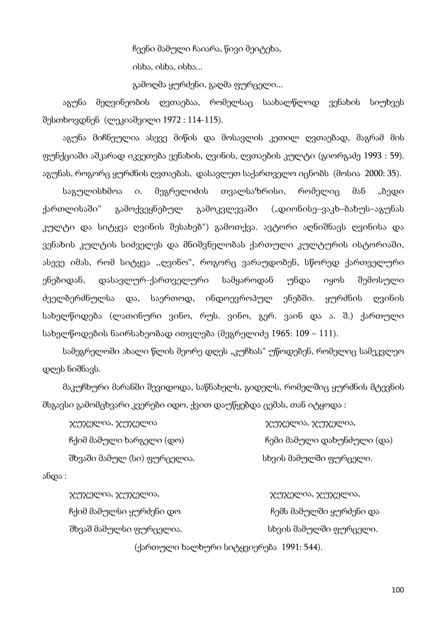ჩვენი მამული ჩაიარა, წივი მეიტეხა, ისხა, ისხა, ისხა...

გამოღმა ყურძენი, გაღმა ფურცელი...

აგუნა მეღვინეობის ღვთაებაა, რომელსაც საახალწლოდ ვენახის სიუხვეს შესთხოვდნენ (ლეკიაშვილი 1972 : 114-115).

აგუნა მიჩნეულია ასევე მიწის და მოსავლის კეთილ ღვთაებად, მაგრამ მის ფუნქციაში აშკარად იკვეთება ვენახის, ღვინის, ღვთაების კულტი (გიორგაძე 1993 : 59). აგუნას, როგორც ყურძნის ღვთაებას, დასავლეთ საქართველო იცნობს (მოსია 2000: 35).

საგულისხმოა ი. მეგრელიძის თვალსაზრისი, რომელიც მან "ბედი ქართლისაში" გამოქვეყნებულ გამოკვლევაში ("დიონისე–ვაკხ–ბახუს–აგუნას კულტი და სიტყვა ღვინის შესახებ") გამოთქვა. ავტორი აღნიშნავს ღვინისა და ვენახის კულტის სიძველეს და მნიშვნელობას ქართული კულტურის ისტორიაში, ასევე იმას, რომ სიტყვა ,,ღვინო", როგორც ვარაუდობენ, სწორედ ქართველური ენებიდან, დასავლურ-ქართველური სამყაროდან უნდა იყოს შემოსული ძველბერძნულსა და, საერთოდ, ინდოევროპულ ენებში. ყურძნის ღვინის სახელწოდება (ლათინური ვინო, რუს. ვინო, გერ. ვაინ და ა. შ.) ქართული სახელწოდების ნაირსახეობად ითვლება (მეგრელიძე 1965: 109 – 111).

სამეგრელოში ახალი წლის მეორე დღეს "კუჩხას" უწოდებენ, რომელიც სამეკვლეო დღეს ნიშნავს.

მაკუჩხური მარანში შევიდოდა, საწნახელს, გიდელს, რომელშიც ყურძნის მტევნის მსგავსი გამომცხვარი კვერები იდო, ქვით დაუწყებდა ცემას, თან იტყოდა :

| ჯუჯელია, ჯუჯელია            | $\chi$ უ $\chi$ ელია, $\chi$ უ $\chi$ ელია, |
|-----------------------------|---------------------------------------------|
| ჩქიმ მამული ხარგელი (დო)    | ჩემი მამული დახუნძული (და)                  |
| შხვაში მამულ (სი) ფურცელია. | სხვის მამულში ფურცელი.                      |

ანდა :

ჯუჯელია, ჯუჯელია, ჯუჯელია, ჯუჯელია, ჩქიმ მამულსი ყურძენი დო ის სახართა სახარეშს მამულში ყურძენი და შხვაშ მამულსი ფურცელია. სხვის მამულში ფურცელი.

(ქართული ხალხური სიტყვიერება 1991: 544).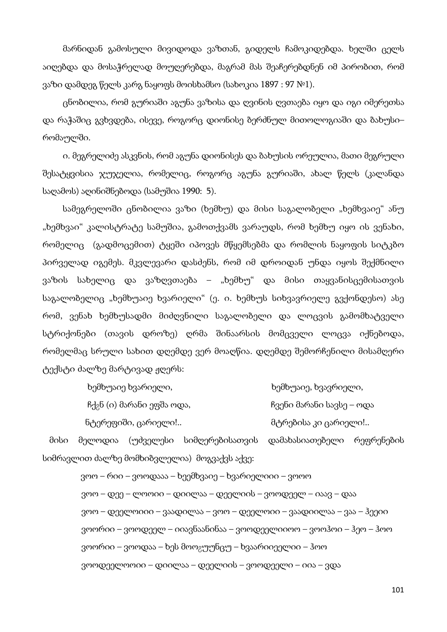მარნიდან გამოსული მივიდოდა ვაზთან, გიდელს ჩამოკიდებდა. ხელში ცელს აიღებდა და მოსაჭრელად მოუღერებდა, მაგრამ მას შეაჩერებდნენ იმ პირობით, რომ ვაზი დამდეგ წელს კარგ ნაყოფს მოისხამსო (სახოკია 1897 : 97 №1).

ცნობილია, რომ გურიაში აგუნა ვაზისა და ღვინის ღვთაება იყო და იგი იმერეთსა და რაჭაშიც გვხვდება, ისევე, როგორც დიონისე ბერძნულ მითოლოგიაში და ბახუსი– რომაულში.

ი. მეგრელიძე ასკვნის, რომ აგუნა დიონისეს და ბახუსის ორეულია, მათი მეგრული შესატყვისია ჯუჯელია, რომელიც, როგორც აგუნა გურიაში, ახალ წელს (კალანდა საღამოს) აღინიშნებოდა (სამუშია 1990: 5).

სამეგრელოში ცნობილია ვაზი (ხემხუ) და მისი საგალობელი "ხემხვაიე" ანუ "ხემხვაი" კალისტრატე სამუშია, გამოთქვამს ვარაუდს, რომ ხემხუ იყო ის ვენახი, რომელიც (გადმოცემით) ტყეში იპოვეს მწყემსებმა და რომლის ნაყოფის სიტკბო პირველად იგემეს. მკვლევარი დასძენს, რომ იმ დროიდან უნდა იყოს შექმნილი ვაზის სახელიც და ვაზღვთაება – "ხემხუ" და მისი თაყვანისცემისათვის საგალობელიც "ხემხუაიე ხვარიელი" (ე. ი. ხემხუს სიხვავრიელე გვქონდესო) ასე რომ, ვენახ ხემხუსადმი მიძღვნილი საგალობელი და ლოცვის გამომხატველი სტრიქონები (თავის დროზე) ღრმა შინაარსის მომცველი ლოცვა იქნებოდა, რომელმაც სრული სახით დღემდე ვერ მოაღწია. დღემდე შემორჩენილი მისამღერი ტექსტი ძალზე მარტივად ჟღერს:

| ხემხუაიე ხვარიელი,                     | ხემხუაიე, ხვავრიელი,     |
|----------------------------------------|--------------------------|
| ჩქ <sub>გ</sub> ნ (ი) მარანი ეფშა ოდა, | ჩვენი მარანი სავსე – ოდა |
| ნტერეფიში, ცარიელი!                    | მტრებისა კი ცარიელი!     |

 მისი მელოდია (უძველესი სიმღერებისათვის დამახასიათებელი რეფრენების სიმრავლით ძალზე მომხიბვლელია) მოგვაქვს აქვე:

> ვოო – რიი – ვოოდააა – ხეემხვაიე – ხვარიელიიი – ვოოო ვოო – დეე – ლოოიი – დიილაა – დეელიის – ვოოდეელ – იაავ – დაა ვოო – დეელოიიი – ვაადილაა – ვოო – დეელოიი – ვაადიილაა – ვაა – ჰეეიი ვოორიი – ვოოდეელ – იიავნაანინაა – ვოოდეელიიოო – ვოოჰოი – ჰეო – ჰოო ვოორიი – ვოოდაა – ხეს მოო<sub>გ</sub>უუნცუ – ხვაარიიეელიი – ჰოო ვოოდეელოოიი – დიილაა – დეელიის – ვოოდეელი – იია – ვდა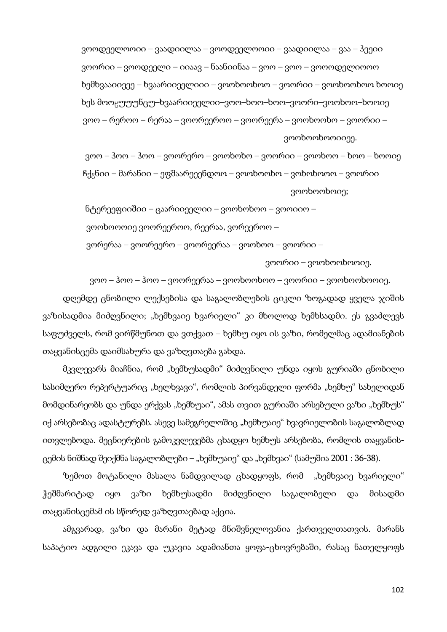ვოოდეელოოიი – ვაადიილაა – ვოოდეელოოიი – ვაადიილაა – ვაა – ჰეეიი ვოორიი – ვოოდეელი – იიაავ – ნაანიინაა – ვოო – ვოო – ვოოოდელიოოო ხემხვააიიეეე – ხვაარიიეელიიი – ვოოხოოხოო – ვოორიი – ვოოხოოხოო ხოოიე ხეს მოოცუუუნცუ–ხვაარიიეელიი–ვოო–ხოო–ხოო–ვოორი–ვოოხოო–ხოოიე ვოო – რეროო – რერაა – ვოორეეროო – ვოორეერა – ვოოხოოხო – ვოორიი – ვოოხოოხოოიიეე.

 ვოო – ჰოო – ჰოო – ვოორერო – ვოოხოხო – ვოორიი – ვოოხოო – ხოო – ხოოიე  $\beta$ ქ $\beta$ ნიი – მარანიი – ეფშაარეეენდოო – ვოოხოოხო – ვოხოხოოო – ვოორიი ვოოხოოხოიე;

 ნტერეეფიიშიი – ცაარიიეელიი – ვოოხოხოო – ვოოიიო – ვოოხოოოიე ვოორეეროო, რეერაა, ვორეეროო – ვორერაა – ვოორეერო – ვოორეერაა – ვოოხოო – ვოორიი –

ვოორიი – ვოოხოოხოოიე.

ვოო – ჰოო – ჰოო – ვოორეერაა – ვოოხოოხოო – ვოორიი – ვოოხოოხოოიე.

დღემდე ცნობილი ლექსებისა და საგალობლების ციკლი ზოგადად ყველა ჯიშის ვაზისადმია მიძღვნილი; "ხემხვაიე ხვარიელი" კი მხოლოდ ხემხსადმი. ეს გვაძლევს საფუძველს, რომ ვირწმუნოთ და ვთქვათ – ხემხუ იყო ის ვაზი, რომელმაც ადამიანების თაყვანისცემა დაიმსახურა და ვაზღვთაება გახდა.

მკვლევარს მიაჩნია, რომ "ხემხუსადმი" მიძღვნილი უნდა იყოს გურიაში ცნობილი სასიმღერო რეპერტუარიც "ხელხვავი", რომლის პირვანდელი ფორმა "ხემხუ" სახელიდან მომდინარეობს და უნდა ერქვას "ხემხუაი", ამას თვით გურიაში არსებული ვაზი "ხემხუს" იქ არსებობაც ადასტურებს. ასევე სამეგრელოშიც "ხემხუაიე" ხვავრიელობის საგალობლად ითვლებოდა. მეცნიერების გამოკვლევებმა ცხადყო ხემხუს არსებობა, რომლის თაყვანისცემის ნიშნად შეიქმნა საგალობლები – "ხემხუაიე" და "ხემხვაი" (სამუშია 2001 : 36-38).

ზემოთ მოტანილი მასალა ნამდვილად ცხადყოფს, რომ "ხემხვაიე ხვარიელი" ჭეშმარიტად იყო ვაზი ხემხუსადმი მიძღვნილი საგალობელი და მისადმი თაყვანისცემამ ის სწორედ ვაზღვთაებად აქცია.

ამგვარად, ვაზი და მარანი მეტად მნიშვნელოვანია ქართველთათვის. მარანს საპატიო ადგილი ეკავა და უკავია ადამიანთა ყოფა-ცხოვრებაში, რასაც ნათელყოფს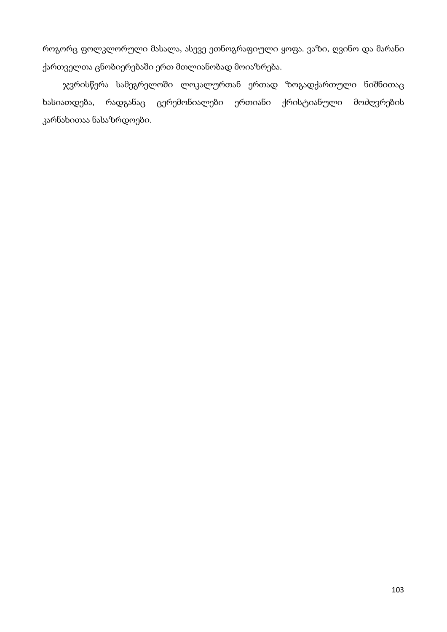როგორც ფოლკლორული მასალა, ასევე ეთნოგრაფიული ყოფა. ვაზი, ღვინო და მარანი ქართველთა ცნობიერებაში ერთ მთლიანობად მოიაზრება.

ჯვრისწერა სამეგრელოში ლოკალურთან ერთად ზოგადქართული ნიშნითაც ხასიათდება, რადგანაც ცერემონიალები ერთიანი ქრისტიანული მოძღვრების კარნახითაა ნასაზრდოები.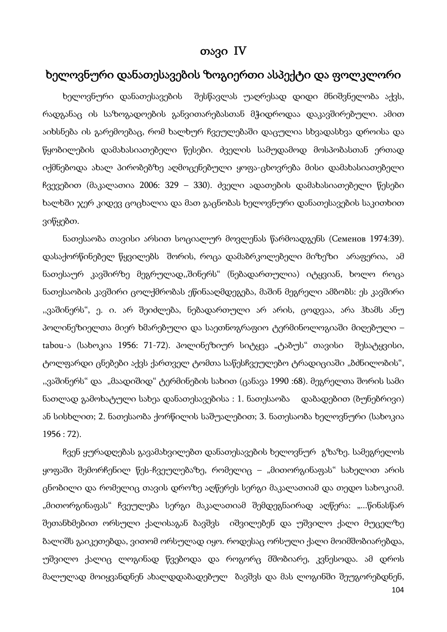# თავი IV

# ხელოვნური დანათესავების ზოგიერთი ასპექტი და ფოლკლორი

ხელოვნური დანათესავების შესწავლას უაღრესად დიდი მნიშვნელობა აქვს, რადგანაც ის საზოგადოების განვითარებასთან მჭიდროდაა დაკავშირებული. ამით აიხსნება ის გარემოებაც, რომ ხალხურ ჩვეულებაში დაცულია სხვადასხვა დროისა და წყობილების დამახასიათებელი წესები. ძველის სამუდამოდ მოსპობასთან ერთად იქმნებოდა ახალ პირობებზე აღმოცენებული ყოფა-ცხოვრება მისი დამახასიათებელი ჩვევებით (მაკალათია 2006: 329 – 330). ძველი ადათების დამახასიათებელი წესები ხალხში ჯერ კიდევ ცოცხალია და მათ გაცნობას ხელოვნური დანათესავების საკითხით ვიწყებთ.

ნათესაობა თავისი არსით სოციალურ მოვლენას წარმოადგენს (Семенов 1974:39). დასაქორწინებელ წყვილებს შორის, როცა დამაბრკოლებელი მიზეზი არაფერია, ამ ნათესაურ კავშირზე მეგრულად,,შინერს" (ნებადართულია) იტყვიან, ხოლო როცა ნათესაობის კავშირი ცოლქმრობას ეწინააღმდეგება, მაშინ მეგრელი ამბობს: ეს კავშირი ,,ვაშინერს", ე. ი. არ შეიძლება, ნებადართული არ არის, ცოდვაა, არა ჰხამს ანუ პოლინეზიელთა მიერ ხმარებული და საეთნოგრაფიო ტერმინოლოგიაში მიღებული – tabou-ა (სახოკია 1956: 71-72). პოლინეზიურ სიტყვა "ტაბუს" თავისი შესატყვისი, ტოლფარდი ცნებები აქვს ქართველ ტომთა საწესჩვეულებო ტრადიციაში "ბძნილობის", "ვაშინერს" და "მაადიშიდ" ტერმინების სახით (ცანავა 1990 :68). მეგრელთა შორის სამი ნათლად გამოხატული სახეა დანათესავებისა : 1. ნათესაობა დაბადებით (ბუნებრივი) ან სისხლით; 2. ნათესაობა ქორწილის საშუალებით; 3. ნათესაობა ხელოვნური (სახოკია 1956 : 72).

104 ჩვენ ყურადღებას გავამახვილებთ დანათესავების ხელოვნურ გზაზე. სამეგრელოს ყოფაში შემორჩენილ წეს-ჩვეულებაზე, რომელიც – "მითორგინაფას" სახელით არის ცნობილი და რომელიც თავის დროზე აღწერეს სერგი მაკალათიამ და თედო სახოკიამ. "მითორგინაფას" ჩვეულება სერგი მაკალათიამ შემდეგნაირად აღწერა: "...წინასწარ შეთანხმებით ორსული ქალისაგან ბავშვს იშვილებენ და უშვილო ქალი მუცელზე ბალიშს გაიკეთებდა, ვითომ ორსულად იყო. როდესაც ორსული ქალი მოიმშობიარებდა, უშვილო ქალიც ლოგინად წვებოდა და როგორც მშობიარე, კვნესოდა. ამ დროს მალულად მოიყვანდნენ ახალდდაბადებულ ბავშვს და მას ლოგინში შეუგორებდნენ,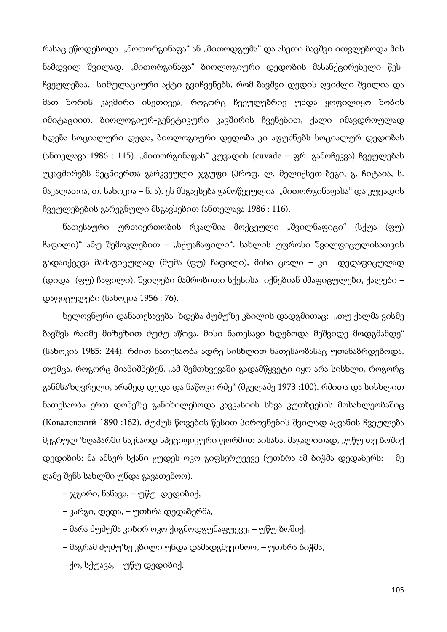რასაც ეწოდებოდა "მოთორგინაფა" ან "მითოდგუმა" და ასეთი ბავშვი ითვლებოდა მის ნამდვილ შვილად. "მითორგინაფა" ბიოლოგიური დედობის მასანქცირებელი წესჩვეულებაა. სიმულაციური აქტი გვიჩვენებს, რომ ბავშვი დედის ღვიძლი შვილია და მათ შორის კავშირი ისეთივეა, როგორც ჩვეულებრივ უნდა ყოფილიყო შობის იმიტაციით. ბიოლოგიურ-გენეტიკური კავშირის ჩვენებით, ქალი იმავდროულად ხდება სოციალური დედა, ბიოლოგიური დედობა კი აფუძნებს სოციალურ დედობას (ანთელავა 1986 : 115). "მითორგინაფას" კუვადის (cuvade – ფრ: გამოჩეკვა) ჩვეულებას უკავშირებს მეცნიერთა გარკვეული ჯგუფი (პროფ. ლ. მელიქსეთ-ბეგი, გ. ჩიტაია, ს. მაკალათია, თ. სახოკია – ნ. ა). ეს მსგავსება გამოწვეულია "მითორგინაფასა" და კუვადის ჩვეულებების გარეგნული მსგავსებით (ანთელავა 1986 : 116).

ნათესაური ურთიერთობის რკალშია მოქცეული "შვილნაფიცი" (სქუა (ფუ) ჩაფილი)" ანუ შემოკლებით – "სქუაჩაფილი". სახლის უფროსი შვილფიცულისათვის გადაიქცევა მამაფიცულად (მუმა (ფუ) ჩაფილი), მისი ცოლი – კი დედაფიცულად (დიდა (ფუ) ჩაფილი). შვილები მამრობითი სქესისა იქნებიან ძმაფიცულები, ქალები – დაფიცულები (სახოკია 1956 : 76).

ხელოვნური დანათესავება ხდება ძუძუზე კბილის დადგმითაც: "თუ ქალმა ვისმე ბავშვს რაიმე მიზეზით ძუძუ აწოვა, მისი ნათესავი ხდებოდა მეშვიდე მოდგმამდე" (სახოკია 1985: 244). რძით ნათესაობა ადრე სისხლით ნათესაობასაც უთანაბრდებოდა. თუმცა, როგორც მიანიშნებენ, "ამ შემთხვევაში გადამწყვეტი იყო არა სისხლი, როგორც განმსაზღვრელი, არამედ დედა და ნაწოვი რძე" (მგელაძე 1973 :100). რძითა და სისხლით ნათესაობა ერთ დონეზე განიხილებოდა კავკასიის სხვა კუთხეების მოსახლეობაშიც (Ковалевский 1890 :162). ძუძუს წოვების წესით პიროვნების შვილად აყვანის ჩვეულება მეგრულ ზღაპარში საკმაოდ სპეციფიკური ფორმით აისახა. მაგალითად, "უწუ თე ბოშიქ დედიბის: მა ამსერ სქანი ცუდეს ოკო გიფსერუეევე (უთხრა ამ ბიჭმა დედაბერს: – მე ღამე შენს სახლში უნდა გავათენოო).

– ჯგირი, ნანავა, – უწუ დედიბიქ,

– კარგი, დედა, – უთხრა დედაბერმა,

– მარა ძუძუშა კიბირ ოკო ქიგმოდგუმაფუევე, – უწუ ბოშიქ,

– მაგრამ ძუძუზე კბილი უნდა დამადგმევინოო, – უთხრა ბიჭმა,

– ქო, სქუავა, – უწუ დედიბიქ.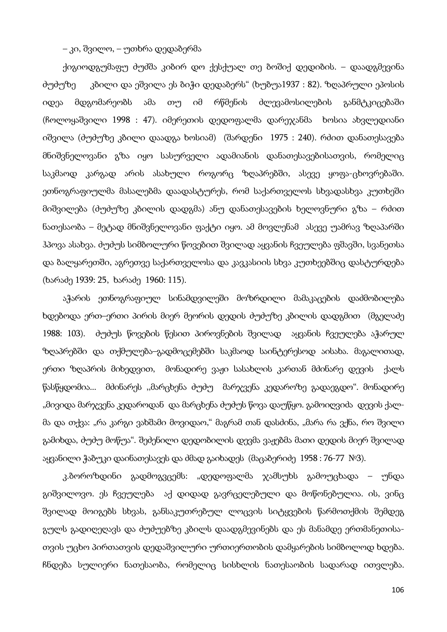#### – კი, შვილო, – უთხრა დედაბერმა

ქიგიოდგუმაფუ ძუძშა კიბირ დო ქესქუალ თე ბოშიქ დედიბის. – დაადგმევინა ძუძუზე კბილი და ეშვილა ეს ბიჭი დედაბერს" (ხუბუა1937 : 82). ზღაპრული ეპოსის იდეა მდგომარეობს ამა თუ იმ რწმენის ძლევამოსილების განმტკიცებაში (ჩოლოყაშვილი 1998 : 47). იმერეთის დედოფალმა დარეჯანმა ხოსია ახვლედიანი იშვილა (ძუძუზე კბილი დაადგა ხოსიამ) (შარდენი 1975 : 240). რძით დანათესავება მნიშვნელოვანი გზა იყო სასურველი ადამიანის დანათესავებისათვის, რომელიც საკმაოდ კარგად არის ასახული როგორც ზღაპრებში, ასევე ყოფა-ცხოვრებაში. ეთნოგრაფიულმა მასალებმა დაადასტურეს, რომ საქართველოს სხვადასხვა კუთხეში მიშვილება (ძუძუზე კბილის დადგმა) ანუ დანათესავების ხელოვნური გზა – რძით ნათესაობა – მეტად მნიშვნელოვანი ფაქტი იყო. ამ მოვლენამ ასევე უამრავ ზღაპარში ჰპოვა ასახვა. ძუძუს სიმბოლური წოვებით შვილად აყვანის ჩვეულება ფშავში, სვანეთსა და ბალყარეთში, აგრეთვე საქართველოსა და კავკასიის სხვა კუთხეებშიც დასტურდება (ხარაძე 1939: 25, ხარაძე 1960: 115).

აჭარის ეთნოგრაფიულ სინამდვილეში მოზრდილი მამაკაცების დაძმობილება ხდებოდა ერთ–ერთი პირის მიერ მეორის დედის ძუძუზე კბილის დადგმით (მგელაძე 1988: 103). ძუძუს წოვების წესით პიროვნების შვილად აყვანის ჩვეულება აჭარულ ზღაპრებში და თქმულება–გადმოცემებში საკმაოდ საინტერესოდ აისახა. მაგალითად, ერთი ზღაპრის მიხედვით, მონადირე ვაჟი სასახლის კართან მძინარე დევის ქალს წასწყდომია... მძინარეს ,,მარცხენა ძუძუ მარჯვენა კედაროზე გადაეგდო". მონადირე "მივიდა მარჯვენა კედაროდან და მარცხენა ძუძუს წოვა დაუწყო. გამოიღვიძა დევის ქალმა და თქვა: "რა კარგი ვახშამი მოვიდაო," მაგრამ თან დასძინა, "მარა რა ვქნა, რო შვილი გამიხდა, ძუძუ მოწუა". შეძენილი დედობილის დევმა ვაჟებმა მათი დედის მიერ შვილად აყვანილი ჭაბუკი დაინათესავეს და ძმად გაიხადეს (მაცაბერიძე 1958 : 76-77 №3).

კ.ბოროზდინი გადმოგვცემს: "დედოფალმა ჯამსუხს გამოუცხადა – უნდა გიშვილოვო. ეს ჩვეულება აქ დიდად გავრცელებული და მოწონებულია. ის, ვინც შვილად მოიგებს სხვას, განსაკუთრებულ ლოცვის სიტყვების წარმოთქმის შემდეგ გულს გადიღეღავს და ძუძუებზე კბილს დაადგმევინებს და ეს მანამდე ერთმანეთისათვის უცხო პირთათვის დედაშვილური ურთიერთობის დამყარების სიმბოლოდ ხდება. ჩნდება სულიერი ნათესაობა, რომელიც სისხლის ნათესაობის სადარად ითვლება.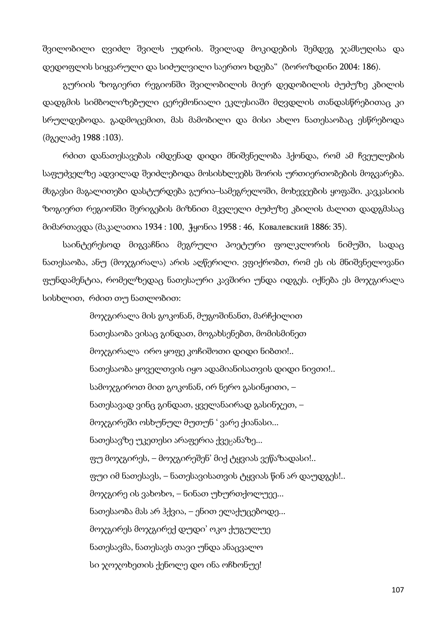შვილობილი ღვიძლ შვილს უდრის. შვილად მოკიდების შემდეგ ჯამსუღისა და დედოფლის სიყვარული და სიძულვილი საერთო ხდება" (ბოროზდინი 2004: 186).

გურიის ზოგიერთ რეგიონში შვილობილის მიერ დედობილის ძუძუზე კბილის დადგმის სიმბოლიზებული ცერემონიალი ეკლესიაში მღვდლის თანდასწრებითაც კი სრულდებოდა. გადმოცემით, მას მამობილი და მისი ახლო ნათესაობაც ესწრებოდა (მგელაძე 1988 :103).

რძით დანათესავებას იმდენად დიდი მნიშვნელობა ჰქონდა, რომ ამ ჩვეულების საფუძველზე ადვილად შეიძლებოდა მოსისხლეებს შორის ურთიერთობების მოგვარება. მსგავსი მაგალითები დასტურდება გურია–სამეგრელოში, მოხევეების ყოფაში. კავკასიის ზოგიერთ რეგიონში შერიგების მიზნით მკვლელი ძუძუზე კბილის ძალით დადგმასაც მიმართავდა (მაკალათია 1934 : 100, ჭყონია 1958 : 46, Ковалевский 1886: 35).

საინტერესოდ მიგვაჩნია მეგრული პოეტური ფოლკლორის ნიმუში, სადაც ნათესაობა, ანუ (მოჯგირალა) არის აღწერილი. ვფიქრობთ, რომ ეს ის მნიშვნელოვანი ფუნდამენტია, რომელზედაც ნათესაური კავშირი უნდა იდგეს. იქნება ეს მოჯგირალა სისხლით, რძით თუ ნათლობით:

> მოჯგირალა მის გოკონან, მუგოშინანთ, მარჩქილით ნათესაობა ვისაც გინდათ, მოგახსენებთ, მომისმინეთ მოჯგირალა ირო ყოფე კოჩიშოთი დიდი ნიბთი!.. ნათესაობა ყოველთვის იყო ადამიანისათვის დიდი ნივთი!.. სამოჯგიროთ მით გოკონან, ირ ნერო გასინჟითი, – ნათესავად ვინც გინდათ, ყველანაირად გასინჯეთ, – მოჯგირეში ოსხუნულ მუთუნ ' ვარე ქიანასი... ნათესავზე უკეთესი არაფერია ქვეცანაზე... ფუ მოჯგირეს, – მოჯგირეშენ' მიქ ტყვიას ვეწაზადასი!.. ფუი იმ ნათესავს, – ნათესავისათვის ტყვიას წინ არ დაუდგეს!.. მოჯგირე ის ვახოხო, – ნინათ უხურთქოლუეე... ნათესაობა მას არ ჰქვია, – ენით ელაქუცებოდე... მოჯგირეს მოჯგირექ დუდი' ოკო ქუგულუე ნათესავმა, ნათესავს თავი უნდა ანაცვალო სი ჯოჯოხეთის ქენოლე დო ინა ოჩხონუე!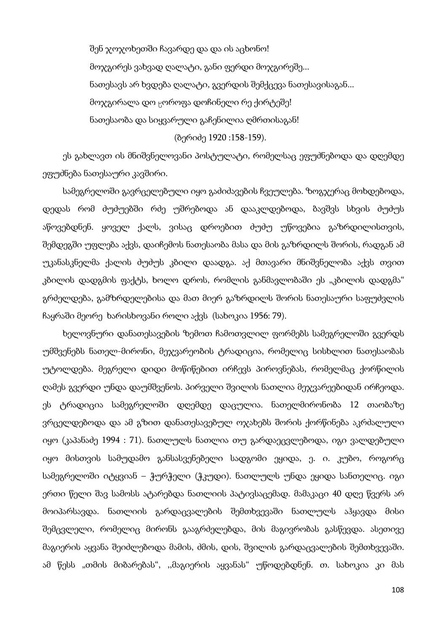შენ ჯოჯოხეთში ჩავარდე და და ის აცხონო! მოჯგირეს ვახვად ღალატი, განი ფერდი მოჯგირეშე... ნათესავს არ ხვდება ღალატი, გვერდის შემქცევა ნათესავისაგან... მოჯგირალა დო ცოროფა დოჩინელი რე ქირტეშე! ნათესაობა და სიყვარული გაჩენილია ღმრთისაგან!

#### (ბერიძე 1920 :158-159).

ეს გახლავთ ის მნიშვნელოვანი პოსტულატი, რომელსაც ეფუძნებოდა და დღემდე ეფუძნება ნათესაური კავშირი.

სამეგრელოში გავრცელებული იყო გაძიძავების ჩვეულება. ზოგჯერაც მოხდებოდა, დედას რომ ძუძუებში რძე უშრებოდა ან დააკლდებოდა, ბავშვს სხვის ძუძუს აწოვებდნენ. ყოველ ქალს, ვისაც დროებით ძუძუ უწოვებია გაზრდილისთვის, შემდეგში უფლება აქვს, დაიჩემოს ნათესაობა მასა და მის გაზრდილს შორის, რადგან ამ უკანასკნელმა ქალის ძუძუს კბილი დაადგა. აქ მთავარი მნიშვნელობა აქვს თვით კბილის დადგმის ფაქტს, ხოლო დროს, რომლის განმავლობაში ეს "კბილის დადგმა" გრძელდება, გამზრდელებისა და მათ მიერ გაზრდილს შორის ნათესაური საფუძვლის ჩაყრაში მეორე ხარისხოვანი როლი აქვს (სახოკია 1956: 79).

ხელოვნური დანათესავების ზემოთ ჩამოთვლილ ფორმებს სამეგრელოში გვერდს უმშვენებს ნათელ-მირონი, მეჯვარეობის ტრადიცია, რომელიც სისხლით ნათესაობას უტოლდება. მეგრელი დიდი მოწიწებით ირჩევს პიროვნებას, რომელმაც ქორწილის ღამეს გვერდი უნდა დაუმშვენოს. პირველი შვილის ნათლია მეჯვარეებიდან ირჩეოდა. ეს ტრადიცია სამეგრელოში დღემდე დაცულია. ნათელმირონობა 12 თაობაზე ვრცელდებოდა და ამ გზით დანათესავებულ ოჯახებს შორის ქორწინება აკრძალული იყო (კაპანაძე 1994 : 71). ნათლულს ნათლია თუ გარდაეცვლებოდა, იგი ვალდებული იყო მისთვის სამუდამო განსასვენებელი სადგომი ეყიდა, ე. ი. კუბო, როგორც სამეგრელოში იტყვიან – ჭურჭელი (ჭკუდი). ნათლულს უნდა ეყიდა სანთელიც. იგი ერთი წელი შავ სამოსს ატარებდა ნათლიის პატივსაცემად. მამაკაცი 40 დღე წვერს არ მოიპარსავდა. ნათლიის გარდაცვალების შემთხვევაში ნათლულს აჰყავდა მისი შემცვლელი, რომელიც მირონს გააგრძელებდა, მის მაგივრობას გასწევდა. ასეთივე მაგიერის აყვანა შეიძლებოდა მამის, ძმის, დის, შვილის გარდაცვალების შემთხვევაში. ამ წესს "თმის მიბარებას", ,,მაგიერის აყვანას" უწოდებდნენ. თ. სახოკია კი მას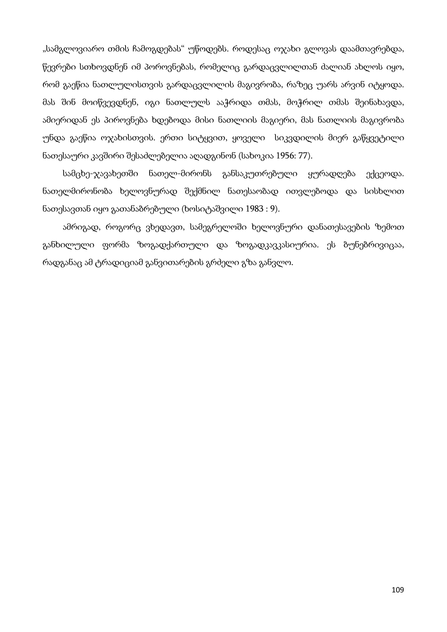"სამგლოვიარო თმის ჩამოგდებას" უწოდებს. როდესაც ოჯახი გლოვას დაამთავრებდა, წევრები სთხოვდნენ იმ პოროვნებას, რომელიც გარდაცვლილთან ძალიან ახლოს იყო, რომ გაეწია ნათლულისთვის გარდაცვლილის მაგივრობა, რაზეც უარს არვინ იტყოდა. მას შინ მოიწვევდნენ, იგი ნათლულს ააჭრიდა თმას, მოჭრილ თმას შეინახავდა, ამიერიდან ეს პიროვნება ხდებოდა მისი ნათლიის მაგიერი, მას ნათლიის მაგივრობა უნდა გაეწია ოჯახისთვის. ერთი სიტყვით, ყოველი სიკვდილის მიერ გაწყვეტილი ნათესაური კავშირი შესაძლებელია აღადგინონ (სახოკია 1956: 77).

სამცხე-ჯავახეთში ნათელ-მირონს განსაკუთრებული ყურადღება ექცეოდა. ნათელმირონობა ხელოვნურად შექმნილ ნათესაობად ითვლებოდა და სისხლით ნათესავთან იყო გათანაბრებული (ხოსიტაშვილი 1983 : 9).

ამრიგად, როგორც ვხედავთ, სამეგრელოში ხელოვნური დანათესავების ზემოთ განხილული ფორმა ზოგადქართული და ზოგადკავკასიურია. ეს ბუნებრივიცაა, რადგანაც ამ ტრადიციამ განვითარების გრძელი გზა განვლო.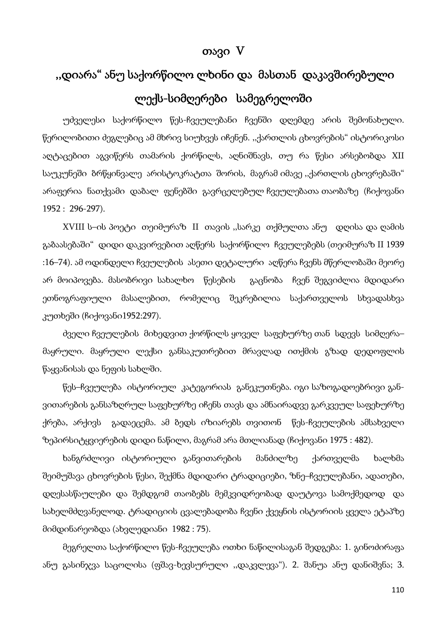# თავი V

# ,,დიარა" ანუ საქორწილო ლხინი და მასთან დაკავშირებული ლექს-სიმღერები სამეგრელოში

უძველესი საქორწილო წეს-ჩვეულებანი ჩვენში დღემდე არის შემონახული. წერილობითი ძეგლებიც ამ მხრივ სიუხვეს იჩენენ. ,,ქართლის ცხოვრების" ისტორიკოსი აღტაცებით აგვიწერს თამარის ქორწილს, აღნიშნავს, თუ რა წესი არსებობდა XII საუკუნეში ბრწყინვალე არისტოკრატთა შორის, მაგრამ იმავე ,,ქართლის ცხოვრებაში" არაფერია ნათქვამი დაბალ ფენებში გავრცელებულ ჩვეულებათა თაობაზე (ჩიქოვანი 1952 : 296-297).

XVIII ს–ის პოეტი თეიმურაზ II თავის ,,სარკე თქმულთა ანუ დღისა და ღამის გაბაასებაში" დიდი დაკვირვებით აღწერს საქორწილო ჩვეულებებს (თეიმურაზ II 1939 :16–74). ამ ოდინდელი ჩვეულების ასეთი დეტალური აღწერა ჩვენს მწერლობაში მეორე არ მოიპოვება. მასობრივი სახალხო წესების გაცნობა ჩვენ შეგვიძლია მდიდარი ეთნოგრაფიული მასალებით, რომელიც შეკრებილია საქართველოს სხვადასხვა კუთხეში (ჩიქოვანი1952:297).

ძველი ჩვეულების მიხედვით ქორწილს ყოველ საფეხურზე თან სდევს სიმღერა– მაყრული. მაყრული ლექსი განსაკუთრებით მრავლად ითქმის გზად დედოფლის წაყვანისას და ნეფის სახლში.

წეს–ჩვეულება ისტორიულ კატეგორიას განეკუთნება. იგი საზოგადოებრივი განვითარების განსაზღრულ საფეხურზე იჩენს თავს და ამნაირადვე გარკვეულ საფეხურზე ქრება, არქივს გადაეცემა. ამ ბედს იზიარებს თვითონ წეს-ჩვეულების ამსახველი ზეპირსიტყვიერების დიდი ნაწილი, მაგრამ არა მთლიანად (ჩიქოვანი 1975 : 482).

ხანგრძლივი ისტორიული განვითარების მანძილზე ქართველმა ხალხმა შეიმუშავა ცხოვრების წესი, შექმნა მდიდარი ტრადიციები, ზნე–ჩვეულებანი, ადათები, დღესასწაულები და შემდგომ თაობებს მემკვიდრეობად დაუტოვა სამოქმედოდ და სახელმძღვანელოდ. ტრადიციის ცვალებადობა ჩვენი ქვეყნის ისტორიის ყველა ეტაპზე მიმდინარეობდა (ახვლედიანი 1982 : 75).

მეგრელთა საქორწილო წეს-ჩვეულება ოთხი ნაწილისაგან შედგება: 1. გინოძირაფა ანუ გასინჯვა საცოლისა (ფშავ-ხევსურული ,,დაკვლევა"). 2. შანუა ანუ დანიშვნა; 3.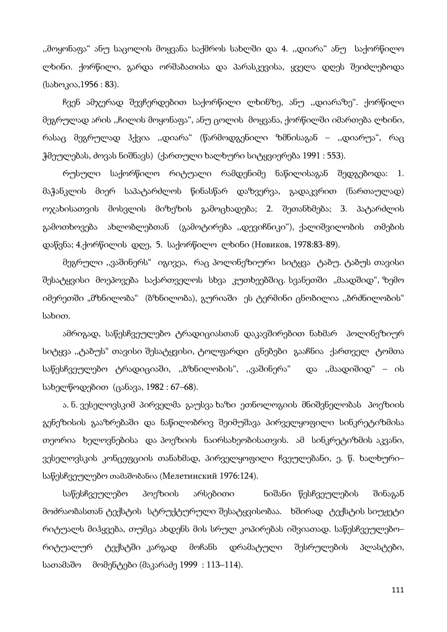,,მოყონაფა" ანუ საცოლის მოყვანა საქმროს სახლში და 4. ,,დიარა" ანუ საქორწილო ლხინი. ქორწილი, გარდა ორშაბათისა და პარასკევისა, ყველა დღეს შეიძლებოდა (სახოკია,1956 : 83).

ჩვენ ამჯერად შევჩერდებით საქორწილი ლხინზე, ანუ ,,დიარაზე". ქორწილი მეგრულად არის ,,ჩილის მოყონაფა", ანუ ცოლის მოყვანა, ქორწილში იმართება ლხინი, რასაც მეგრულად ჰქვია ,,დიარა" (წარმოდგენილი ზმნისაგან – ,,დიარუა", რაც ჭმეულებას, ძოვას ნიშნავს) (ქართული ხალხური სიტყვიერება 1991 : 553).

რუსული საქორწილო რიტუალი რამდენიმე ნაწილისაგან შედგებოდა: 1. მაჭანკლის მიერ საპატარძლოს წინასწარ დაზვერვა, გადაკვრით (ნართაულად) ოჯახისათვის მოსვლის მიზეზის გამოცხადება; 2. შეთანხმება; 3. პატარძლის გამოთხოვება ახლობლებთან (გამოტირება ,,დევიჩნიკი"), ქალიშვილობის თმების დაწვნა; 4.ქორწილის დღე, 5. საქორწილო ლხინი (Новиков, 1978:83-89).

მეგრული ,,ვაშინერს" იგივეა, რაც პოლინეზიური სიტყვა ტაბუ. ტაბუს თავისი შესატყვისი მოეპოვება საქართველოს სხვა კუთხეებშიც. სვანეთში "მაადშიდ", ზემო იმერეთში "მზნილობა" (ბზნილობა), გურიაში ეს ტერმინი ცნობილია ,,ბრძნილობის" სახით.

ამრიგად, საწესჩვეულებო ტრადიციასთან დაკავშირებით ნახმარ პოლინეზიურ სიტყვა ,,ტაბუს" თავისი შესატყვისი, ტოლფარდი ცნებები გააჩნია ქართველ ტომთა საწესჩვეულებო ტრადიციაში, ,,ბზნილობის", ,,ვაშინერა" და ,,მაადიშიდ" – ის სახელწოდებით (ცანავა, 1982 : 67–68).

ა. ნ. ვესელოვსკიმ პირველმა გაუსვა ხაზი ეთნოლოგიის მნიშვნელობას პოეზიის გენეზისის გააზრებაში და ნაწილობრივ შეიმუშავა პირველყოფილი სინკრეტიზმისა თეორია ხელოვნებისა და პოეზიის ნაირსახეობისათვის. ამ სინკრეტიზმის აკვანი, ვესელოვსკის კონცეფციის თანახმად, პირველყოფილი ჩვეულებანი, ე. წ. ხალხური– საწესჩვეულებო თამაშობანია (Мелетинский 1976:124).

საწესჩვეულებო პოეზიის არსებითი ნიშანი წესჩვეულების შინაგან მოძრაობასთან ტექსტის სტრუქტურული შესატყვისობაა. ხშირად ტექსტის სიუჟეტი რიტუალს მიჰყვება, თუმცა ახდენს მის სრულ კოპირებას იშვიათად. საწესჩვეულებო– რიტუალურ ტექსტში კარგად მოჩანს დრამატული შესრულების პლასტები, სათამაშო მომენტები (მაკარაძე 1999 : 113–114).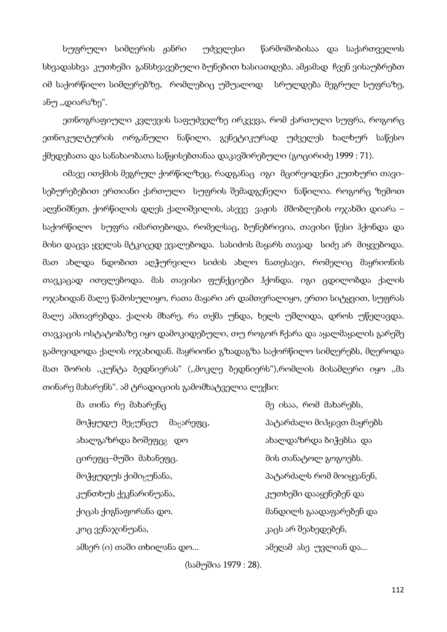სუფრული სიმღერის ჟანრი უძველესი წარმოშობისაა და საქართველოს სხვადასხვა კუთხეში განსხვავებული ბუნებით ხასიათდება. ამჟამად ჩვენ ვისაუბრებთ იმ საქორწილო სიმღერებზე, რომლებიც უშუალოდ სრულდება მეგრულ სუფრაზე, ანუ ,,დიარაზე".

ეთნოგრაფიული კვლევის საფუძველზე ირკვევა, რომ ქართული სუფრა, როგორც ეთნოკულტურის ორგანული ნაწილი, გენეტიკურად უძველეს ხალხურ საწესო ქმედებათა და სანახაობათა საწყისებთანაა დაკავშირებული (გოცირიძე 1999 : 71).

იმავე ითქმის მეგრულ ქორწილზეც, რადგანაც იგი მცირეოდენი კუთხური თავისებურებებით ერთიანი ქართული სუფრის შემადგენელი ნაწილია. როგორც ზემოთ აღვნიშნეთ, ქორწილის დღეს ქალიშვილის, ასევე ვაჟის მშობლების ოჯახში დიარა – საქორწილო სუფრა იმართებოდა, რომელსაც, ბუნებრივია, თავისი წესი ჰქონდა და მისი დაცვა ყველას მტკიცედ ევალებოდა. სასიძოს მაყარს თავად სიძე არ მიყვებოდა. მათ ახლდა ნდობით აღჭურვილი სიძის ახლო ნათესავი, რომელიც მაყრიონის თავკაცად ითვლებოდა. მას თავისი ფუნქციები ჰქონდა. იგი ცდილობდა ქალის ოჯახიდან მალე წამოსულიყო, რათა მაყარი არ დამთვრალიყო, ერთი სიტყვით, სუფრას მალე ამთავრებდა. ქალის მხარე, რა თქმა უნდა, ხელს უშლიდა, დროს უწელავდა. თავკაცის ოსტატობაზე იყო დამოკიდებული, თუ როგორ ჩქარა და აყალმაყალის გარეშე გამოვიდოდა ქალის ოჯახიდან. მაყრიონი გზადაგზა საქორწილო სიმღერებს, მღეროდა მათ შორის ,,კუნტა ბედნიერას" (,,მოკლე ბედნიერს"),რომლის მისამღერი იყო ,,მა თინარე მახარენს". ამ ტრადიციის გამომხატველია ლექსი:

მა თინა რე მახარენც მე ისაა, რომ მახარებს, მოჭყუდუ მეცუნცუ მაცარეფც, 3ატარძალი მიჰყავთ მაყრებს ახალგაზრდა ბოშეფც² დო ახალდაზრდა ბიჭებსა და ცირეფც–მუში მახანეფც. მის თანატოლ გოგოებს. მოჭყუდუს ქიმიცუნანა, მომომელი მატარძალს რომ მოიყვანენ, კუნთხუს ქეკნარინუანა, კუთხეში დააყენებენ და ქიცას ქიგნაფორანა დო. მანდილს გაადაფარებენ და კოც ვენაჯინუანა, კოც კაცს არ შეახედებენ, ამსერ (ი) თაში თხილანა დო... ამეღამ ასე უვლიან და...

(სამუშია 1979 : 28).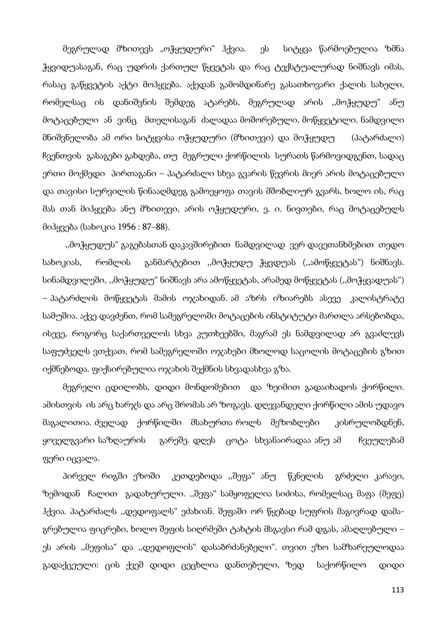მეგრულად მზითევს "ოჭყუდური" ჰქვია. ეს სიტყვა წარმოებულია ზმნა ჭყვიდუასაგან, რაც უდრის ქართულ წყვეტას და რაც ტექსტუალურად ნიშნავს იმას, რასაც გაწყვეტის აქტი მოჰყვება. აქედან გამომდინარე გასათხოვარი ქალის სახელი, რომელსაც ის დანიშვნის შემდეგ ატარებს, მეგრულად არის ,,მოჭყუდუ" ანუ მოტაცებული ან ვინც მთელისაგან ძალადაა მოშორებული, მოწყვეტილი. ნამდვილი მნიშვნელობა ამ ორი სიტყვისა ოჭყუდური (მზითევი) და მოჭყუდუ (პატარძალი) ჩვენთვის გასაგები გახდება, თუ მეგრული ქორწილის სურათს წარმოვიდგენთ, სადაც ერთი მოქმედი პირთაგანი – პატარძალი სხვა გვარის წევრის მიერ არის მოტაცებული და თავისი სურვილის წინააღმდეგ გამოეყოფა თავის მშობლიურ გვარს, ხოლო ის, რაც მას თან მიჰყვება ანუ მზითევი, არის ოჭყუდური, ე. ი. ნივთები, რაც მოტაცებულს მიჰყვება (სახოკია 1956 : 87–88).

 ,,მოჭყუდუს" გაგებასთან დაკავშირებით ნამდვილად ვერ დავეთანხმებით თედო სახოკიას, რომლის განმარტებით ,,მოჭყუდუ ჭყვდუას (,,ამოწყვეტას") ნიშნავს. სინამდვილეში, ,,მოჭყუდუ" ნიშნავს არა ამოწყვეტას, არამედ მოწყვეტას (,,მოჭყვადუას") – პატარძლის მოწყვეტას მამის ოჯახიდან. ამ აზრს იზიარებს ასევე კალისტრატე სამუშია. აქვე დავძენთ, რომ სამეგრელოში მოტაცების ინსტიტუტი მართლა არსებობდა, ისევე, როგორც საქართველოს სხვა კუთხეებში, მაგრამ ეს ნამდვილად არ გვაძლევს საფუძველს ვთქვათ, რომ სამეგრელოში ოჯახები მხოლოდ საცოლის მოტაცების გზით იქმნებოდა. ფიქსირებულია ოჯახის შექმნის სხვადასხვა გზა.

მეგრელი ცდილობს, დიდი მონდომებით და ზეიმით გადაიხადოს ქორწილი. ამისთვის ის არც ხარჯს და არც შრომას არ ზოგავს. დღევანდელი ქორწილი ამის უდავო მაგალითია. ძველად ქორწილში მსახურთა როლს მეზობლები კისრულობდნენ, ყოველგვარი საზღაურის გარეშე. დღეს ცოტა სხვანაირადაა ანუ ამ ჩვეულებამ ფერი იცვალა.

პირველ რიგში ეზოში კეთდებოდა ,,შეფა" ანუ წკნელის გრძელი კარავი, ზემოდან ჩალით გადახურული. ,,შეფა" სამყოფელია სიძისა, რომელსაც მაფა (მეფე) ჰქვია. პატარძალს ,,დედოფალს" ეძახიან. შეფაში ორ წყებად სუფრის მაგივრად დამაგრებულია ფიცრები, ხოლო შეფის სიღრმეში ტახტის მსგავსი რამ დგას, ამაღლებული – ეს არის ,,მეფისა" და ,,დედოფლის" დასაბრძანებელი". თვით ეზო სამზარეულოდაა გადაქცეული: ცის ქვეშ დიდი ცეცხლია დანთებული, ზედ საქორწილო დიდი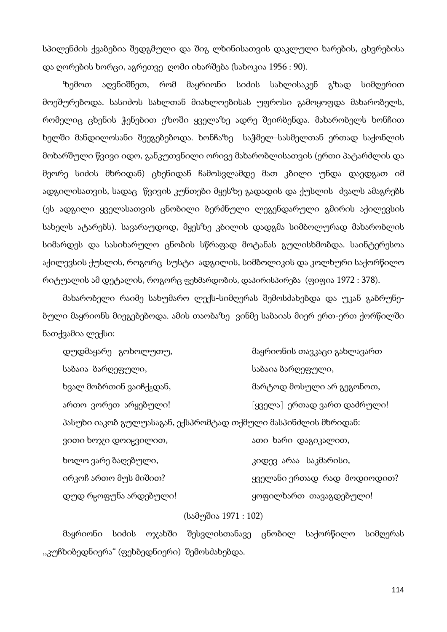სპილენძის ქვაბებია შედგმული და შიგ ლხინისათვის დაკლული ხარების, ცხვრებისა და ღორების ხორცი, აგრეთვე ღომი იხარშება (სახოკია 1956 : 90).

ზემოთ აღვნიშნეთ, რომ მაყრიონი სიძის სახლისაკენ გზად სიმღერით მოეშურებოდა. სასიძოს სახლთან მიახლოებისას უფროსი გამოყოფდა მახარობელს, რომელიც ცხენის ჭენებით ეზოში ყველაზე ადრე შეირბენდა. მახარობელს ხონჩით ხელში მანდილოსანი შეეგებებოდა. ხონჩაზე საჭმელ–სასმელთან ერთად საქონლის მოხარშული წვივი იდო, განკუთვნილი ორივე მახარობლისათვის (ერთი პატარძლის და მეორე სიძის მხრიდან) ცხენიდან ჩამოსვლამდე მათ კბილი უნდა დაედგათ იმ ადგილისათვის, სადაც წვივის კუნთები მყესზე გადადის და ქუსლის ძვალს ამაგრებს (ეს ადგილი ყველასათვის ცნობილი ბერძნული ლეგენდარული გმირის აქილევსის სახელს ატარებს). სავარაუდოდ, მყესზე კბილის დადგმა სიმბოლურად მახარობლის სიმარდეს და სასიხარულო ცნობის სწრაფად მოტანას გულისხმობდა. საინტერესოა აქილევსის ქუსლის, როგორც სუსტი ადგილის, სიმბოლიკის და კოლხური საქორწილო რიტუალის ამ დეტალის, როგორც ფეხმარდობის, დაპირისპირება (ფიფია 1972 : 378).

მახარობელი რაიმე სახუმარო ლექს-სიმღერას შემოსძახებდა და უკან გაბრუნებული მაყრიონს მიეგებებოდა. ამის თაობაზე ვინმე საბაიას მიერ ერთ-ერთ ქორწილში ნათქვამია ლექსი:

| დუდმაყარე გოხოლუთუ,                                            | მაყრიონის თავკაცი გახლავართ |
|----------------------------------------------------------------|-----------------------------|
| საბაია ბარღეფული,                                              | საბაია ბარღეფული,           |
| ხვალ მობრთინ ვაიჩქ <sub>გ</sub> დან,                           | მარტოდ მოსული არ გეგონოთ,   |
| ართო ვორეთ არყებული!                                           | [ყველა] ერთად ვართ დაძრული! |
| პასუხი იაკობ გულუასაგან, ექსპრომტად თქმული მასპინძლის მხრიდან: |                             |
| ვითი ხოჯი დოიჸვილით,                                           | ათი ხარი დაგიკალით,         |
| ხოლო ვარე ბაღებული,                                            | კიდევ არაა საკმარისი,       |
| ირკოჩ ართო მუს მიშით?                                          | ყველანი ერთად რად მოდიოდით? |
| დუდ რცოფუნა არდებული!                                          | ყოფილხართ თავაგდებული!      |

### (სამუშია 1971 : 102)

მაყრიონი სიძის ოჯახში შესვლისთანავე ცნობილ საქორწილო სიმღერას ,,კუჩხიბედნიერა" (ფეხბედნიერი) შემოსძახებდა.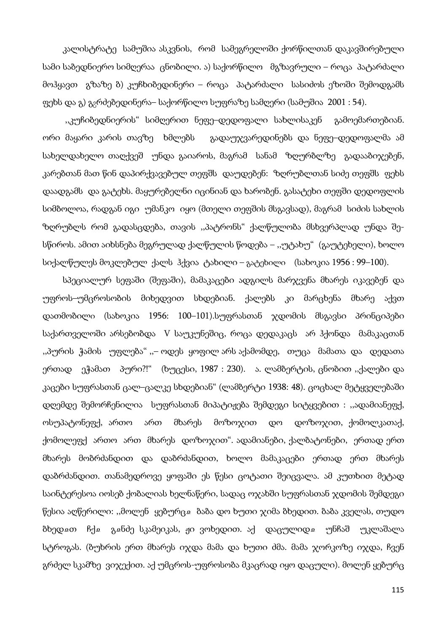კალისტრატე სამუშია ასკვნის, რომ სამეგრელოში ქორწილთან დაკავშირებული სამი საბედნიერო სიმღერაა ცნობილი. ა) საქორწილო მგზავრული – როცა პატარძალი მოჰყავთ გზაზე ბ) კუჩხიბედინერი – როცა პატარძალი სასიძოს ეზოში შემოდგამს ფეხს და გ) გ<sub>გ</sub>რძებედინერა– საქორწილო სუფრაზე სამღერი (სამუშია 2001 : 54).

 ,,კუჩიბედნიერის" სიმღერით ნეფე–დედოფალი სახლისაკენ გამოემართებიან. ორი მაყარი კარის თავზე ხმლებს გადაუჯვარედინებს და ნეფე–დედოფალმა ამ სახელდახელო თაღქვეშ უნდა გაიაროს, მაგრამ სანამ ზღურბლზე გადააბიჯებენ, კარებთან მათ წინ დაპირქვავებულ თეფშს დაუდებენ: ზღრუბლთან სიძე თეფშს ფეხს დაადგამს და გატეხს. მაყურებელნი იცინიან და ხარობენ. გასატეხი თეფში დედოფლის სიმბოლოა, რადგან იგი უმანკო იყო (მთელი თეფშის მსგავსად), მაგრამ სიძის სახლის ზღრუბლს რომ გადასცდება, თავის ,,პატრონს" ქალწულობა მსხვერპლად უნდა შესწიროს. ამით აიხსნება მეგრულად ქალწულის წოდება – ,,უტახუ" (გაუტეხელი), ხოლო სიქალწულეს მოკლებულ ქალს ჰქვია ტახილი – გატეხილი (სახოკია 1956 : 99–100).

სპეციალურ სეფაში (შეფაში), მამაკაცები ადგილს მარჯვენა მხარეს იკავებენ და უფროს–უმცროსობის მიხედვით სხდებიან. ქალებს კი მარცხენა მხარე აქვთ დათმობილი (სახოკია 1956: 100–101).სუფრასთან ჯდომის მსგავსი პრინციპები საქართველოში არსებობდა V საუკუნეშიც, როცა დედაკაცს არ ჰქონდა მამაკაცთან ,,პურის ჭამის უფლება" ,,– ოდეს ყოფილ არს აქამომდე, თუცა მამათა და დედათა ერთად ეჭამათ პური?!" (ხუცესი, 1987 : 230). ა. ლამბერტის, ცნობით ,,ქალები და კაცები სუფრასთან ცალ–ცალკე სხდებიან" (ლამბერტი 1938: 48). ცოცხალ მეტყველებაში დღემდე შემორჩენილია სუფრასთან მიპატიჟება შემდეგი სიტყვებით : ,,ადამიანეფქ, ოსუპატონეფქ, ართო ართ მხარეს მოზოჯით დო დოზოჯით, ქომოლკათაქ, ქომოლეფქ ართო ართ მხარეს დოზოჯით". ადამიანები, ქალბატონები, ერთად ერთ მხარეს მობრძანდით და დაბრძანდით, ხოლო მამაკაცები ერთად ერთ მხარეს დაბრძანდით. თანამედროვე ყოფაში ეს წესი ცოტათი შეიცვალა. ამ კუთხით მეტად საინტერესოა იოსებ ქობალიას ხელნაწერი, სადაც ოჯახში სუფრასთან ჯდომის შემდეგი წესია აღწერილი: "მოლენ ყებურცჲ ბაბა დო ხუთი ჯიმა ბხედით. ბაბა კველას, თუდო ბხედჲთ ჩქჲ გჲნძე სკამეიკას, ჟი ვოხედით. აქ დაცულიდჲ უნჩაშ უკლაშალა სტროგას. (ბუხრის ერთ მხარეს იჯდა მამა და ხუთი ძმა. მამა ჯორკოზე იჯდა, ჩვენ გრძელ სკამზე ვიჯექით. აქ უმცროს-უფროსობა მკაცრად იყო დაცული). მოლენ ყებურც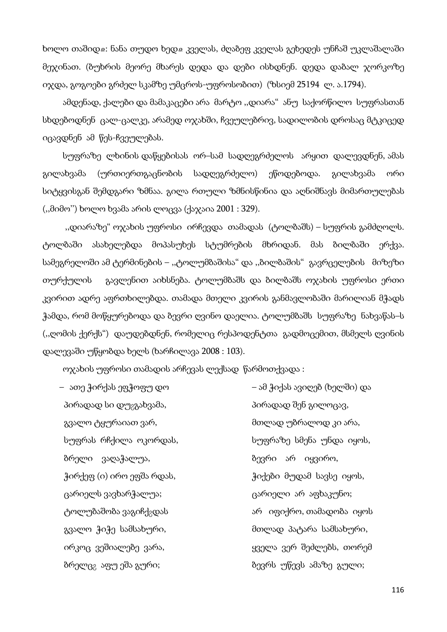ხოლო თაშიდ $\alpha$ : ნანა თუდო ხედ $\alpha$  კველას, ძღაბეფ კველას გეხედეს უნჩაშ უკლაშალაში მეჯინათ. (ბუხრის მეორე მხარეს დედა და დები ისხდნენ. დედა დაბალ ჯორკოზე იჯდა, გოგოები გრძელ სკამზე უმცროს-უფროსობით) (ზსიემ 25194 ლ. ა.1794).

ამდენად, ქალები და მამაკაცები არა მარტო ,,დიარა" ანუ საქორწილო სუფრასთან სხდებოდნენ ცალ-ცალკე, არამედ ოჯახში, ჩვეულებრივ, სადილობის დროსაც მტკიცედ იცავდნენ ამ წეს-ჩვეულებას.

სუფრაზე ლხინის დაწყებისას ორ–სამ სადღეგრძელოს არყით დალევდნენ, ამას გილახვამა (ურთიერთგაცნობის სადღეგრძელო) ეწოდებოდა. გილახვამა ორი სიტყვისგან შემდგარი ზმნაა. გილა რთული ზმნისწინია და აღნიშნავს მიმართულებას (,,მიმო'') ხოლო ხვამა არის ლოცვა (ქაჯაია 2001 : 329).

 ,,დიარაზე" ოჯახის უფროსი ირჩევდა თამადას (ტოლბაშს) – სუფრის გამძღოლს. ტოლბაში ასახელებდა მოპასუხეს სტუმრების მხრიდან. მას ბილბაში ერქვა. სამეგრელოში ამ ტერმინების – ,,ტოლუმბაშისა" და ,,ბილბაშის" გავრცელების მიზეზი თურქულის გავლენით აიხსნება. ტოლუმბაშს და ბილბაშს ოჯახის უფროსი ერთი კვირით ადრე აფრთხილებდა. თამადა მთელი კვირის განმავლობაში მარილიან მჭადს ჭამდა, რომ მოწყურებოდა და ბევრი ღვინო დაელია. ტოლუმბაშს სუფრაზე ნახვაწას–ს (,,ღომის ქერქს") დაუდებდნენ, რომელიც რესპოდენტთა გადმოცემით, მსმელს ღვინის დალევაში უწყობდა ხელს (ხარჩილავა 2008 : 103).

ოჯახის უფროსი თამადის არჩევას ლექსად წარმოთქვადა :

პირადად სი დუ<sub>გ</sub>გახვამა, კირილი პირადად შენ გილოცავ, გვალო ტყურაიათ ვარ, მთლად უბრალოდ კი არა, ბრელი ვაღაჭალუა, ის სახადა სახად ბევრი არ იყვირო, ცარიელს ვავხარჭალუა; ცარიელი არ აფხაკუნო;

– ათე ჭირქას ეფჭოფუ დო – ამ ჭიქას ავიღებ (ხელში) და სუფრას რჩქილა ოკორდას, სუფრაზე სმენა უნდა იყოს, ჭირქეფ (ი) ირო ეფშა რდას, როგის როგონ ქიქები მუდამ სავსე იყოს, ტოლუბაშობა ვაგიჩქ<sub>?</sub>დას ირის არი იფიქრო, თამადობა იყოს გვალო ჭიჭე სამსახური, მთლად პატარა სამსახური, ირკოც ვეშიალებე ვარა, ყველა ვერ შეძლებს, თორემ ბრელც<sub>გ</sub> აფუ ეშა გური; ის სახელი სამევრს უწევს ამაზე გული;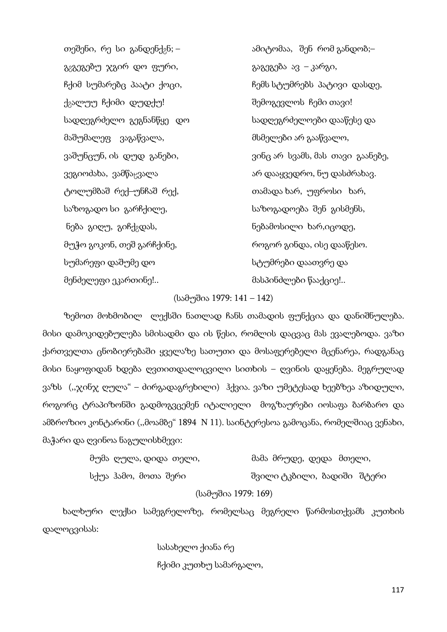გ<sub>გ</sub>გეგებუ ჯგირ დო ფური,  $\frac{1}{2}$  – გაგეგება ავ – კარგი, ქვალუუ ჩქიმი დუდქუ! ძილი და შემოგევლოს ჩემი თავი! მაშუმალეფ ვაგაწვალა, მსმელები არ გააწვალო, ტოლუმბაშ რექ–უნჩაშ რექ, თამადა ხარ, უფროსი ხარ, საზოგადო სი გარჩქილე, საზოგადოება შენ გისმენს, ნება გიღუ, გიჩქ<sub>გ</sub>დას, ისტოლი ნებამოსილი ხარ,იცოდე, მუჭო გოკონ, თეშ გარჩქინე, როგორ გინდა, ისე დააწესო. სუმარეფი დაშუმე დო სტუმრები დაათვრე და მენძელეფი ეკართინე!.. მასპინძლები წააქციე!..

თეშენი, რე სი განდენქ $_2$ ნ; – salestic salestical and analytic mode and analytic mode  $\mathbf{S}$ ჩქიმ სუმარებც პაატი ქოცი, ის სახილი ჩემს სტუმრებს პატივი დასდე, სადღეგრძელო გეგნანწყე დო სადღეგრძელოები დააწესე და ვაშუნცუნ, ის დუდ განები, ვინც არ სვამს, მას თავი გაანებე, ვეგიოძახა, ვამწაყვალა არ დააყვედრო, ნუ დასძრახავ.

### (სამუშია 1979: 141 – 142)

ზემოთ მოხმობილ ლექსში ნათლად ჩანს თამადის ფუნქცია და დანიშნულება. მისი დამოკიდებულება სმისადმი და ის წესი, რომლის დაცვაც მას ევალებოდა. ვაზი ქართველთა ცნობიერებაში ყველაზე სათუთი და მოსაფერებელი მცენარეა, რადგანაც მისი ნაყოფიდან ხდება ღვთითდალოცვილი სითხის – ღვინის დაყენება. მეგრულად ვაზს (,,ჯინჯ ღულა" – ძირგადაგრეხილი) ჰქვია. ვაზი უმეტესად ხეებზეა აზიდული, როგორც ტრაპიზონში გადმოგვცემენ იტალიელი მოგზაურები იოსაფა ბარბარო და ამბროზიო კონტარინი ("მოამბე" 1894 N 11). საინტერესოა გამოცანა, რომელშიაც ვენახი, მაჭარი და ღვინოა ნაგულისხმევი:

|  | მუმა ღულა, დიდა თელი, |                     |  | მამა მრუდე, დედა მთელი,     |  |
|--|-----------------------|---------------------|--|-----------------------------|--|
|  | სქუა ჰამო, მოთა შერი  |                     |  | შვილი ტკბილი, ბადიში  შტერი |  |
|  |                       | (სამუშია 1979: 169) |  |                             |  |

ხალხური ლექსი სამეგრელოზე, რომელსაც მეგრელი წარმოსთქვამს კუთხის დალოცვისას:

სასახელო ქიანა რე

ჩქიმი კუთხუ სამარგალო,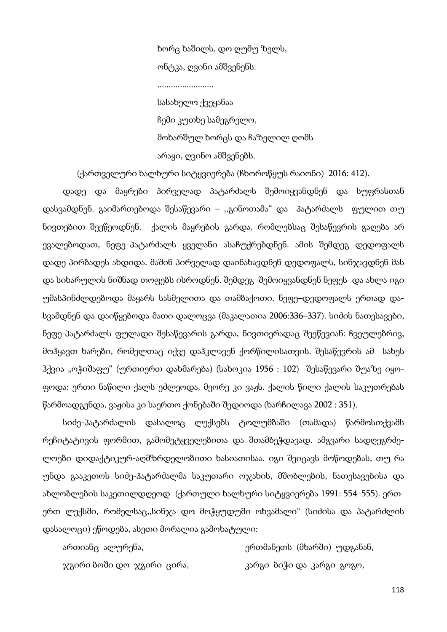ხორც ხაშილს, დო ღუმუ ზელს, ონტკა, ღვინი ამშვენენს.

.........................

 სასახელო ქვეყანაა ჩემი კუთხე სამეგრელო, მოხარშულ ხორცს და ჩაზელილ ღომს არაყი, ღვინო ამშვენებს.

(ქართველური ხალხური სიტყვიერება (ჩხოროწყუს რაიონი) 2016: 412).

დადე და მაყრები პირველად პატარძალს შემოიყვანდნენ და სუფრასთან დასვამდნენ. გაიმართებოდა შესაწევარი – ,,გინოთამა" და პატარძალს ფულით თუ ნივთებით შეეწეოდნენ. ქალის მაყრების გარდა, რომლებსაც შესაწევრის გაღება არ ევალებოდათ, ნეფე–პატარძალს ყველანი ასაჩუქრებდნენ. ამის შემდეგ დედოფალს დადე პირბადეს ახდიდა. მაშინ პირველად დაინახავდნენ დედოფალს, სინჯავდნენ მას და სიხარულის ნიშნად თოფებს ისროდნენ. შემდეგ შემოიყვანდნენ ნეფეს და ახლა იგი უმასპინძლდებოდა მაყარს სასმელითა და თამბაქოთი. ნეფე–დედოფალს ერთად დასვამდნენ და დაიწყებოდა მათი დალოცვა (მაკალათია 2006:336–337). სიძის ნათესავები, ნეფე-პატარძალს ფულადი შესაწევარის გარდა, ნივთიერადაც შეეწევიან: ჩვეულებრივ, მოჰყავთ ხარები, რომელთაც იქვე დაჰკლავენ ქორწილისათვის. შესაწევრის ამ სახეს ჰქვია "ოჭიშაფუ" (ურთიერთ დახმარება) (სახოკია 1956 : 102) შესაწევარი შუაზე იყოფოდა: ერთი ნაწილი ქალს ეძლეოდა, მეორე კი ვაჟს. ქალის წილი ქალის საკუთრებას წარმოადგენდა, ვაჟისა კი საერთო ქონებაში შედიოდა (ხარჩილავა 2002 : 351).

სიძე-პატარძალის დასალოც ლექსებს ტოლუმბაში (თამადა) წარმოსთქვამს რეჩიტატივის ფორმით, გამომეტყველებითა და შთამბეჭდავად. ამგვარი სადღეგრძელოები დიდაქტიკურ-აღმზრდელობითი ხასიათისაა. იგი შეიცავს მოწოდებას, თუ რა უნდა გააკეთოს სიძე-პატარძალმა საკუთარი ოჯახის, მშობლების, ნათესავებისა და ახლობლების საკეთილდღეოდ (ქართული ხალხური სიტყვიერება 1991: 554–555). ერთერთ ლექსში, რომელსაც,,სინჯა დო მოჭყუდუში ოხვამალი" (სიძისა და პატარძლის დასალოცი) ეწოდება, ასეთი მორალია გამოხატული:

ართიანც ალურენა, ერთმანეთს (მხარში) უდგანან, ჯგირი ბოში დო ჯგირი ცირა, კარგი ბიჭი და კარგი გოგო,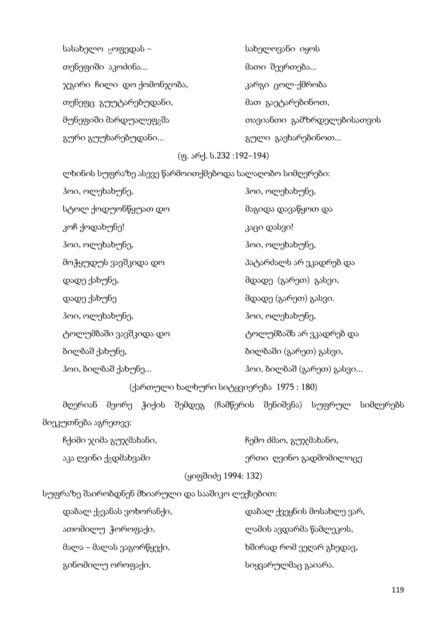| სასახელო <sub>ც</sub> ოფედას –     | სახელოვანი იყოს            |
|------------------------------------|----------------------------|
| თენეფიში აკოძინა                   | მათი შეერთება              |
| ჯგირი ჩილი დო ქომონჯობა,           | კარგი ცოლ-ქმრობა           |
| თენეფც გუუტარებუდანი,              | მათ გაეტარებინოთ,          |
| მუნეფიში მარდუალეფ <sub>გ</sub> შა | თავიანთი გამზრდელებისათვის |
| გური გუუხარებუდანი                 | გული გაეხარებინოთ          |

# (ფ. არქ. ს.232 :192–194)

ლხინის სუფრაზე ასევე წარმოითქმებოდა სალაღობო სიმღერები:

| ჰოი, ოლეხახუნე,       | ჰოი, ოლეხახუნე,           |
|-----------------------|---------------------------|
| სტოლ ქოდუონწყუათ დო   | მაგიდა დავაწყოთ და        |
| კოჩ ქოდახუნე!         | კაცი დასვი!               |
| ჰოი, ოლეხახუნე,       | ჰოი, ოლეხახუნე,           |
| მოჭყუდუს ვავშკიდა დო  | პატარძალს არ ვკადრებ და   |
| დადე ქახუნე,          | მდადე (გარეთ) გასვი,      |
| დადე ქახუნე           | მდადე (გარეთ) გასვი.      |
| ჰოი, ოლეხახუნე,       | ჰოი, ოლეხახუნე,           |
| ტოლუმბაში ვავშკიდა დო | ტოლუმბაშს არ ვკადრებ და   |
| ბილბაშ ქახუნე,        | ბილბაში (გარეთ) გასვი,    |
| ჰოი, ბილბაშ ქახუნე    | ჰოი, ბილბაშ (გარეთ) გასვი |
|                       |                           |

(ქართული ხალხური სიტყვიერება 1975 : 180)

მღერიან მეორე ჭიქის შემდეგ (ჩამწერის შენიშვნა) სუფრულ სიმღერებს მიეკუთნება აგრეთვე:

| ჩქიმი ჯიმა გუჯმახანი,             | ჩემო ძმაო, გუჯმახანო,  |
|-----------------------------------|------------------------|
| აკა ღვინი ქ <sub>გ</sub> დმახვამი | ერთი_ღვინო გადმომილოცე |
|                                   | (ყიფშიძე 1994: 132)    |

სუფრაზე შაირობდნენ მხიარული და სააშიკო ლექსებით:

| დაბალ ქ <sub>გ</sub> ვანას ვოხორანქი, | დაბალ ქვეყნის მოსახლე ვარ, |
|---------------------------------------|----------------------------|
| ათომილუ ჭოროფაქი,                     | ლამის ავდარმა წამლეკოს,    |
| მალა – მალას ვაგორწყექი,              | ხშირად რომ ვეღარ გხედავ,   |
| გინომილუ ოროფაქი.                     | სიყვარულმაც გაიარა.        |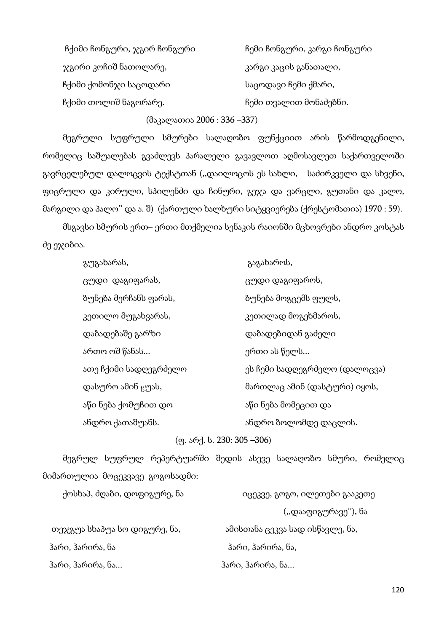| ჩქიმი ჩონგური, ჯგირ ჩონგური | ჩემი ჩონგური, კარგი ჩონგური |
|-----------------------------|-----------------------------|
| ჯგირი კოჩიშ ნათოლარე,       | კარგი კაცის განათალი,       |
| ჩქიმი ქომონჯი საცოდარი      | საცოდავი ჩემი ქმარი,        |
| ჩქიმი თოლიშ ნაგორარე.       | ჩემი თვალით მონაძებნი.      |

(მაკალათია 2006 : 336 –337)

მეგრული სუფრული სმურები სალაღობო ფუნქციით არის წარმოდგენილი, რომელიც საშუალებას გვაძლევს პარალელი გავავლოთ აღმოსავლეთ საქართველოში გავრცელებულ დალოცვის ტექსტთან (,,დაილოცოს ეს სახლი, საძირკველი და სხვენი, ფიცრული და კირული, სპილენძი და ჩინური, გეჯა და ვარცლი, გუთანი და კალო, მარგილი და პალო'' და ა. შ) (ქართული ხალხური სიტყვიერება (ქრესტომათია) 1970 : 59).

მსგავსი სმურის ერთ– ერთი მთქმელია სენაკის რაიონში მცხოვრები ანდრო კოსტას ძე ეჯიბია.

| გუგახარას,                    | გაგახაროს,                    |
|-------------------------------|-------------------------------|
| ცუდი დაგიფარას,               | ცუდი დაგიფაროს,               |
| ბუნება მერჩანს ფარას,         | ბუნება მოგცემს ფულს,          |
| კეთილო მუგახვარას,            | კეთილად მოგეხმაროს,           |
| დაბადებაშე გარზი              | დაბადებიდან გაძელი            |
| ართო ოშ წანას                 | ერთი ას წელს                  |
| ათე ჩქიმი სადღეგრძელო         | ეს ჩემი სადღეგრძელო (დალოცვა) |
| დასურო ამინ <sub></sub> ყუას, | მართლაც ამინ (დასტური) იყოს,  |
| აწი ნება ქომუჩით დო           | აწი ნება მომეცით და           |
| ანდრო ქათაშუანს.              | ანდრო ბოლომდე დაცლის.         |
|                               |                               |

(ფ. არქ. ს. 230: 305 –306)

მეგრულ სუფრულ რეპერტუარში შედის ასევე სალაღობო სმური, რომელიც მიმართულია მოცეკვავე გოგოსადმი:

| ქოსხაპ, ძღაბი, დოფიგურე, ნა  | იცეკვე, გოგო, ილეთები გააკეთე   |
|------------------------------|---------------------------------|
|                              | (,,დააფიგურავე''), ნა           |
| თეჯგუა სხაპუა სო დიგურე, ნა, | ამისთანა ცეკვა სად ისწავლე, ნა, |
| ჰარი, ჰარირა, ნა             | ჰარი, ჰარირა, ნა,               |
| ჰარი, ჰარირა, ნა             | ჰარი, ჰარირა, ნა                |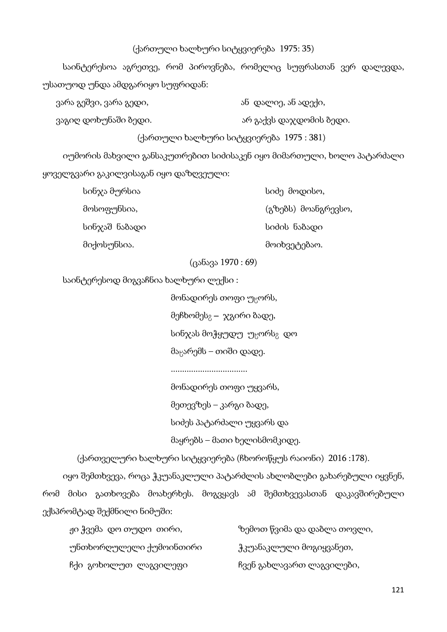### (ქართული ხალხური სიტყვიერება 1975: 35)

საინტერესოა აგრეთვე, რომ პიროვნება, რომელიც სუფრასთან ვერ დალევდა, უსათუოდ უნდა ამდგარიყო სუფრიდან:

ვარა გეშვი, ვარა გედი, ან დალიე, ან ადექი, ან ადექი, ან ადექი, ან ადექი, ან ადექი, ან ადექი, ან ადექი, ან ადე

ვაგიღ დოხუნაში ბედი. არ გაქვს დაჯდომის ბედი.

(ქართული ხალხური სიტყვიერება 1975 : 381)

იუმორის მახვილი განსაკუთრებით სიძისაკენ იყო მიმართული, ხოლო პატარძალი ყოველგვარი გაკილვისაგან იყო დაზღვეული:

| სინჯა მურსია  | სიძე მოდისო,        |
|---------------|---------------------|
| მოსოფუნსია,   | (გზებს) მოანგრევსო, |
| სინჯაშ ნაბადი | სიძის ნაბადი        |
| მიქოსუნსია.   | მოიხვეტებაო.        |

(ცანავა 1970 : 69)

საინტერესოდ მიგვაჩნია ხალხური ლექსი :

მონადირეს თოფი უ¯ორს, მეჩხომეს $_{2}$  –  $\chi$ გირი ბადე, სინჯას მოჭყუდუ უ $_{\rm H}$ ორს $_{\rm Z}$  დო მა $R$ არემს – თიში დადე.

..................................

მონადირეს თოფი უყვარს,

მეთევზეს – კარგი ბადე,

სიძეს პატარძალი უყვარს და

მაყრებს – მათი ხელისმომკიდე.

(ქართველური ხალხური სიტყვიერება (ჩხოროწყუს რაიონი) 2016 :178).

იყო შემთხვევა, როცა ჭკუანაკლული პატარძლის ახლობლები გახარებული იყვნენ, რომ მისი გათხოვება მოახერხეს. მოგვყავს ამ შემთხვევასთან დაკავშირებული ექსპრომტად შექმნილი ნიმუში:

| ჟი ჭვემა დო თუდო თირი,  | ზემოთ წვიმა და დაბლა თოვლი, |
|-------------------------|-----------------------------|
| უნთხორღულელი ქუმოინთირი | ჭკუანაკლული მოგიყვანეთ,     |
| ჩქი გოხოლუთ ლაგვილეფი   | ჩვენ გახლავართ ლაგვილები,   |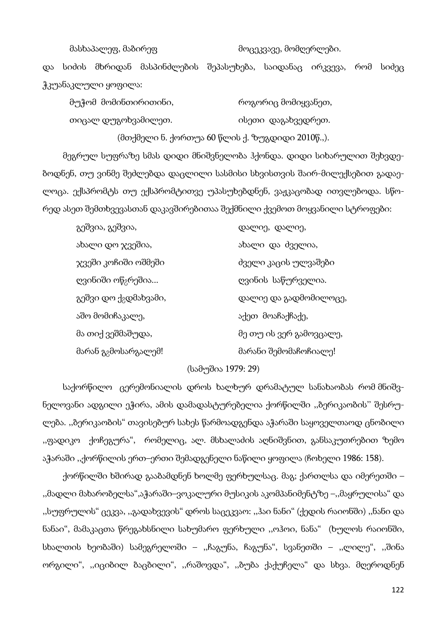მასხაპალეფ, მაბირეფ მოცეკვავე, მომღერლები.

და სიძის მხრიდან მასპინძლების შეპასუხება, საიდანაც ირკვევა, რომ სიძეც ჭკუანაკლული ყოფილა:

მუჭომ მომინთირითინი, როგორიც მომიყვანეთ, თიცალ დუგოხვამილეთ. ისეთი დაგახვედრეთ.

(მთქმელი ნ. ქორთუა 60 წლის ქ. ზუგდიდი 2010წ.,).

მეგრულ სუფრაზე სმას დიდი მნიშვნელობა ჰქონდა. დიდი სიხარულით შეხვდებოდნენ, თუ ვინმე შეძლებდა დაცლილი სასმისი სხვისთვის შაირ-მილექსებით გადაელოცა. ექსპრომტს თუ ექსპრომტითვე უპასუხებდნენ, ვაჟკაცობად ითვლებოდა. სწორედ ასეთ შემთხვევასთან დაკავშირებითაა შექმნილი ქვემოთ მოყვანილი სტროფები:

| გეშვია, გეშვია,                   | დალიე, დალიე,           |
|-----------------------------------|-------------------------|
| ახალი დო ჯვეშია,                  | ახალი და ძველია,        |
| ჯვეში კოჩიში ოშმეში               | ძველი კაცის ულვაშები    |
| ღვინიში ოწ <sub>გ</sub> რეშია     | ღვინის საწურველია.      |
| გეშვი დო ქ <sub>გ</sub> დმახვამი, | დალიე და გადმომილოცე,   |
| აშო მომიჩაკალე,                   | აქეთ მოაჩაქჩაქე,        |
| მა თიქ ვეშმაშუდა,                 | მე თუ ის ვერ გამოვცალე, |
| მარან გ <sub>გ</sub> მოსარგალემ!  | მარანი შემომაჩოჩიალე!   |

### (სამუშია 1979: 29)

საქორწილო ცერემონიალის დროს ხალხურ დრამატულ სანახაობას რომ მნიშვნელოვანი ადგილი ეჭირა, ამის დამადასტურებელია ქორწილში ,,ბერიკაობის'' შესრულება. ,,ბერიკაობის" თავისებურ სახეს წარმოადგენდა აჭარაში საყოველთაოდ ცნობილი ,,ფადიკო ქოჩეგურა", რომელიც, ალ. მსხალაძის აღნიშვნით, განსაკუთრებით ზემო აჭარაში ,,ქორწილის ერთ–ერთი შემადგენელი ნაწილი ყოფილა (ჩოხელი 1986: 158).

ქორწილში ხშირად გააბამდნენ ხოლმე ფერხულსაც. მაგ; ქართლსა და იმერეთში – ,,მადლი მახარობელსა",აჭარაში–ვოკალური მუსიკის აკომპანიმენტზე –,,მაყრულისა" და ,,სუფრულის" ცეკვა, ,,გადახვევის" დროს საცეკვაო: ,,ჰაი ნანი" (ქედის რაიონში) ,,ნანი და ნანაი", მამაკაცთა წრეგახსნილი სახუმარო ფერხული ,,ოჰოი, ნანა" (ხულოს რაიონში, სხალთის ხეობაში) სამეგრელოში – ,,ჩაგუნა, ჩაგუნა", სვანეთში – ,,ლილე", ,,შინა ორგილი", ,,იციბილ ბაცბილი", ,,რაშოვდა", ,,ბუბა ქაქუჩელა" და სხვა. მღეროდნენ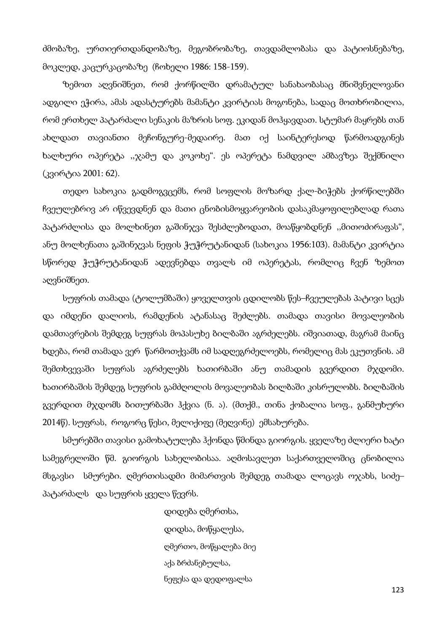ძმობაზე, ურთიერთდანდობაზე, მეგობრობაზე, თავდამლობასა და პატიოსნებაზე, მოკლედ, კაცურკაცობაზე (ჩოხელი 1986: 158-159).

ზემოთ აღვნიშნეთ, რომ ქორწილში დრამატულ სანახაობასაც მნიშვნელოვანი ადგილი ეჭირა, ამას ადასტურებს მამანტი კვირტიას მოგონება, სადაც მოთხრობილია, რომ ერთხელ პატარძალი სენაკის მაზრის სოფ. ეკიდან მოჰყავდათ. სტუმარ მაყრებს თან ახლდათ თავიანთი მეჩონგურე-მედაირე. მათ იქ საინტერესოდ წარმოადგინეს ხალხური ოპერეტა ,,ჯამუ და კოკოხე". ეს ოპერეტა ნამდვილ ამბავზეა შექმნილი (კვირტია 2001: 62).

თედო სახოკია გადმოგვცემს, რომ სოფლის მოზარდ ქალ-ბიჭებს ქორწილებში ჩვეულებრივ არ იწვევდნენ და მათი ცნობისმოყვარეობის დასაკმაყოფილებლად რათა პატარძლისა და მოლხინეთ გაშინჯვა შესძლებოდათ, მოაწყობდნენ ,,მითოძირაფას", ანუ მოლხენათა გაშინჯვას ნეფის ჭუჭრუტანიდან (სახოკია 1956:103). მამანტი კვირტია სწორედ ჭუჭრუტანიდან ადევნებდა თვალს იმ ოპერეტას, რომლიც ჩვენ ზემოთ აღვნიშნეთ.

სუფრის თამადა (ტოლუმბაში) ყოველთვის ცდილობს წეს–ჩვეულებას პატივი სცეს და იმდენი დალიოს, რამდენის ატანასაც შეძლებს. თამადა თავისი მოვალეობის დამთავრების შემდეგ სუფრას მოპასუხე ბილბაში აგრძელებს. იშვიათად, მაგრამ მაინც ხდება, რომ თამადა ვერ წარმოთქვამს იმ სადღეგრძელოებს, რომელიც მას ეკუთვნის. ამ შემთხვევაში სუფრას აგრძელებს ხათირბაში ანუ თამადის გვერდით მჯდომი. ხათირბაშის შემდეგ სუფრის გამძღოლის მოვალეობას ბილბაში კისრულობს. ბილბაშის გვერდით მჯდომს ბითურბაში ჰქვია (ნ. ა). (მთქმ., თინა ქობალია სოფ., განმუხური 2014წ). სუფრას, როგორც წესი, მელიქიფე (მეღვინე) ემსახურება.

სმურებში თავისი გამოხატულება ჰქონდა წმინდა გიორგის. ყველაზე ძლიერი ხატი სამეგრელოში წმ. გიორგის სახელობისაა. აღმოსავლეთ საქართველოშიც ცნობილია მსგავსი სმურები. ღმერთისადმი მიმართვის შემდეგ თამადა ლოცავს ოჯახს, სიძე– პატარძალს და სუფრის ყველა წევრს.

> დიდება ღმერთსა, დიდსა, მოწყალესა, ღმერთო, მოწყალება მიე აქა ბრძანებულსა, ნეფესა და დედოფალსა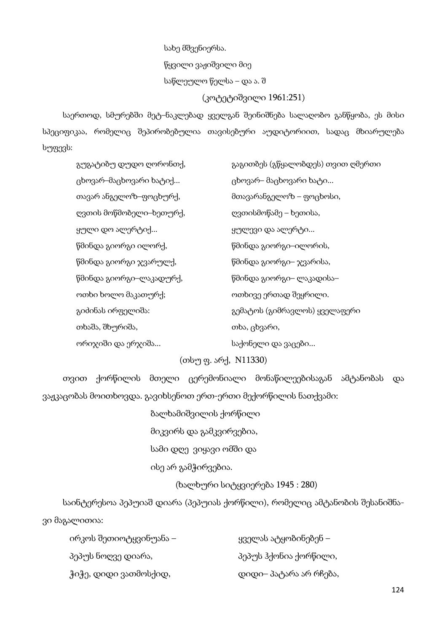სახე მშვენიერსა. წყვილი ვაჟიშვილი მიე საწლეულო წელსა – და ა. შ (კოტეტიშვილი 1961:251)

საერთოდ, სმურებში მეტ–ნაკლებად ყველგან შეინიშნება სალაღობო განწყობა, ეს მისი სპეციფიკაა, რომელიც შეპირობებულია თავისებური აუდიტორიით, სადაც მხიარულება სუფევს:

| გუგატიბუ დუდო ღორონთქ,  | გაგითბეს (გწყალობდეს) თვით ღმერთი |
|-------------------------|-----------------------------------|
| ცხოვარ–მაცხოვარი ხატიქ  | ცხოვარ– მაცხოვარი ხატი            |
| თავარ ანგელოზ–ფოცხურქ,  | მთავარანგელოზ – ფოცხოსი,          |
| ღვთის მოწმობელი–ხეთურქ, | ღვთისმოწამე – ხეთისა,             |
| ყული დო ალერტიქ         | ყულევი და ალერტი                  |
| წმინდა გიორგი ილორქ,    | წმინდა გიორგი–ილორის,             |
| წმინდა გიორგი ჯვარულქ,  | წმინდა გიორგი– ჯვარისა,           |
| წმინდა გიორგი–ლაკადურქ, | წმინდა გიორგი– ლაკადისა–          |
| ოთხი ხოლო მაკათურქ;     | ოთხივე ერთად შეყრილი.             |
| გიძინას ირფელიშა:       | გემატოს (გიმრავლოს) ყველაფერი     |
| თხაშა, შხურიშა,         | თხა, ცხვარი,                      |
| ორიჯიში და ერჯიშა       | საქონელი და ვაცები                |

(თსუ ფ. არქ, N11330)

თვით ქორწილის მთელი ცერემონიალი მონაწილეებისაგან ამტანობას და ვაჟკაცობას მოითხოვდა. გავიხსენოთ ერთ-ერთი მექორწილის ნათქვამი:

ბალხამიშვილის ქორწილი

მიკვირს და გამკვირვებია,

სამი დღე ვიყავი ომში და

ისე არ გამჭირვებია.

(ხალხური სიტყვიერება 1945 : 280)

საინტერესოა პეპუიაშ დიარა (პეპუიას ქორწილი), რომელიც ამტანობის შესანიშნავი მაგალითია:

| ირკოს შეთიოტყვინუანა – | ყველას ატყობინებენ –   |
|------------------------|------------------------|
| პეპუს ნოღვე დიარა,     | პეპუს ჰქონია ქორწილი,  |
| ჭიჭე, დიდი ვათმოსქიდ,  | დიდი– პატარა არ რჩება, |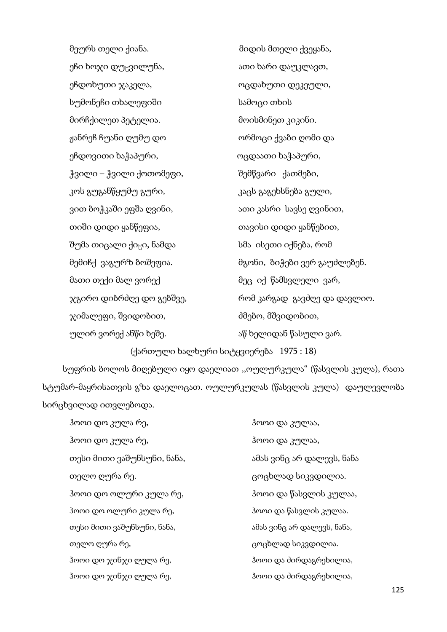მეურს თელი ქიანა. მიდის მთელი ქვეყანა, ეჩი ხოჯი დუცვილუნა, ათი ათი ხარი დაუკლავთ, ეჩდოხუთი ჯაკელა, ოცდახუთი დეკეული, სუმონეჩი თხალეფიში სამოცი თხის მირჩქილეთ პეტელია. მოისმინეთ კიკინი. ჟანრეჩ ჩუანი ღუმუ დო ორმოცი ქვაბი ღომი და ეჩდოვითი ხაჭაპური, ოცდაათი ხაჭაპური, ჭვილი – ჭვილი ქოთომეფი, შემწვარი ქათმები, კოს გუგანწყუმუ გური, კონის კაცს გაგეხსნება გული, ვით ბოჭკაში ეფშა ღვინი, ათი ათი კასრი სავსე ღვინით, თიში დიდი ყანწეფია, თავისი დიდი ყანწებით, შუმა თიცალი ქიცი, ნამდა სმა ისეთი იქნება, რომ მემიჩქ ვაგურზ ბოშეფია. მგონი, ბიჭები ვერ გაუძლებენ. მათი თექი მალ ვორექ მეც იქ წამსვლელი ვარ, ჯგირო დიბრძღე დო გებშვე, რომ კარგად გავძღე და დავლიო. ჯიმალეფი, შვიდობით, ძმებო, მშვიდობით, ულირ ვორექ ანწი ხეშე. აწმან აწ ხელიდან წასული ვარ.

(ქართული ხალხური სიტყვიერება 1975 : 18)

სუფრის ბოლოს მიღებული იყო დაელიათ ,,ოულურკულა" (წასვლის კულა), რათა სტუმარ-მაყრისათვის გზა დაელოცათ. ოულურკულას (წასვლის კულა) დაულევლობა სირცხვილად ითვლებოდა.

| ჰოოი დო კულა რე,           | ჰოოი და კულაა,             |
|----------------------------|----------------------------|
| ჰოოი დო კულა რე,           | ჰოოი და კულაა,             |
| თესი მითი ვაშუნსუნი, ნანა, | ამას ვინც არ დალევს, ნანა  |
| თელო ღურა რე.              | ცოცხლად სიკვდილია.         |
| ჰოოი დო ოლური კულა რე,     | ჰოოი და წასვლის კულაა,     |
| ჰოოი დო ოლური კულა რე,     | ჰოოი და წასვლის კულაა.     |
| თესი მითი ვაშუნსუნი, ნანა, | ამას ვინც არ დალევს, ნანა, |
| თელო ღურა რე,              | ცოცხლად სიკვდილია.         |
| ჰოოი დო ჯინჯი ღულა რე,     | ჰოოი და ძირდაგრეხილია,     |
| ჰოოი დო ჯინჯი ღულა რე,     | ჰოოი და ძირდაგრეხილია,     |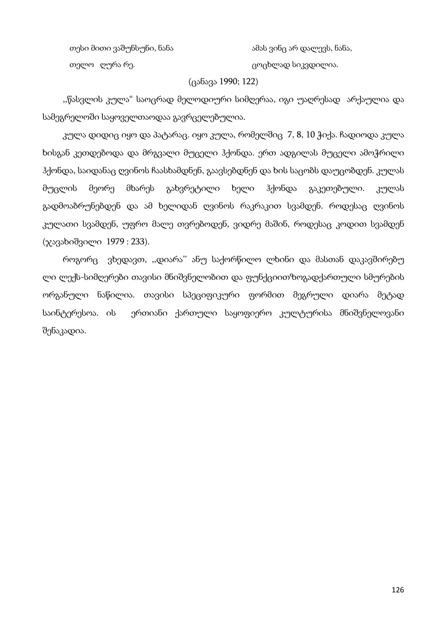თესი მითი ვაშუნსუნი, ნანა არის ამას ვინც არ დალევს, ნანა,

თელო ღურა რე. ცოცხლად სიკვდილია.

### (ცანავა 1990; 122)

,,წასვლის კულა" საოცრად მელოდიური სიმღერაა, იგი უაღრესად არქაულია და სამეგრელოში საყოველთაოდაა გავრცელებულია.

კულა დიდიც იყო და პატარაც. იყო კულა, რომელშიც 7, 8, 10 ჭიქა. ჩადიოდა კულა ხისგან კეთდებოდა და მრგვალი მუცელი ჰქონდა. ერთ ადგილას მუცელი ამოჭრილი ჰქონდა, საიდანაც ღვინოს ჩაასხამდნენ, გაავსებდნენ და ხის საცობს დაუცობდენ. კულას მუცლის მეორე მხარეს გახვრეტილი ხელი ჰქონდა გაკეთებული. კულას გადმოაბრუნებდენ და ამ ხელიდან ღვინოს რაკრაკით სვამდენ. როდესაც ღვინოს კულათი სვამდენ, უფრო მალე თვრებოდენ, ვიდრე მაშინ, როდესაც კოდით სვამდენ (ჯავახიშვილი 1979 : 233).

როგორც ვხედავთ, ,,დიარა'' ანუ საქორწილო ლხინი და მასთან დაკავშირებუ ლი ლექს-სიმღერები თავისი მნიშვნელობით და ფუნქციითზოგადქართული სმურების ორგანული ნაწილია. თავისი სპეციფიკური ფორმით მეგრული დიარა მეტად საინტერესოა. ის ერთიანი ქართული საყოფიერო კულტურისა მნიშვნელოვანი შენაკადია.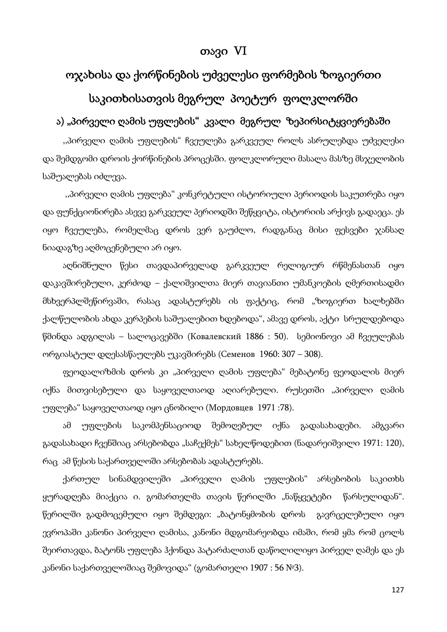# თავი VI

# ოჯახისა და ქორწინების უძველესი ფორმების ზოგიერთი საკითხისათვის მეგრულ პოეტურ ფოლკლორში

# ა) "პირველი ღამის უფლების" კვალი მეგრულ ზეპირსიტყვიერებაში

,,პირველი ღამის უფლების" ჩვეულება გარკვეულ როლს ასრულებდა უძველესი და შემდგომი დროის ქორწინების პროცესში. ფოლკლორული მასალა მასზე მსჯელობის საშუალებას იძლევა.

 ,,პირველი ღამის უფლება" კონკრეტული ისტორიული პერიოდის საკუთრება იყო და ფუნქციონირება ასევე გარკვეულ პერიოდში შეწყვიტა, ისტორიის არქივს გადაეცა. ეს იყო ჩვეულება, რომელმაც დროს ვერ გაუძლო, რადგანაც მისი ფესვები ჯანსაღ ნიადაგზე აღმოცენებული არ იყო.

აღნიშნული წესი თავდაპირველად გარკვეულ რელიგიურ რწმენასთან იყო დაკავშირებული, კერძოდ – ქალიშვილთა მიერ თავიანთი უმანკოების ღმერთისადმი მსხვერპლშეწირვაში, რასაც ადასტურებს ის ფაქტიც, რომ "ზოგიერთ ხალხებში ქალწულობის ახდა კერპების საშუალებით ხდებოდა", ამავე დროს, აქტი სრულდებოდა წმინდა ადგილას – სალოცავებში (Ковалевский 1886 : 50). სემიონოვი ამ ჩვეულებას ორგიასტულ დღესასწაულებს უკავშირებს (Семенов 1960: 307 – 308).

ფეოდალიზმის დროს კი "პირველი ღამის უფლება" მებატონე ფეოდალის მიერ იქნა მითვისებული და საყოველთაოდ აღიარებული. რუსეთში "პირველი ღამის უფლება" საყოველთაოდ იყო ცნობილი (Мордовцев 1971 :78).

ამ უფლების საკომპენსაციოდ შემოღებულ იქნა გადასახადები. ამგვარი გადასახადი ჩვენშიაც არსებობდა "საჩექმეს" სახელწოდებით (ნადარეიშვილი 1971: 120), რაც ამ წესის საქართველოში არსებობას ადასტურებს.

ქართულ სინამდვილეში "პირველი ღამის უფლების" არსებობის საკითხს ყურადღება მიაქცია ი. გომართელმა თავის წერილში "ნაწყვეტები წარსულიდან". წერილში გადმოცემული იყო შემდეგი: "ბატონყმობის დროს გავრცელებული იყო ევროპაში კანონი პირველი ღამისა, კანონი მდგომარეობდა იმაში, რომ ყმა რომ ცოლს შეირთავდა, ბატონს უფლება ჰქონდა პატარძალთან დაწოლილიყო პირველ ღამეს და ეს კანონი საქართველოშიაც შემოვიდა" (გომართელი 1907 : 56 №3).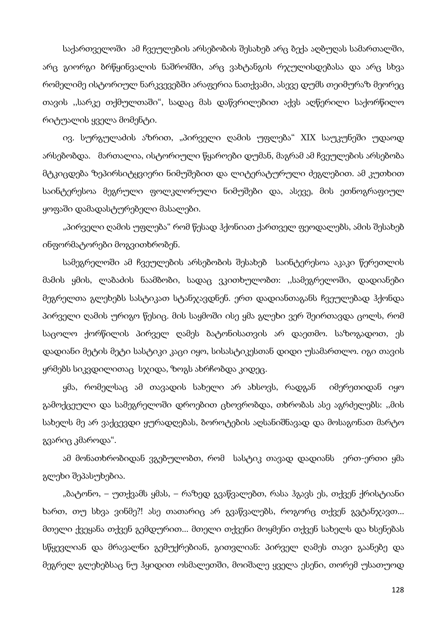საქართველოში ამ ჩვეულების არსებობის შესახებ არც ბექა აღბუღას სამართალში, არც გიორგი ბრწყინვალის ნაშრომში, არც ვახტანგის რჯულისდებასა და არც სხვა რომელიმე ისტორიულ ნარკვევებში არაფერია ნათქვამი, ასევე დუმს თეიმურაზ მეორეც თავის ,,სარკე თქმულთაში", სადაც მას დაწვრილებით აქვს აღწერილი საქორწილო რიტუალის ყველა მომენტი.

ივ. სურგულაძის აზრით, "პირველი ღამის უფლება" XIX საუკუნეში უდაოდ არსებობდა. მართალია, ისტორიული წყაროები დუმან, მაგრამ ამ ჩვეულების არსებობა მტკიცდება ზეპირსიტყვიერი ნიმუშებით და ლიტერატურული ძეგლებით. ამ კუთხით საინტერესოა მეგრული ფოლკლორული ნიმუშები და, ასევე, მის ეთნოგრაფიულ ყოფაში დამადასტურებელი მასალები.

"პირველი ღამის უფლება" რომ წესად ჰქონიათ ქართველ ფეოდალებს, ამის შესახებ ინფორმატორები მოგვითხრობენ.

სამეგრელოში ამ ჩვეულების არსებობის შესახებ საინტერესოა აკაკი წერეთლის მამის ყმის, ლაბაძის ნაამბობი, სადაც ვკითხულობთ: ,,სამეგრელოში, დადიანები მეგრელთა გლეხებს სასტიკათ სტანჯავდნენ. ერთ დადიანთაგანს ჩვეულებად ჰქონდა პირველი ღამის ურიგო წესიც. მის საყმოში ისე ყმა გლეხი ვერ შეირთავდა ცოლს, რომ საცოლო ქორწილის პირველ ღამეს ბატონისათვის არ დაეთმო. საზოგადოთ, ეს დადიანი მეტის მეტი სასტიკი კაცი იყო, სისასტიკესთან დიდი უსამართლო. იგი თავის ყრმებს სიკვდილითაც სჯიდა, ზოგს ახრჩობდა კიდეც.

ყმა, რომელსაც ამ თავადის სახელი არ ახსოვს, რადგან იმერეთიდან იყო გამოქცეული და სამეგრელოში დროებით ცხოვრობდა, თხრობას ასე აგრძელებს: ,,მის სახელს მე არ ვაქცევდი ყურადღებას, ბოროტების აღსანიშნავად და მოსაგონათ მარტო გვარიც კმაროდა".

ამ მონათხრობიდან ვგებულობთ, რომ სასტიკ თავად დადიანს ერთ-ერთი ყმა გლეხი შეპასუხებია.

"ბატონო, – უთქვამს ყმას, – რაზედ გვაწვალებთ, რასა ჰგავს ეს, თქვენ ქრისტიანი ხართ, თუ სხვა ვინმე?! ასე თათარიც არ გვაწვალებს, როგორც თქვენ გვტანჯავთ... მთელი ქვეყანა თქვენ გემდურით... მთელი თქვენი მოყმენი თქვენ სახელს და ხსენებას სწყევლიან და მრავალნი გემუქრებიან, გითვლიან: პირველ ღამეს თავი გაანებე და მეგრელ გლეხებსაც ნუ ჰყიდით ოსმალეთში, მოიშალე ყველა ესენი, თორემ უსათუოდ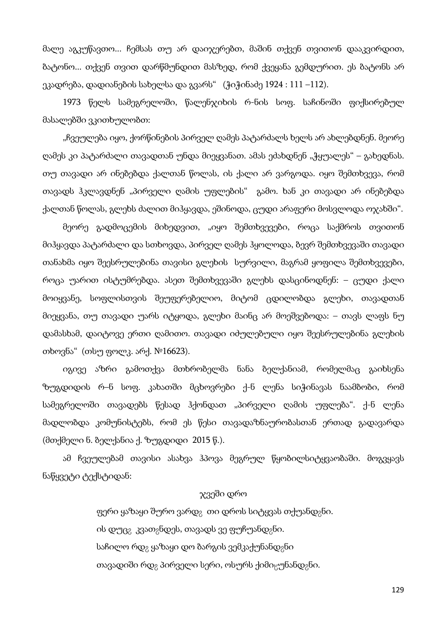მალე აგკუწავთო... ჩემსას თუ არ დაიჯერებთ, მაშინ თქვენ თვითონ დააკვირდით, ბატონო... თქვენ თვით დარწმუნდით მასზედ, რომ ქვეყანა გემდურით. ეს ბატონს არ ეკადრება, დადიანების სახელსა და გვარს" (ჭიჭინაძე 1924 : 111 –112).

1973 წელს სამეგრელოში, წალენჯიხის რ-ნის სოფ. საჩინოში ფიქსირებულ მასალებში ვკითხულობთ:

"ჩვეულება იყო, ქორწინების პირველ ღამეს პატარძალს ხელს არ ახლებდნენ. მეორე ღამეს კი პატარძალი თავადთან უნდა მიეყვანათ. ამას ეძახდნენ "ჭყუალეს" – გახედნას. თუ თავადი არ ინებებდა ქალთან წოლას, ის ქალი არ ვარგოდა. იყო შემთხვევა, რომ თავადს ჰკლავდნენ "პირველი ღამის უფლების" გამო. ხან კი თავადი არ ინებებდა ქალთან წოლას, გლეხს ძალით მიჰყავდა, ეშინოდა, ცუდი არაფერი მოსვლოდა ოჯახში".

მეორე გადმოცემის მიხედვით, "იყო შემთხვევები, როცა საქმროს თვითონ მიჰყავდა პატარძალი და სთხოვდა, პირველ ღამეს ჰყოლოდა, ბევრ შემთხვევაში თავადი თანახმა იყო შეესრულებინა თავისი გლეხის სურვილი, მაგრამ ყოფილა შემთხვევები, როცა უარით ისტუმრებდა. ასეთ შემთხვევაში გლეხს დასცინოდნენ: – ცუდი ქალი მოიყვანე, სოფლისთვის შეუფერებელიო, მიტომ ცდილობდა გლეხი, თავადთან მიეყვანა, თუ თავადი უარს იტყოდა, გლეხი მაინც არ მოეშვებოდა: – თავს ლაფს ნუ დამასხამ, დაიტოვე ერთი ღამითო. თავადი იძულებული იყო შეესრულებინა გლეხის თხოვნა" (თსუ ფოლკ. არქ. №16623).

იგივე აზრი გამოთქვა მთხრობელმა ნანა ბელქანიამ, რომელმაც გაიხსენა ზუგდიდის რ–ნ სოფ. კახათში მცხოვრები ქ-ნ ლენა სიჭინავას ნაამბობი, რომ სამეგრელოში თავადებს წესად ჰქონდათ "პირველი ღამის უფლება". ქ-ნ ლენა მადლობდა კომუნისტებს, რომ ეს წესი თავადაზნაურობასთან ერთად გადავარდა (მთქმელი ნ. ბელქანია ქ. ზუგდიდი 2015 წ.).

ამ ჩვეულებამ თავისი ასახვა ჰპოვა მეგრულ წყობილსიტყვაობაში. მოგვყავს ნაწყვეტი ტექსტიდან:

### ჯვეში დრო

ფერი ყაზაყი შურო ვარდ<sub>გ</sub> თი დროს სიტყვას თქუანდ<sub>გ</sub>ნი. ის დუცვ კვათვნდეს, თავადს ვე ფუჩუანდვნი. საჩილო რდ<sub>გ</sub> ყაზაყი დო ბარგის ვემკაქუნანდ<sub>გ</sub>ნი თავადიში რდ<sub>გ</sub> პირველი სერი, ოსურს ქიმიცუნანდ<sub>გ</sub>ნი.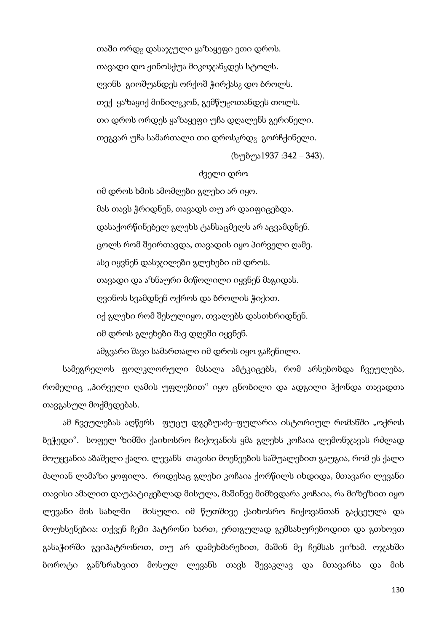თაში ორდ<sub>გ</sub> დასაჯული ყაზაყეფი ეთი დროს. თავადი დო ჟინოსქუა მიკოჯან<sub>გ</sub>დეს სტოლს. ღვინს გიოშუანდეს ორქოშ ჭირქას<sub>8</sub> დო ბროლს. თექ ყაზაყიქ მინილ<sub>გ</sub>კონ, გემწუ<sub>წ</sub>ოთანდეს თოლს. თი დროს ორდეს ყაზაყეფი უჩა დღალენს გერინელი. თეგვარ უჩა სამართალი თი დროს<sub>გ</sub>რდ<sub>გ</sub> გორჩქინელი.

(ხუბუა1937 :342 – 343).

#### ძველი დრო

იმ დროს ხმის ამომღები გლეხი არ იყო. მას თავს ჭრიდნენ, თავადს თუ არ დაიფიცებდა. დასაქორწინებელ გლეხს ტანსაცმელს არ აცვამდნენ. ცოლს რომ შეირთავდა, თავადის იყო პირველი ღამე. ასე იყვნენ დასჯილები გლეხები იმ დროს. თავადი და აზნაური მიწოლილი იყვნენ მაგიდას. ღვინოს სვამდნენ ოქროს და ბროლის ჭიქით. იქ გლეხი რომ შესულიყო, თვალებს დასთხრიდნენ. იმ დროს გლეხები შავ დღეში იყვნენ. ამგვარი შავი სამართალი იმ დროს იყო გაჩენილი.

სამეგრელოს ფოლკლორული მასალა ამტკიცებს, რომ არსებობდა ჩვეულება, რომელიც ,,პირველი ღამის უფლებით" იყო ცნობილი და ადგილი ჰქონდა თავადთა თავგასულ მოქმედებას.

ამ ჩვეულებას აღწერს ფუცუ დგებუაძე–ფულარია ისტორიულ რომანში "ოქროს ბეჭედი". სოფელ ზიმში ქაიხოსრო ჩიქოვანის ყმა გლეხს კოჩაია ლემონჯავას რძლად მოუყვანია აბაშელი ქალი. ლევანს თავისი მოენეების საშუალებით გაუგია, რომ ეს ქალი ძალიან ლამაზი ყოფილა. როდესაც გლეხი კოჩაია ქორწილს იხდიდა, მთავარი ლევანი თავისი ამალით დაუპატიჟებლად მისულა, მაშინვე მიმხვდარა კოჩაია, რა მიზეზით იყო ლევანი მის სახლში მისული. იმ წუთშივე ქაიხოსრო ჩიქოვანთან გაქცეულა და მოუხსენებია: თქვენ ჩემი პატრონი ხართ, ერთგულად გემსახურებოდით და გთხოვთ გასაჭირში გვიპატრონოთ, თუ არ დამეხმარებით, მაშინ მე ჩემსას ვიზამ. ოჯახში ბოროტი განზრახვით მოსულ ლევანს თავს შევაკლავ და მთავარსა და მის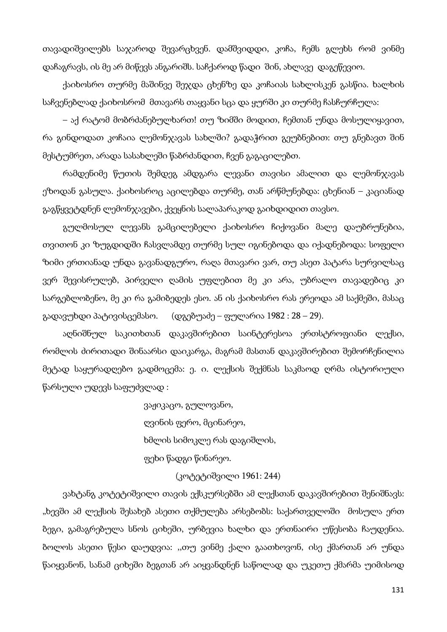თავადიშვილებს საჯაროდ შევარცხვენ. დამშვიდდი, კოჩა, ჩემს გლეხს რომ ვინმე დაჩაგრავს, ის მე არ მიწევს ანგარიშს. საჩქაროდ წადი შინ, ახლავე დაგეწევიო.

ქაიხოსრო თურმე მაშინვე შეჯდა ცხენზე და კოჩაიას სახლისკენ გასწია. ხალხის საჩვენებლად ქაიხოსრომ მთავარს თაყვანი სცა და ყურში კი თურმე ჩასჩურჩულა:

– აქ რატომ მობრძანებულხართ! თუ ზიმში მოდით, ჩემთან უნდა მოსულიყავით, რა გინდოდათ კოჩაია ლემონჯავას სახლში? გადაჭრით გეუბნებით: თუ გნებავთ შინ მესტუმრეთ, არადა სასახლეში წაბრძანდით, ჩვენ გაგაცილებთ.

რამდენიმე წუთის შემდეგ ამდგარა ლევანი თავისი ამალით და ლემონჯავას ეზოდან გასულა. ქაიხოსროც აცილებდა თურმე, თან არწმუნებდა: ცხენიან – კაციანად გაგწყვეტდნენ ლემონჯავები, ქვეყნის სალაპარაკოდ გაიხდიდით თავსო.

გულმოსულ ლევანს გამცილებელი ქაიხოსრო ჩიქოვანი მალე დაუბრუნებია, თვითონ კი ზუგდიდში ჩასვლამდე თურმე სულ იგინებოდა და იქადნებოდა: სოფელი ზიმი ერთიანად უნდა გავანადგურო, რაღა მთავარი ვარ, თუ ასეთ პატარა სურვილსაც ვერ შევისრულებ, პირველი ღამის უფლებით მე კი არა, უბრალო თავადებიც კი სარგებლობენო, მე კი რა გამიბედეს ესო. ან ის ქაიხოსრო რას ერეოდა ამ საქმეში, მასაც გადავუხდი პატივისცემასო. (დგებუაძე – ფულარია 1982 : 28 – 29).

აღნიშნულ საკითხთან დაკავშირებით საინტერესოა ერთსტროფიანი ლექსი, რომლის ძირითადი შინაარსი დაიკარგა, მაგრამ მასთან დაკავშირებით შემორჩენილია მეტად საყურადღებო გადმოცემა: ე. ი. ლექსის შექმნას საკმაოდ ღრმა ისტორიული წარსული უდევს საფუძვლად :

> ვაჟიკაცო, გულოვანო, ღვინის ფერო, მცინარეო, ხმლის სიმოკლე რას დაგიშლის, ფეხი წადგი წინარეო.

### (კოტეტიშვილი 1961: 244)

ვახტანგ კოტეტიშვილი თავის ექსკურსებში ამ ლექსთან დაკავშირებით შენიშნავს: "ხევში ამ ლექსის შესახებ ასეთი თქმულება არსებობს: საქართველოში მოსულა ერთ ბეგი, გამაგრებულა სნოს ციხეში, ურბევია ხალხი და ერთნაირი უწესობა ჩაუდენია. ბოლოს ასეთი წესი დაუდვია: ,,თუ ვინმე ქალი გაათხოვონ, ისე ქმართან არ უნდა წაიყვანონ, სანამ ციხეში ბეგთან არ აიყვანდნენ საწოლად და უკეთუ ქმარმა უიმისოდ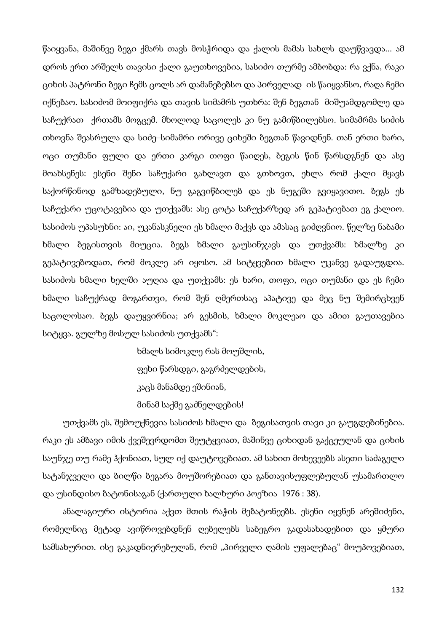წაიყვანა, მაშინვე ბეგი ქმარს თავს მოსჭრიდა და ქალის მამას სახლს დაუწვავდა... ამ დროს ერთ არშელს თავისი ქალი გაუთხოვებია, სასიძო თურმე ამბობდა: რა ვქნა, რაკი ციხის პატრონი ბეგი ჩემს ცოლს არ დამანებებსო და პირველად ის წაიყვანსო, რაღა ჩემი იქნებაო. სასიძომ მოიფიქრა და თავის სიმამრს უთხრა: შენ ბეგთან მიშუამდგომლე და საჩუქრათ ქრთამს მოგცემ. მხოლოდ საცოლეს კი ნუ გამიწბილებსო. სიმამრმა სიძის თხოვნა შეასრულა და სიძე–სიმამრი ორივე ციხეში ბეგთან წავიდნენ. თან ერთი ხარი, ოცი თუმანი ფული და ერთი კარგი თოფი წაიღეს, ბეგის წინ წარსდგნენ და ასე მოახსენეს: ესენი შენი საჩუქარი გახლავთ და გთხოვთ, ეხლა რომ ქალი მყავს საქორწინოდ გამზადებული, ნუ გაგვიწბილებ და ეს ნუგეში გვიყავითო. ბეგს ეს საჩუქარი უცოტავებია და უთქვამს: ასე ცოტა საჩუქარზედ არ გეპატიებათ ეგ ქალიო. სასიძოს უპასუხნი: აი, უკანასკნელი ეს ხმალი მაქვს და ამასაც გიძღვნიო. წელზე ნაბამი ხმალი ბეგისთვის მიუცია. ბეგს ხმალი გაუსინჯავს და უთქვამს: ხმალზე კი გეპატივებოდათ, რომ მოკლე არ იყოსო. ამ სიტყვებით ხმალი უკანვე გადაუგდია. სასიძოს ხმალი ხელში აუღია და უთქვამს: ეს ხარი, თოფი, ოცი თუმანი და ეს ჩემი ხმალი საჩუქრად მოგართვი, რომ შენ ღმერთსაც აპატივე და მეც ნუ შემირცხვენ საცოლოსაო. ბეგს დაუყვირნია; არ გესმის, ხმალი მოკლეაო და ამით გაუთავებია სიტყვა. გულზე მოსულ სასიძოს უთქვამს":

> ხმალს სიმოკლე რას მოუშლის, ფეხი წარსდგი, გაგრძელდების, კაცს მანამდე ეშინიან, მინამ საქმე გაძნელდების!

უთქვამს ეს, შემოუქნევია სასიძოს ხმალი და ბეგისათვის თავი კი გაუგდებინებია. რაკი ეს ამბავი იმის ქვეშევრდომთ შეუტყვიათ, მაშინვე ციხიდან გაქცეულან და ციხის საუნჯე თუ რამე ჰქონიათ, სულ იქ დაუტოვებიათ. ამ სახით მოხევეებს ასეთი საძაგელი სატანჯველი და ბილწი ბეგარა მოუშორებიათ და განთავისუფლებულან უსამართლო და უსინდისო ბატონისაგან (ქართული ხალხური პოეზია 1976 : 38).

ანალაგიური ისტორია აქვთ მთის რაჭის მებატონეებს. ესენი იყვნენ არეშიძენი, რომელნიც მეტად ავიწროვებდნენ ღებელებს საბეგრო გადასახადებით და ყმური სამსახურით. ისე გაკადნიერებულან, რომ "პირველი ღამის უფალებაც" მოუპოვებიათ,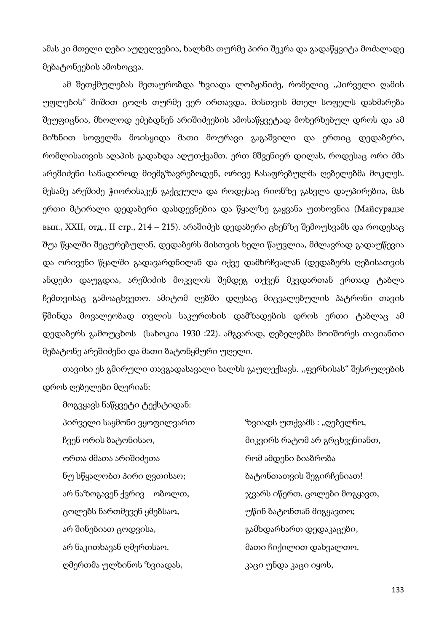ამას კი მთელი ღები აუღელვებია, ხალხმა თურმე პირი შეკრა და გადაწყვიტა მოძალადე მებატონეების ამოხოცვა.

ამ შეთქმულებას მეთაურობდა ზვიადა ლობჟანიძე, რომელიც "პირველი ღამის უფლების" შიშით ცოლს თურმე ვერ ირთავდა. მისთვის მთელ სოფელს დახმარება შეუფიცნია, მხოლოდ ეძებდნენ არიშიძეების ამოსაწყვეტად მოხერხებულ დროს და ამ მიზნით სოფელმა მოისყიდა მათი მოურავი გაგაშვილი და ერთიც დედაბერი, რომლისათვის აღაპის გადახდა აღუთქვამთ. ერთ მშვენიერ დილას, როდესაც ორი ძმა არეშიძენი სანადიროდ მიემგზავრებოდენ, ორივე ჩასაფრებულმა ღებელებმა მოკლეს. მესამე არეშიძე ჭიორისაკენ გაქცეულა და როდესაც რიონზე გასვლა დაუპირებია, მას ერთი მტირალი დედაბერი დასდევნებია და წყალზე გაყვანა უთხოვნია (Майсурадзе вып., XXII, отд., II стр., 214 – 215). არაშიძეს დედაბერი ცხენზე შემოუსვამს და როდესაც შუა წყალში შეცურებულან, დედაბერს მისთვის ხელი წაუვლია, მძლავრად გადაუწევია და ორივენი წყალში გადავარდნილან და იქვე დამხრჩვალან (დედაბერს ღებისათვის ანდეძი დაუგდია, არეშიძის მოკვლის შემდეგ თქვენ მკვდართან ერთად ტაბლა ჩემთვისაც გამოაცხვეთო. ამიტომ ღებში დღესაც მიცვალებულის პატრონი თავის წმინდა მოვალეობად თვლის საკურთხის დამზადების დროს ერთი ტაბლაც ამ დედაბერს გამოუცხოს (სახოკია 1930 :22). ამგვარად, ღებელებმა მოიშორეს თავიანთი მებატონე არეშიძენი და მათი ბატონყმური უღელი.

თავისი ეს გმირული თავგადასავალი ხალხს გაულექსავს. ,,ფერხისას" შესრულების დროს ღებელები მღერიან:

მოგვყავს ნაწყვეტი ტექსტიდან: პირველი საყმონი ვყოფილვართ ხვიადს უთქვამს : "ღებელნო, ორთა ძმათა არიშიძეთა რომ ამდენი ბიაბრობა ნუ სწყალობთ პირი ღვთისაო; ბატონთათვის შეგირჩენიათ! ცოლებს ნართმევენ ყმებსაო, ვითლი კუწინ ბატონთან მიგყავთო; არ შინებიათ ცოდვისა, გამხდარხართ დედაკაცები, არ ნაკითხავან ღმერთსაო. მათი ჩიქილით დახვალთო. ღმერთმა ულხინოს ზვიადას, კაცი უნდა კაცი იყოს,

ჩვენ ორის ბატონისაო, მიკვირს რატომ არ გრცხვენიანთ, არ ნაზოგავენ ქვრივ – ობოლთ, ჯვარს იწერთ, ცოლები მოგყავთ,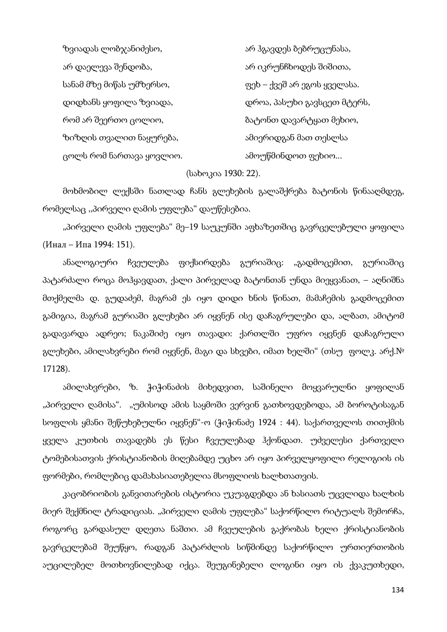ზვიადას ლობჯანიძესო, არ პგავდეს ბებრუცუნასა, არ დაელევა შენდობა, ირით სართა არ იკრუნჩხოდეს შიშითა, სანამ მზე მიწას უმზერსო, ვერით — ფეხ – ქვეშ არ ეგოს ყველასა. დიდხანს ყოფილა ზვიადა, დროა, პასუხი გავსცეთ მტერს, რომ არ შეერთო ცოლიო, ის სახლით სახართ დავარტყათ მეხიო, ზიზღის თვალით ნაყურება, ამიერიდგან მათ თესლსა ცოლს რომ ნართავა ყოვლიო. იათხვა სამოუწმინდოთ ფეხიო...

(სახოკია 1930: 22).

მოხმობილ ლექსში ნათლად ჩანს გლეხების გალაშქრება ბატონის წინააღმდეგ, რომელსაც ,,პირველი ღამის უფლება" დაუწესებია.

"პირველი ღამის უფლება" მე–19 საუკუნში აფხაზეთშიც გავრცელებული ყოფილა (Инал – Ипа 1994: 151).

ანალოგიური ჩვეულება ფიქსირდება გურიაშიც: "გადმოცემით, გურიაშიც პატარძალი როცა მოჰყავდათ, ქალი პირველად ბატონთან უნდა მიეყვანათ, – აღნიშნა მთქმელმა დ. გუდაძემ, მაგრამ ეს იყო დიდი ხნის წინათ, მამაჩემის გადმოცემით გამიგია, მაგრამ გურიაში გლეხები არ იყვნენ ისე დაჩაგრულები და, ალბათ, ამიტომ გადავარდა ადრეო; ნაკაშიძე იყო თავადი: ქართლში უფრო იყვნენ დაჩაგრული გლეხები, ამილახვრები რომ იყვნენ, მაგი და სხვები, იმათ ხელში" (თსუ ფოლკ. არქ.№ 17128).

ამილახვრები, ზ. ჭიჭინაძის მიხედვით, საშინელი მოყვარულნი ყოფილან "პირველი ღამისა". "უმისოდ ამის საყმოში ვერვინ გათხოვდებოდა, ამ ბოროტისაგან სოფლის ყმანი შეწუხებულნი იყვნენ"-ო (ჭიჭინაძე 1924 : 44). საქართველოს თითქმის ყველა კუთხის თავადებს ეს წესი ჩვეულებად ჰქონდათ. უძველესი ქართველი ტომებისათვის ქრისტიანობის მიღებამდე უცხო არ იყო პირველყოფილი რელიგიის ის ფორმები, რომლებიც დამახასიათებელია მსოფლიოს ხალხთათვის.

კაცობრიობის განვითარების ისტორია უკუაგდებდა ან ხასიათს უცვლიდა ხალხის მიერ შექმნილ ტრადიციას. "პირველი ღამის უფლება" საქორწილო რიტუალს შემორჩა, როგორც გარდასულ დღეთა ნაშთი. ამ ჩვეულების გაქრობას ხელი ქრისტიანობის გავრცელებამ შეუწყო, რადგან პატარძლის სიწმინდე საქორწილო ურთიერთობის აუცილებელ მოთხოვნილებად იქცა. შეუგინებელი ლოგინი იყო ის ქვაკუთხედი,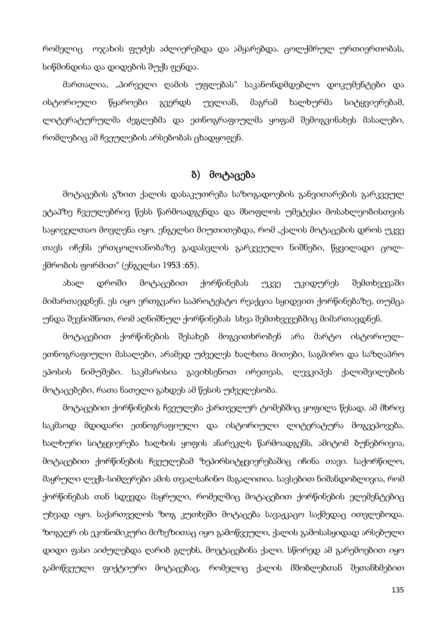რომელიც ოჯახის ფუძეს აძლიერებდა და ამყარებდა. ცოლქმრულ ურთიერთობას, სიწმინდისა და დიდების შუქს ფენდა.

მართალია, "პირველი ღამის უფლებას" საკანონდმდებლო დოკუმენტები და ისტორიული წყაროები გვერდს უვლიან, მაგრამ ხალხურმა სიტყვიერებამ, ლიტერატურულმა ძეგლებმა და ეთნოგრაფიულმა ყოფამ შემოგვინახეს მასალები, რომლებიც ამ ჩვეულების არსებობას ცხადყოფენ.

### ბ) მოტაცება

მოტაცების გზით ქალის დასაკუთრება საზოგადოების განვითარების გარკვეულ ეტაპზე ჩვეულებრივ წესს წარმოადგენდა და მსოფლოს უმეტესი მოსახლეობისთვის საყოველთაო მოვლენა იყო. ენგელსი მიუთითებდა, რომ "ქალის მოტაცების დროს უკვე თავს იჩენს ერთცოლიანობაზე გადასვლის გარკვეული ნიშნები, წყვილადი ცოლქმრობის ფორმით" (ენგელსი 1953 :65).

ახალ დროში მოტაცებით ქორწინებას უკვე უკიდურეს შემთხვევაში მიმართავდნენ. ეს იყო ერთგვარი საპროტესტო რეაქცია სყიდვით ქორწინებაზე, თუმცა უნდა შევნიშნოთ, რომ აღნიშნულ ქორწინებას სხვა შემთხვევებშიც მიმართავდნენ.

მოტაცებით ქორწინების შესახებ მოგვითხრობენ არა მარტო ისტორიულ– ეთნოგრაფიული მასალები, არამედ უძველეს ხალხთა მითები, საგმირო და საზღაპრო ეპოსის ნიმუშები. საკმარისია გავიხსენოთ ირეთეას, ლევკიპეს ქალიშვილების მოტაცებები, რათა ნათელი გახდეს ამ წესის უძველესობა.

მოტაცებით ქორწინების ჩვეულება ქართველურ ტომებშიც ყოფილა წესად. ამ მხრივ საკმაოდ მდიდარი ეთნოგრაფიული და ისტორიული ლიტერატურა მოგვეპოვება. ხალხური სიტყვიერება ხალხის ყოფის ანარეკლს წარმოადგენს, ამიტომ ბუნებრივია, მოტაცებით ქორწინების ჩვეულებამ ზეპირსიტყვიერებაშიც იჩინა თავი. საქორწილო, მაყრული ლექს-სიმღერები ამის თვალსაჩინო მაგალითია. სავსებით ნიშანდობლივია, რომ ქორწინებას თან სდევდა მაყრული, რომელშიც მოტაცებით ქორწინების ელემენტებიც უხვად იყო. საქართველოს ზოგ კუთხეში მოტაცება სავაჟკაცო საქმედაც ითვლებოდა. ზოგჯერ ის ეკონომიკური მიზეზითაც იყო გამოწვეული, ქალის გამოსასყიდად არსებული დიდი ფასი აიძულებდა ღარიბ გლეხს, მოეტაცებინა ქალი. სწორედ ამ გარემოებით იყო გამოწვეული ფიქტიური მოტაცებაც, რომელიც ქალის მშობლებთან შეთანხმებით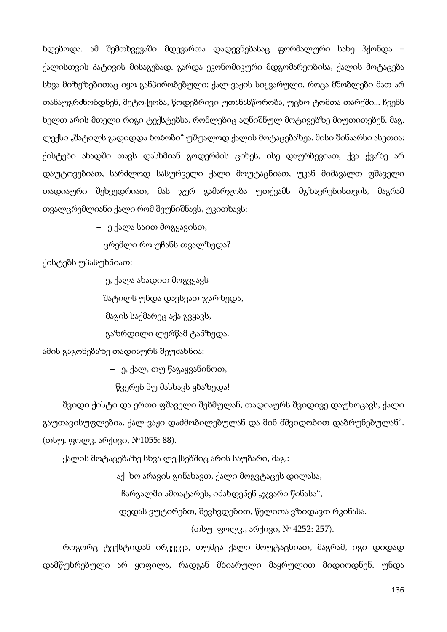ხდებოდა. ამ შემთხვევაში მდევართა დადევნებასაც ფორმალური სახე ჰქონდა – ქალისთვის პატივის მისაგებად. გარდა ეკონომიკური მდგომარეობისა, ქალის მოტაცება სხვა მიზეზებითაც იყო განპირობებული: ქალ-ვაჟის სიყვარული, როცა მშობლები მათ არ თანაუგრძნობდნენ, მეტოქეობა, წოდებრივი უთანასწორობა, უცხო ტომთა თარეში... ჩვენს ხელთ არის მთელი რიგი ტექსტებსა, რომლებიც აღნიშნულ მოტივებზე მიუთითებენ. მაგ. ლექსი "შატილს გადიდდა ხოხობი" უშუალოდ ქალის მოტაცებაზეა. მისი შინაარსი ასეთია: ქისტები ახადში თავს დასხმიან გოდერძის ციხეს, ისე დაურბევიათ, ქვა ქვაზე არ დაუტოვებიათ, სარძლოდ სასურველი ქალი მოუტაცნიათ, უკან მიმავალთ ფშაველი თადიაური შეხვედრიათ, მას ჯერ გამარჯობა უთქვამს მგზავრებისთვის, მაგრამ თვალცრემლიანი ქალი რომ შეუნიშნავს, უკითხავს:

– ე ქალა საით მოგყავისთ,

ცრემლი რო უჩანს თვალზედა?

ქისტებს უპასუხნიათ:

ე, ქალა ახადით მოგვყავს

შატილს უნდა დავსვათ ჯარზედა,

მაგის საქმარეც აქა გვყავს,

გაზრდილი ლერწამ ტანზედა.

ამის გაგონებაზე თადიაურს შეუძახნია:

– ე, ქალ, თუ წაგაყვანინოთ,

წვერებ ნუ მასხავს ყბაზედა!

შვიდი ქისტი და ერთი ფშაველი შებმულან, თადიაურს შვიდივე დაუხოცავს, ქალი გაუთავისუფლებია. ქალ-ვაჟი დაძმობილებულან და შინ მშვიდობით დაბრუნებულან". (თსუ. ფოლკ. არქივი, №1055: 88).

ქალის მოტაცებაზე სხვა ლექსებშიც არის საუბარი, მაგ.:

აქ ხო არავის გინახავთ, ქალი მოგვტაცეს დილასა,

ჩარგალში ამოატარეს, იძახდენენ " $\chi$ ვარი წინასა",

დედას ვუტირებთ, შევხვდებით, წელითა ვზიდავთ რკინასა.

(თსუ ფოლკ., არქივი, № 4252: 257).

როგორც ტექსტიდან ირკვევა, თუმცა ქალი მოუტაცნიათ, მაგრამ, იგი დიდად დამწუხრებული არ ყოფილა, რადგან მხიარული მაყრულით მიდიოდნენ. უნდა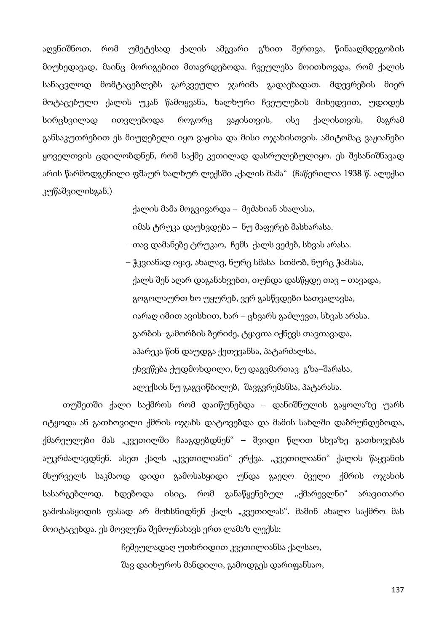აღვნიშნოთ, რომ უმეტესად ქალის ამგვარი გზით შერთვა, წინააღმდეგობის მიუხედავად, მაინც მორიგებით მთავრდებოდა. ჩვეულება მოითხოვდა, რომ ქალის სანაცვლოდ მომტაცებლებს გარკვეული ჯარიმა გადაეხადათ. მდევრების მიერ მოტაცებული ქალის უკან წამოყვანა, ხალხური ჩვეულების მიხედვით, უდიდეს სირცხვილად ითვლებოდა როგორც ვაჟისთვის, ისე ქალისთვის, მაგრამ განსაკუთრებით ეს მიუღებელი იყო ვაჟისა და მისი ოჯახისთვის, ამიტომაც ვაჟიანები ყოველთვის ცდილობდნენ, რომ საქმე კეთილად დასრულებულიყო. ეს შესანიშნავად არის წარმოდგენილი ფშაურ ხალხურ ლექსში "ქალის მამა" (ჩაწერილია 1938 წ. ალექსი კუწაშვილისგან.)

> ქალის მამა მოგვივარდა – მეძახიან ახალასა, იმას ტრუკა დაუხვდება – ნუ მაფერებ მასხარასა.

 – თავ დამანებე ტრუკაო, ჩემს ქალს ვეძებ, სხვას არასა. – ჭკვიანად იყავ, ახალავ, ნურც სმასა სთმობ, ნურც ჭამასა, ქალს შენ აღარ დაგანახვებთ, თუნდა დასწყდე თავ – თავადა, გოგოლაურთ ხო უყურებ, ვერ გასწვდები სათვალავსა, იარაღ იმით ავისხით, ხარ – ცხვარს გაძლევთ, სხვას არასა. გარბის–გამორბის ბერიძე, ტყავთა იქნევს თავთავადა, აპარეკა წინ დაუდგა ქეთევანსა, პატარძალსა, ეხვეწება ქუდმოხდილი, ნუ დაგვმართავ გზა–შარასა,

ალექსის ნუ გაგვიწბილებ, შავგვრემანსა, პატარასა.

თუშეთში ქალი საქმროს რომ დაიწუნებდა – დანიშნულის გაყოლაზე უარს იტყოდა ან გათხოვილი ქმრის ოჯახს დატოვებდა და მამის სახლში დაბრუნდებოდა, ქმარეულები მას "კვეთილში ჩააგდებდნენ" – შვიდი წლით სხვაზე გათხოვებას აუკრძალავდნენ. ასეთ ქალს "კვეთილიანი" ერქვა. "კვეთილიანი" ქალის წაყვანის მსურველს საკმაოდ დიდი გამოსასყიდი უნდა გაეღო ძველი ქმრის ოჯახის სასარგებლოდ. ხდებოდა ისიც, რომ განაწყენებულ ,,ქმარევლნი" არავითარი გამოსასყიდის ფასად არ მოხსნიდნენ ქალს "კვეთილას". მაშინ ახალი საქმრო მას მოიტაცებდა. ეს მოვლენა შემოუნახავს ერთ ლამაზ ლექსს:

ჩემეულადაღ უთხრიდით კვეთილიანსა ქალსაო,

შავ დაიხუროს მანდილი, გამოდგეს დარიფანსაო,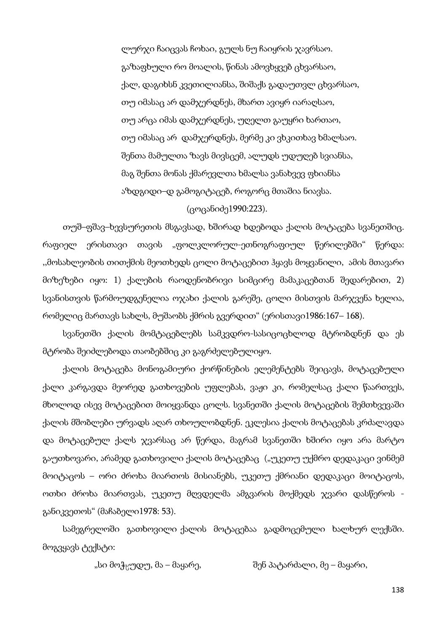ლურჯი ჩაიცვას ჩოხაი, გულს ნუ ჩაიყრის ჯავრსაო. გაზაფხული რო მოალის, წინას ამოვხყვებ ცხვარსაო, ქალ, დაგიხსნ კვეთილიანსა, შიშაქს გადაუთვლ ცხვარსაო, თუ იმასაც არ დამჯერდნეს, მხართ ავიყრ იარაღსაო, თუ არცა იმას დამჯერდნეს, უღელთ გაუყრი ხართაო, თუ იმასაც არ დამჯერდნეს, მერმე კი ვხკითხავ ხმალსაო. შენთა მამულთა ზავს მივსცემ, ალუდს უდუღებ სვიანსა, მაგ შენთა მონას ქმარევლთა ხმალსა ვანახვევ ფხიანსა აზდგიდი–დ გამოგიტაცებ, როგორც მთაშია ნიავსა.

### (ცოცანიძე1990:223).

თუშ–ფშავ–ხევსურეთის მსგავსად, ხშირად ხდებოდა ქალის მოტაცება სვანეთშიც. რაფიელ ერისთავი თავის "ფოლკლორულ-ეთნოგრაფიულ წერილებში" წერდა: ,,მოსახლეობის თითქმის მეოთხედს ცოლი მოტაცებით ჰყავს მოყვანილი, ამის მთავარი მიზეზები იყო: 1) ქალების რაოდენობრივი სიმცირე მამაკაცებთან შედარებით, 2) სვანისთვის წარმოუდგენელია ოჯახი ქალის გარეშე, ცოლი მისთვის მარჯვენა ხელია, რომელიც მართავს სახლს, მუშაობს ქმრის გვერდით" (ერისთავი1986:167– 168).

სვანეთში ქალის მომტაცებლებს სამკვდრო-სასიცოცხლოდ მტრობდნენ და ეს მტრობა შეიძლებოდა თაობებშიც კი გაგრძელებულიყო.

ქალის მოტაცება მონოგამიური ქორწინების ელემენტებს შეიცავს, მოტაცებული ქალი კარგავდა მეორედ გათხოვების უფლებას, ვაჟი კი, რომელსაც ქალი წაართვეს, მხოლოდ ისევ მოტაცებით მოიყვანდა ცოლს. სვანეთში ქალის მოტაცების შემთხვევაში ქალის მშობლები ურვადს აღარ თხოულობდნენ. ეკლესია ქალის მოტაცებას კრძალავდა და მოტაცებულ ქალს ჯვარსაც არ წერდა, მაგრამ სვანეთში ხშირი იყო არა მარტო გაუთხოვარი, არამედ გათხოვილი ქალის მოტაცებაც ("უკეთუ უქმრო დედაკაცი ვინმემ მოიტაცოს – ორი ძროხა მიართოს მისიანებს, უკეთუ ქმრიანი დედაკაცი მოიტაცოს, ოთხი ძროხა მიართვას, უკეთუ მღვდელმა ამგვარის მოქმედს ჯვარი დასწეროს განიკვეთოს" (მაჩაბელი1978: 53).

სამეგრელოში გათხოვილი ქალის მოტაცებაა გადმოცემული ხალხურ ლექსში. მოგვყავს ტექსტი:

"სი მოჭყუდუ, მა – მაყარე, "მარი — შენ პატარძალი, მე – მაყარი,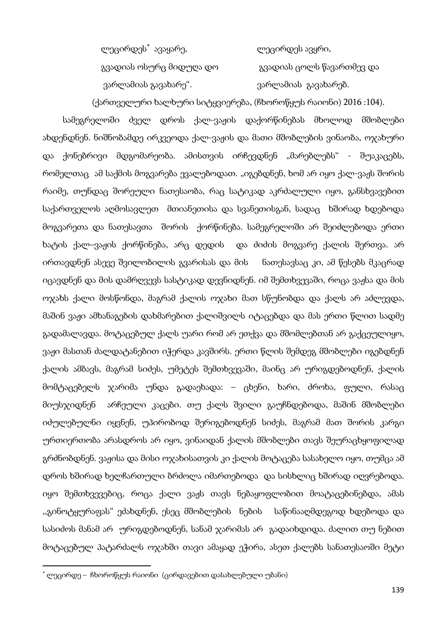| ლეცირდეს゛ავაყარე,       | ლეცირდეს ავყრი,           |
|-------------------------|---------------------------|
| გვადიას ოსურც მიდუღა დო | გვადიას ცოლს წავართმევ და |
| ვარლამიას გავახარე".    | ვარლამიას გავახარებ.      |

(ქართველური ხალხური სიტყვიერება, (ჩხოროწყუს რაიონი) 2016 :104).

სამეგრელოში ძველ დროს ქალ-ვაჟის დაქორწინებას მხოლოდ მშობლები ახდენდნენ. ნიშნობამდე ირკვეოდა ქალ-ვაჟის და მათი მშობლების ვინაობა, ოჯახური და ქონებრივი მდგომარეობა. ამისთვის ირჩევდნენ "მარებლებს" - შუაკაცებს, რომელთაც ამ საქმის მოგვარება ევალებოდათ. "იგებდნენ, ხომ არ იყო ქალ-ვაჟს შორის რაიმე, თუნდაც შორეული ნათესაობა, რაც სატიკად აკრძალული იყო, განსხვავებით საქართველოს აღმოსავლეთ მთიანეთისა და სვანეთისგან, სადაც ხშირად ხდებოდა მოგვარეთა და ნათესავთა შორის ქორწინება. სამეგრელოში არ შეიძლებოდა ერთი ხატის ქალ–ვაჟის ქორწინება, არც დედის და ძიძის მოგვარე ქალის შერთვა. არ ირთავდნენ ასევე შვილობილის გვარისას და მის ნათესავსაც კი, ამ წესებს მკაცრად იცავდნენ და მის დამრღვევს სასტიკად დევნიდნენ. იმ შემთხვევაში, როცა ვაჟსა და მის ოჯახს ქალი მოსწონდა, მაგრამ ქალის ოჯახი მათ სწუნობდა და ქალს არ აძლევდა, მაშინ ვაჟი ამხანაგების დახმარებით ქალიშვილს იტაცებდა და მას ერთი წლით სადმე გადამალავდა. მოტაცებულ ქალს უარი რომ არ ეთქვა და მშომლებთან არ გაქცეულიყო, ვაჟი მასთან ძალდატანებით იჭერდა კავშირს. ერთი წლის შემდეგ მშობლები იგებდნენ ქალის ამბავს, მაგრამ სიძეს, უმეტეს შემთხვევაში, მაინც არ ურიგდებოდნენ, ქალის მომტაცებელს ჯარიმა უნდა გადაეხადა: – ცხენი, ხარი, ძროხა, ფული, რასაც მიუსჯიდნენ არჩეული კაცები. თუ ქალს შვილი გაუჩნდებოდა, მაშინ მშობლები იძულებულნი იყვნენ, უპირობოდ შერიგებოდნენ სიძეს, მაგრამ მათ შორის კარგი ურთიერთობა არასდროს არ იყო, ვინაიდან ქალის მშობლები თავს შეურაცხყოფილად გრძნობდნენ. ვაჟისა და მისი ოჯახისათვის კი ქალის მოტაცება სასახელო იყო, თუმცა ამ დროს ხშირად ხელჩართული ბრძოლა იმართებოდა და სისხლიც ხშირად იღვრებოდა. იყო შემთხვევებიც, როცა ქალი ვაჟს თავს ნებაყოფლობით მოატაცებინებდა, ამას ,,გინოტყურაფას" ეძახდნენ, ესეც მშობლების ნების საწინააღმდეგოდ ხდებოდა და სასიძოს მანამ არ ურიგდებოდნენ, სანამ ჯარიმას არ გადაიხდიდა. ძალით თუ ნებით მოტაცებულ პატარძალს ოჯახში თავი ამაყად ეჭირა, ასეთ ქალებს სანათესაოში მეტი

 $\overline{\phantom{a}}$ 

<sup>∗</sup> ლეცირდე – ჩხოროწყუს რაიონი (ცირდავებით დასახლებული უბანი)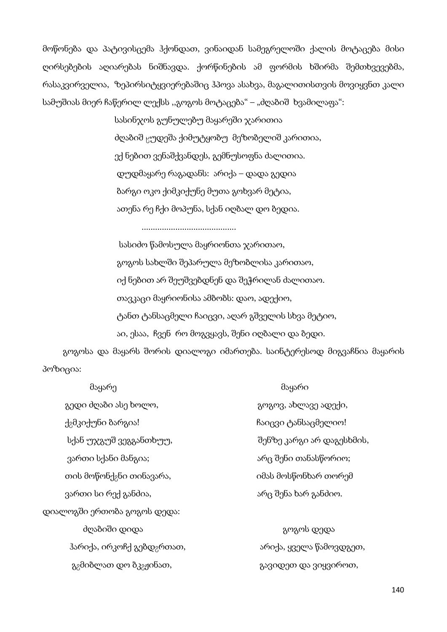მოწონება და პატივისცემა ჰქონდათ, ვინაიდან სამეგრელოში ქალის მოტაცება მისი ღირსებების აღიარებას ნიშნავდა. ქორწინების ამ ფორმის ხშირმა შემთხვევებმა, რასაკვირველია, ზეპირსიტყვიერებაშიც ჰპოვა ასახვა, მაგალითისთვის მოვიყვნთ კალი სამუშიას მიერ ჩაწერილ ლექსს "გოგოს მოტაცება" – "ძღაბიშ ხვამილაფა":

> სასინჯოს გუნულებუ მაყარეში ჯარითია ძღაბიშ ცუდეშა ქიმუტყობუ მეზობელიშ კარითია, ექ ნებით ვენაშქვანდეს, გემნუსოფნა ძალითია. დუდმაყარე რაგადანს: არიქა – დადა გედია ბარგი ოკო ქიმკიქუნე მუთა გოხვარ მეტია, ათენა რე ჩქი მოპუნა, სქან იღბალ დო ბედია.

> > ..........................................

 სასიძო წამოსულა მაყრიონთა ჯარითაო, გოგოს სახლში შეპარულა მეზობლისა კარითაო, იქ ნებით არ შეუშვებდნენ და შეჭრილან ძალითაო. თავკაცი მაყრიონისა ამბობს: დაო, ადექიო, ტანთ ტანსაცმელი ჩაიცვი, აღარ გშველის სხვა მეტიო, აი, ესაა, ჩვენ რო მოგვყავს, შენი იღბალი და ბედი.

გოგოსა და მაყარს შორის დიალოგი იმართება. საინტერესოდ მიგვაჩნია მაყარის პოზიცია:

| მაყარე                                          | მაყარი                    |
|-------------------------------------------------|---------------------------|
| გედი ძღაბი ასე ხოლო,                            | გოგოვ, ახლავე ადექი,      |
| ქ <sub>გ</sub> მკიქუნი ბარგია!                  | ჩაიცვი ტანსაცმელიო!       |
| სქან უჯგუშ ვეგგანთხუუ,                          | შენზე კარგი არ დაგესხმის, |
| ვართი სქანი მანგია;                             | არც შენი თანასწორიო;      |
| თის მოწონქ <sub>გ</sub> ნი თინავარა,            | იმას მოსწონხარ თორემ      |
| ვართი სი რექ განძია,                            | არც შენა ხარ განძიო.      |
| დიალოგში ერთობა გოგოს დედა:                     |                           |
| ძღაზიში დიდა                                    | გოგოს დედა                |
| ჰარიქა, ირკოჩქ გებდ <sub>გ</sub> რთათ,          | არიქა, ყველა წამოვდგეთ,   |
| გ <sub>გ</sub> მიბლათ დო ბკ <sub>გჟ</sub> ინათ, | გავიდეთ და ვიყვიროთ,      |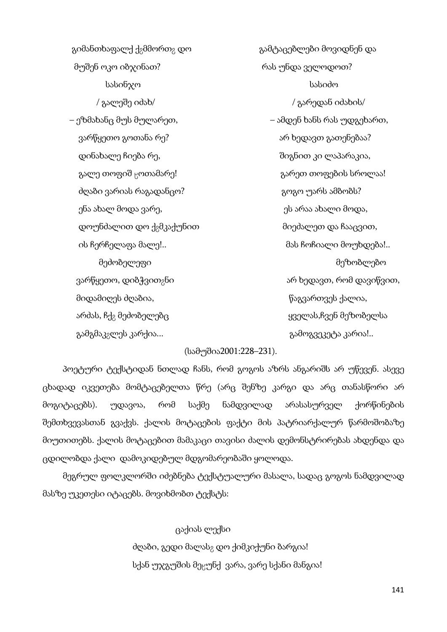გიმანთხაფალქ ქ<sub>გ</sub>მმორთ<sub>8</sub> დო ვამტაცებლები მოვიდნენ და მუშენ ოკო იბჯინათ? რას უნდა ველოდოთ? სასინჯო სასიძო / გალეშე იძახ/ / გარედან იძახის/ – ეზმახანც მუს მულარეთ, – ამდენ ხანს რას უდგეხართ, ვარწყეთო გოთანა რე? არ არ არ ხედავთ გათენებაა? დინახალე ჩიება რე, შიგნით კი ლაპარაკია, გალე თოფიშ  $_{\rm N}$ ოთამარე!  $_{\rm N}$  გარეთ თოფების სროლაა! ძღაბი ვარიას რაგადანცო? გარის და გოგო უარს ამბობს? ენა ახალ მოდა ვარე, ეს არაა ახალი მოდა, დოუნძალით დო ქვმკაქუნით მიეძალეთ და ჩააცვით, ის ჩერჩელაფა მალე!.. მას ჩოჩიალი მოუხდება!.. ვარწყეთო, დიბჭვით<sub>გ</sub>ნი არის არ არ ხედავთ, რომ დავიწვით, მიდამიღეს ძღაბია, წაგვართვეს ქალია, არძას, ჩქ<sub>გ</sub> მეძობელებც ყველას,ჩვენ მეზობელსა გამგმაკ<sub>გ</sub>ლეს კარქია... გამოგვეკეტა კარია!..

მეძობელეფი მეზობლებო

### (სამუშია2001:228–231).

პოეტური ტექსტიდან ნთლად ჩანს, რომ გოგოს აზრს ანგარიშს არ უწევენ. ასევე ცხადად იკვეთება მომტაცებელთა წრე (არც შენზე კარგი და არც თანასწორი არ მოგიტაცებს). უდავოა, რომ საქმე ნამდვილად არასასურველ ქორწინების შემთხვევასთან გვაქვს. ქალის მოტაცების ფაქტი მის პატრიარქალურ წარმოშობაზე მიუთითებს. ქალის მოტაცებით მამაკაცი თავისი ძალის დემონსტრირებას ახდენდა და ცდილობდა ქალი დამოკიდებულ მდგომარეობაში ყოლოდა.

მეგრულ ფოლკლორში იძებნება ტექსტუალური მასალა, სადაც გოგოს ნამდვილად მასზე უკეთესი იტაცებს. მოვიხმობთ ტექსტს:

> ცაქიას ლექსი ძღაზი, გედი მალას<sub>გ</sub> დო ქიმკიქუნი ბარგია! სქან უჯგუშის მეცუნქ ვარა, ვარე სქანი მანგია!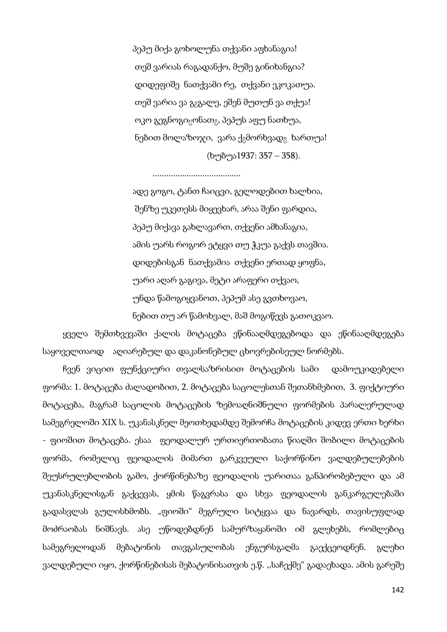პეპუ მიქა გოხოლუნა თქვანი აფხანაგია! თეშ ვარიას რაგადანქო, მუშე გინიხანგია? დიდეფიშე ნათქვამი რე, თქვანი ეკოკათუა. თეშ ვარია ვა გ<sub>გ</sub>გალე, ეშენ მუთუნ ვა თქუა! ოკო გეგნოგი $_{\rm N}$ ონათ $_{\rm 2}$ , პეპუს აფუ ნათხუა, ნებით მოლაზოჯი, ვარა ქ $_2$ მორხვად $_2$  ხართუა! (ხუბუა1937: 357 – 358).

.......................................

 ადე გოგო, ტანთ ჩაიცვი, გელოდებით ხალხია, შენზე უკეთესს მიყევხარ, არაა შენი ფარდია, პეპუ მიქავა გახლავართ, თქვენი ამხანაგია, ამის უარს როგორ ეტყვი თუ ჭკუა გაქვს თავშია. დიდებისგან ნათქვამია თქვენი ერთად ყოფნა, უარი აღარ გაგივა, მეტი არაფერი თქვაო, უნდა წამოგიყვანოთ, პეპუმ ასე გვთხოვაო, ნებით თუ არ წამოხვალ, მაშ მოგიწევს გათოკვაო.

ყველა შემთხვევაში ქალის მოტაცება ეწინააღმდეგებოდა და ეწინააღმდეგება საყოველთაოდ აღიარებულ და დაკანონებულ ცხოვრებისეულ ნორმებს.

ჩვენ ვიცით ფუნქციური თვალსაზრისით მოტაცების სამი დამოუკიდებელი ფორმა: 1. მოტაცება ძალადობით, 2. მოტაცება საცოლესთან შეთანხმებით, 3. ფიქტიური მოტაცება, მაგრამ საცოლის მოტაცების ზემოაღნიშნული ფორმების პარალერულად სამეგრელოში XIX ს. უკანასკნელ მეოთხედამდე შემორჩა მოტაცების კიდევ ერთი ხერხი - ფიოშით მოტაცება. ესაა ფეოდალურ ურთიერთობათა წიაღში შობილი მოტაცების ფორმა, რომელიც ფეოდალის მიმართ გარკვეული საქორწინო ვალდებულებების შეუსრულებლობის გამო, ქორწინებაზე ფეოდალის უარითაა განპირობებული და ამ უკანასკნელისგან გაქცევას, ყმის წაგვრასა და სხვა ფეოდალის განკარგულებაში გადასვლას გულისხმობს. "ფიოში" მეგრული სიტყვაა და ნავარდს, თავისუფლად მოძრაობას ნიშნავს. ასე უწოდებდნენ სამურზაყანოში იმ გლეხებს, რომლებიც სამეგრელოდან მებატონის თავგასულობას ენგურსგაღმა გაექცეოდნენ. გლეხი ვალდებული იყო, ქორწინებისას მებატონისათვის ე.წ. ,,საჩექმე" გადაეხადა. ამის გარეშე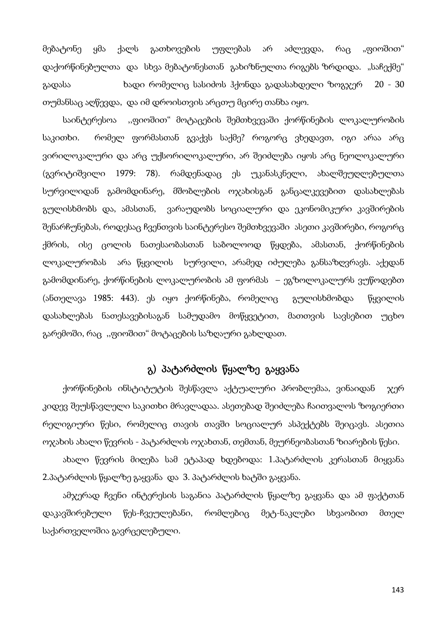მებატონე ყმა ქალს გათხოვების უფლებას არ აძლევდა, რაც "ფიოშით" დაქორწინებულთა და სხვა მებატონესთან გახიზნულთა რიგებს ზრდიდა. "საჩექმე" გადასა ხადი რომელიც სასიძოს ჰქონდა გადასახდელი ზოგჯერ 20 - 30 თუმანსაც აღწევდა, და იმ დროისთვის არცთუ მცირე თანხა იყო.

საინტერესოა ,,ფიოშით" მოტაცების შემთხვევაში ქორწინების ლოკალურობის საკითხი. რომელ ფორმასთან გვაქვს საქმე? როგორც ვხედავთ, იგი არაა არც ვირილოკალური და არც უქსორილოკალური, არ შეიძლება იყოს არც ნეოლოკალური (გვრიტიშვილი 1979: 78). რამდენადაც ეს უკანასკნელი, ახალშეუღლებულთა სურვილიდან გამომდინარე, მშობლების ოჯახისგან განცალკევებით დასახლებას გულისხმობს და, ამასთან, ვარაუდობს სოციალური და ეკონომიკური კავშირების შენარჩუნებას, როდესაც ჩვენთვის საინტერესო შემთხვევაში ასეთი კავშირები, როგორც ქმრის, ისე ცოლის ნათესაობასთან საბოლოოდ წყდება, ამასთან, ქორწინების ლოკალურობას არა წყვილის სურვილი, არამედ იძულება განსაზღვრავს. აქედან გამომდინარე, ქორწინების ლოკალურობის ამ ფორმას – ეგზოლოკალურს ვუწოდებთ (ანთელავა 1985: 443). ეს იყო ქორწინება, რომელიც გულისხმობდა წყვილის დასახლებას ნათესავებისაგან სამუდამო მოწყვეტით, მათთვის სავსებით უცხო გარემოში, რაც ,,ფიოშით" მოტაცების საზღაური გახლდათ.

# გ) პატარძლის წყალზე გაყვანა

ქორწინების ინსტიტუტის შესწავლა აქტუალური პრობლემაა, ვინაიდან ჯერ კიდევ შეუსწავლელი საკითხი მრავლადაა. ასეთებად შეიძლება ჩაითვალოს ზოგიერთი რელიგიური წესი, რომელიც თავის თავში სოციალურ ასპექტებს შეიცავს. ასეთია ოჯახის ახალი წევრის - პატარძლის ოჯახთან, თემთან, მეურნეობასთან ზიარების წესი.

ახალი წევრის მიღება სამ ეტაპად ხდებოდა: 1.პატარძლის კერასთან მიყვანა 2.პატარძლის წყალზე გაყვანა და 3. პატარძლის ხატში გაყვანა.

ამჯერად ჩვენი ინტერესის საგანია პატარძლის წყალზე გაყვანა და ამ ფაქტთან დაკავშირებული წეს-ჩვეულებანი, რომლებიც მეტ-ნაკლები სხვაობით მთელ საქართველოშია გავრცელებული.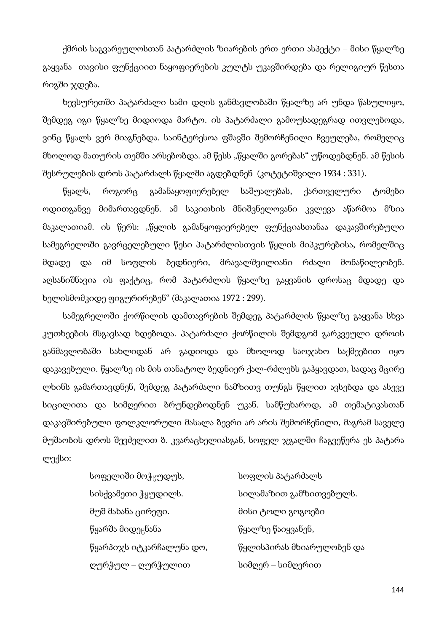ქმრის საგვარეულოსთან პატარძლის ზიარების ერთ-ერთი ასპექტი – მისი წყალზე გაყვანა თავისი ფუნქციით ნაყოფიერების კულტს უკავშირდება და რელიგიურ წესთა რიგში ჯდება.

ხევსურეთში პატარძალი სამი დღის განმავლობაში წყალზე არ უნდა წასულიყო, შემდეგ იგი წყალზე მიდიოდა მარტო. ის პატარძალი გამოუსადეგრად ითვლებოდა, ვინც წყალს ვერ მიაგნებდა. საინტერესოა ფშავში შემორჩენილი ჩვეულება, რომელიც მხოლოდ მათურის თემში არსებობდა. ამ წესს "წყალში გორებას" უწოდებდნენ. ამ წესის შესრულების დროს პატარძალს წყალში აგდებდნენ (კოტეტიშვილი 1934 : 331).

წყალს, როგორც გამანაყოფიერებელ საშუალებას, ქართველური ტომები ოდითგანვე მიმართავდნენ. ამ საკითხის მნიშვნელოვანი კვლევა აწარმოა მზია მაკალათიამ. ის წერს: "წყლის გამანყოფიერებელ ფუნქციასთანაა დაკავშირებული სამეგრელოში გავრცელებული წესი პატარძლისთვის წყლის მიპკურებისა, რომელშიც მდადე და იმ სოფლის ბედნიერი, მრავალშვილიანი რძალი მონაწილეობენ. აღსანიშნავია ის ფაქტიც, რომ პატარძლის წყალზე გაყვანის დროსაც მდადე და ხელისმომკიდე ფიგურირებენ" (მაკალათია 1972 : 299).

სამეგრელოში ქორწილის დამთავრების შემდეგ პატარძლის წყალზე გაყვანა სხვა კუთხეების მსგავსად ხდებოდა. პატარძალი ქორწილის შემდგომ გარკვეული დროის განმავლობაში სახლიდან არ გადიოდა და მხოლოდ საოჯახო საქმეებით იყო დაკავებული. წყალზე ის მის თანატოლ ბედნიერ ქალ-რძლებს გაჰყავდათ, სადაც მცირე ლხინს გამართავდნენ, შემდეგ პატარძალი ნამზითვ თუნგს წყლით ავსებდა და ასევე სიცილითა და სიმღერით ბრუნდებოდნენ უკან. სამწუხაროდ, ამ თემატიკასთან დაკავშირებული ფოლკლორული მასალა ბევრი არ არის შემორჩენილი, მაგრამ საველე მუშაობის დროს შევძელით ბ. კვარაცხელიასგან, სოფელ ჯგალში ჩაგვეწერა ეს პატარა ლექსი:

| სოფელიში მოჭ <sub>ს</sub> უდუს, | სოფლის პატარძალს          |
|---------------------------------|---------------------------|
| სისქვამეთი ჭყუდილს.             | სილამაზით გამზითვებულს.   |
| მუშ მახანა ცირეფი.              | მისი ტოლი გოგოები         |
| წყარშა მიდე <sub>ს</sub> ნანა   | წყალზე წაიყვანენ,         |
| წყარპიჯს იტკარჩალუნა დო,        | წყლისპირას მხიარულობენ და |
| ღურჭულ – ღურჭულით               | სიმღერ – სიმღერით         |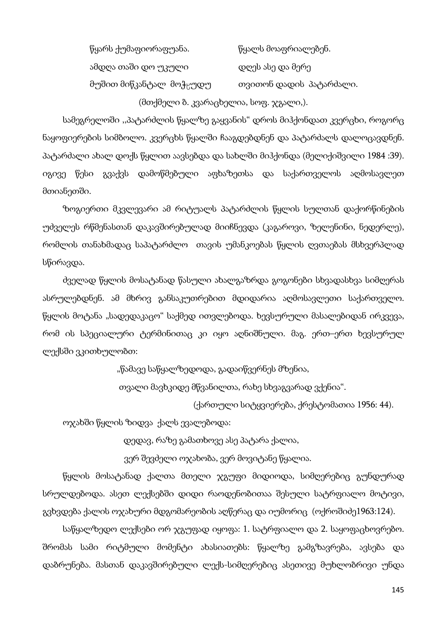წყარს ქუმაფიორაფუანა. წყალს მოაფრიალებენ. ამდღა თაში დო უკული დღეს ასე და მერე მუშით მიწკანტალ მოჭყუდუ — თვითონ დადის პატარძალი.

(მთქმელი ბ. კვარაცხელია, სოფ. ჯგალი,).

სამეგრელოში ,,პატარძლის წყალზე გაყვანის" დროს მიჰქონდათ კვერცხი, როგორც ნაყოფიერების სიმბოლო. კვერცხს წყალში ჩააგდებდნენ და პატარძალს დალოცავდნენ. პატარძალი ახალ დოქს წყლით აავსებდა და სახლში მიჰქონდა (მელიქიშვილი 1984 :39). იგივე წესი გვაქვს დამოწმებული აფხაზეთსა და საქართველოს აღმოსავლეთ მთიანეთში.

ზოგიერთი მკვლევარი ამ რიტუალს პატარძლის წყლის სულთან დაქორწინების უძველეს რწმენასთან დაკავშირებულად მიიჩნევდა (კაგაროვი, ზელენინი, ნედერლე), რომლის თანახმადაც საპატარძლო თავის უმანკოებას წყლის ღვთაებას მსხვერპლად სწირავდა.

ძველად წყლის მოსატანად წასული ახალგაზრდა გოგონები სხვადასხვა სიმღერას ასრულებდნენ. ამ მხრივ განსაკუთრებით მდიდარია აღმოსავლეთი საქართველო. წყლის მოტანა "სადედაკაცო" საქმედ ითვლებოდა. ხევსურული მასალებიდან ირკვევა, რომ ის სპეციალური ტერმინითაც კი იყო აღნიშნული. მაგ. ერთ–ერთ ხევსურულ ლექსში ვკითხულობთ:

"წამავე საწყალზედოდა, გადაიწვერნეს მზენია,

თვალი მავხკიდე მწვანილთა, რახე სხვაგვარად ვქენია".

(ქართული სიტყვიერება, ქრესტომათია 1956: 44).

ოჯახში წყლის ზიდვა ქალს ევალებოდა:

დედავ, რაზე გამათხოვე ასე პატარა ქალია,

ვერ შევძელი ოჯახობა, ვერ მოვიტანე წყალია.

წყლის მოსატანად ქალთა მთელი ჯგუფი მიდიოდა, სიმღერებიც გუნდურად სრულდებოდა. ასეთ ლექსებში დიდი რაოდენობითაა შესული სატრფიალო მოტივი, გვხვდება ქალის ოჯახური მდგომარეობის აღწერაც და იუმორიც (ოქროშიძე1963:124).

საწყალზედო ლექსები ორ ჯგუფად იყოფა: 1. სატრფიალო და 2. საყოფაცხოვრებო. შრომას სამი რიტმული მომენტი ახასიათებს: წყალზე გამგზავრება, ავსება და დაბრუნება. მასთან დაკავშირებული ლექს-სიმღერებიც ასეთივე მუხლობრივი უნდა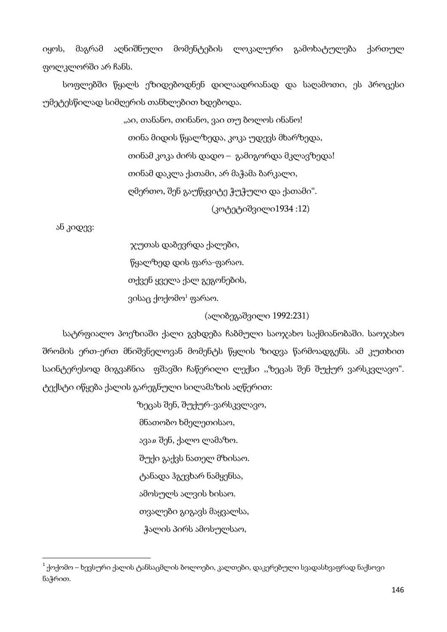იყოს, მაგრამ აღნიშნული მომენტების ლოკალური გამოხატულება ქართულ ფოლკლორში არ ჩანს.

სოფლებში წყალს ეზიდებოდნენ დილაადრიანად და საღამოთი, ეს პროცესი უმეტესწილად სიმღერის თანხლებით ხდებოდა.

> "აი, თანანო, თინანო, ვაი თუ ბოლოს ინანო! თინა მიდის წყალზედა, კოკა უდევს მხარზედა, თინამ კოკა ძირს დადო – გამიგორდა მკლავზედა! თინამ დაკლა ქათამი, არ მაჭამა ბარკალი, ღმერთო, შენ გაუწყვიტე ჭუჭული და ქათამი". (კოტეტიშვილი1934 :12)

ან კიდევ:

 $\overline{\phantom{a}}$ 

ჯუთას დაბევრდა ქალები,

წყალზედ დის ფარა-ფარაო.

თქვენ ყველა ქალ გეგონების,

ვისაც ქოქომო<sup>1</sup> ფარაო.

(ალიბეგაშვილი 1992:231)

სატრფიალო პოეზიაში ქალი გვხდება ჩაბმული საოჯახო საქმიანობაში. საოჯახო შრომის ერთ-ერთ მნიშვნელოვან მომენტს წყლის ზიდვა წარმოადგენს. ამ კუთხით საინტერესოდ მიგვაჩნია ფშავში ჩაწერილი ლექსი ,,ზეცას შენ შუქურ ვარსკვლავო". ტექსტი იწყება ქალის გარეგნული სილამაზის აღწერით:

> ზეცას შენ, შუქურ-ვარსკვლავო, მნათობო ხმელეთისაო, ავაჲ შენ, ქალო ლამაზო. შუქი გაქვს ნათელ მზისაო. ტანადა ჰგევხარ ნამყენსა, ამოსულს ალვის ხისაო. თვალები გიგავს მაყვალსა, ჭალის პირს ამოსულსაო,

 $^{\rm 1}$  ქოქომო – ხევსური ქალის ტანსაცმლის ბოლოები, კალთები, დაკერებული სვადასხვაფრად ნაქსოვი ნაჭრით.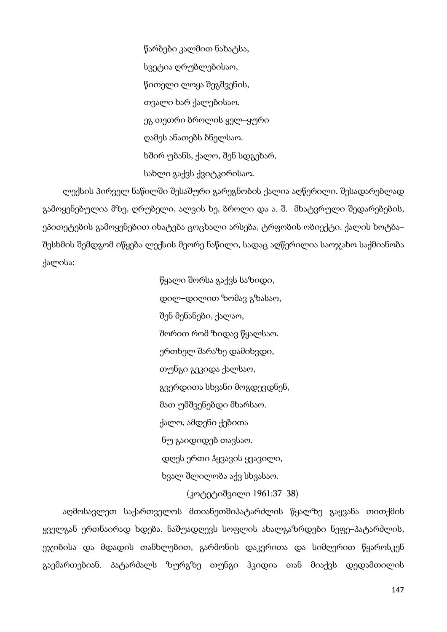წარბები კალმით ნახატსა, სვეტია ღრუბლებისაო, წითელი ლოყა შეგშვენის, თვალი ხარ ქალებისაო. ეგ თეთრი ბროლის ყელ–ყური ღამეს ანათებს ბნელსაო. ხშირ უბანს, ქალო, შენ სდგეხარ, სახლი გაქვს ქვიტკირისაო.

ლექსის პირველ ნაწილში შესაშური გარეგნობის ქალია აღწერილი. შესადარებლად გამოყენებულია მზე, ღრუბელი, ალვის ხე, ბროლი და ა. შ. მხატვრული შედარებების, ეპითეტების გამოყენებით იხატება ცოცხალი არსება, ტრფობის ობიექტი. ქალის ხოტბა– შესხმის შემდგომ იწყება ლექსის მეორე ნაწილი, სადაც აღწერილია საოჯახო საქმიანობა ქალისა:

> წყალი შორსა გაქვს საზიდი, დილ–დილით ზომავ გზასაო, შენ მენანები, ქალაო, შორით რომ ზიდავ წყალსაო. ერთხელ შარაზე დამიხვდი, თუნგი გეკიდა ქალსაო, გვერდითა სხვანი მოგდევდნენ, მათ უმშვენებდი მხარსაო. ქალო, ამდენი ქებითა ნუ გაიდიდებ თავსაო. დღეს ერთი ჰყვავის ყვავილი, ხვალ შლილობა აქვ სხვასაო.

აღმოსავლეთ საქართველოს მთიანეთშიპატარძლის წყალზე გაყვანა თითქმის ყველგან ერთნაირად ხდება. ნაშუადღევს სოფლის ახალგაზრდები ნეფე–პატარძლის, ეჯიბისა და მდადის თანხლებით, გარმონის დაკვრითა და სიმღერით წყაროსკენ გაემართებიან. პატარძალს ზურგზე თუნგი ჰკიდია თან მიაქვს დედამთილის

## (კოტეტიშვილი 1961:37–38)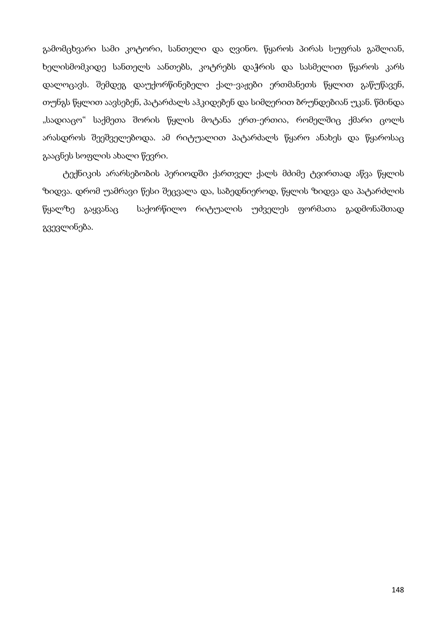გამომცხვარი სამი კოტორი, სანთელი და ღვინო. წყაროს პირას სუფრას გაშლიან, ხელისმომკიდე სანთელს აანთებს, კოტრებს დაჭრის და სასმელით წყაროს კარს დალოცავს. შემდეგ დაუქორწინებელი ქალ-ვაჟები ერთმანეთს წყლით გაწუწავენ, თუნგს წყლით აავსებენ, პატარძალს აჰკიდებენ და სიმღერით ბრუნდებიან უკან. წმინდა "სადიაცო" საქმეთა შორის წყლის მოტანა ერთ-ერთია, რომელშიც ქმარი ცოლს არასდროს შეეშველებოდა. ამ რიტუალით პატარძალს წყარო ანახეს და წყაროსაც გააცნეს სოფლის ახალი წევრი.

ტექნიკის არარსებობის პერიოდში ქართველ ქალს მძიმე ტვირთად აწვა წყლის ზიდვა. დრომ უამრავი წესი შეცვალა და, საბედნიეროდ, წყლის ზიდვა და პატარძლის წყალზე გაყვანაც საქორწილო რიტუალის უძველეს ფორმათა გადმონაშთად გვევლინება.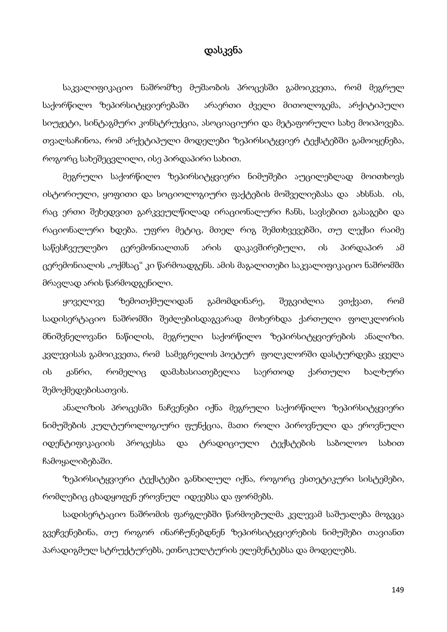## დასკვნა

საკვალიფიკაციო ნაშრომზე მუშაობის პროცესში გამოიკვეთა, რომ მეგრულ საქორწილო ზეპირსიტყვიერებაში არაერთი ძველი მითოლოგემა, არქიტიპული სიუჟეტი, სინტაგმური კონსტრუქცია, ასოციაციური და მეტაფორული სახე მოიპოვება. თვალსაჩინოა, რომ არქეტიპული მოდელები ზეპირსიტყვიერ ტექსტებში გამოიყენება, როგორც სახეშეცვლილი, ისე პირდაპირი სახით.

მეგრული საქორწილო ზეპირსიტყვიერი ნიმუშები აუცილებლად მოითხოვს ისტორიული, ყოფითი და სოციოლოგიური ფაქტების მოშველიებასა და ახსნას. ის, რაც ერთი შეხედვით გარკვეულწილად ირაციონალური ჩანს, სავსებით გასაგები და რაციონალური ხდება. უფრო მეტიც, მთელ რიგ შემთხვევებში, თუ ლექსი რაიმე საწესჩვეულებო ცერემონიალთან არის დაკავშირებული, ის პირდაპირ ამ ცერემონიალის "ოქმსაც" კი წარმოადგენს. ამის მაგალითები საკვალიფიკაციო ნაშრომში მრავლად არის წარმოდგენილი.

ყოველივე ზემოთქმულიდან გამომდინარე, შეგვიძლია ვთქვათ, რომ სადისერტაციო ნაშრომში შეძლებისდაგვარად მოხერხდა ქართული ფოლკლორის მნიშვნელოვანი ნაწილის, მეგრული საქორწილო ზეპირსიტყვიერების ანალიზი. კვლევისას გამოიკვეთა, რომ სამეგრელოს პოეტურ ფოლკლორში დასტურდება ყველა ის ჟანრი, რომელიც დამახასიათებელია საერთოდ ქართული ხალხური შემოქმედებისათვის.

ანალიზის პროცესში ნაჩვენები იქნა მეგრული საქორწილო ზეპირსიტყვიერი ნიმუშების კულტუროლოგიური ფუნქცია, მათი როლი პიროვნული და ეროვნული იდენტიფიკაციის პროცესსა და ტრადიციული ტექსტების საბოლოო სახით ჩამოყალიბებაში.

ზეპირსიტყვიერი ტექსტები განხილულ იქნა, როგორც ესთეტიკური სისტემები, რომლებიც ცხადყოფენ ეროვნულ იდეებსა და ფორმებს.

სადისერტაციო ნაშრომის ფარგლებში წარმოებულმა კვლევამ საშუალება მოგვცა გვეჩვენებინა, თუ როგორ ინარჩუნებდნენ ზეპირსიტყვიერების ნიმუშები თავიანთ პარადიგმულ სტრუქტურებს, ეთნოკულტურის ელემენტებსა და მოდელებს.

149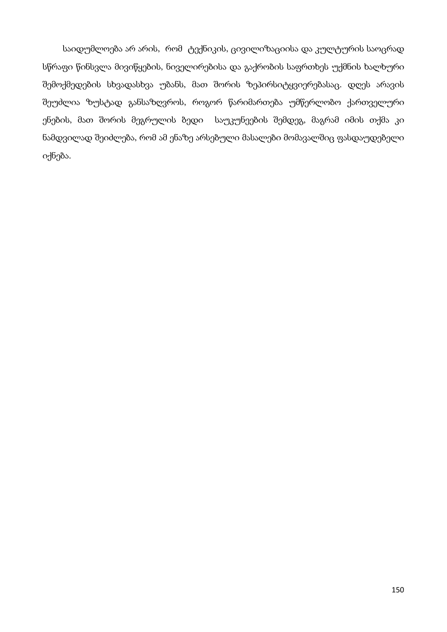საიდუმლოება არ არის, რომ ტექნიკის, ცივილიზაციისა და კულტურის საოცრად სწრაფი წინსვლა მივიწყების, ნიველირებისა და გაქრობის საფრთხეს უქმნის ხალხური შემოქმედების სხვადასხვა უბანს, მათ შორის ზეპირსიტყვიერებასაც. დღეს არავის შეუძლია ზუსტად განსაზღვროს, როგორ წარიმართება უმწერლობო ქართველური ენების, მათ შორის მეგრულის ბედი საუკუნეების შემდეგ, მაგრამ იმის თქმა კი ნამდვილად შეიძლება, რომ ამ ენაზე არსებული მასალები მომავალშიც ფასდაუდებელი იქნება.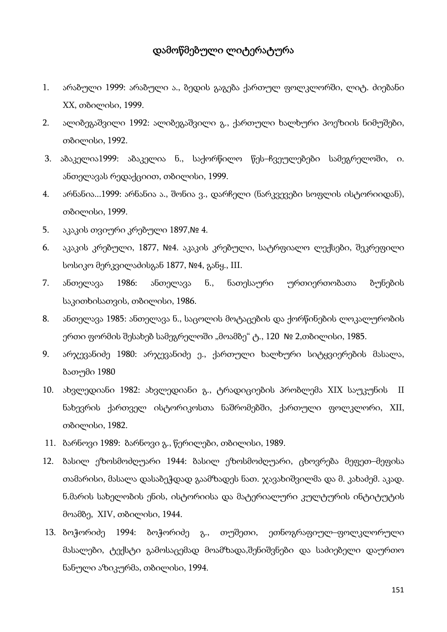## დამოწმებული ლიტერატურა

- 1. არაბული 1999: არაბული ა., ბედის გაგება ქართულ ფოლკლორში, ლიტ. ძიებანი XX, თბილისი, 1999.
- 2. ალიბეგაშვილი 1992: ალიბეგაშვილი გ., ქართული ხალხური პოეზიის ნიმუშები, თბილისი, 1992.
- 3. აბაკელია1999: აბაკელია ნ., საქორწილო წეს–ჩვეულებები სამეგრელოში, ი. ანთელავას რედაქციით, თბილისი, 1999.
- 4. არნანია...1999: არნანია ა., შონია ვ., დარჩელი (ნარკვევები სოფლის ისტორიიდან), თბილისი, 1999.
- 5. აკაკის თვიური კრებული 1897,№ 4.
- 6. აკაკის კრებული, 1877, №4. აკაკის კრებული, სატრფიალო ლექსები, შეკრეფილი სოსიკო მერკვილაძისგან 1877, №4, განყ., III.
- 7. ანთელავა 1986: ანთელავა ნ., ნათესაური ურთიერთობათა ბუნების საკითხისათვის, თბილისი, 1986.
- 8. ანთელავა 1985: ანთელავა ნ., საცოლის მოტაცების და ქორწინების ლოკალურობის ერთი ფორმის შესახებ სამეგრელოში "მოამბე" ტ., 120 № 2,თბილისი, 1985.
- 9. არჯევანიძე 1980: არჯევანიძე ე., ქართული ხალხური სიტყვიერების მასალა, ბათუმი 1980
- 10. ახვლედიანი 1982: ახვლედიანი გ., ტრადიციების პრობლემა XIX საუკუნის II ნახევრის ქართველ ისტორიკოსთა ნაშრომებში, ქართული ფოლკლორი, XII, თბილისი, 1982.
- 11. ბარნოვი 1989: ბარნოვი გ., წერილები, თბილისი, 1989.
- 12. ბასილ ეზოსმოძღუარი 1944: ბასილ ეზოსმოძღუარი, ცხოვრება მეფეთ–მეფისა თამარისი, მასალა დასაბეჭდად გაამზადეს ნათ. ჯავახიშვილმა და მ. კახაძემ. აკად. ნ.მარის სახელობის ენის, ისტორიისა და მატერიალური კულტურის ინტიტუტის მოამბე, XIV, თბილისი, 1944.
- 13. ბოჭორიძე 1994: ბოჭორიძე გ., თუშეთი, ეთნოგრაფიულ–ფოლკლორული მასალები, ტექსტი გამოსაცემად მოამზადა,შენიშვნები და საძიებელი დაურთო ნანული აზიკურმა, თბილისი, 1994.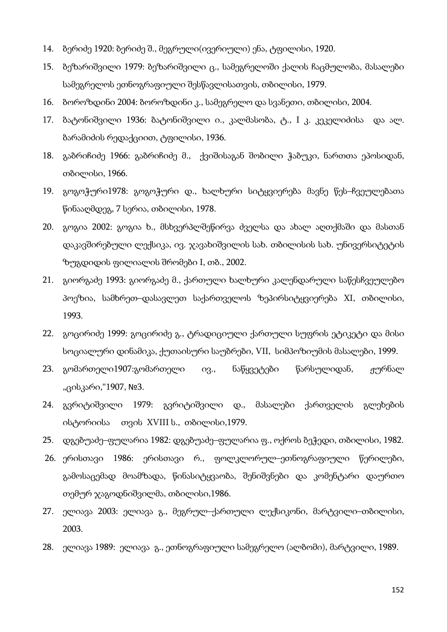- 14. ბერიძე 1920: ბერიძე შ., მეგრული(ივერიული) ენა, ტფილისი, 1920.
- 15. ბეზარიშვილი 1979: ბეზარიშვილი ც., სამეგრელოში ქალის ჩაცმულობა, მასალები სამეგრელოს ეთნოგრაფიული შესწავლისათვის, თბილისი, 1979.
- 16. ბოროზდინი 2004: ბოროზდინი კ., სამეგრელო და სვანეთი, თბილისი, 2004.
- 17. ბატონიშვილი 1936: ბატონიშვილი ი., კალმასობა, ტ., I კ. კეკელიძისა და ალ. ბარამიძის რედაქციით, ტფილისი, 1936.
- 18. გაბრიჩიძე 1966: გაბრიჩიძე მ., ქვიშისაგან შობილი ჭაბუკი, ნართთა ეპოსიდან, თბილისი, 1966.
- 19. გოგოჭური1978: გოგოჭური დ., ხალხური სიტყვიერება მავნე წეს–ჩვეულებათა წინააღმდეგ, 7 სერია, თბილისი, 1978.
- 20. გოგია 2002: გოგია ხ., მსხვერპლშეწირვა ძველსა და ახალ აღთქმაში და მასთან დაკავშირებული ლექსიკა, ივ. ჯავახიშვილის სახ. თბილისის სახ. უნივერსიტეტის ზუგდიდის ფილიალის შრომები I, თბ., 2002.
- 21. გიორგაძე 1993: გიორგაძე მ., ქართული ხალხური კალენდარული საწესჩვეულებო პოეზია, სამხრეთ–დასავლეთ საქართველოს ზეპირსიტყვიერება XI, თბილისი, 1993.
- 22. გოცირიძე 1999: გოცირიძე გ., ტრადიციული ქართული სუფრის ეტიკეტი და მისი სოციალური დინამიკა, ქუთაისური საუბრები, VII, სიმპოზიუმის მასალები, 1999.
- 23. გომართელი1907:გომართელი ივ., ნაწყვეტები წარსულიდან, ჟურნალ "ცისკარი,"1907, №3.
- 24. გვრიტიშვილი 1979: გვრიტიშვილი დ., მასალები ქართველის გლეხების ისტორიისა თვის XVIII ს., თბილისი,1979.
- 25. დგებუაძე–ფულარია 1982: დგებუაძე–ფულარია ფ., ოქროს ბეჭედი, თბილისი, 1982.
- 26. ერისთავი 1986: ერისთავი რ., ფოლკლორულ–ეთნოგრაფიული წერილები, გამოსაცემად მოამზადა, წინასიტყვაობა, შენიშვნები და კომენტარი დაურთო თემურ ჯაგოდნიშვილმა, თბილისი,1986.
- 27. ელიავა 2003: ელიავა გ., მეგრულ–ქართული ლექსიკონი, მარტვილი–თბილისი, 2003.
- 28. ელიავა 1989: ელიავა გ., ეთნოგრაფიული სამეგრელო (ალბომი), მარტვილი, 1989.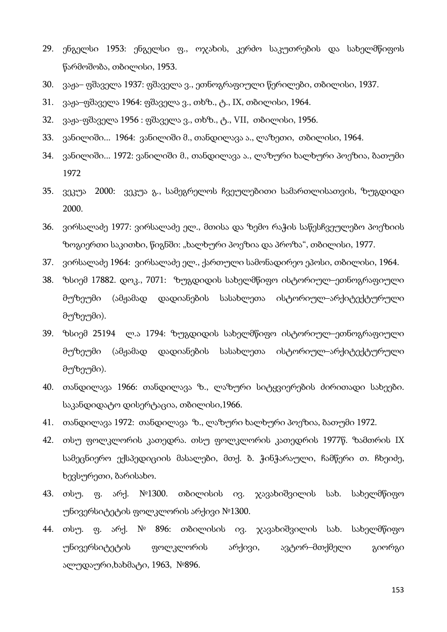- 29. ენგელსი 1953: ენგელსი ფ., ოჯახის, კერძო საკუთრების და სახელმწიფოს წარმოშობა, თბილისი, 1953.
- 30. ვაჟა– ფშაველა 1937: ფშაველა ვ., ეთნოგრაფიული წერილები, თბილისი, 1937.
- 31. ვაჟა–ფშაველა 1964: ფშაველა ვ., თხზ., ტ., IX, თბილისი, 1964.
- 32. ვაჟა-ფშაველა 1956 : ფშაველა ვ., თხზ., ტ., VII, თბილისი, 1956.
- 33. ვანილიში... 1964: ვანილიში მ., თანდილავა ა., ლაზეთი, თბილისი, 1964.
- 34. ვანილიში... 1972: ვანილიში მ., თანდილავა ა., ლაზური ხალხური პოეზია, ბათუმი 1972
- 35. ვეკუა 2000: ვეკუა გ., სამეგრელოს ჩვეულებითი სამართლისათვის, ზუგდიდი 2000.
- 36. ვირსალაძე 1977: ვირსალაძე ელ., მთისა და ზემო რაჭის საწესჩვეულებო პოეზიის ზოგიერთი საკითხი, წიგნში: "ხალხური პოეზია და პროზა", თბილისი, 1977.
- 37. ვირსალაძე 1964: ვირსალაძე ელ., ქართული სამონადირეო ეპოსი, თბილისი, 1964.
- 38. ზსიემ 17882. დოკ., 7071: ზუგდიდის სახელმწიფო ისტორიულ–ეთნოგრაფიული მუზეუმი (ამჟამად დადიანების სასახლეთა ისტორიულ–არქიტექტურული მუზეუმი).
- 39. ზსიემ 25194 ლ.ა 1794: ზუგდიდის სახელმწიფო ისტორიულ–ეთნოგრაფიული მუზეუმი (ამჟამად დადიანების სასახლეთა ისტორიულ–არქიტექტურული მუზეუმი).
- 40. თანდილავა 1966: თანდილავა ზ., ლაზური სიტყვიერების ძირითადი სახეები. საკანდიდატო დისერტაცია, თბილისი,1966.
- 41. თანდილავა 1972: თანდილავა ზ., ლაზური ხალხური პოეზია, ბათუმი 1972.
- 42. თსუ ფოლკლორის კათედრა. თსუ ფოლკლორის კათედრის 1977წ. ზამთრის IX სამეცნიერო ექსპედიციის მასალები, მთქ. ბ. ჭინჭარაული, ჩამწერი თ. ჩხეიძე, ხევსურეთი, ბარისახო.
- 43. თსუ. ფ. არქ. №1300. თბილისის ივ. ჯავახიშვილის სახ. სახელმწიფო უნივერსიტეტის ფოლკლორის არქივი №1300.
- 44. თსუ. ფ. არქ. № 896: თბილისის ივ. ჯავახიშვილის სახ. სახელმწიფო უნივერსიტეტის ფოლკლორის არქივი, ავტორ–მთქმელი გიორგი ალუდაური,ხახმატი, 1963, №896.

153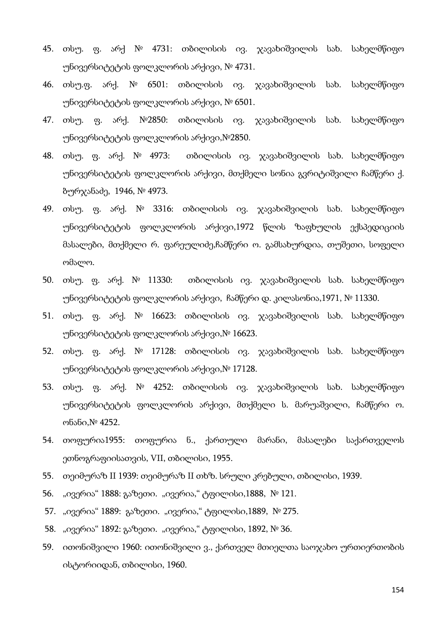- 45. თსუ. ფ. არქ № 4731: თბილისის ივ. ჯავახიშვილის სახ. სახელმწიფო უნივერსიტეტის ფოლკლორის არქივი, № 4731.
- 46. თსუ.ფ. არქ. № 6501: თბილისის ივ. ჯავახიშვილის სახ. სახელმწიფო უნივერსიტეტის ფოლკლორის არქივი, № 6501.
- 47. თსუ. ფ. არქ. №2850: თბილისის ივ. ჯავახიშვილის სახ. სახელმწიფო უნივერსიტეტის ფოლკლორის არქივი,№2850.
- 48. თსუ. ფ. არქ. № 4973: თბილისის ივ. ჯავახიშვილის სახ. სახელმწიფო უნივერსიტეტის ფოლკლორის არქივი, მთქმელი სონია გვრიტიშვილი ჩამწერი ქ. ბურჯანაძე, 1946, № 4973.
- 49. თსუ. ფ. არქ. № 3316: თბილისის ივ. ჯავახიშვილის სახ. სახელმწიფო უნივერსიტეტის ფოლკლორის არქივი,1972 წლის ზაფხულის ექსპედიციის მასალები, მთქმელი რ. ფარეულიძე,ჩამწერი ო. გამსახურდია, თუშეთი, სოფელი ომალო.
- 50. თსუ. ფ. არქ. № 11330: თბილისის ივ. ჯავახიშვილის სახ. სახელმწიფო უნივერსიტეტის ფოლკლორის არქივი, ჩამწერი დ. კილასონია,1971, № 11330.
- 51. თსუ. ფ. არქ. № 16623: თბილისის ივ. ჯავახიშვილის სახ. სახელმწიფო უნივერსიტეტის ფოლკლორის არქივი,№ 16623.
- 52. თსუ. ფ. არქ. № 17128: თბილისის ივ. ჯავახიშვილის სახ. სახელმწიფო უნივერსიტეტის ფოლკლორის არქივი,№ 17128.
- 53. თსუ. ფ. არქ. № 4252: თბილისის ივ. ჯავახიშვილის სახ. სახელმწიფო უნივერსიტეტის ფოლკლორის არქივი, მთქმელი ს. მარუაშვილი, ჩამწერი ო. ონანი,№ 4252.
- 54. თოფურია1955: თოფურია ნ., ქართული მარანი, მასალები საქართველოს ეთნოგრაფიისათვის, VII, თბილისი, 1955.
- 55. თეიმურაზ II 1939: თეიმურაზ II თხზ. სრული კრებული, თბილისი, 1939.
- 56. "ივერია" 1888: გაზეთი. "ივერია," ტფილისი,1888, № 121.
- 57. "ივერია" 1889: გაზეთი. "ივერია," ტფილისი,1889, № 275.
- 58. "ივერია" 1892: გაზეთი. "ივერია," ტფილისი, 1892, № 36.
- 59. ითონიშვილი 1960: ითონიშვილი ვ., ქართველ მთიელთა საოჯახო ურთიერთობის ისტორიიდან, თბილისი, 1960.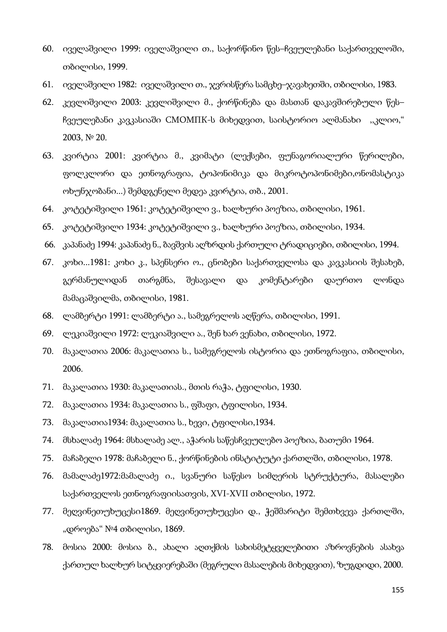- 60. იველაშვილი 1999: იველაშვილი თ., საქორწინო წეს–ჩვეულებანი საქართველოში, თბილისი, 1999.
- 61. იველაშვილი 1982: იველაშვილი თ., ჯვრისწერა სამცხე–ჯავახეთში, თბილისი, 1983.
- 62. კევლიშვილი 2003: კევლიშვილი მ., ქორწინება და მასთან დაკავშირებული წეს– ჩვეულებანი კავკასიაში СМОМПК-ს მიხედვით, საისტორიო ალმანახი ,,კლიო," 2003, № 20.
- 63. კვირტია 2001: კვირტია მ., კვიმატი (ლექსები, ფუნაგორიალური წერილები, ფოლკლორი და ეთნოგრაფია, ტოპონიმიკა და მიკროტოპონიმები,ონომასტიკა ოხუნჯობანი...) შემდგენელი მედეა კვირტია, თბ., 2001.
- 64. კოტეტიშვილი 1961: კოტეტიშვილი ვ., ხალხური პოეზია, თბილისი, 1961.
- 65. კოტეტიშვილი 1934: კოტეტიშვილი ვ., ხალხური პოეზია, თბილისი, 1934.
- 66. კაპანაძე 1994: კაპანაძე ნ., ბავშვის აღზრდის ქართული ტრადიციები, თბილისი, 1994.
- 67. კოხი...1981: კოხი კ., სპენსერი ო., ცნობები საქართველოსა და კავკასიის შესახებ, გერმანულიდან თარგმნა, შესავალი და კომენტარები დაურთო ლონდა მამაცაშვილმა, თბილისი, 1981.
- 68. ლამბერტი 1991: ლამბერტი ა., სამეგრელოს აღწერა, თბილისი, 1991.
- 69. ლეკიაშვილი 1972: ლეკიაშვილი ა., შენ ხარ ვენახი, თბილისი, 1972.
- 70. მაკალათია 2006: მაკალათია ს., სამეგრელოს ისტორია და ეთნოგრაფია, თბილისი, 2006.
- 71. მაკალათია 1930: მაკალათიას., მთის რაჭა, ტფილისი, 1930.
- 72. მაკალათია 1934: მაკალათია ს., ფშაფი, ტფილისი, 1934.
- 73. მაკალათია1934: მაკალათია ს., ხევი, ტფილისი,1934.
- 74. მსხალაძე 1964: მსხალაძე ალ., აჭარის საწესჩვეულებო პოეზია, ბათუმი 1964.
- 75. მაჩაბელი 1978: მაჩაბელი ნ., ქორწინების ინსტიტუტი ქართლში, თბილისი, 1978.
- 76. მამალაძე1972:მამალაძე ი., სვანური საწესო სიმღერის სტრუქტურა, მასალები საქართველოს ეთნოგრაფიისათვის, XVI-XVII თბილისი, 1972.
- 77. მეღვინეთუხუცესი1869. მეღვინეთუხუცესი დ., ჭეშმარიტი შემთხვევა ქართლში, "დროება" №4 თბილისი, 1869.
- 78. მოსია 2000: მოსია ბ., ახალი აღთქმის სახისმეტყველებითი აზროვნების ასახვა ქართულ ხალხურ სიტყვიერებაში (მეგრული მასალების მიხედვით), ზუგდიდი, 2000.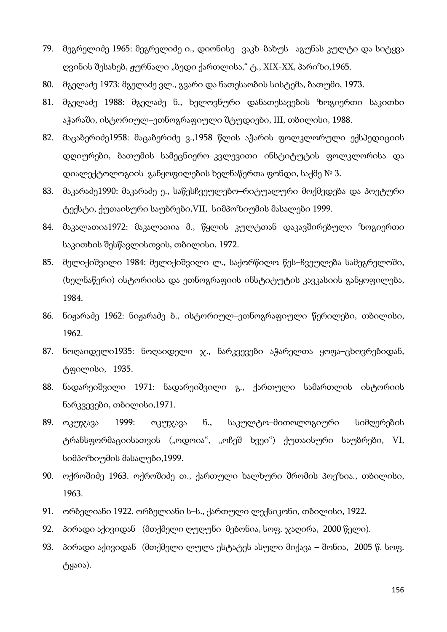- 79. მეგრელიძე 1965: მეგრელიძე ი., დიონისე– ვაკხ–ბახუს– აგუნას კულტი და სიტყვა ღვინის შესახებ, ჟურნალი "ბედი ქართლისა," <sub>(</sub>გ., XIX-XX, პარიზი,1965.
- 80. მგელაძე 1973: მგელაძე ვლ., გვარი და ნათესაობის სისტემა, ბათუმი, 1973.
- 81. მგელაძე 1988: მგელაძე ნ., ხელოვნური დანათესავების ზოგიერთი საკითხი აჭარაში, ისტორიულ–ეთნოგრაფიული შტუდიები, III, თბილისი, 1988.
- 82. მაცაბერიძე1958: მაცაბერიძე ვ.,1958 წლის აჭარის ფოლკლორული ექსპედიციის დღიურები, ბათუმის სამეცნიერო–კვლევითი ინსტიტუტის ფოლკლორისა და დიალექტოლოგიის განყოფილების ხელნაწერთა ფონდი, საქმე № 3.
- 83. მაკარაძე1990: მაკარაძე ე., საწესჩვეულებო–რიტუალური მოქმედება და პოეტური ტექსტი, ქუთაისური საუბრები,VII, სიმპოზიუმის მასალები 1999.
- 84. მაკალათია1972: მაკალათია მ., წყლის კულტთან დაკავშირებული ზოგიერთი საკითხის შესწავლისთვის, თბილისი, 1972.
- 85. მელიქიშვილი 1984: მელიქიშვილი ლ., საქორწილო წეს–ჩვეულება სამეგრელოში, (ხელნაწერი) ისტორიისა და ეთნოგრაფიის ინსტიტუტის კავკასიის განყოფილება, 1984.
- 86. ნიჟარაძე 1962: ნიჟარაძე ბ., ისტორიულ–ეთნოგრაფიული წერილები, თბილისი, 1962.
- 87. ნოღაიდელი1935: ნოღაიდელი ჯ., ნარკვევები აჭარელთა ყოფა–ცხოვრებიდან, ტფილისი, 1935.
- 88. ნადარეიშვილი 1971: ნადარეიშვილი გ., ქართული სამართლის ისტორიის ნარკვევები, თბილისი,1971.
- 89. ოკუჯავა 1999: ოკუჯავა ნ., საკულტო–მითოლოგიური სიმღერების ტრანსფორმაციისათვის ("ოდოია", "ოჩეშ ხვეი") ქუთაისური საუბრები, VI, სიმპოზიუმის მასალები,1999.
- 90. ოქროშიძე 1963. ოქროშიძე თ., ქართული ხალხური შრომის პოეზია., თბილისი, 1963.
- 91. ორბელიანი 1922. ორბელიანი ს–ს., ქართული ლექსიკონი, თბილისი, 1922.
- 92. პირადი აქივიდან (მთქმელი ღუღუნი მებონია, სოფ. ჯაღირა, 2000 წელი).
- 93. პირადი აქივიდან (მთქმელი ლულა ესტატეს ასული მიქავა შონია, 2005 წ. სოფ. ტყაია).

156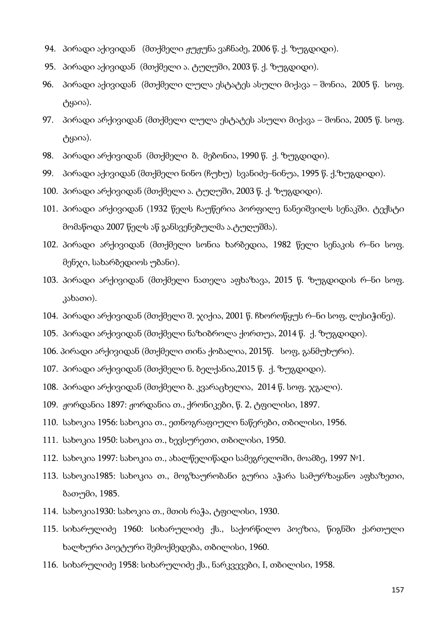- 94. პირადი აქივიდან (მთქმელი ჟუჟუნა ვაჩნაძე, 2006 წ. ქ. ზუგდიდი).
- 95. პირადი აქივიდან (მთქმელი ა. ტუღუში, 2003 წ. ქ. ზუგდიდი).
- 96. პირადი აქივიდან (მთქმელი ლულა ესტატეს ასული მიქავა შონია, 2005 წ. სოფ. ტყაია).
- 97. პირადი არქივიდან (მთქმელი ლულა ესტატეს ასული მიქავა შონია, 2005 წ. სოფ. ტყაია).
- 98. პირადი არქივიდან (მთქმელი ბ. მებონია, 1990 წ. ქ. ზუგდიდი).
- 99. პირადი აქივიდან (მთქმელი ნინო (ჩუხუ) სვანიძე–ნინუა, 1995 წ. ქ.ზუგდიდი).
- 100. პირადი არქივიდან (მთქმელი ა. ტუღუში, 2003 წ. ქ. ზუგდიდი).
- 101. პირადი არქივიდან (1932 წელს ჩაუწერია პორფილე ნანეიშვილს სენაკში. ტექსტი მომაწოდა 2007 წელს აწ განსვენებულმა ა.ტუღუშმა).
- 102. პირადი არქივიდან (მთქმელი სონია ხარბედია, 1982 წელი სენაკის რ–ნი სოფ. მენჯი, სახარბედიოს უბანი).
- 103. პირადი არქივიდან (მთქმელი ნათელა აფხაზავა, 2015 წ. ზუგდიდის რ–ნი სოფ. კახათი).
- 104. პირადი არქივიდან (მთქმელი შ. ჯიქია, 2001 წ. ჩხოროწყუს რ–ნი სოფ, ლესიჭინე).
- 105. პირადი არქივიდან (მთქმელი ნაზიბროლა ქორთუა, 2014 წ. ქ. ზუგდიდი).
- 106. პირადი არქივიდან (მთქმელი თინა ქობალია, 2015წ. სოფ, განმუხური).
- 107. პირადი არქივიდან (მთქმელი ნ. ბელქანია,2015 წ. ქ. ზუგდიდი).
- 108. პირადი არქივიდან (მთქმელი ბ. კვარაცხელია, 2014 წ. სოფ. ჯგალი).
- 109. ჟორდანია 1897: ჟორდანია თ., ქრონიკები, წ. 2, ტფილისი, 1897.
- 110. სახოკია 1956: სახოკია თ., ეთნოგრაფიული ნაწერები, თბილისი, 1956.
- 111. სახოკია 1950: სახოკია თ., ხევსურეთი, თბილისი, 1950.
- 112. სახოკია 1997: სახოკია თ., ახალწელიწადი სამეგრელოში, მოამბე, 1997 №1.
- 113. სახოკია1985: სახოკია თ., მოგზაურობანი გურია აჭარა სამურზაყანო აფხაზეთი, ბათუმი, 1985.
- 114. სახოკია1930: სახოკია თ., მთის რაჭა, ტფილისი, 1930.
- 115. სიხარულიძე 1960: სიხარულიძე ქს., საქორწილო პოეზია, წიგნში ქართული ხალხური პოეტური შემოქმედება, თბილისი, 1960.
- 116. სიხარულიძე 1958: სიხარულიძე ქს., ნარკვევები, I, თბილისი, 1958.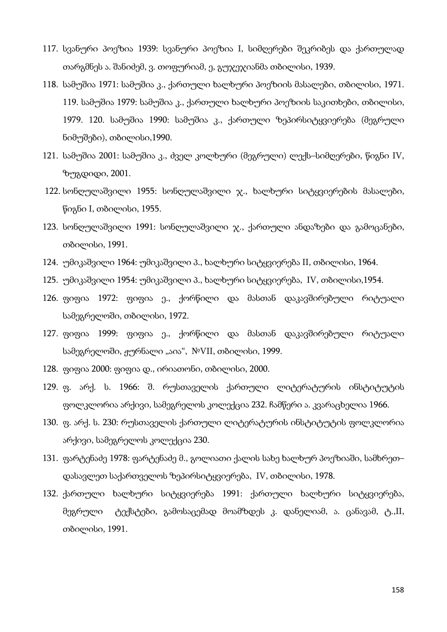- 117. სვანური პოეზია 1939: სვანური პოეზია I, სიმღერები შეკრიბეს და ქართულად თარგმნეს ა. შანიძემ, ვ. თოფურიამ, ე, გუჯეჯიანმა თბილისი, 1939.
- 118. სამუშია 1971: სამუშია კ., ქართული ხალხური პოეზიის მასალები, თბილისი, 1971. 119. სამუშია 1979: სამუშია კ., ქართული ხალხური პოეზიის საკითხები, თბილისი, 1979. 120. სამუშია 1990: სამუშია კ., ქართული ზეპირსიტყვიერება (მეგრული ნიმუშები), თბილისი,1990.
- 121. სამუშია 2001: სამუშია კ., ძველ კოლხური (მეგრული) ლექს–სიმღერები, წიგნი IV, ზუგდიდი, 2001.
- 122. სონღულაშვილი 1955: სონღულაშვილი ჯ., ხალხური სიტყვიერების მასალები, წიგნი I, თბილისი, 1955.
- 123. სონღულაშვილი 1991: სონღულაშვილი ჯ., ქართული ანდაზები და გამოცანები, თბილისი, 1991.
- $124.$  უმიკაშვილი 1964: უმიკაშვილი პ., ხალხური სიტყვიერება II, თბილისი, 1964.
- 125. უმიკაშვილი 1954: უმიკაშვილი პ., ხალხური სიტყვიერება, IV, თბილისი,1954.
- 126. ფიფია 1972: ფიფია ე., ქორწილი და მასთან დაკავშირებული რიტუალი სამეგრელოში, თბილისი, 1972.
- 127. ფიფია 1999: ფიფია ე., ქორწილი და მასთან დაკავშირებული რიტუალი სამეგრელოში, ჟურნალი "აია",  $N^{\circ}VII$ , თბილისი, 1999.
- 128. ფიფია 2000: ფიფია დ., ირიათონი, თბილისი, 2000.
- 129. ფ. არქ. ს. 1966: შ. რუსთაველის ქართული ლიტერატურის ინსტიტუტის ფოლკლორია არქივი, სამეგრელოს კოლექცია 232. ჩამწერი ა. კვარაცხელია 1966.
- 130. ფ. არქ. ს. 230: რუსთაველის ქართული ლიტერატურის ინსტიტუტის ფოლკლორია არქივი, სამეგრელოს კოლექცია 230.
- 131. ფარტენაძე 1978: ფარტენაძე მ., გოლიათი ქალის სახე ხალხურ პოეზიაში, სამხრეთ– დასავლეთ საქართველოს ზეპირსიტყვიერება, IV, თბილისი, 1978.
- 132. ქართული ხალხური სიტყვიერება 1991: ქართული ხალხური სიტყვიერება, მეგრული ტექსტები, გამოსაცემად მოამზდეს კ. დანელიამ, ა. ცანავამ, ტ.,II, თბილისი, 1991.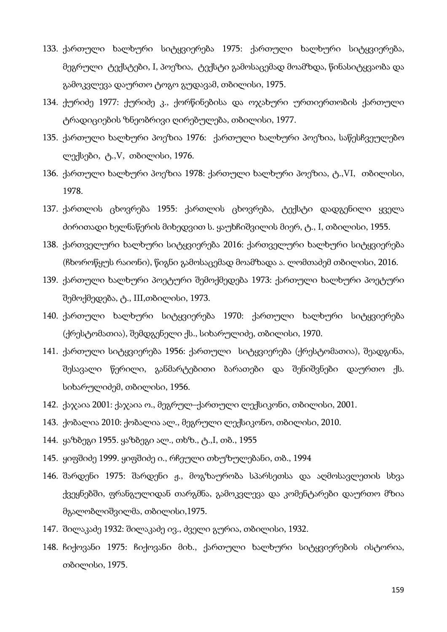- 133. ქართული ხალხური სიტყვიერება 1975: ქართული ხალხური სიტყვიერება, მეგრული ტექსტები, I, პოეზია, ტექსტი გამოსაცემად მოამზდა, წინასიტყვაობა და გამოკვლევა დაურთო ტოგო გუდავამ, თბილისი, 1975.
- 134. ქურიძე 1977: ქურიძე კ., ქორწინებისა და ოჯახური ურთიერთობის ქართული ტრადიციების ზნეობრივი ღირებულება, თბილისი, 1977.
- 135. ქართული ხალხური პოეზია 1976: ქართული ხალხური პოეზია, საწესჩვეულებო ლექსები, ტ.,V, თბილისი, 1976.
- 136. ქართული ხალხური პოეზია 1978: ქართული ხალხური პოეზია, ტ.,VI, თბილისი, 1978.
- 137. ქართლის ცხოვრება 1955: ქართლის ცხოვრება, ტექსტი დადგენილი ყველა ძირითადი ხელნაწერის მიხედვით ს. ყაუხჩიშვილის მიერ, ტ., I, თბილისი, 1955.
- 138. ქართველური ხალხური სიტყვიერება 2016: ქართველური ხალხური სიტყვიერება (ჩხოროწყუს რაიონი), წიგნი გამოსაცემად მოამზადა ა. ლომთაძემ თბილისი, 2016.
- 139. ქართული ხალხური პოეტური შემოქმედება 1973: ქართული ხალხური პოეტური შემოქმედება, ტ., III,თბილისი, 1973.
- 140. ქართული ხალხური სიტყვიერება 1970: ქართული ხალხური სიტყვიერება (ქრესტომათია), შემდგენელი ქს., სიხარულიძე, თბილისი, 1970.
- 141. ქართული სიტყვიერება 1956: ქართული სიტყვიერება (ქრესტომათია), შეადგინა, შესავალი წერილი, განმარტებითი ბარათები და შენიშვნები დაურთო ქს. სიხარულიძემ, თბილისი, 1956.
- 142. ქაჯაია 2001: ქაჯაია ო., მეგრულ–ქართული ლექსიკონი, თბილისი, 2001.
- 143. ქობალია 2010: ქობალია ალ., მეგრული ლექსიკონო, თბილისი, 2010.
- 144. ყაზბეგი 1955. ყაზბეგი ალ., თხზ., ტ.,I, თბ., 1955
- 145. ყიფშიძე 1999. ყიფშიძე ი., რჩეული თხუზულებანი, თბ., 1994
- 146. შარდენი 1975: შარდენი ჟ., მოგზაურობა სპარსეთსა და აღმოსავლეთის სხვა ქვეყნებში, ფრანგულიდან თარგმნა, გამოკვლევა და კომენტარები დაურთო მზია მგალობლიშვილმა, თბილისი,1975.
- 147. შილაკაძე 1932: შილაკაძე ივ., ძველი გურია, თბილისი, 1932.
- 148. ჩიქოვანი 1975: ჩიქოვანი მიხ., ქართული ხალხური სიტყვიერების ისტორია, თბილისი, 1975.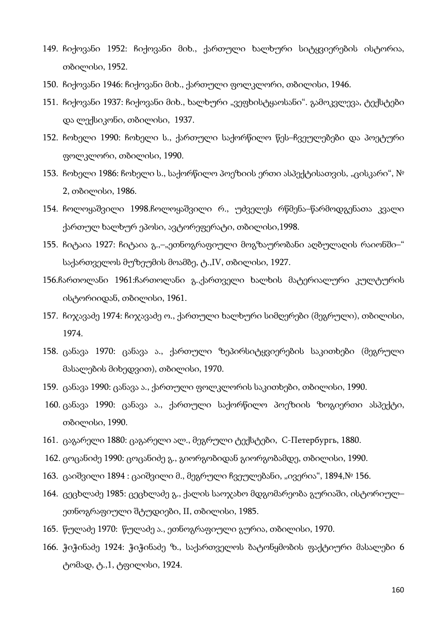- 149. ჩიქოვანი 1952: ჩიქოვანი მიხ., ქართული ხალხური სიტყვიერების ისტორია, თბილისი, 1952.
- 150. ჩიქოვანი 1946: ჩიქოვანი მიხ., ქართული ფოლკლორი, თბილისი, 1946.
- 151. ჩიქოვანი 1937: ჩიქოვანი მიხ., ხალხური "ვეფხისტყაოსანი". გამოკვლევა, ტექსტები და ლექსიკონი, თბილისი, 1937.
- 152. ჩოხელი 1990: ჩოხელი ს., ქართული საქორწილო წეს–ჩვეულებები და პოეტური ფოლკლორი, თბილისი, 1990.
- 153. ჩოხელი 1986: ჩოხელი ს., საქორწილო პოეზიის ერთი ასპექტისათვის, "ცისკარი", № 2, თბილისი, 1986.
- 154. ჩოლოყაშვილი 1998.ჩოლოყაშვილი რ., უძველეს რწმენა–წარმოდგენათა კვალი ქართულ ხალხურ ეპოსი, ავტორეფერატი, თბილისი,1998.
- 155. ჩიტაია 1927: ჩიტაია გ.,–"ეთნოგრაფიული მოგზაურობანი აღბულაღის რაიონში–" საქართველოს მუზეუმის მოამბე, ტ.,IV, თბილისი, 1927.
- 156.ჩართოლანი 1961:ჩართოლანი გ.,ქართველი ხალხის მატერიალური კულტურის ისტორიიდან, თბილისი, 1961.
- 157. ჩიჯავაძე 1974: ჩიჯავაძე ო., ქართული ხალხური სიმღერები (მეგრული), თბილისი, 1974.
- 158. ცანავა 1970: ცანავა ა., ქართული ზეპირსიტყვიერების საკითხები (მეგრული მასალების მიხედვით), თბილისი, 1970.
- 159. ცანავა 1990: ცანავა ა., ქართული ფოლკლორის საკითხები, თბილისი, 1990.
- 160. ცანავა 1990: ცანავა ა., ქართული საქორწილო პოეზიის ზოგიერთი ასპექტი, თბილისი, 1990.
- 161. ცაგარელი 1880: ცაგარელი ალ., მეგრული ტექსტები, С-Петербургь, 1880.
- 162. ცოცანიძე 1990: ცოცანიძე გ., გიორგობიდან გიორგობამდე, თბილისი, 1990.
- 163. ცაიშვილი 1894 : ცაიშვილი მ., მეგრული ჩვეულებანი, "ივერია", 1894,№ 156.
- 164. ცეცხლაძე 1985: ცეცხლაძე გ., ქალის საოჯახო მდგომარეობა გურიაში, ისტორიულ– ეთნოგრაფიული შტუდიები, II, თბილისი, 1985.
- 165. წულაძე 1970: წულაძე ა., ეთნოგრაფიული გურია, თბილისი, 1970.
- 166. ჭიჭინაძე 1924: ჭიჭინაძე ზ., საქართველოს ბატონყმობის ფაქტიური მასალები 6 ტომად, ტ.,1, ტფილისი, 1924.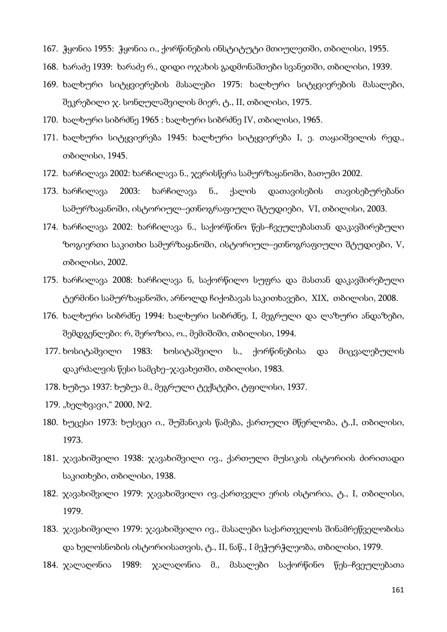- 167. ჭყონია 1955: ჭყონია ი., ქორწინების ინსტიტუტი მთიულეთში, თბილისი, 1955.
- 168. ხარაძე 1939: ხარაძე რ., დიდი ოჯახის გადმონაშთები სვანეთში, თბილისი, 1939.
- 169. ხალხური სიტყვიერების მასალები 1975: ხალხური სიტყვიერების მასალები, შეკრებილი ჯ. სონღულაშვილის მიერ, ტ., II, თბილისი, 1975.
- 170. ხალხური სიბრძნე 1965 : ხალხური სიბრძნე IV, თბილისი, 1965.
- 171. ხალხური სიტყვიერება 1945: ხალხური სიტყვიერება I, ე. თაყაიშვილის რედ., თბილისი, 1945.
- 172. ხარჩილავა 2002: ხარჩილავა ნ., ჯვრისწერა სამურზაყანოში, ბათუმი 2002.
- 173. ხარჩილავა 2003: ხარჩილავა ნ., ქალის დათავისების თავისებურებანი სამურზაყანოში, ისტორიულ–ეთნოგრაფიული შტუდიები, VI, თბილისი, 2003.
- 174. ხარჩილავა 2002: ხარჩილავა ნ., საქორწინო წეს–ჩვეულებასთან დაკავშირებული ზოგიერთი საკითხი სამურზაყანოში, ისტორიულ–ეთნოგრაფიული შტუდიები, V, თბილისი, 2002.
- 175. ხარჩილავა 2008: ხარჩილავა ნ, საქორწილო სუფრა და მასთან დაკავშირებული ტერმინი სამურზაყანოში, არნოლდ ჩიქობავას საკითხავები, XIX, თბილისი, 2008.
- 176. ხალხური სიბრძნე 1994: ხალხური სიბრძნე, I, მეგრული და ლაზური ანდაზები, შემდგენლები: რ, შეროზია, ო., მემიშიში, თბილისი, 1994.
- 177. ხოსიტაშვილი 1983: ხოსიტაშვილი ს., ქორწინებისა და მიცვალებულის დაკრძალვის წესი სამცხე–ჯავახეთში, თბილისი, 1983.
- 178. ხუბუა 1937: ხუბუა მ., მეგრული ტექსტები, ტფილისი, 1937.
- 179. "ხელხვავი," 2000, №2.
- 180. ხუცესი 1973: ხუსეცი ი., შუშანიკის წამება, ქართული მწერლობა, ტ.,I, თბილისი, 1973.
- 181. ჯავახიშვილი 1938: ჯავახიშვილი ივ., ქართული მუსიკის ისტორიის ძირითადი საკითხები, თბილისი, 1938.
- 182. ჯავახიშვილი 1979: ჯავახიშვილი ივ.,ქართველი ერის ისტორია, ტ., I, თბილისი, 1979.
- 183. ჯავახიშვილი 1979: ჯავახიშვილი ივ., მასალები საქართველოს შინამრეწველობისა და ხელოსნობის ისტორიისათვის, ტ., II, ნაწ., I მეჭურჭლეობა, თბილისი, 1979.
- 184. ჯალაღონია 1989: ჯალაღონია მ., მასალები საქორწინო წეს–ჩვეულებათა